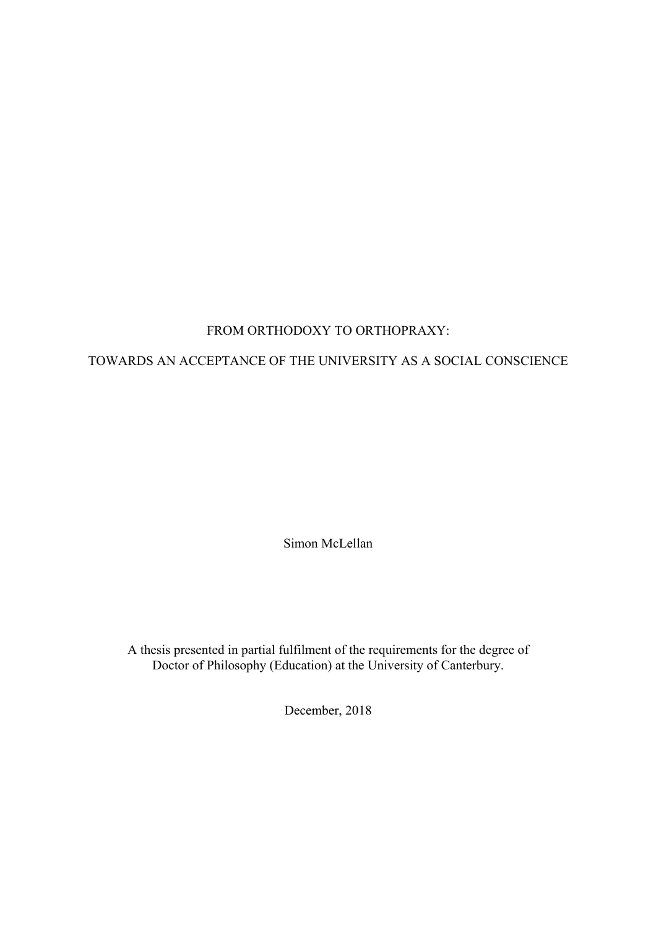## FROM ORTHODOXY TO ORTHOPRAXY:

## TOWARDS AN ACCEPTANCE OF THE UNIVERSITY AS A SOCIAL CONSCIENCE

Simon McLellan

A thesis presented in partial fulfilment of the requirements for the degree of Doctor of Philosophy (Education) at the University of Canterbury.

December, 2018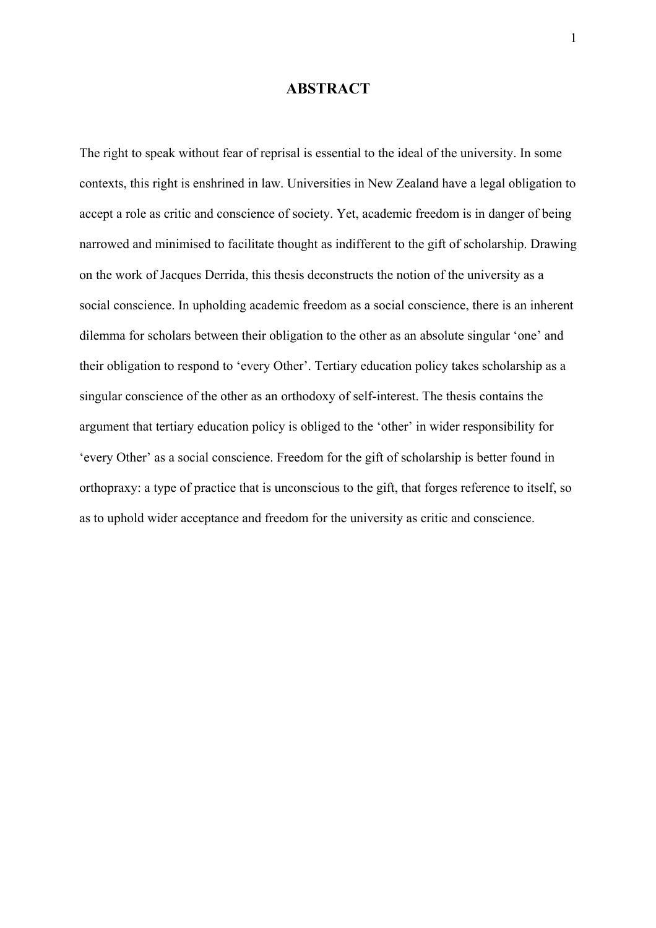## **ABSTRACT**

The right to speak without fear of reprisal is essential to the ideal of the university. In some contexts, this right is enshrined in law. Universities in New Zealand have a legal obligation to accept a role as critic and conscience of society. Yet, academic freedom is in danger of being narrowed and minimised to facilitate thought as indifferent to the gift of scholarship. Drawing on the work of Jacques Derrida, this thesis deconstructs the notion of the university as a social conscience. In upholding academic freedom as a social conscience, there is an inherent dilemma for scholars between their obligation to the other as an absolute singular 'one' and their obligation to respond to 'every Other'. Tertiary education policy takes scholarship as a singular conscience of the other as an orthodoxy of self-interest. The thesis contains the argument that tertiary education policy is obliged to the 'other' in wider responsibility for 'every Other' as a social conscience. Freedom for the gift of scholarship is better found in orthopraxy: a type of practice that is unconscious to the gift, that forges reference to itself, so as to uphold wider acceptance and freedom for the university as critic and conscience.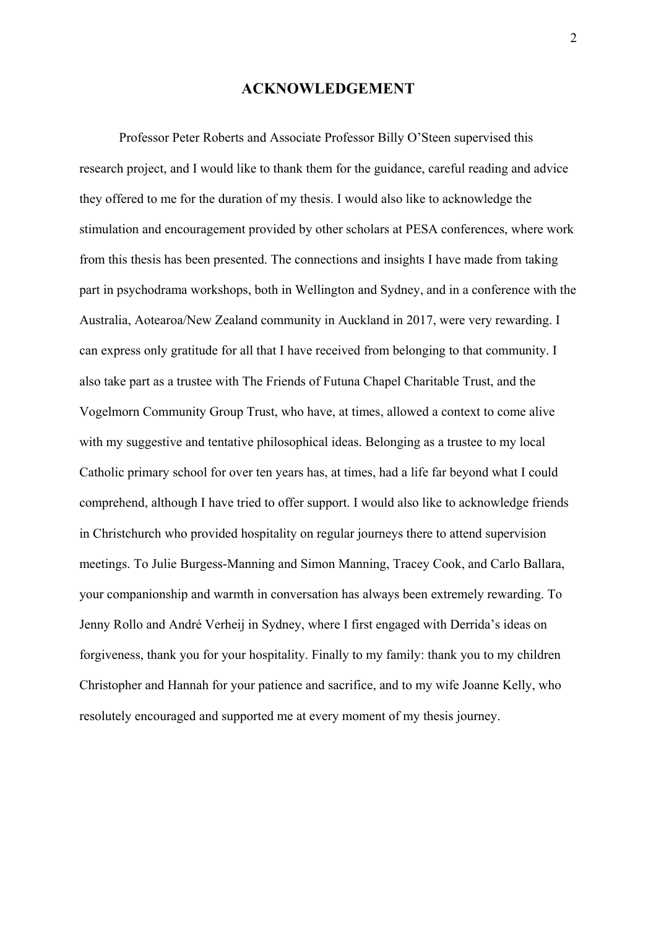#### **ACKNOWLEDGEMENT**

Professor Peter Roberts and Associate Professor Billy O'Steen supervised this research project, and I would like to thank them for the guidance, careful reading and advice they offered to me for the duration of my thesis. I would also like to acknowledge the stimulation and encouragement provided by other scholars at PESA conferences, where work from this thesis has been presented. The connections and insights I have made from taking part in psychodrama workshops, both in Wellington and Sydney, and in a conference with the Australia, Aotearoa/New Zealand community in Auckland in 2017, were very rewarding. I can express only gratitude for all that I have received from belonging to that community. I also take part as a trustee with The Friends of Futuna Chapel Charitable Trust, and the Vogelmorn Community Group Trust, who have, at times, allowed a context to come alive with my suggestive and tentative philosophical ideas. Belonging as a trustee to my local Catholic primary school for over ten years has, at times, had a life far beyond what I could comprehend, although I have tried to offer support. I would also like to acknowledge friends in Christchurch who provided hospitality on regular journeys there to attend supervision meetings. To Julie Burgess-Manning and Simon Manning, Tracey Cook, and Carlo Ballara, your companionship and warmth in conversation has always been extremely rewarding. To Jenny Rollo and André Verheij in Sydney, where I first engaged with Derrida's ideas on forgiveness, thank you for your hospitality. Finally to my family: thank you to my children Christopher and Hannah for your patience and sacrifice, and to my wife Joanne Kelly, who resolutely encouraged and supported me at every moment of my thesis journey.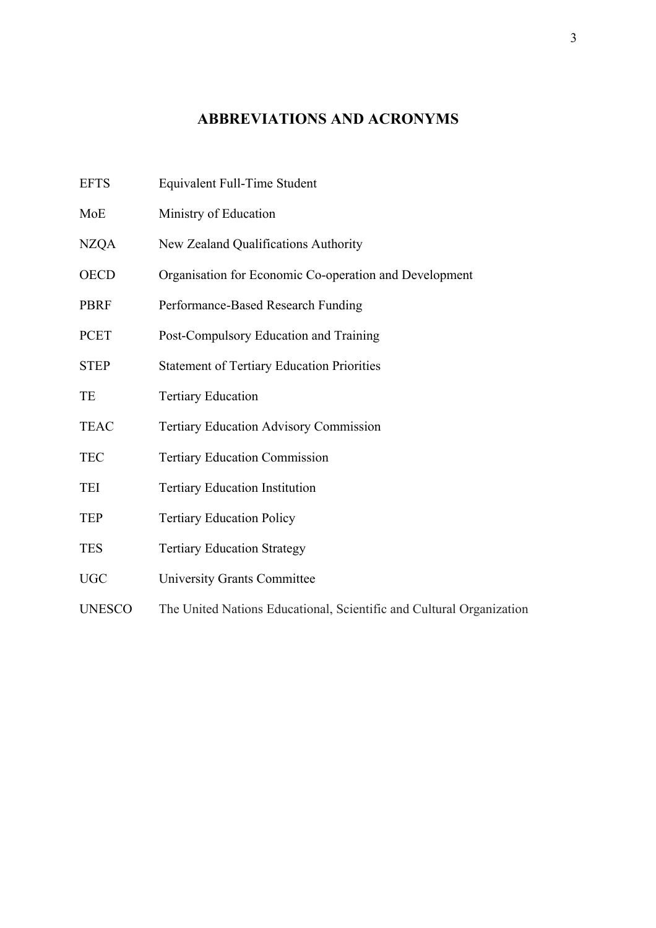## **ABBREVIATIONS AND ACRONYMS**

- EFTS Equivalent Full-Time Student
- MoE Ministry of Education
- NZQA New Zealand Qualifications Authority
- OECD Organisation for Economic Co-operation and Development
- PBRF Performance-Based Research Funding
- PCET Post-Compulsory Education and Training
- STEP Statement of Tertiary Education Priorities
- TE Tertiary Education
- TEAC Tertiary Education Advisory Commission
- TEC Tertiary Education Commission
- TEI Tertiary Education Institution
- TEP Tertiary Education Policy
- TES Tertiary Education Strategy
- UGC University Grants Committee
- UNESCO The United Nations Educational, Scientific and Cultural Organization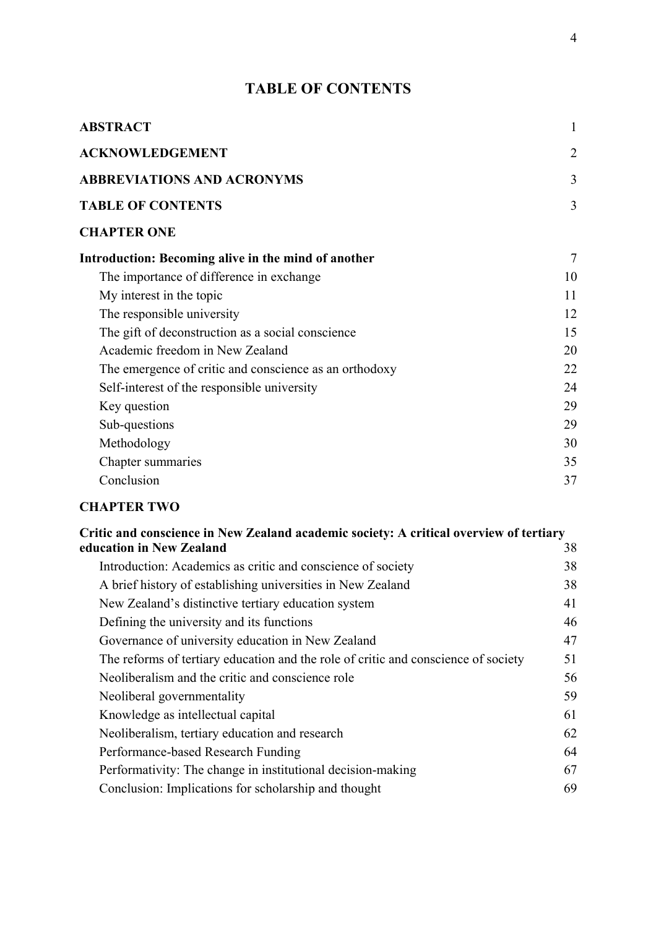# **TABLE OF CONTENTS**

| <b>ABSTRACT</b>                                        | 1  |
|--------------------------------------------------------|----|
| <b>ACKNOWLEDGEMENT</b>                                 | 2  |
| <b>ABBREVIATIONS AND ACRONYMS</b>                      | 3  |
| <b>TABLE OF CONTENTS</b>                               | 3  |
| <b>CHAPTER ONE</b>                                     |    |
| Introduction: Becoming alive in the mind of another    | 7  |
| The importance of difference in exchange               | 10 |
| My interest in the topic                               | 11 |
| The responsible university                             | 12 |
| The gift of deconstruction as a social conscience      | 15 |
| Academic freedom in New Zealand                        | 20 |
| The emergence of critic and conscience as an orthodoxy | 22 |
| Self-interest of the responsible university            | 24 |
| Key question                                           | 29 |
| Sub-questions                                          | 29 |
| Methodology                                            | 30 |
| Chapter summaries                                      | 35 |
| Conclusion                                             | 37 |

# **CHAPTER TWO**

| Critic and conscience in New Zealand academic society: A critical overview of tertiary |    |
|----------------------------------------------------------------------------------------|----|
| education in New Zealand                                                               | 38 |
| Introduction: Academics as critic and conscience of society                            | 38 |
| A brief history of establishing universities in New Zealand                            | 38 |
| New Zealand's distinctive tertiary education system                                    | 41 |
| Defining the university and its functions                                              | 46 |
| Governance of university education in New Zealand                                      | 47 |
| The reforms of tertiary education and the role of critic and conscience of society     | 51 |
| Neoliberalism and the critic and conscience role                                       | 56 |
| Neoliberal governmentality                                                             | 59 |
| Knowledge as intellectual capital                                                      | 61 |
| Neoliberalism, tertiary education and research                                         | 62 |
| Performance-based Research Funding                                                     | 64 |
| Performativity: The change in institutional decision-making                            | 67 |
| Conclusion: Implications for scholarship and thought                                   | 69 |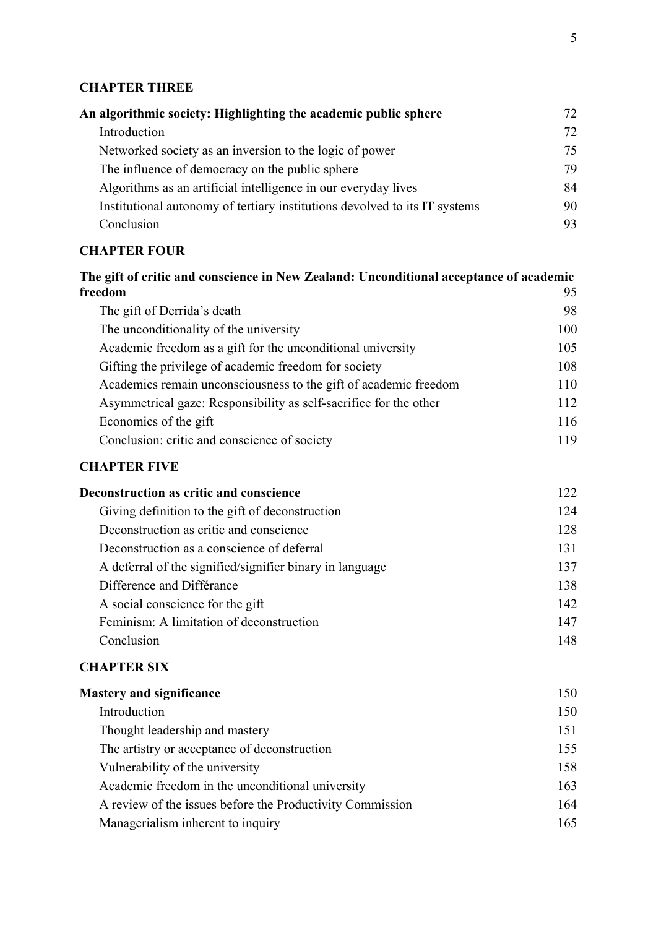# **CHAPTER THREE**

| An algorithmic society: Highlighting the academic public sphere            | 72. |
|----------------------------------------------------------------------------|-----|
| Introduction                                                               | 72  |
| Networked society as an inversion to the logic of power                    | 75  |
| The influence of democracy on the public sphere                            | 79  |
| Algorithms as an artificial intelligence in our everyday lives             | 84  |
| Institutional autonomy of tertiary institutions devolved to its IT systems | 90  |
| Conclusion                                                                 | 93. |
|                                                                            |     |

# **CHAPTER FOUR**

| The gift of critic and conscience in New Zealand: Unconditional acceptance of academic |     |
|----------------------------------------------------------------------------------------|-----|
| freedom                                                                                | 95  |
| The gift of Derrida's death                                                            | 98  |
| The unconditionality of the university                                                 | 100 |
| Academic freedom as a gift for the unconditional university                            | 105 |
| Gifting the privilege of academic freedom for society                                  | 108 |
| Academics remain unconsciousness to the gift of academic freedom                       | 110 |
| Asymmetrical gaze: Responsibility as self-sacrifice for the other                      | 112 |
| Economics of the gift                                                                  | 116 |
| Conclusion: critic and conscience of society                                           | 119 |

# **CHAPTER FIVE**

| Deconstruction as critic and conscience                  | 122 |
|----------------------------------------------------------|-----|
| Giving definition to the gift of deconstruction          | 124 |
| Deconstruction as critic and conscience                  | 128 |
| Deconstruction as a conscience of deferral               | 131 |
| A deferral of the signified/signifier binary in language | 137 |
| Difference and Différance                                | 138 |
| A social conscience for the gift                         | 142 |
| Feminism: A limitation of deconstruction                 | 147 |
| Conclusion                                               | 148 |
|                                                          |     |

## **CHAPTER SIX**

| Introduction                                              | 150 |
|-----------------------------------------------------------|-----|
|                                                           |     |
| Thought leadership and mastery                            | 151 |
| The artistry or acceptance of deconstruction              | 155 |
| Vulnerability of the university                           | 158 |
| Academic freedom in the unconditional university          | 163 |
| A review of the issues before the Productivity Commission | 164 |
| Managerialism inherent to inquiry                         | 165 |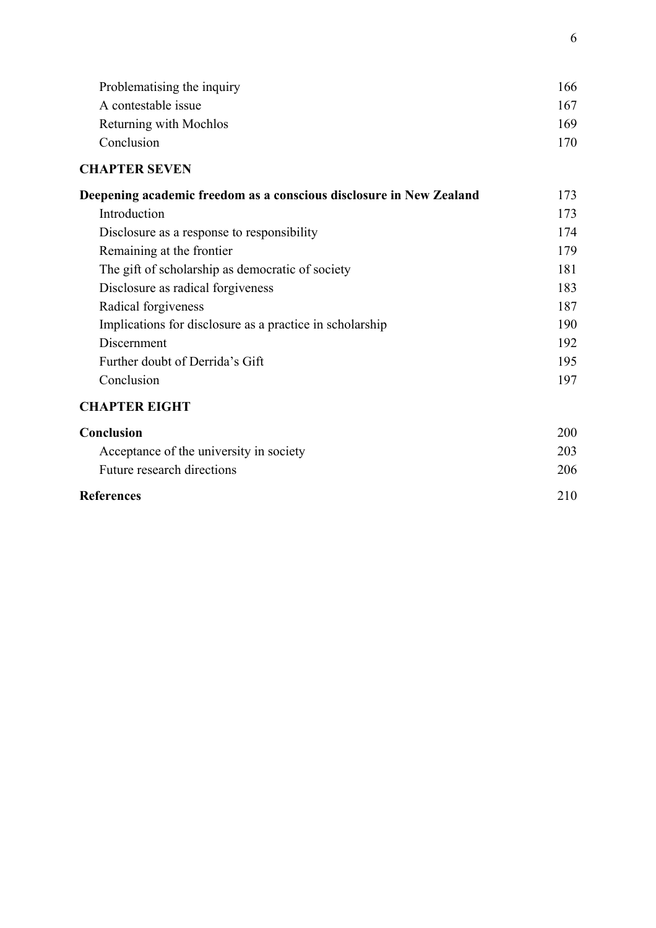| Problematising the inquiry | 166 |
|----------------------------|-----|
| A contestable issue        | 167 |
| Returning with Mochlos     | 169 |
| Conclusion                 | 170 |
| <b>CHAPTER SEVEN</b>       |     |

| Deepening academic freedom as a conscious disclosure in New Zealand | 173 |
|---------------------------------------------------------------------|-----|
| Introduction                                                        | 173 |
| Disclosure as a response to responsibility                          | 174 |
| Remaining at the frontier                                           | 179 |
| The gift of scholarship as democratic of society                    | 181 |
| Disclosure as radical forgiveness                                   | 183 |
| Radical forgiveness                                                 | 187 |
| Implications for disclosure as a practice in scholarship            | 190 |
| Discernment                                                         | 192 |
| Further doubt of Derrida's Gift                                     | 195 |
| Conclusion                                                          | 197 |

# **CHAPTER EIGHT**

| <b>Conclusion</b>                       | <b>200</b> |
|-----------------------------------------|------------|
| Acceptance of the university in society | 203        |
| Future research directions              | 206        |
| <b>References</b>                       | 210        |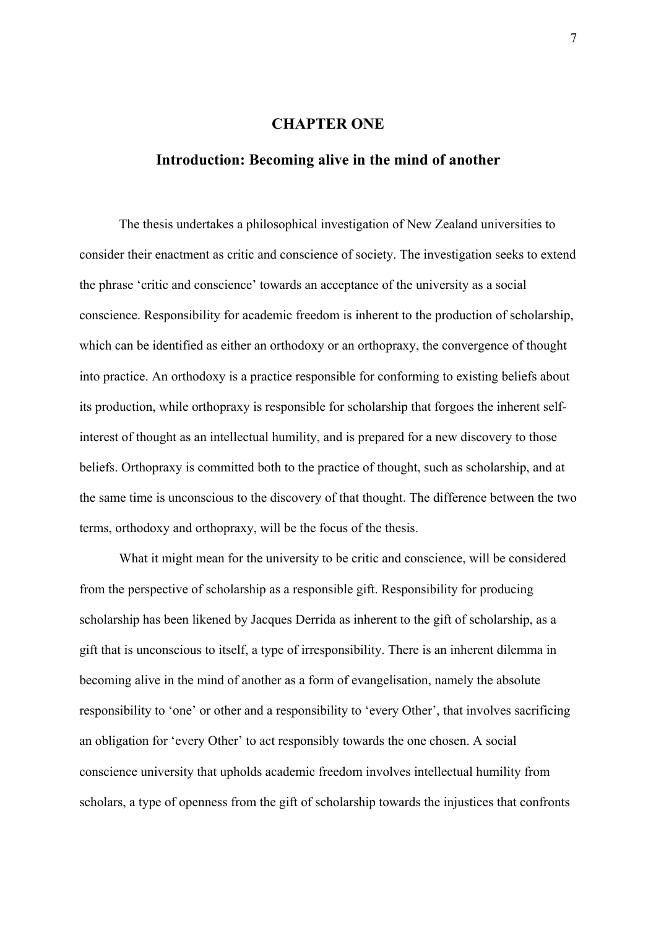## **CHAPTER ONE**

### **Introduction: Becoming alive in the mind of another**

The thesis undertakes a philosophical investigation of New Zealand universities to consider their enactment as critic and conscience of society. The investigation seeks to extend the phrase 'critic and conscience' towards an acceptance of the university as a social conscience. Responsibility for academic freedom is inherent to the production of scholarship, which can be identified as either an orthodoxy or an orthopraxy, the convergence of thought into practice. An orthodoxy is a practice responsible for conforming to existing beliefs about its production, while orthopraxy is responsible for scholarship that forgoes the inherent selfinterest of thought as an intellectual humility, and is prepared for a new discovery to those beliefs. Orthopraxy is committed both to the practice of thought, such as scholarship, and at the same time is unconscious to the discovery of that thought. The difference between the two terms, orthodoxy and orthopraxy, will be the focus of the thesis.

What it might mean for the university to be critic and conscience, will be considered from the perspective of scholarship as a responsible gift. Responsibility for producing scholarship has been likened by Jacques Derrida as inherent to the gift of scholarship, as a gift that is unconscious to itself, a type of irresponsibility. There is an inherent dilemma in becoming alive in the mind of another as a form of evangelisation, namely the absolute responsibility to 'one' or other and a responsibility to 'every Other', that involves sacrificing an obligation for 'every Other' to act responsibly towards the one chosen. A social conscience university that upholds academic freedom involves intellectual humility from scholars, a type of openness from the gift of scholarship towards the injustices that confronts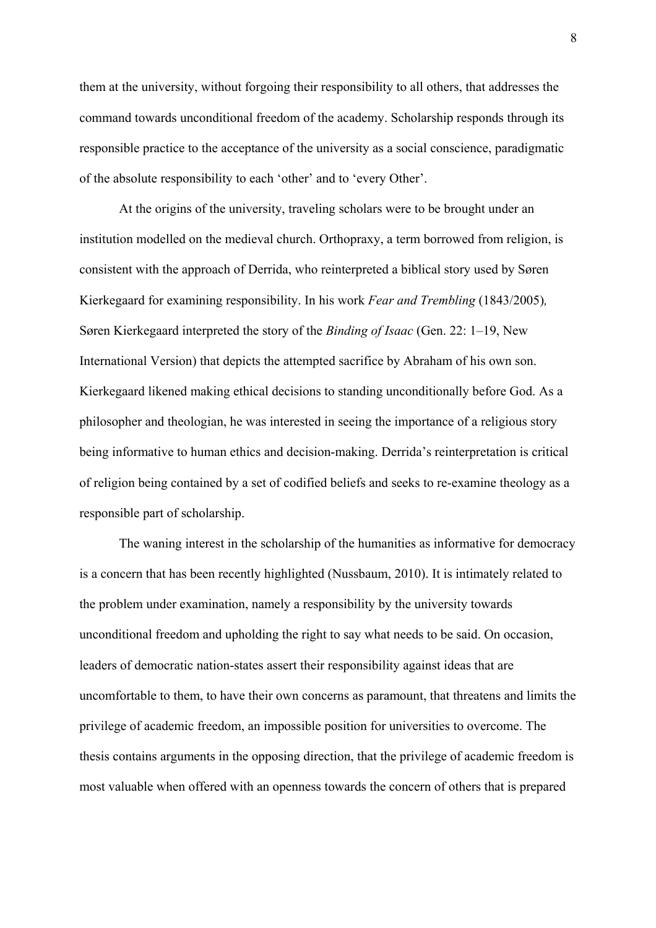them at the university, without forgoing their responsibility to all others, that addresses the command towards unconditional freedom of the academy. Scholarship responds through its responsible practice to the acceptance of the university as a social conscience, paradigmatic of the absolute responsibility to each 'other' and to 'every Other'.

At the origins of the university, traveling scholars were to be brought under an institution modelled on the medieval church. Orthopraxy, a term borrowed from religion, is consistent with the approach of Derrida, who reinterpreted a biblical story used by Søren Kierkegaard for examining responsibility. In his work *Fear and Trembling* (1843/2005)*,*  Søren Kierkegaard interpreted the story of the *Binding of Isaac* (Gen. 22: 1–19, New International Version) that depicts the attempted sacrifice by Abraham of his own son. Kierkegaard likened making ethical decisions to standing unconditionally before God. As a philosopher and theologian, he was interested in seeing the importance of a religious story being informative to human ethics and decision-making. Derrida's reinterpretation is critical of religion being contained by a set of codified beliefs and seeks to re-examine theology as a responsible part of scholarship.

 The waning interest in the scholarship of the humanities as informative for democracy is a concern that has been recently highlighted (Nussbaum, 2010). It is intimately related to the problem under examination, namely a responsibility by the university towards unconditional freedom and upholding the right to say what needs to be said. On occasion, leaders of democratic nation-states assert their responsibility against ideas that are uncomfortable to them, to have their own concerns as paramount, that threatens and limits the privilege of academic freedom, an impossible position for universities to overcome. The thesis contains arguments in the opposing direction, that the privilege of academic freedom is most valuable when offered with an openness towards the concern of others that is prepared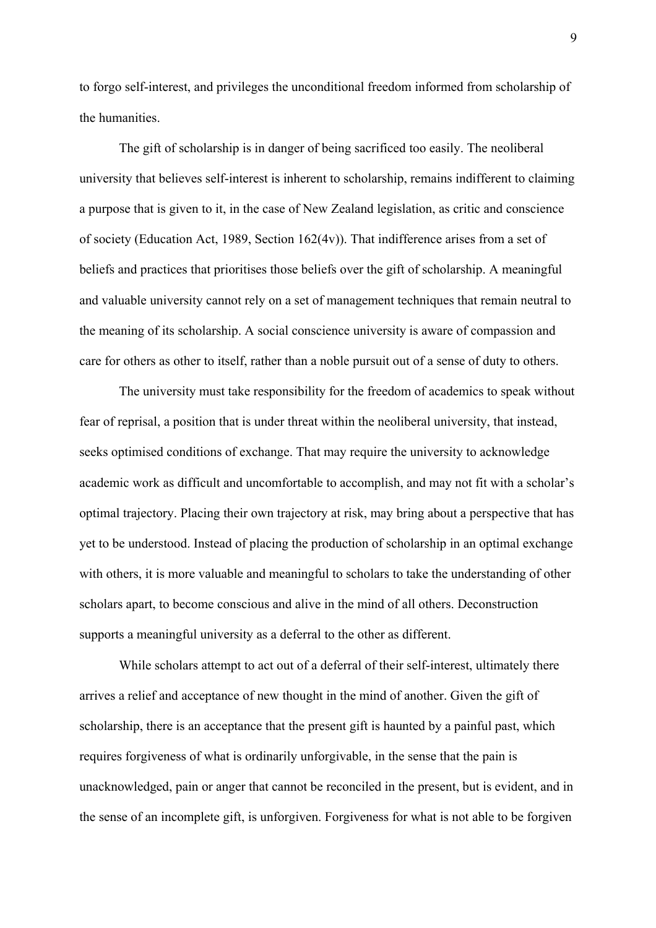to forgo self-interest, and privileges the unconditional freedom informed from scholarship of the humanities.

 The gift of scholarship is in danger of being sacrificed too easily. The neoliberal university that believes self-interest is inherent to scholarship, remains indifferent to claiming a purpose that is given to it, in the case of New Zealand legislation, as critic and conscience of society (Education Act, 1989, Section 162(4v)). That indifference arises from a set of beliefs and practices that prioritises those beliefs over the gift of scholarship. A meaningful and valuable university cannot rely on a set of management techniques that remain neutral to the meaning of its scholarship. A social conscience university is aware of compassion and care for others as other to itself, rather than a noble pursuit out of a sense of duty to others.

 The university must take responsibility for the freedom of academics to speak without fear of reprisal, a position that is under threat within the neoliberal university, that instead, seeks optimised conditions of exchange. That may require the university to acknowledge academic work as difficult and uncomfortable to accomplish, and may not fit with a scholar's optimal trajectory. Placing their own trajectory at risk, may bring about a perspective that has yet to be understood. Instead of placing the production of scholarship in an optimal exchange with others, it is more valuable and meaningful to scholars to take the understanding of other scholars apart, to become conscious and alive in the mind of all others. Deconstruction supports a meaningful university as a deferral to the other as different.

 While scholars attempt to act out of a deferral of their self-interest, ultimately there arrives a relief and acceptance of new thought in the mind of another. Given the gift of scholarship, there is an acceptance that the present gift is haunted by a painful past, which requires forgiveness of what is ordinarily unforgivable, in the sense that the pain is unacknowledged, pain or anger that cannot be reconciled in the present, but is evident, and in the sense of an incomplete gift, is unforgiven. Forgiveness for what is not able to be forgiven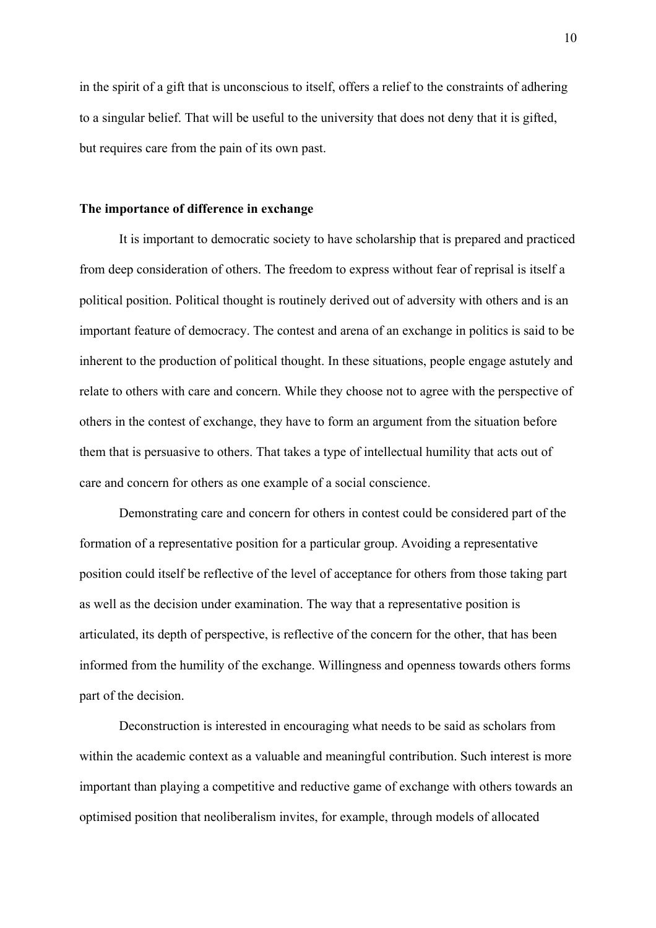in the spirit of a gift that is unconscious to itself, offers a relief to the constraints of adhering to a singular belief. That will be useful to the university that does not deny that it is gifted, but requires care from the pain of its own past.

#### **The importance of difference in exchange**

It is important to democratic society to have scholarship that is prepared and practiced from deep consideration of others. The freedom to express without fear of reprisal is itself a political position. Political thought is routinely derived out of adversity with others and is an important feature of democracy. The contest and arena of an exchange in politics is said to be inherent to the production of political thought. In these situations, people engage astutely and relate to others with care and concern. While they choose not to agree with the perspective of others in the contest of exchange, they have to form an argument from the situation before them that is persuasive to others. That takes a type of intellectual humility that acts out of care and concern for others as one example of a social conscience.

Demonstrating care and concern for others in contest could be considered part of the formation of a representative position for a particular group. Avoiding a representative position could itself be reflective of the level of acceptance for others from those taking part as well as the decision under examination. The way that a representative position is articulated, its depth of perspective, is reflective of the concern for the other, that has been informed from the humility of the exchange. Willingness and openness towards others forms part of the decision.

 Deconstruction is interested in encouraging what needs to be said as scholars from within the academic context as a valuable and meaningful contribution. Such interest is more important than playing a competitive and reductive game of exchange with others towards an optimised position that neoliberalism invites, for example, through models of allocated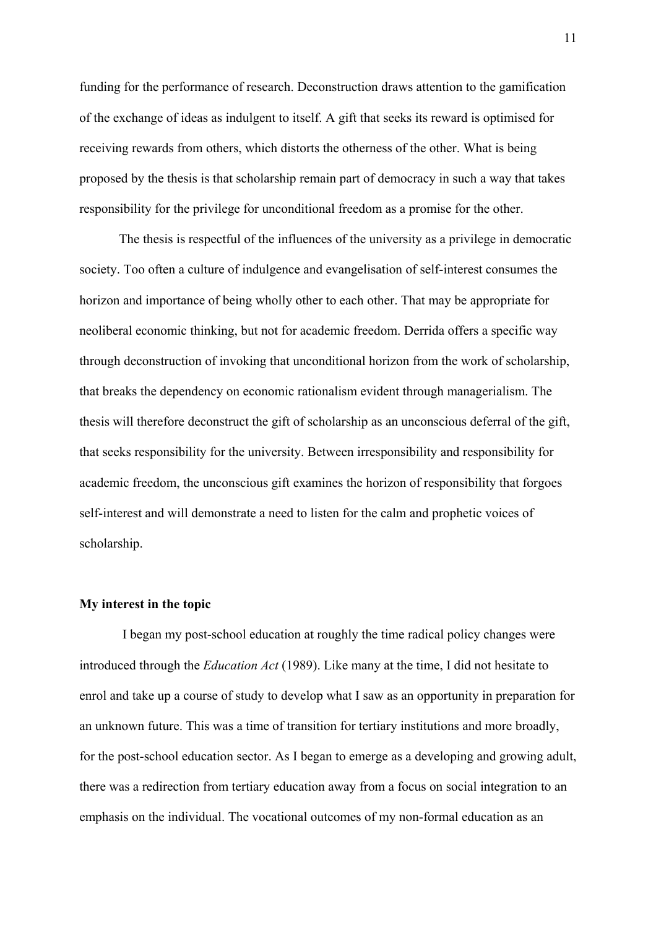funding for the performance of research. Deconstruction draws attention to the gamification of the exchange of ideas as indulgent to itself. A gift that seeks its reward is optimised for receiving rewards from others, which distorts the otherness of the other. What is being proposed by the thesis is that scholarship remain part of democracy in such a way that takes responsibility for the privilege for unconditional freedom as a promise for the other.

The thesis is respectful of the influences of the university as a privilege in democratic society. Too often a culture of indulgence and evangelisation of self-interest consumes the horizon and importance of being wholly other to each other. That may be appropriate for neoliberal economic thinking, but not for academic freedom. Derrida offers a specific way through deconstruction of invoking that unconditional horizon from the work of scholarship, that breaks the dependency on economic rationalism evident through managerialism. The thesis will therefore deconstruct the gift of scholarship as an unconscious deferral of the gift, that seeks responsibility for the university. Between irresponsibility and responsibility for academic freedom, the unconscious gift examines the horizon of responsibility that forgoes self-interest and will demonstrate a need to listen for the calm and prophetic voices of scholarship.

#### **My interest in the topic**

 I began my post-school education at roughly the time radical policy changes were introduced through the *Education Act* (1989). Like many at the time, I did not hesitate to enrol and take up a course of study to develop what I saw as an opportunity in preparation for an unknown future. This was a time of transition for tertiary institutions and more broadly, for the post-school education sector. As I began to emerge as a developing and growing adult, there was a redirection from tertiary education away from a focus on social integration to an emphasis on the individual. The vocational outcomes of my non-formal education as an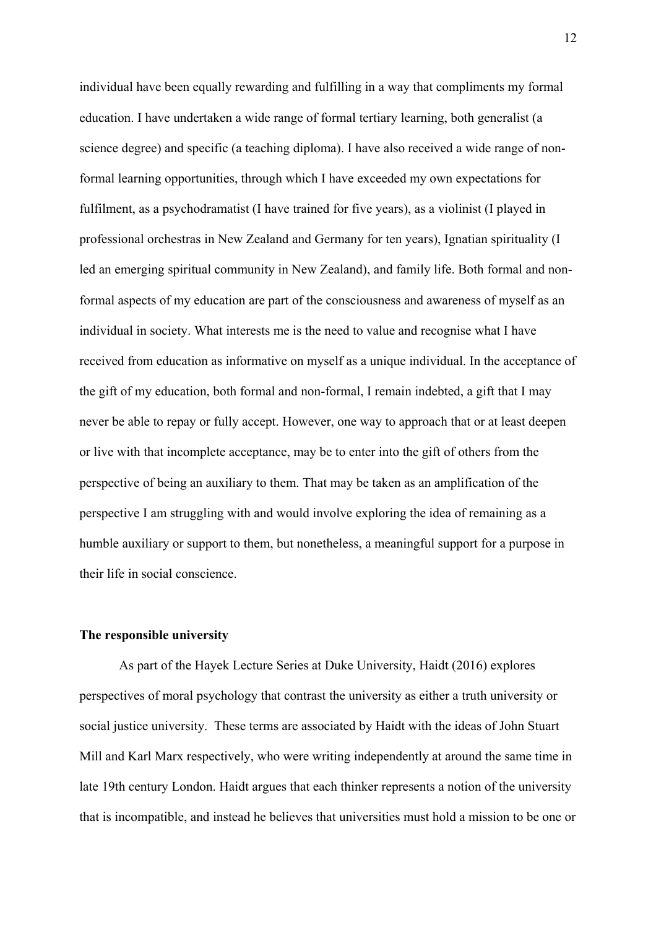individual have been equally rewarding and fulfilling in a way that compliments my formal education. I have undertaken a wide range of formal tertiary learning, both generalist (a science degree) and specific (a teaching diploma). I have also received a wide range of nonformal learning opportunities, through which I have exceeded my own expectations for fulfilment, as a psychodramatist (I have trained for five years), as a violinist (I played in professional orchestras in New Zealand and Germany for ten years), Ignatian spirituality (I led an emerging spiritual community in New Zealand), and family life. Both formal and nonformal aspects of my education are part of the consciousness and awareness of myself as an individual in society. What interests me is the need to value and recognise what I have received from education as informative on myself as a unique individual. In the acceptance of the gift of my education, both formal and non-formal, I remain indebted, a gift that I may never be able to repay or fully accept. However, one way to approach that or at least deepen or live with that incomplete acceptance, may be to enter into the gift of others from the perspective of being an auxiliary to them. That may be taken as an amplification of the perspective I am struggling with and would involve exploring the idea of remaining as a humble auxiliary or support to them, but nonetheless, a meaningful support for a purpose in their life in social conscience.

#### **The responsible university**

As part of the Hayek Lecture Series at Duke University, Haidt (2016) explores perspectives of moral psychology that contrast the university as either a truth university or social justice university. These terms are associated by Haidt with the ideas of John Stuart Mill and Karl Marx respectively, who were writing independently at around the same time in late 19th century London. Haidt argues that each thinker represents a notion of the university that is incompatible, and instead he believes that universities must hold a mission to be one or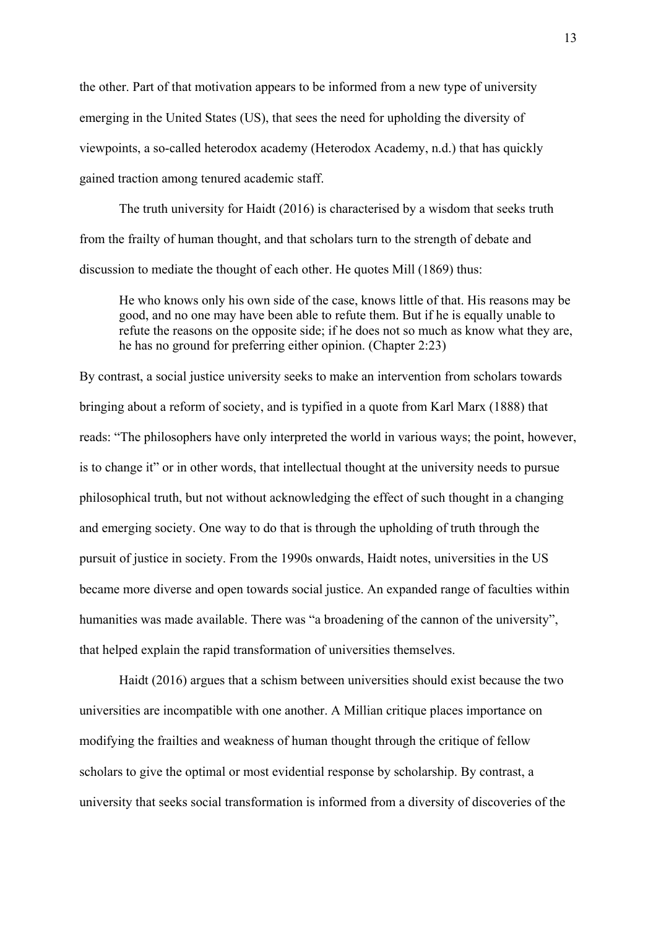the other. Part of that motivation appears to be informed from a new type of university emerging in the United States (US), that sees the need for upholding the diversity of viewpoints, a so-called heterodox academy (Heterodox Academy, n.d.) that has quickly gained traction among tenured academic staff.

The truth university for Haidt (2016) is characterised by a wisdom that seeks truth from the frailty of human thought, and that scholars turn to the strength of debate and discussion to mediate the thought of each other. He quotes Mill (1869) thus:

He who knows only his own side of the case, knows little of that. His reasons may be good, and no one may have been able to refute them. But if he is equally unable to refute the reasons on the opposite side; if he does not so much as know what they are, he has no ground for preferring either opinion. (Chapter 2:23)

By contrast, a social justice university seeks to make an intervention from scholars towards bringing about a reform of society, and is typified in a quote from Karl Marx (1888) that reads: "The philosophers have only interpreted the world in various ways; the point, however, is to change it" or in other words, that intellectual thought at the university needs to pursue philosophical truth, but not without acknowledging the effect of such thought in a changing and emerging society. One way to do that is through the upholding of truth through the pursuit of justice in society. From the 1990s onwards, Haidt notes, universities in the US became more diverse and open towards social justice. An expanded range of faculties within humanities was made available. There was "a broadening of the cannon of the university", that helped explain the rapid transformation of universities themselves.

Haidt (2016) argues that a schism between universities should exist because the two universities are incompatible with one another. A Millian critique places importance on modifying the frailties and weakness of human thought through the critique of fellow scholars to give the optimal or most evidential response by scholarship. By contrast, a university that seeks social transformation is informed from a diversity of discoveries of the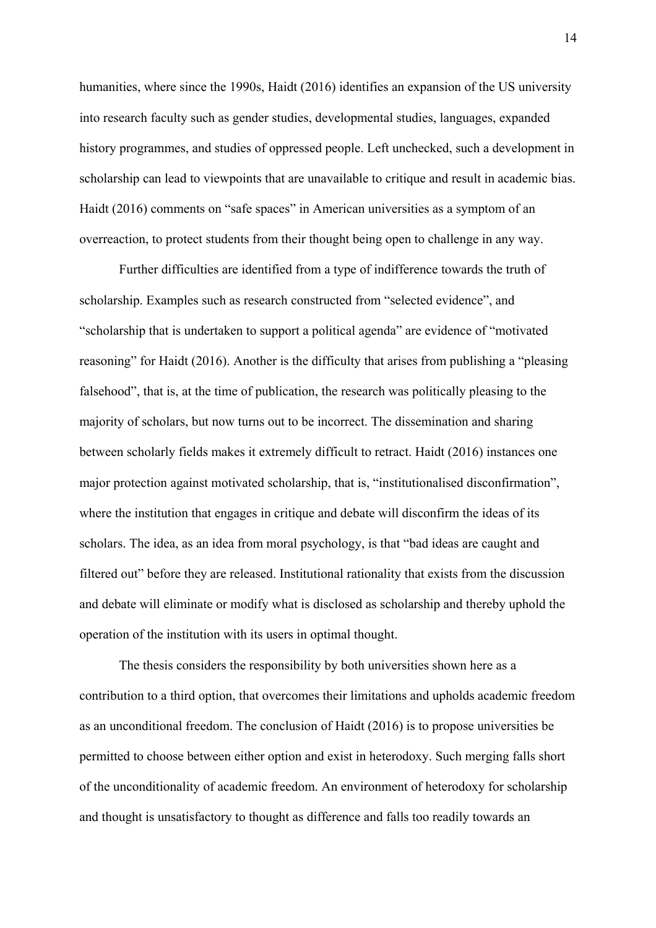humanities, where since the 1990s, Haidt (2016) identifies an expansion of the US university into research faculty such as gender studies, developmental studies, languages, expanded history programmes, and studies of oppressed people. Left unchecked, such a development in scholarship can lead to viewpoints that are unavailable to critique and result in academic bias. Haidt (2016) comments on "safe spaces" in American universities as a symptom of an overreaction, to protect students from their thought being open to challenge in any way.

Further difficulties are identified from a type of indifference towards the truth of scholarship. Examples such as research constructed from "selected evidence", and "scholarship that is undertaken to support a political agenda" are evidence of "motivated reasoning" for Haidt (2016). Another is the difficulty that arises from publishing a "pleasing falsehood", that is, at the time of publication, the research was politically pleasing to the majority of scholars, but now turns out to be incorrect. The dissemination and sharing between scholarly fields makes it extremely difficult to retract. Haidt (2016) instances one major protection against motivated scholarship, that is, "institutionalised disconfirmation", where the institution that engages in critique and debate will disconfirm the ideas of its scholars. The idea, as an idea from moral psychology, is that "bad ideas are caught and filtered out" before they are released. Institutional rationality that exists from the discussion and debate will eliminate or modify what is disclosed as scholarship and thereby uphold the operation of the institution with its users in optimal thought.

The thesis considers the responsibility by both universities shown here as a contribution to a third option, that overcomes their limitations and upholds academic freedom as an unconditional freedom. The conclusion of Haidt (2016) is to propose universities be permitted to choose between either option and exist in heterodoxy. Such merging falls short of the unconditionality of academic freedom. An environment of heterodoxy for scholarship and thought is unsatisfactory to thought as difference and falls too readily towards an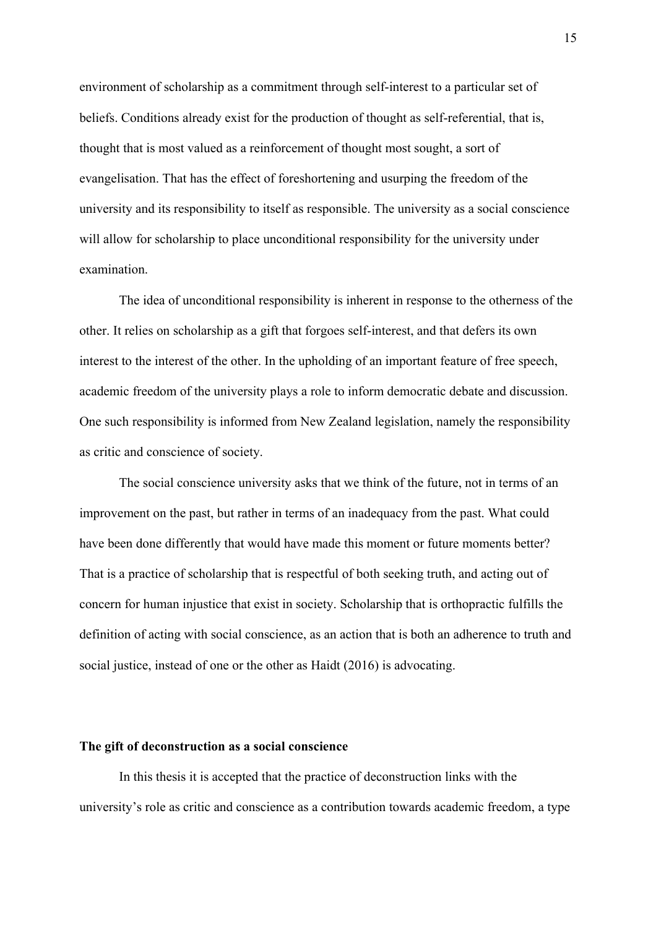environment of scholarship as a commitment through self-interest to a particular set of beliefs. Conditions already exist for the production of thought as self-referential, that is, thought that is most valued as a reinforcement of thought most sought, a sort of evangelisation. That has the effect of foreshortening and usurping the freedom of the university and its responsibility to itself as responsible. The university as a social conscience will allow for scholarship to place unconditional responsibility for the university under examination.

The idea of unconditional responsibility is inherent in response to the otherness of the other. It relies on scholarship as a gift that forgoes self-interest, and that defers its own interest to the interest of the other. In the upholding of an important feature of free speech, academic freedom of the university plays a role to inform democratic debate and discussion. One such responsibility is informed from New Zealand legislation, namely the responsibility as critic and conscience of society.

The social conscience university asks that we think of the future, not in terms of an improvement on the past, but rather in terms of an inadequacy from the past. What could have been done differently that would have made this moment or future moments better? That is a practice of scholarship that is respectful of both seeking truth, and acting out of concern for human injustice that exist in society. Scholarship that is orthopractic fulfills the definition of acting with social conscience, as an action that is both an adherence to truth and social justice, instead of one or the other as Haidt (2016) is advocating.

#### **The gift of deconstruction as a social conscience**

In this thesis it is accepted that the practice of deconstruction links with the university's role as critic and conscience as a contribution towards academic freedom, a type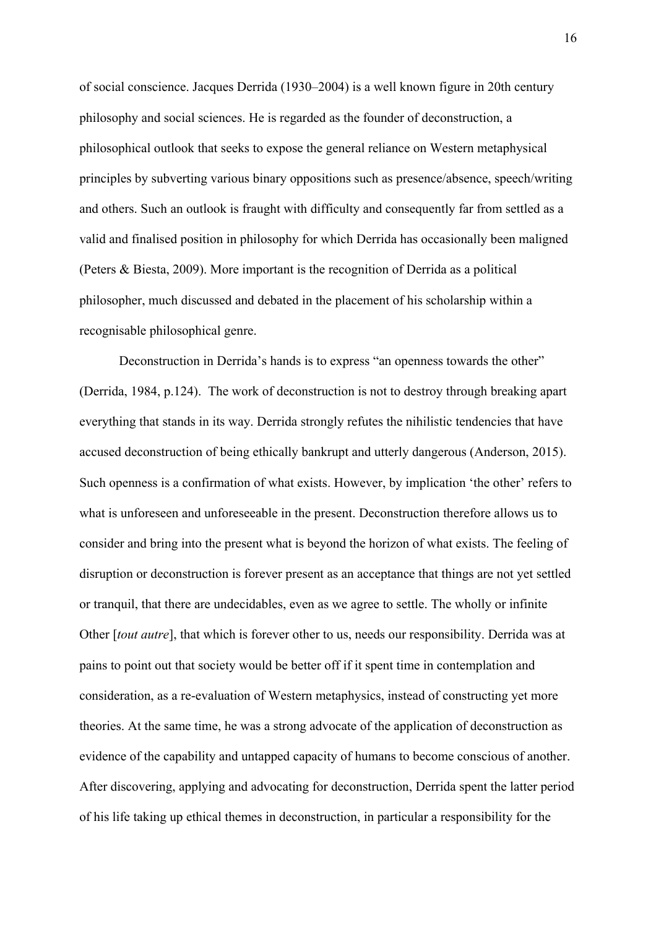of social conscience. Jacques Derrida (1930–2004) is a well known figure in 20th century philosophy and social sciences. He is regarded as the founder of deconstruction, a philosophical outlook that seeks to expose the general reliance on Western metaphysical principles by subverting various binary oppositions such as presence/absence, speech/writing and others. Such an outlook is fraught with difficulty and consequently far from settled as a valid and finalised position in philosophy for which Derrida has occasionally been maligned (Peters & Biesta, 2009). More important is the recognition of Derrida as a political philosopher, much discussed and debated in the placement of his scholarship within a recognisable philosophical genre.

Deconstruction in Derrida's hands is to express "an openness towards the other" (Derrida, 1984, p.124). The work of deconstruction is not to destroy through breaking apart everything that stands in its way. Derrida strongly refutes the nihilistic tendencies that have accused deconstruction of being ethically bankrupt and utterly dangerous (Anderson, 2015). Such openness is a confirmation of what exists. However, by implication 'the other' refers to what is unforeseen and unforeseeable in the present. Deconstruction therefore allows us to consider and bring into the present what is beyond the horizon of what exists. The feeling of disruption or deconstruction is forever present as an acceptance that things are not yet settled or tranquil, that there are undecidables, even as we agree to settle. The wholly or infinite Other [*tout autre*], that which is forever other to us, needs our responsibility. Derrida was at pains to point out that society would be better off if it spent time in contemplation and consideration, as a re-evaluation of Western metaphysics, instead of constructing yet more theories. At the same time, he was a strong advocate of the application of deconstruction as evidence of the capability and untapped capacity of humans to become conscious of another. After discovering, applying and advocating for deconstruction, Derrida spent the latter period of his life taking up ethical themes in deconstruction, in particular a responsibility for the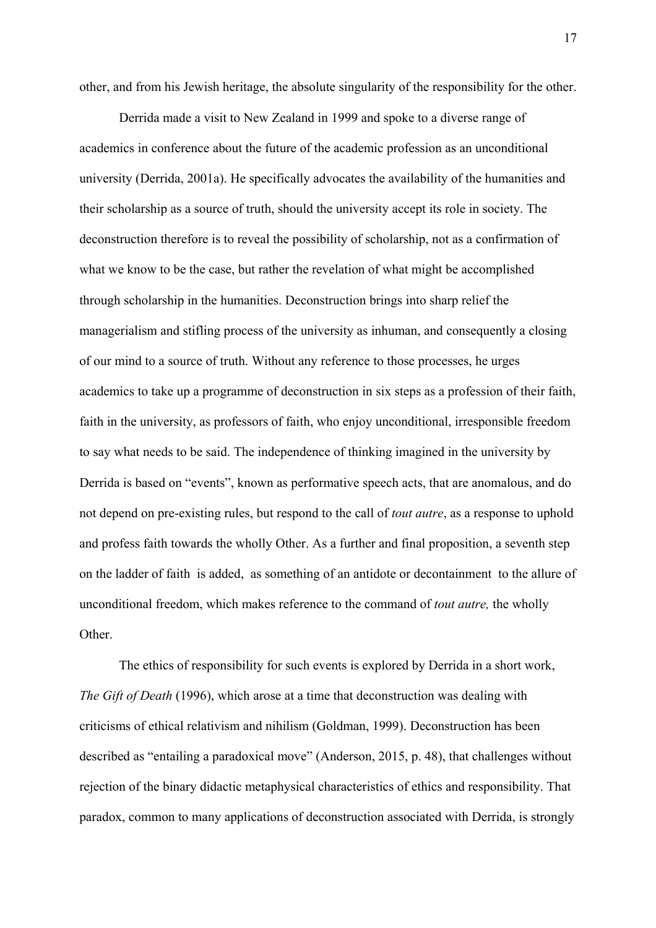other, and from his Jewish heritage, the absolute singularity of the responsibility for the other.

Derrida made a visit to New Zealand in 1999 and spoke to a diverse range of academics in conference about the future of the academic profession as an unconditional university (Derrida, 2001a). He specifically advocates the availability of the humanities and their scholarship as a source of truth, should the university accept its role in society. The deconstruction therefore is to reveal the possibility of scholarship, not as a confirmation of what we know to be the case, but rather the revelation of what might be accomplished through scholarship in the humanities. Deconstruction brings into sharp relief the managerialism and stifling process of the university as inhuman, and consequently a closing of our mind to a source of truth. Without any reference to those processes, he urges academics to take up a programme of deconstruction in six steps as a profession of their faith, faith in the university, as professors of faith, who enjoy unconditional, irresponsible freedom to say what needs to be said. The independence of thinking imagined in the university by Derrida is based on "events", known as performative speech acts, that are anomalous, and do not depend on pre-existing rules, but respond to the call of *tout autre*, as a response to uphold and profess faith towards the wholly Other. As a further and final proposition, a seventh step on the ladder of faith is added, as something of an antidote or decontainment to the allure of unconditional freedom, which makes reference to the command of *tout autre,* the wholly Other.

The ethics of responsibility for such events is explored by Derrida in a short work, *The Gift of Death* (1996), which arose at a time that deconstruction was dealing with criticisms of ethical relativism and nihilism (Goldman, 1999). Deconstruction has been described as "entailing a paradoxical move" (Anderson, 2015, p. 48), that challenges without rejection of the binary didactic metaphysical characteristics of ethics and responsibility. That paradox, common to many applications of deconstruction associated with Derrida, is strongly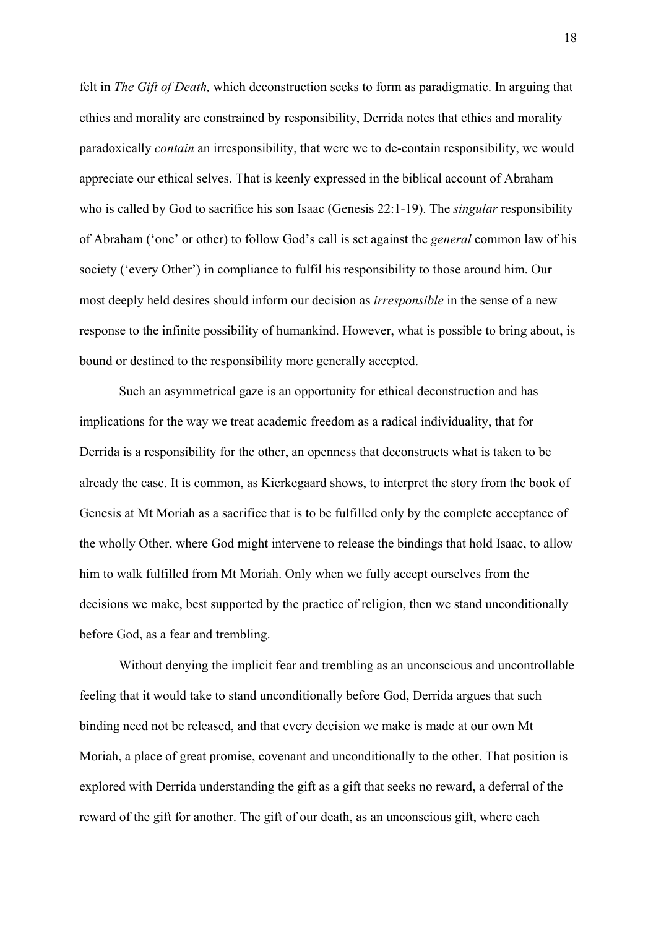felt in *The Gift of Death,* which deconstruction seeks to form as paradigmatic. In arguing that ethics and morality are constrained by responsibility, Derrida notes that ethics and morality paradoxically *contain* an irresponsibility, that were we to de-contain responsibility, we would appreciate our ethical selves. That is keenly expressed in the biblical account of Abraham who is called by God to sacrifice his son Isaac (Genesis 22:1-19). The *singular* responsibility of Abraham ('one' or other) to follow God's call is set against the *general* common law of his society ('every Other') in compliance to fulfil his responsibility to those around him. Our most deeply held desires should inform our decision as *irresponsible* in the sense of a new response to the infinite possibility of humankind. However, what is possible to bring about, is bound or destined to the responsibility more generally accepted.

Such an asymmetrical gaze is an opportunity for ethical deconstruction and has implications for the way we treat academic freedom as a radical individuality, that for Derrida is a responsibility for the other, an openness that deconstructs what is taken to be already the case. It is common, as Kierkegaard shows, to interpret the story from the book of Genesis at Mt Moriah as a sacrifice that is to be fulfilled only by the complete acceptance of the wholly Other, where God might intervene to release the bindings that hold Isaac, to allow him to walk fulfilled from Mt Moriah. Only when we fully accept ourselves from the decisions we make, best supported by the practice of religion, then we stand unconditionally before God, as a fear and trembling.

Without denying the implicit fear and trembling as an unconscious and uncontrollable feeling that it would take to stand unconditionally before God, Derrida argues that such binding need not be released, and that every decision we make is made at our own Mt Moriah, a place of great promise, covenant and unconditionally to the other. That position is explored with Derrida understanding the gift as a gift that seeks no reward, a deferral of the reward of the gift for another. The gift of our death, as an unconscious gift, where each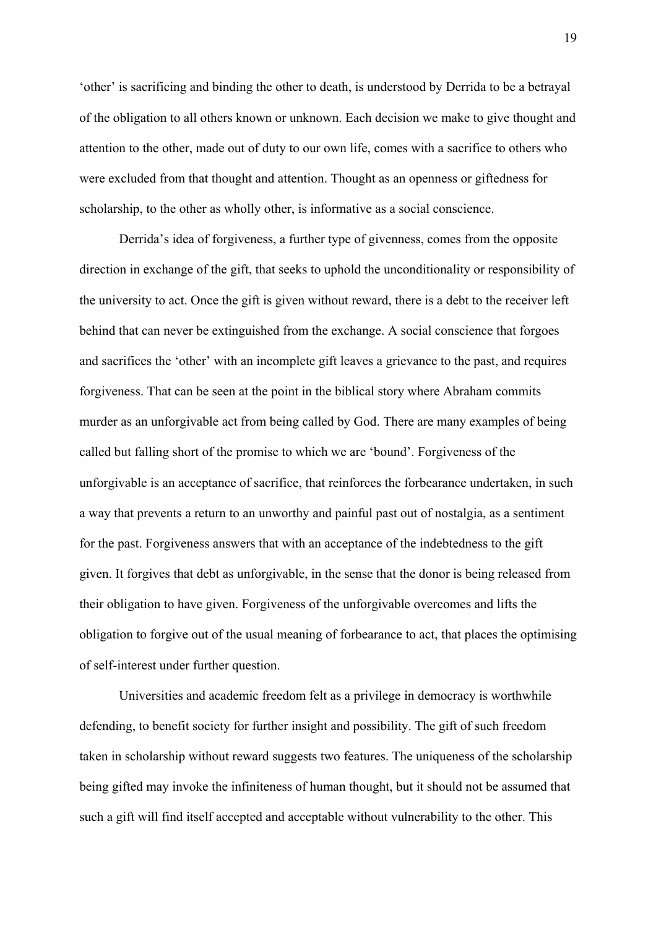'other' is sacrificing and binding the other to death, is understood by Derrida to be a betrayal of the obligation to all others known or unknown. Each decision we make to give thought and attention to the other, made out of duty to our own life, comes with a sacrifice to others who were excluded from that thought and attention. Thought as an openness or giftedness for scholarship, to the other as wholly other, is informative as a social conscience.

Derrida's idea of forgiveness, a further type of givenness, comes from the opposite direction in exchange of the gift, that seeks to uphold the unconditionality or responsibility of the university to act. Once the gift is given without reward, there is a debt to the receiver left behind that can never be extinguished from the exchange. A social conscience that forgoes and sacrifices the 'other' with an incomplete gift leaves a grievance to the past, and requires forgiveness. That can be seen at the point in the biblical story where Abraham commits murder as an unforgivable act from being called by God. There are many examples of being called but falling short of the promise to which we are 'bound'. Forgiveness of the unforgivable is an acceptance of sacrifice, that reinforces the forbearance undertaken, in such a way that prevents a return to an unworthy and painful past out of nostalgia, as a sentiment for the past. Forgiveness answers that with an acceptance of the indebtedness to the gift given. It forgives that debt as unforgivable, in the sense that the donor is being released from their obligation to have given. Forgiveness of the unforgivable overcomes and lifts the obligation to forgive out of the usual meaning of forbearance to act, that places the optimising of self-interest under further question.

Universities and academic freedom felt as a privilege in democracy is worthwhile defending, to benefit society for further insight and possibility. The gift of such freedom taken in scholarship without reward suggests two features. The uniqueness of the scholarship being gifted may invoke the infiniteness of human thought, but it should not be assumed that such a gift will find itself accepted and acceptable without vulnerability to the other. This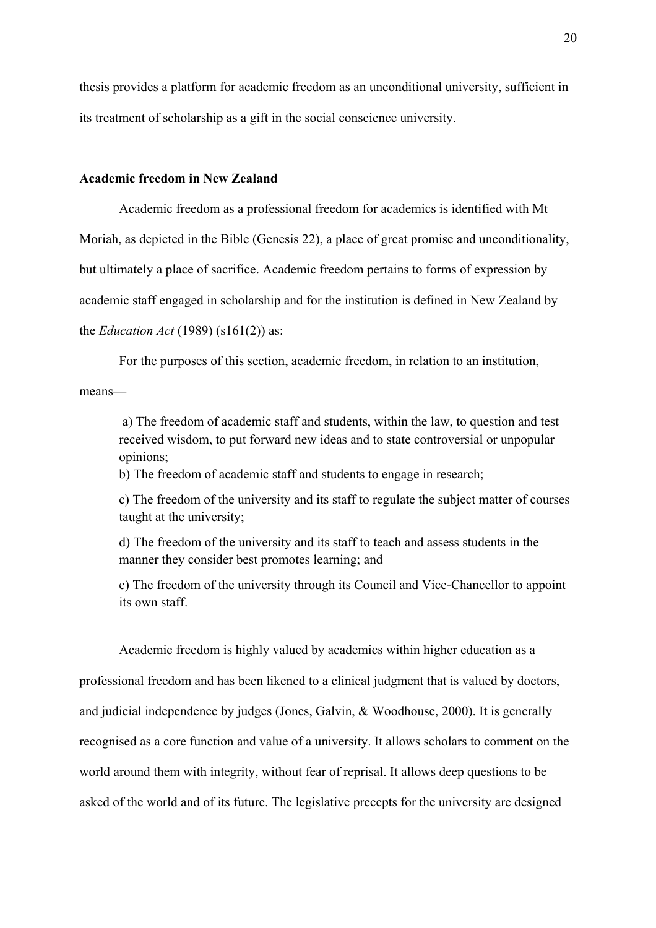thesis provides a platform for academic freedom as an unconditional university, sufficient in its treatment of scholarship as a gift in the social conscience university.

### **Academic freedom in New Zealand**

Academic freedom as a professional freedom for academics is identified with Mt Moriah, as depicted in the Bible (Genesis 22), a place of great promise and unconditionality, but ultimately a place of sacrifice. Academic freedom pertains to forms of expression by academic staff engaged in scholarship and for the institution is defined in New Zealand by the *Education Act* (1989) (s161(2)) as:

For the purposes of this section, academic freedom, in relation to an institution,

means—

 a) The freedom of academic staff and students, within the law, to question and test received wisdom, to put forward new ideas and to state controversial or unpopular opinions;

b) The freedom of academic staff and students to engage in research;

c) The freedom of the university and its staff to regulate the subject matter of courses taught at the university;

d) The freedom of the university and its staff to teach and assess students in the manner they consider best promotes learning; and

e) The freedom of the university through its Council and Vice-Chancellor to appoint its own staff.

Academic freedom is highly valued by academics within higher education as a professional freedom and has been likened to a clinical judgment that is valued by doctors, and judicial independence by judges (Jones, Galvin, & Woodhouse, 2000). It is generally recognised as a core function and value of a university. It allows scholars to comment on the world around them with integrity, without fear of reprisal. It allows deep questions to be asked of the world and of its future. The legislative precepts for the university are designed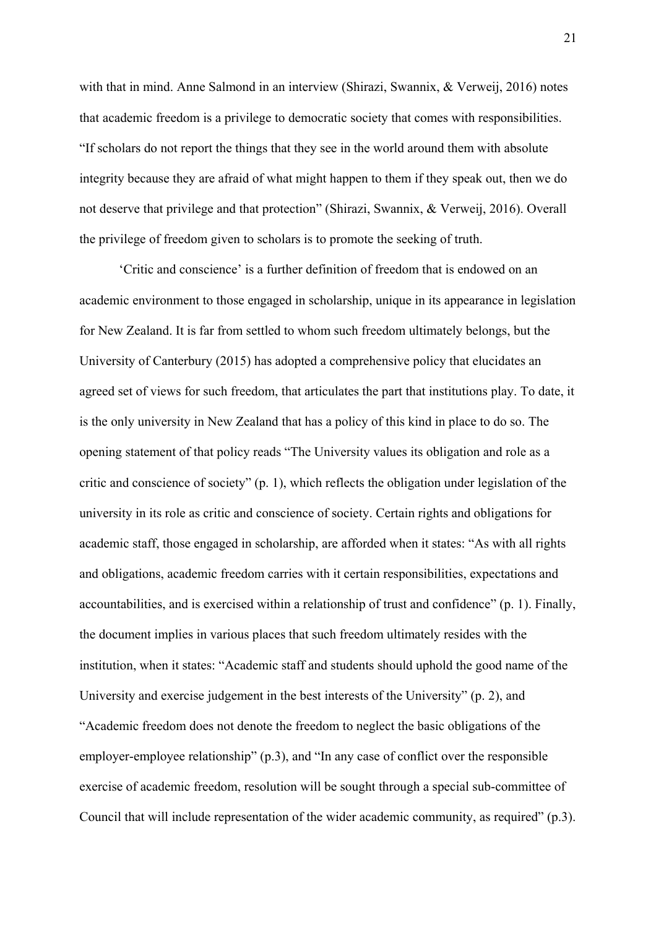with that in mind. Anne Salmond in an interview (Shirazi, Swannix, & Verweij, 2016) notes that academic freedom is a privilege to democratic society that comes with responsibilities. "If scholars do not report the things that they see in the world around them with absolute integrity because they are afraid of what might happen to them if they speak out, then we do not deserve that privilege and that protection" (Shirazi, Swannix, & Verweij, 2016). Overall the privilege of freedom given to scholars is to promote the seeking of truth.

 'Critic and conscience' is a further definition of freedom that is endowed on an academic environment to those engaged in scholarship, unique in its appearance in legislation for New Zealand. It is far from settled to whom such freedom ultimately belongs, but the University of Canterbury (2015) has adopted a comprehensive policy that elucidates an agreed set of views for such freedom, that articulates the part that institutions play. To date, it is the only university in New Zealand that has a policy of this kind in place to do so. The opening statement of that policy reads "The University values its obligation and role as a critic and conscience of society" (p. 1), which reflects the obligation under legislation of the university in its role as critic and conscience of society. Certain rights and obligations for academic staff, those engaged in scholarship, are afforded when it states: "As with all rights and obligations, academic freedom carries with it certain responsibilities, expectations and accountabilities, and is exercised within a relationship of trust and confidence" (p. 1). Finally, the document implies in various places that such freedom ultimately resides with the institution, when it states: "Academic staff and students should uphold the good name of the University and exercise judgement in the best interests of the University" (p. 2), and "Academic freedom does not denote the freedom to neglect the basic obligations of the employer-employee relationship" (p.3), and "In any case of conflict over the responsible exercise of academic freedom, resolution will be sought through a special sub-committee of Council that will include representation of the wider academic community, as required" (p.3).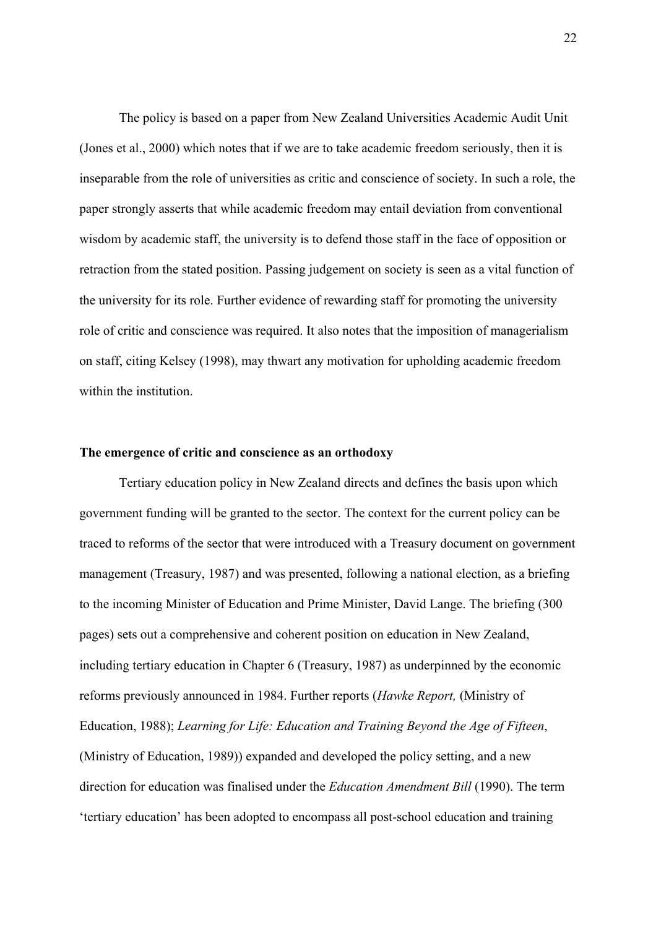The policy is based on a paper from New Zealand Universities Academic Audit Unit (Jones et al., 2000) which notes that if we are to take academic freedom seriously, then it is inseparable from the role of universities as critic and conscience of society. In such a role, the paper strongly asserts that while academic freedom may entail deviation from conventional wisdom by academic staff, the university is to defend those staff in the face of opposition or retraction from the stated position. Passing judgement on society is seen as a vital function of the university for its role. Further evidence of rewarding staff for promoting the university role of critic and conscience was required. It also notes that the imposition of managerialism on staff, citing Kelsey (1998), may thwart any motivation for upholding academic freedom within the institution.

#### **The emergence of critic and conscience as an orthodoxy**

Tertiary education policy in New Zealand directs and defines the basis upon which government funding will be granted to the sector. The context for the current policy can be traced to reforms of the sector that were introduced with a Treasury document on government management (Treasury, 1987) and was presented, following a national election, as a briefing to the incoming Minister of Education and Prime Minister, David Lange. The briefing (300 pages) sets out a comprehensive and coherent position on education in New Zealand, including tertiary education in Chapter 6 (Treasury, 1987) as underpinned by the economic reforms previously announced in 1984. Further reports (*Hawke Report,* (Ministry of Education, 1988); *Learning for Life: Education and Training Beyond the Age of Fifteen*, (Ministry of Education, 1989)) expanded and developed the policy setting, and a new direction for education was finalised under the *Education Amendment Bill* (1990). The term 'tertiary education' has been adopted to encompass all post-school education and training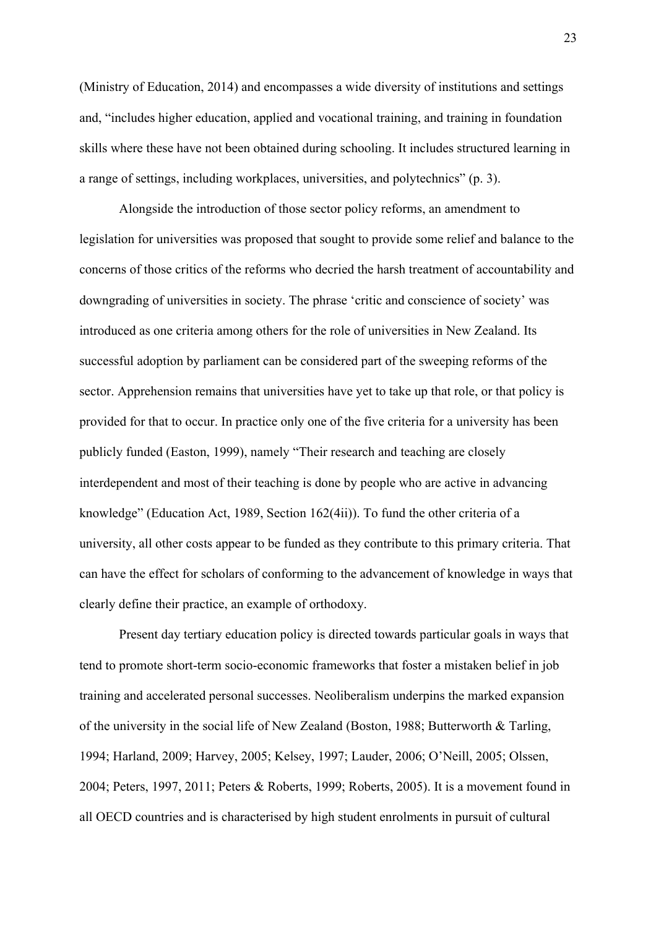(Ministry of Education, 2014) and encompasses a wide diversity of institutions and settings and, "includes higher education, applied and vocational training, and training in foundation skills where these have not been obtained during schooling. It includes structured learning in a range of settings, including workplaces, universities, and polytechnics" (p. 3).

Alongside the introduction of those sector policy reforms, an amendment to legislation for universities was proposed that sought to provide some relief and balance to the concerns of those critics of the reforms who decried the harsh treatment of accountability and downgrading of universities in society. The phrase 'critic and conscience of society' was introduced as one criteria among others for the role of universities in New Zealand. Its successful adoption by parliament can be considered part of the sweeping reforms of the sector. Apprehension remains that universities have yet to take up that role, or that policy is provided for that to occur. In practice only one of the five criteria for a university has been publicly funded (Easton, 1999), namely "Their research and teaching are closely interdependent and most of their teaching is done by people who are active in advancing knowledge" (Education Act, 1989, Section 162(4ii)). To fund the other criteria of a university, all other costs appear to be funded as they contribute to this primary criteria. That can have the effect for scholars of conforming to the advancement of knowledge in ways that clearly define their practice, an example of orthodoxy.

Present day tertiary education policy is directed towards particular goals in ways that tend to promote short-term socio-economic frameworks that foster a mistaken belief in job training and accelerated personal successes. Neoliberalism underpins the marked expansion of the university in the social life of New Zealand (Boston, 1988; Butterworth & Tarling, 1994; Harland, 2009; Harvey, 2005; Kelsey, 1997; Lauder, 2006; O'Neill, 2005; Olssen, 2004; Peters, 1997, 2011; Peters & Roberts, 1999; Roberts, 2005). It is a movement found in all OECD countries and is characterised by high student enrolments in pursuit of cultural

23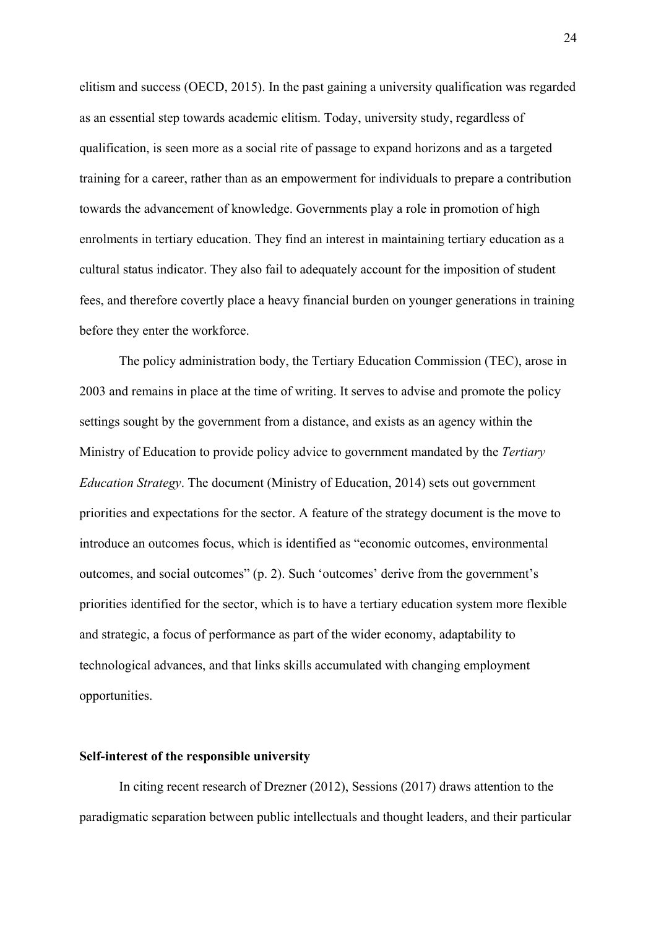elitism and success (OECD, 2015). In the past gaining a university qualification was regarded as an essential step towards academic elitism. Today, university study, regardless of qualification, is seen more as a social rite of passage to expand horizons and as a targeted training for a career, rather than as an empowerment for individuals to prepare a contribution towards the advancement of knowledge. Governments play a role in promotion of high enrolments in tertiary education. They find an interest in maintaining tertiary education as a cultural status indicator. They also fail to adequately account for the imposition of student fees, and therefore covertly place a heavy financial burden on younger generations in training before they enter the workforce.

The policy administration body, the Tertiary Education Commission (TEC), arose in 2003 and remains in place at the time of writing. It serves to advise and promote the policy settings sought by the government from a distance, and exists as an agency within the Ministry of Education to provide policy advice to government mandated by the *Tertiary Education Strategy*. The document (Ministry of Education, 2014) sets out government priorities and expectations for the sector. A feature of the strategy document is the move to introduce an outcomes focus, which is identified as "economic outcomes, environmental outcomes, and social outcomes" (p. 2). Such 'outcomes' derive from the government's priorities identified for the sector, which is to have a tertiary education system more flexible and strategic, a focus of performance as part of the wider economy, adaptability to technological advances, and that links skills accumulated with changing employment opportunities.

### **Self-interest of the responsible university**

In citing recent research of Drezner (2012), Sessions (2017) draws attention to the paradigmatic separation between public intellectuals and thought leaders, and their particular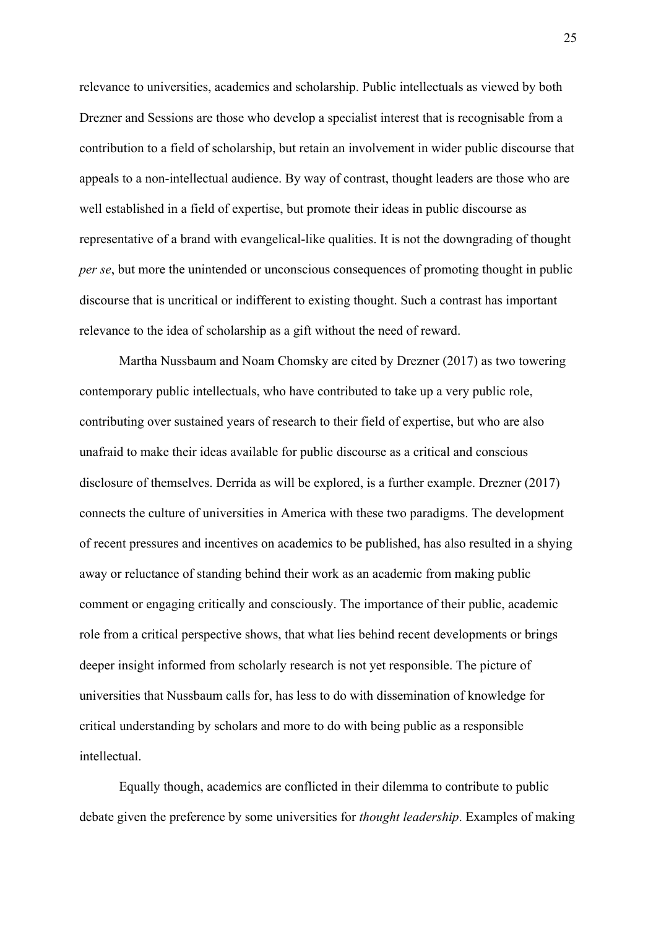relevance to universities, academics and scholarship. Public intellectuals as viewed by both Drezner and Sessions are those who develop a specialist interest that is recognisable from a contribution to a field of scholarship, but retain an involvement in wider public discourse that appeals to a non-intellectual audience. By way of contrast, thought leaders are those who are well established in a field of expertise, but promote their ideas in public discourse as representative of a brand with evangelical-like qualities. It is not the downgrading of thought *per se*, but more the unintended or unconscious consequences of promoting thought in public discourse that is uncritical or indifferent to existing thought. Such a contrast has important relevance to the idea of scholarship as a gift without the need of reward.

 Martha Nussbaum and Noam Chomsky are cited by Drezner (2017) as two towering contemporary public intellectuals, who have contributed to take up a very public role, contributing over sustained years of research to their field of expertise, but who are also unafraid to make their ideas available for public discourse as a critical and conscious disclosure of themselves. Derrida as will be explored, is a further example. Drezner (2017) connects the culture of universities in America with these two paradigms. The development of recent pressures and incentives on academics to be published, has also resulted in a shying away or reluctance of standing behind their work as an academic from making public comment or engaging critically and consciously. The importance of their public, academic role from a critical perspective shows, that what lies behind recent developments or brings deeper insight informed from scholarly research is not yet responsible. The picture of universities that Nussbaum calls for, has less to do with dissemination of knowledge for critical understanding by scholars and more to do with being public as a responsible intellectual.

 Equally though, academics are conflicted in their dilemma to contribute to public debate given the preference by some universities for *thought leadership*. Examples of making

25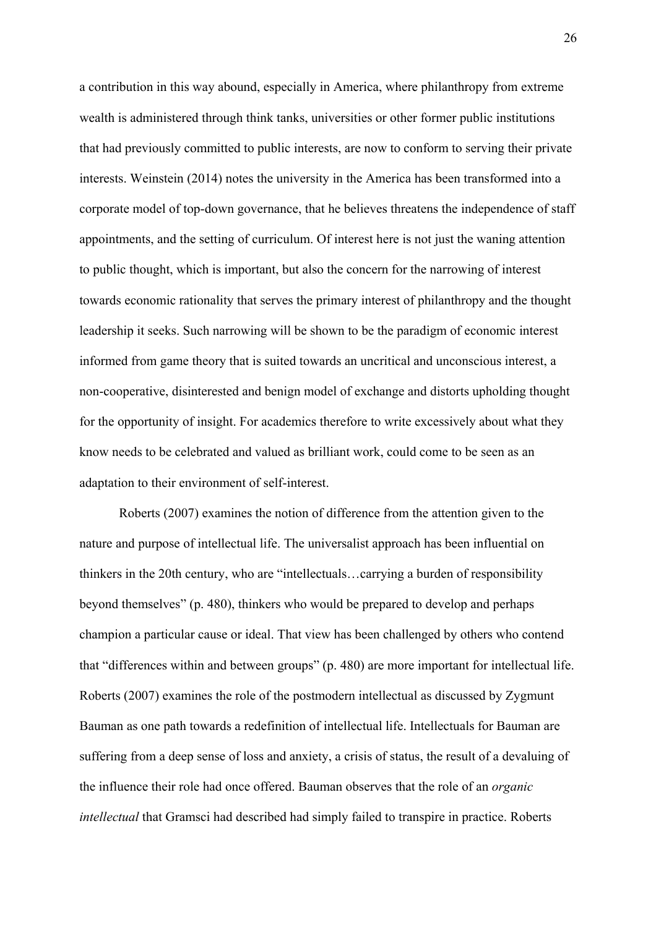a contribution in this way abound, especially in America, where philanthropy from extreme wealth is administered through think tanks, universities or other former public institutions that had previously committed to public interests, are now to conform to serving their private interests. Weinstein (2014) notes the university in the America has been transformed into a corporate model of top-down governance, that he believes threatens the independence of staff appointments, and the setting of curriculum. Of interest here is not just the waning attention to public thought, which is important, but also the concern for the narrowing of interest towards economic rationality that serves the primary interest of philanthropy and the thought leadership it seeks. Such narrowing will be shown to be the paradigm of economic interest informed from game theory that is suited towards an uncritical and unconscious interest, a non-cooperative, disinterested and benign model of exchange and distorts upholding thought for the opportunity of insight. For academics therefore to write excessively about what they know needs to be celebrated and valued as brilliant work, could come to be seen as an adaptation to their environment of self-interest.

 Roberts (2007) examines the notion of difference from the attention given to the nature and purpose of intellectual life. The universalist approach has been influential on thinkers in the 20th century, who are "intellectuals…carrying a burden of responsibility beyond themselves" (p. 480), thinkers who would be prepared to develop and perhaps champion a particular cause or ideal. That view has been challenged by others who contend that "differences within and between groups" (p. 480) are more important for intellectual life. Roberts (2007) examines the role of the postmodern intellectual as discussed by Zygmunt Bauman as one path towards a redefinition of intellectual life. Intellectuals for Bauman are suffering from a deep sense of loss and anxiety, a crisis of status, the result of a devaluing of the influence their role had once offered. Bauman observes that the role of an *organic intellectual* that Gramsci had described had simply failed to transpire in practice. Roberts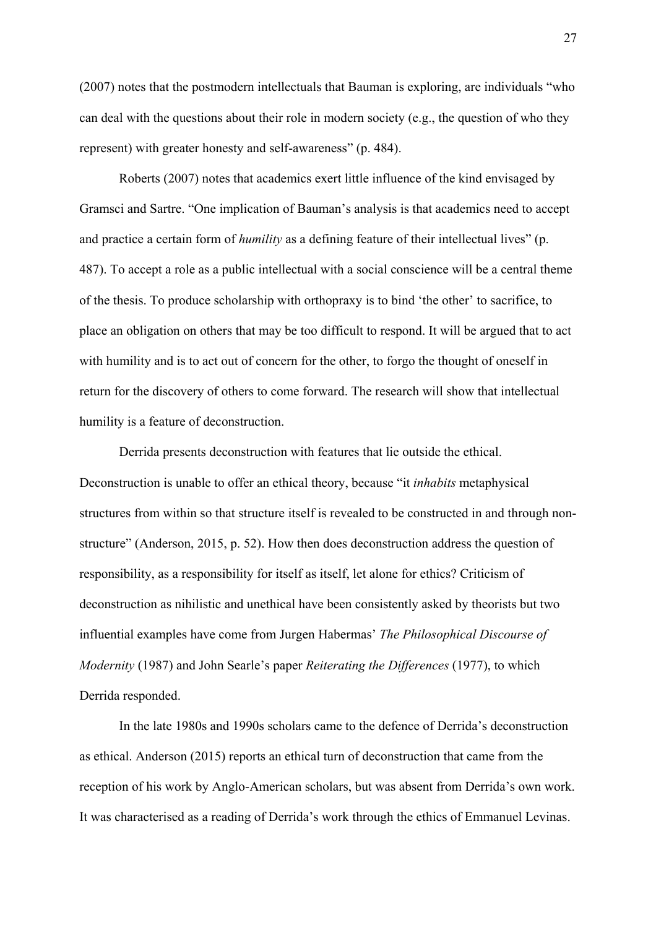(2007) notes that the postmodern intellectuals that Bauman is exploring, are individuals "who can deal with the questions about their role in modern society (e.g., the question of who they represent) with greater honesty and self-awareness" (p. 484).

Roberts (2007) notes that academics exert little influence of the kind envisaged by Gramsci and Sartre. "One implication of Bauman's analysis is that academics need to accept and practice a certain form of *humility* as a defining feature of their intellectual lives" (p. 487). To accept a role as a public intellectual with a social conscience will be a central theme of the thesis. To produce scholarship with orthopraxy is to bind 'the other' to sacrifice, to place an obligation on others that may be too difficult to respond. It will be argued that to act with humility and is to act out of concern for the other, to forgo the thought of oneself in return for the discovery of others to come forward. The research will show that intellectual humility is a feature of deconstruction.

Derrida presents deconstruction with features that lie outside the ethical. Deconstruction is unable to offer an ethical theory, because "it *inhabits* metaphysical structures from within so that structure itself is revealed to be constructed in and through nonstructure" (Anderson, 2015, p. 52). How then does deconstruction address the question of responsibility, as a responsibility for itself as itself, let alone for ethics? Criticism of deconstruction as nihilistic and unethical have been consistently asked by theorists but two influential examples have come from Jurgen Habermas' *The Philosophical Discourse of Modernity* (1987) and John Searle's paper *Reiterating the Differences* (1977), to which Derrida responded.

 In the late 1980s and 1990s scholars came to the defence of Derrida's deconstruction as ethical. Anderson (2015) reports an ethical turn of deconstruction that came from the reception of his work by Anglo-American scholars, but was absent from Derrida's own work. It was characterised as a reading of Derrida's work through the ethics of Emmanuel Levinas.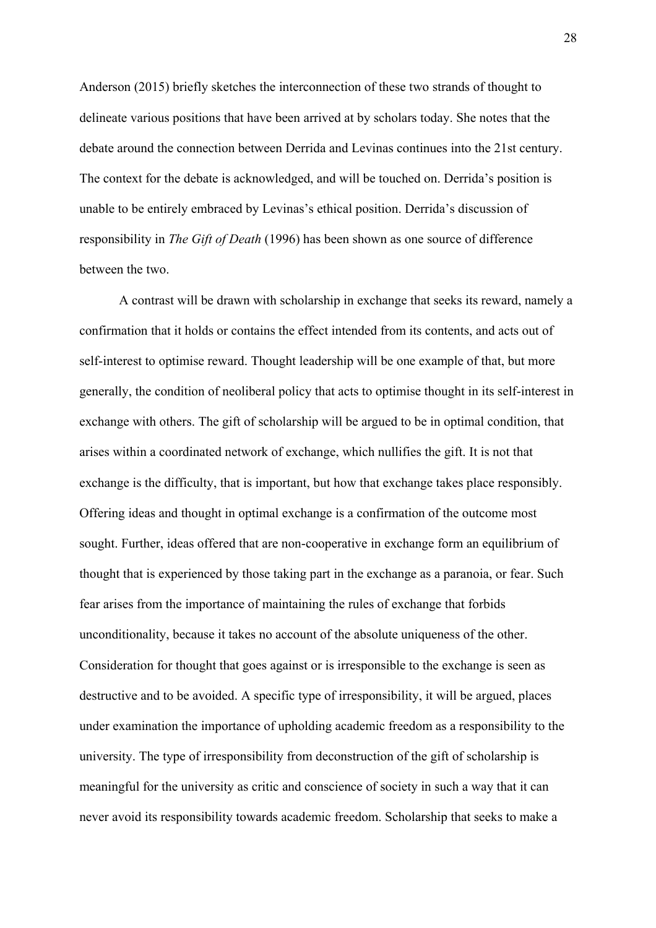Anderson (2015) briefly sketches the interconnection of these two strands of thought to delineate various positions that have been arrived at by scholars today. She notes that the debate around the connection between Derrida and Levinas continues into the 21st century. The context for the debate is acknowledged, and will be touched on. Derrida's position is unable to be entirely embraced by Levinas's ethical position. Derrida's discussion of responsibility in *The Gift of Death* (1996) has been shown as one source of difference between the two.

A contrast will be drawn with scholarship in exchange that seeks its reward, namely a confirmation that it holds or contains the effect intended from its contents, and acts out of self-interest to optimise reward. Thought leadership will be one example of that, but more generally, the condition of neoliberal policy that acts to optimise thought in its self-interest in exchange with others. The gift of scholarship will be argued to be in optimal condition, that arises within a coordinated network of exchange, which nullifies the gift. It is not that exchange is the difficulty, that is important, but how that exchange takes place responsibly. Offering ideas and thought in optimal exchange is a confirmation of the outcome most sought. Further, ideas offered that are non-cooperative in exchange form an equilibrium of thought that is experienced by those taking part in the exchange as a paranoia, or fear. Such fear arises from the importance of maintaining the rules of exchange that forbids unconditionality, because it takes no account of the absolute uniqueness of the other. Consideration for thought that goes against or is irresponsible to the exchange is seen as destructive and to be avoided. A specific type of irresponsibility, it will be argued, places under examination the importance of upholding academic freedom as a responsibility to the university. The type of irresponsibility from deconstruction of the gift of scholarship is meaningful for the university as critic and conscience of society in such a way that it can never avoid its responsibility towards academic freedom. Scholarship that seeks to make a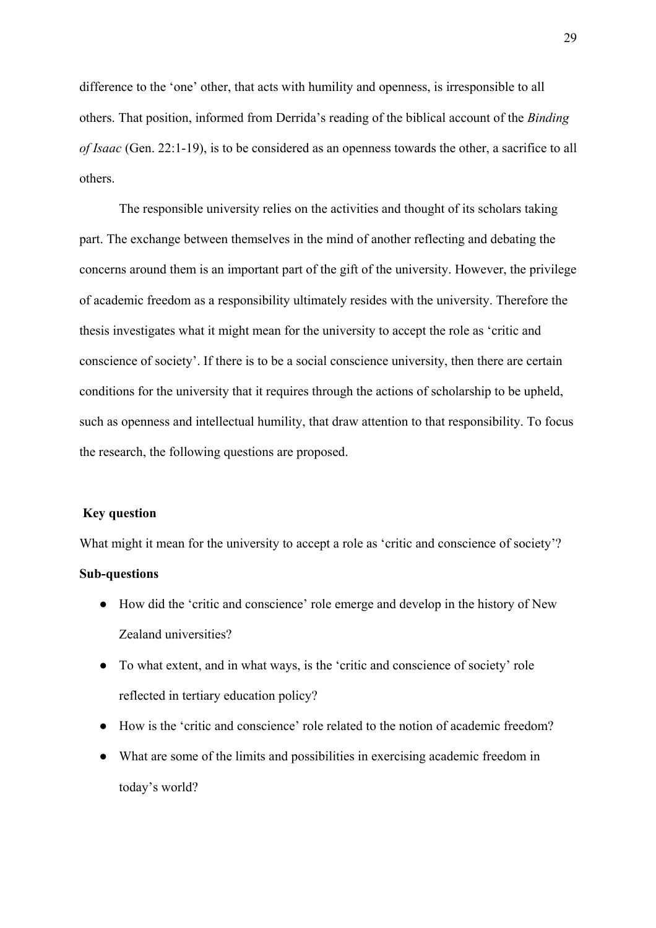difference to the 'one' other, that acts with humility and openness, is irresponsible to all others. That position, informed from Derrida's reading of the biblical account of the *Binding of Isaac* (Gen. 22:1-19), is to be considered as an openness towards the other, a sacrifice to all others.

 The responsible university relies on the activities and thought of its scholars taking part. The exchange between themselves in the mind of another reflecting and debating the concerns around them is an important part of the gift of the university. However, the privilege of academic freedom as a responsibility ultimately resides with the university. Therefore the thesis investigates what it might mean for the university to accept the role as 'critic and conscience of society'. If there is to be a social conscience university, then there are certain conditions for the university that it requires through the actions of scholarship to be upheld, such as openness and intellectual humility, that draw attention to that responsibility. To focus the research, the following questions are proposed.

#### **Key question**

What might it mean for the university to accept a role as 'critic and conscience of society'?

### **Sub-questions**

- How did the 'critic and conscience' role emerge and develop in the history of New Zealand universities?
- To what extent, and in what ways, is the 'critic and conscience of society' role reflected in tertiary education policy?
- How is the 'critic and conscience' role related to the notion of academic freedom?
- What are some of the limits and possibilities in exercising academic freedom in today's world?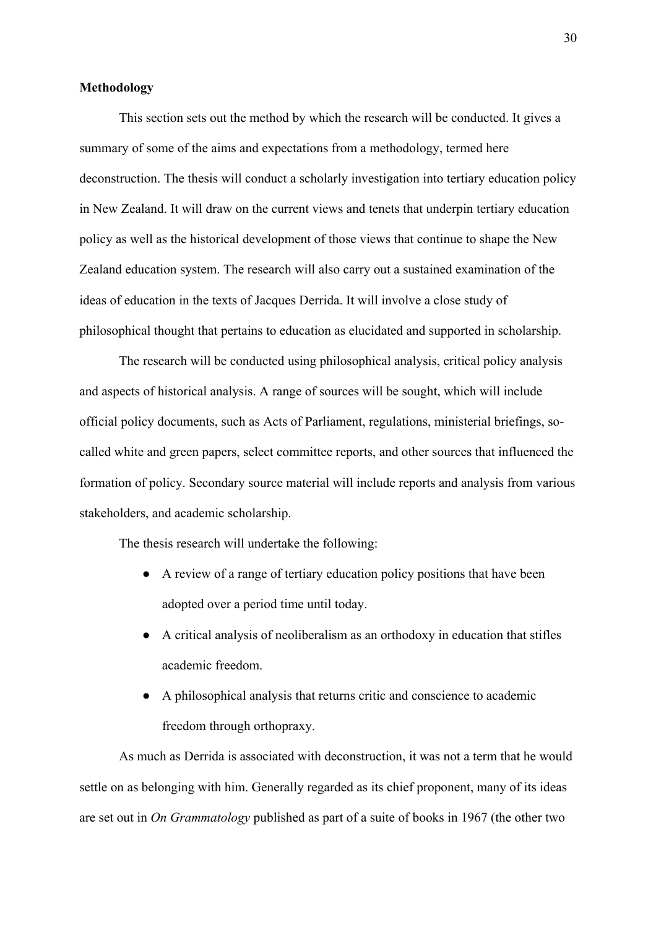### **Methodology**

This section sets out the method by which the research will be conducted. It gives a summary of some of the aims and expectations from a methodology, termed here deconstruction. The thesis will conduct a scholarly investigation into tertiary education policy in New Zealand. It will draw on the current views and tenets that underpin tertiary education policy as well as the historical development of those views that continue to shape the New Zealand education system. The research will also carry out a sustained examination of the ideas of education in the texts of Jacques Derrida. It will involve a close study of philosophical thought that pertains to education as elucidated and supported in scholarship.

The research will be conducted using philosophical analysis, critical policy analysis and aspects of historical analysis. A range of sources will be sought, which will include official policy documents, such as Acts of Parliament, regulations, ministerial briefings, socalled white and green papers, select committee reports, and other sources that influenced the formation of policy. Secondary source material will include reports and analysis from various stakeholders, and academic scholarship.

The thesis research will undertake the following:

- A review of a range of tertiary education policy positions that have been adopted over a period time until today.
- A critical analysis of neoliberalism as an orthodoxy in education that stifles academic freedom.
- A philosophical analysis that returns critic and conscience to academic freedom through orthopraxy.

 As much as Derrida is associated with deconstruction, it was not a term that he would settle on as belonging with him. Generally regarded as its chief proponent, many of its ideas are set out in *On Grammatology* published as part of a suite of books in 1967 (the other two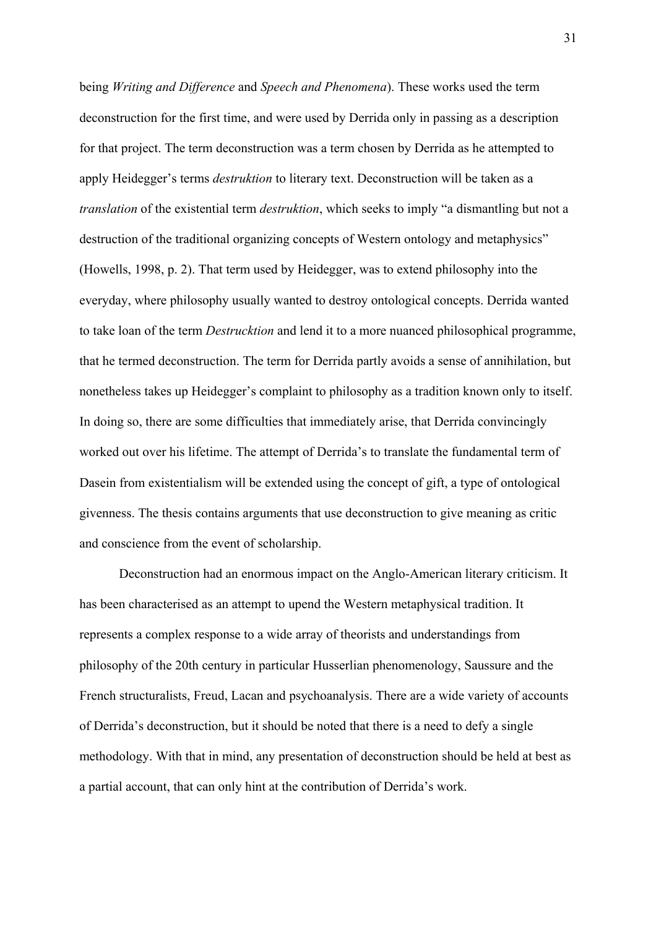being *Writing and Difference* and *Speech and Phenomena*). These works used the term deconstruction for the first time, and were used by Derrida only in passing as a description for that project. The term deconstruction was a term chosen by Derrida as he attempted to apply Heidegger's terms *destruktion* to literary text. Deconstruction will be taken as a *translation* of the existential term *destruktion*, which seeks to imply "a dismantling but not a destruction of the traditional organizing concepts of Western ontology and metaphysics" (Howells, 1998, p. 2). That term used by Heidegger, was to extend philosophy into the everyday, where philosophy usually wanted to destroy ontological concepts. Derrida wanted to take loan of the term *Destrucktion* and lend it to a more nuanced philosophical programme, that he termed deconstruction. The term for Derrida partly avoids a sense of annihilation, but nonetheless takes up Heidegger's complaint to philosophy as a tradition known only to itself. In doing so, there are some difficulties that immediately arise, that Derrida convincingly worked out over his lifetime. The attempt of Derrida's to translate the fundamental term of Dasein from existentialism will be extended using the concept of gift, a type of ontological givenness. The thesis contains arguments that use deconstruction to give meaning as critic and conscience from the event of scholarship.

Deconstruction had an enormous impact on the Anglo-American literary criticism. It has been characterised as an attempt to upend the Western metaphysical tradition. It represents a complex response to a wide array of theorists and understandings from philosophy of the 20th century in particular Husserlian phenomenology, Saussure and the French structuralists, Freud, Lacan and psychoanalysis. There are a wide variety of accounts of Derrida's deconstruction, but it should be noted that there is a need to defy a single methodology. With that in mind, any presentation of deconstruction should be held at best as a partial account, that can only hint at the contribution of Derrida's work.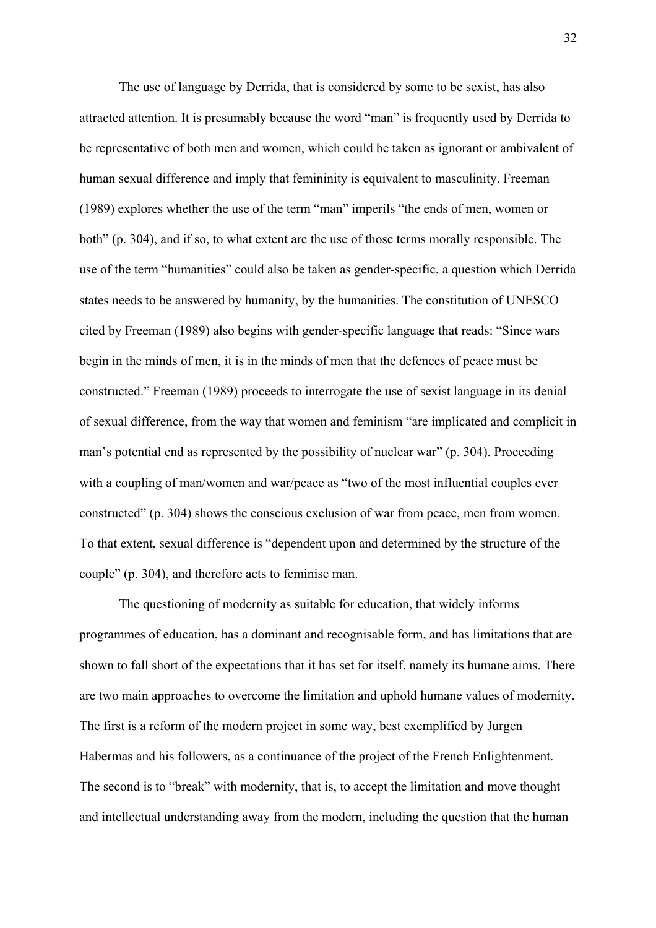The use of language by Derrida, that is considered by some to be sexist, has also attracted attention. It is presumably because the word "man" is frequently used by Derrida to be representative of both men and women, which could be taken as ignorant or ambivalent of human sexual difference and imply that femininity is equivalent to masculinity. Freeman (1989) explores whether the use of the term "man" imperils "the ends of men, women or both" (p. 304), and if so, to what extent are the use of those terms morally responsible. The use of the term "humanities" could also be taken as gender-specific, a question which Derrida states needs to be answered by humanity, by the humanities. The constitution of UNESCO cited by Freeman (1989) also begins with gender-specific language that reads: "Since wars begin in the minds of men, it is in the minds of men that the defences of peace must be constructed." Freeman (1989) proceeds to interrogate the use of sexist language in its denial of sexual difference, from the way that women and feminism "are implicated and complicit in man's potential end as represented by the possibility of nuclear war" (p. 304). Proceeding with a coupling of man/women and war/peace as "two of the most influential couples ever constructed" (p. 304) shows the conscious exclusion of war from peace, men from women. To that extent, sexual difference is "dependent upon and determined by the structure of the couple" (p. 304), and therefore acts to feminise man.

The questioning of modernity as suitable for education, that widely informs programmes of education, has a dominant and recognisable form, and has limitations that are shown to fall short of the expectations that it has set for itself, namely its humane aims. There are two main approaches to overcome the limitation and uphold humane values of modernity. The first is a reform of the modern project in some way, best exemplified by Jurgen Habermas and his followers, as a continuance of the project of the French Enlightenment. The second is to "break" with modernity, that is, to accept the limitation and move thought and intellectual understanding away from the modern, including the question that the human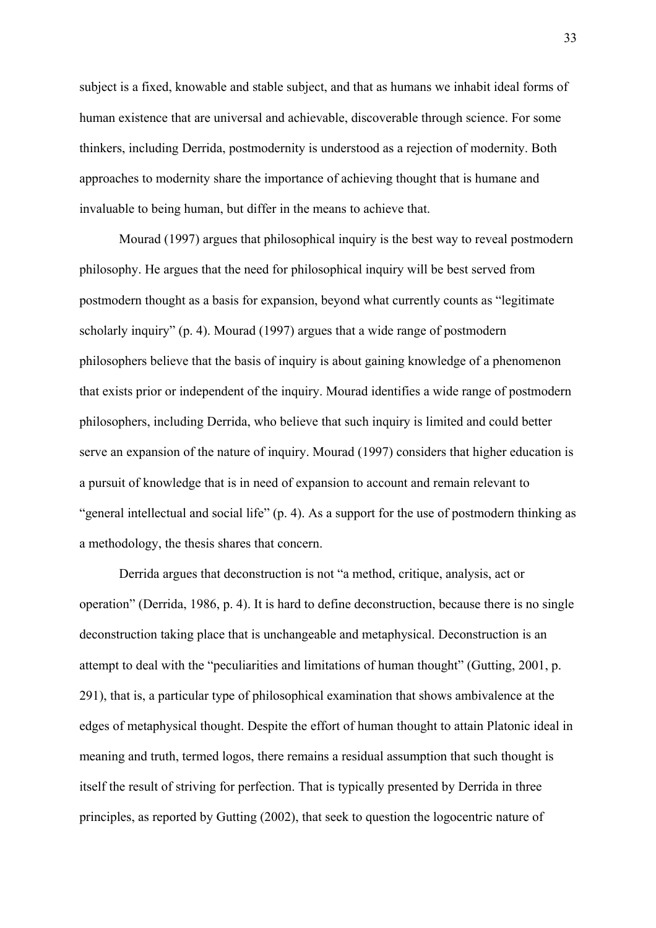subject is a fixed, knowable and stable subject, and that as humans we inhabit ideal forms of human existence that are universal and achievable, discoverable through science. For some thinkers, including Derrida, postmodernity is understood as a rejection of modernity. Both approaches to modernity share the importance of achieving thought that is humane and invaluable to being human, but differ in the means to achieve that.

Mourad (1997) argues that philosophical inquiry is the best way to reveal postmodern philosophy. He argues that the need for philosophical inquiry will be best served from postmodern thought as a basis for expansion, beyond what currently counts as "legitimate scholarly inquiry" (p. 4). Mourad (1997) argues that a wide range of postmodern philosophers believe that the basis of inquiry is about gaining knowledge of a phenomenon that exists prior or independent of the inquiry. Mourad identifies a wide range of postmodern philosophers, including Derrida, who believe that such inquiry is limited and could better serve an expansion of the nature of inquiry. Mourad (1997) considers that higher education is a pursuit of knowledge that is in need of expansion to account and remain relevant to "general intellectual and social life" (p. 4). As a support for the use of postmodern thinking as a methodology, the thesis shares that concern.

Derrida argues that deconstruction is not "a method, critique, analysis, act or operation" (Derrida, 1986, p. 4). It is hard to define deconstruction, because there is no single deconstruction taking place that is unchangeable and metaphysical. Deconstruction is an attempt to deal with the "peculiarities and limitations of human thought" (Gutting, 2001, p. 291), that is, a particular type of philosophical examination that shows ambivalence at the edges of metaphysical thought. Despite the effort of human thought to attain Platonic ideal in meaning and truth, termed logos, there remains a residual assumption that such thought is itself the result of striving for perfection. That is typically presented by Derrida in three principles, as reported by Gutting (2002), that seek to question the logocentric nature of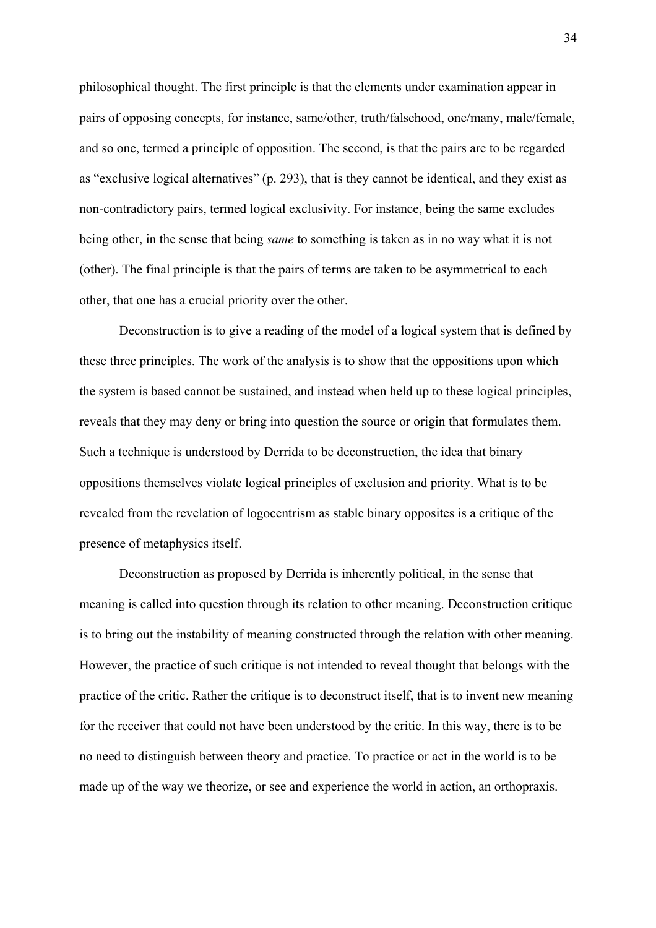philosophical thought. The first principle is that the elements under examination appear in pairs of opposing concepts, for instance, same/other, truth/falsehood, one/many, male/female, and so one, termed a principle of opposition. The second, is that the pairs are to be regarded as "exclusive logical alternatives" (p. 293), that is they cannot be identical, and they exist as non-contradictory pairs, termed logical exclusivity. For instance, being the same excludes being other, in the sense that being *same* to something is taken as in no way what it is not (other). The final principle is that the pairs of terms are taken to be asymmetrical to each other, that one has a crucial priority over the other.

Deconstruction is to give a reading of the model of a logical system that is defined by these three principles. The work of the analysis is to show that the oppositions upon which the system is based cannot be sustained, and instead when held up to these logical principles, reveals that they may deny or bring into question the source or origin that formulates them. Such a technique is understood by Derrida to be deconstruction, the idea that binary oppositions themselves violate logical principles of exclusion and priority. What is to be revealed from the revelation of logocentrism as stable binary opposites is a critique of the presence of metaphysics itself.

Deconstruction as proposed by Derrida is inherently political, in the sense that meaning is called into question through its relation to other meaning. Deconstruction critique is to bring out the instability of meaning constructed through the relation with other meaning. However, the practice of such critique is not intended to reveal thought that belongs with the practice of the critic. Rather the critique is to deconstruct itself, that is to invent new meaning for the receiver that could not have been understood by the critic. In this way, there is to be no need to distinguish between theory and practice. To practice or act in the world is to be made up of the way we theorize, or see and experience the world in action, an orthopraxis.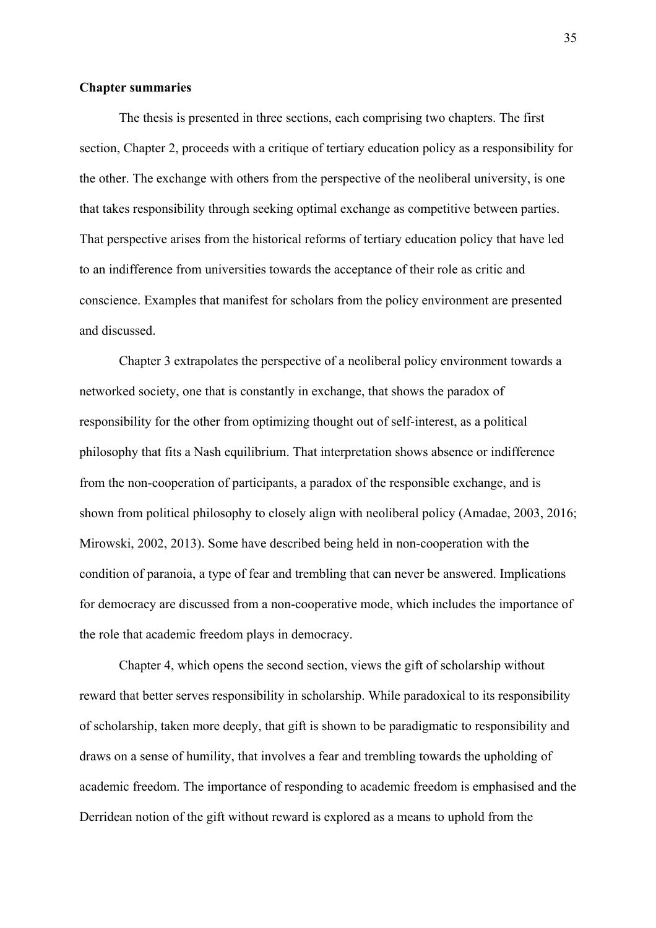#### **Chapter summaries**

The thesis is presented in three sections, each comprising two chapters. The first section, Chapter 2, proceeds with a critique of tertiary education policy as a responsibility for the other. The exchange with others from the perspective of the neoliberal university, is one that takes responsibility through seeking optimal exchange as competitive between parties. That perspective arises from the historical reforms of tertiary education policy that have led to an indifference from universities towards the acceptance of their role as critic and conscience. Examples that manifest for scholars from the policy environment are presented and discussed.

 Chapter 3 extrapolates the perspective of a neoliberal policy environment towards a networked society, one that is constantly in exchange, that shows the paradox of responsibility for the other from optimizing thought out of self-interest, as a political philosophy that fits a Nash equilibrium. That interpretation shows absence or indifference from the non-cooperation of participants, a paradox of the responsible exchange, and is shown from political philosophy to closely align with neoliberal policy (Amadae, 2003, 2016; Mirowski, 2002, 2013). Some have described being held in non-cooperation with the condition of paranoia, a type of fear and trembling that can never be answered. Implications for democracy are discussed from a non-cooperative mode, which includes the importance of the role that academic freedom plays in democracy.

Chapter 4, which opens the second section, views the gift of scholarship without reward that better serves responsibility in scholarship. While paradoxical to its responsibility of scholarship, taken more deeply, that gift is shown to be paradigmatic to responsibility and draws on a sense of humility, that involves a fear and trembling towards the upholding of academic freedom. The importance of responding to academic freedom is emphasised and the Derridean notion of the gift without reward is explored as a means to uphold from the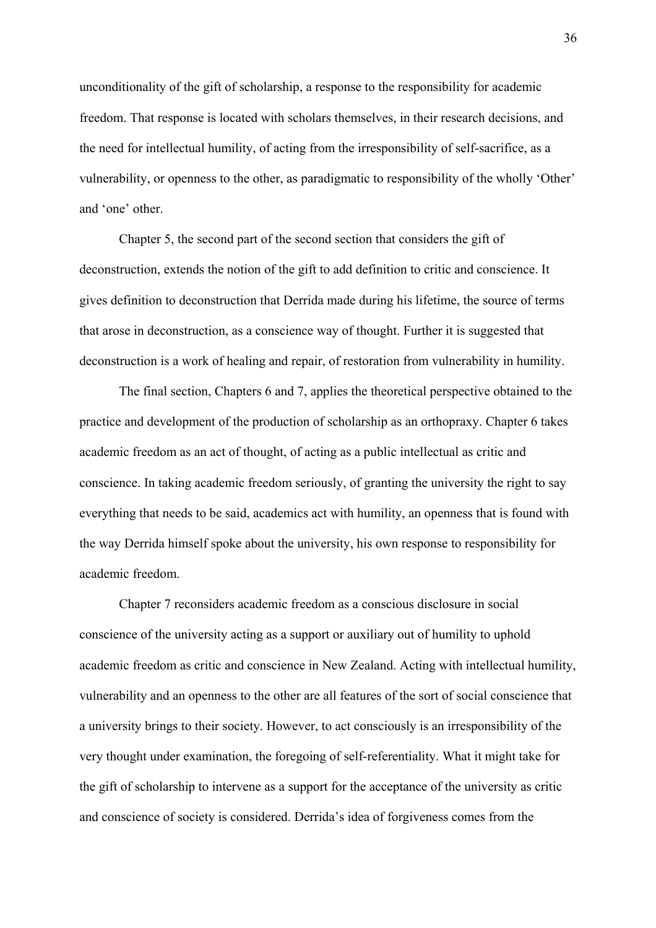unconditionality of the gift of scholarship, a response to the responsibility for academic freedom. That response is located with scholars themselves, in their research decisions, and the need for intellectual humility, of acting from the irresponsibility of self-sacrifice, as a vulnerability, or openness to the other, as paradigmatic to responsibility of the wholly 'Other' and 'one' other.

Chapter 5, the second part of the second section that considers the gift of deconstruction, extends the notion of the gift to add definition to critic and conscience. It gives definition to deconstruction that Derrida made during his lifetime, the source of terms that arose in deconstruction, as a conscience way of thought. Further it is suggested that deconstruction is a work of healing and repair, of restoration from vulnerability in humility.

The final section, Chapters 6 and 7, applies the theoretical perspective obtained to the practice and development of the production of scholarship as an orthopraxy. Chapter 6 takes academic freedom as an act of thought, of acting as a public intellectual as critic and conscience. In taking academic freedom seriously, of granting the university the right to say everything that needs to be said, academics act with humility, an openness that is found with the way Derrida himself spoke about the university, his own response to responsibility for academic freedom.

Chapter 7 reconsiders academic freedom as a conscious disclosure in social conscience of the university acting as a support or auxiliary out of humility to uphold academic freedom as critic and conscience in New Zealand. Acting with intellectual humility, vulnerability and an openness to the other are all features of the sort of social conscience that a university brings to their society. However, to act consciously is an irresponsibility of the very thought under examination, the foregoing of self-referentiality. What it might take for the gift of scholarship to intervene as a support for the acceptance of the university as critic and conscience of society is considered. Derrida's idea of forgiveness comes from the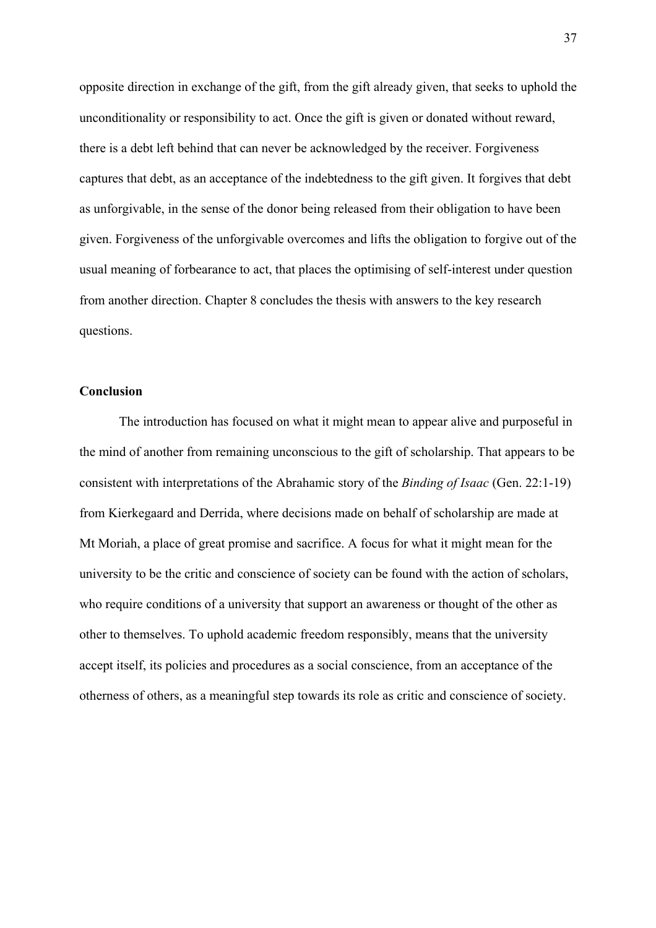opposite direction in exchange of the gift, from the gift already given, that seeks to uphold the unconditionality or responsibility to act. Once the gift is given or donated without reward, there is a debt left behind that can never be acknowledged by the receiver. Forgiveness captures that debt, as an acceptance of the indebtedness to the gift given. It forgives that debt as unforgivable, in the sense of the donor being released from their obligation to have been given. Forgiveness of the unforgivable overcomes and lifts the obligation to forgive out of the usual meaning of forbearance to act, that places the optimising of self-interest under question from another direction. Chapter 8 concludes the thesis with answers to the key research questions.

## **Conclusion**

The introduction has focused on what it might mean to appear alive and purposeful in the mind of another from remaining unconscious to the gift of scholarship. That appears to be consistent with interpretations of the Abrahamic story of the *Binding of Isaac* (Gen. 22:1-19) from Kierkegaard and Derrida, where decisions made on behalf of scholarship are made at Mt Moriah, a place of great promise and sacrifice. A focus for what it might mean for the university to be the critic and conscience of society can be found with the action of scholars, who require conditions of a university that support an awareness or thought of the other as other to themselves. To uphold academic freedom responsibly, means that the university accept itself, its policies and procedures as a social conscience, from an acceptance of the otherness of others, as a meaningful step towards its role as critic and conscience of society.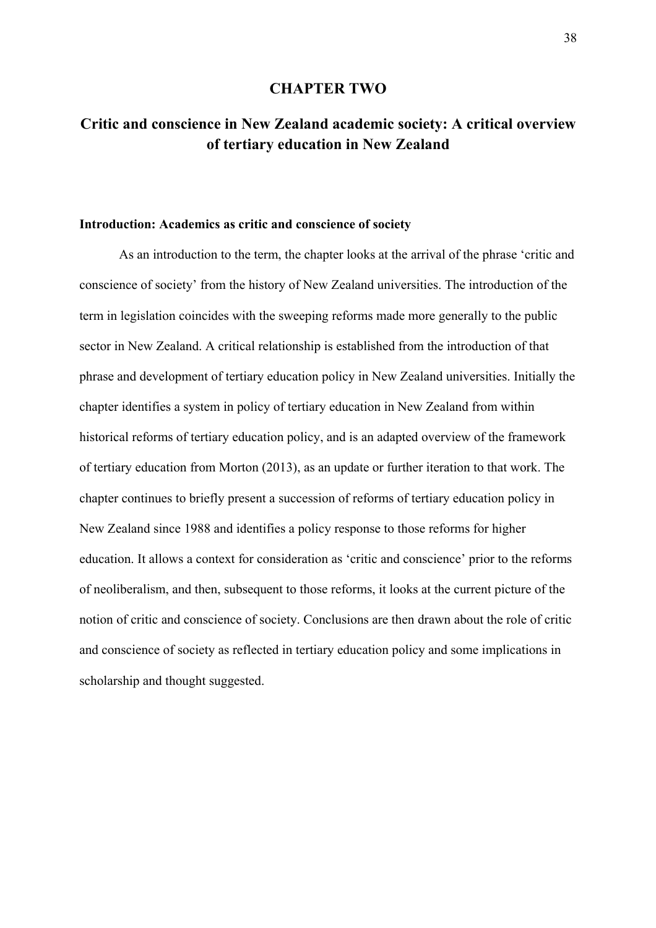## **CHAPTER TWO**

# **Critic and conscience in New Zealand academic society: A critical overview of tertiary education in New Zealand**

## **Introduction: Academics as critic and conscience of society**

 As an introduction to the term, the chapter looks at the arrival of the phrase 'critic and conscience of society' from the history of New Zealand universities. The introduction of the term in legislation coincides with the sweeping reforms made more generally to the public sector in New Zealand. A critical relationship is established from the introduction of that phrase and development of tertiary education policy in New Zealand universities. Initially the chapter identifies a system in policy of tertiary education in New Zealand from within historical reforms of tertiary education policy, and is an adapted overview of the framework of tertiary education from Morton (2013), as an update or further iteration to that work. The chapter continues to briefly present a succession of reforms of tertiary education policy in New Zealand since 1988 and identifies a policy response to those reforms for higher education. It allows a context for consideration as 'critic and conscience' prior to the reforms of neoliberalism, and then, subsequent to those reforms, it looks at the current picture of the notion of critic and conscience of society. Conclusions are then drawn about the role of critic and conscience of society as reflected in tertiary education policy and some implications in scholarship and thought suggested.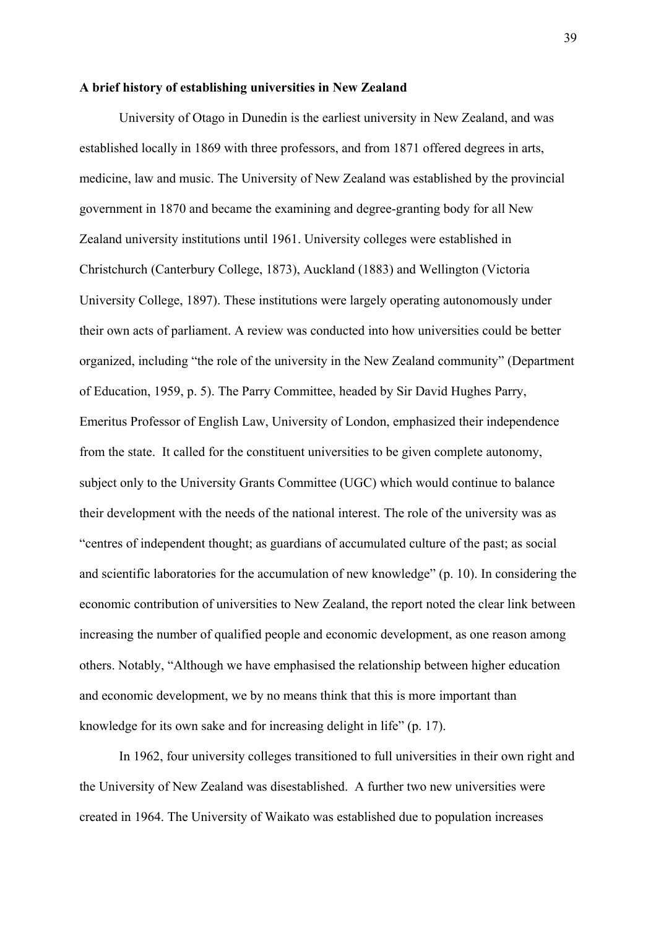## **A brief history of establishing universities in New Zealand**

University of Otago in Dunedin is the earliest university in New Zealand, and was established locally in 1869 with three professors, and from 1871 offered degrees in arts, medicine, law and music. The University of New Zealand was established by the provincial government in 1870 and became the examining and degree-granting body for all New Zealand university institutions until 1961. University colleges were established in Christchurch (Canterbury College, 1873), Auckland (1883) and Wellington (Victoria University College, 1897). These institutions were largely operating autonomously under their own acts of parliament. A review was conducted into how universities could be better organized, including "the role of the university in the New Zealand community" (Department of Education, 1959, p. 5). The Parry Committee, headed by Sir David Hughes Parry, Emeritus Professor of English Law, University of London, emphasized their independence from the state. It called for the constituent universities to be given complete autonomy, subject only to the University Grants Committee (UGC) which would continue to balance their development with the needs of the national interest. The role of the university was as "centres of independent thought; as guardians of accumulated culture of the past; as social and scientific laboratories for the accumulation of new knowledge" (p. 10). In considering the economic contribution of universities to New Zealand, the report noted the clear link between increasing the number of qualified people and economic development, as one reason among others. Notably, "Although we have emphasised the relationship between higher education and economic development, we by no means think that this is more important than knowledge for its own sake and for increasing delight in life" (p. 17).

 In 1962, four university colleges transitioned to full universities in their own right and the University of New Zealand was disestablished. A further two new universities were created in 1964. The University of Waikato was established due to population increases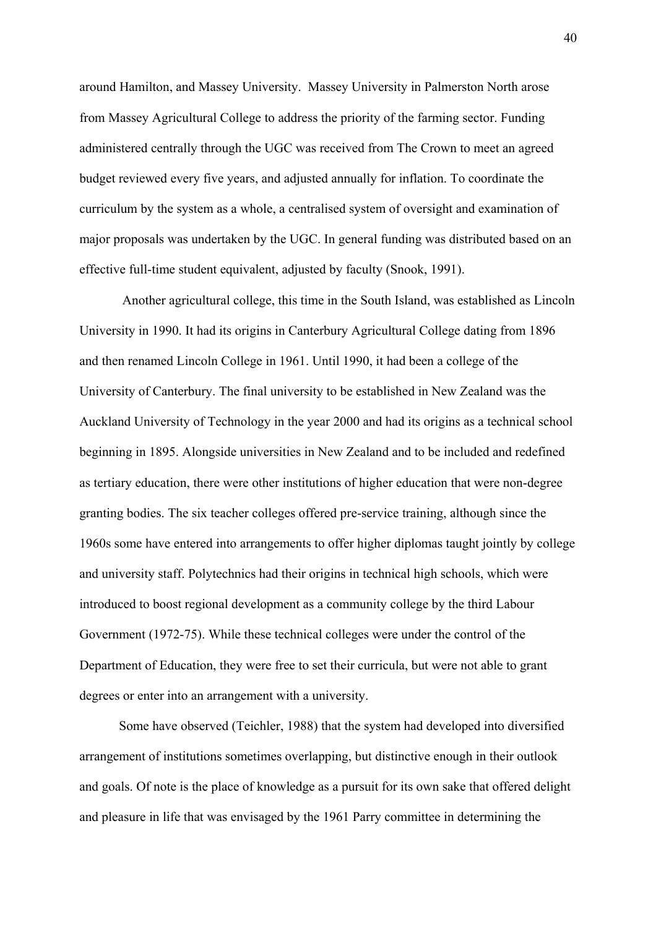around Hamilton, and Massey University. Massey University in Palmerston North arose from Massey Agricultural College to address the priority of the farming sector. Funding administered centrally through the UGC was received from The Crown to meet an agreed budget reviewed every five years, and adjusted annually for inflation. To coordinate the curriculum by the system as a whole, a centralised system of oversight and examination of major proposals was undertaken by the UGC. In general funding was distributed based on an effective full-time student equivalent, adjusted by faculty (Snook, 1991).

 Another agricultural college, this time in the South Island, was established as Lincoln University in 1990. It had its origins in Canterbury Agricultural College dating from 1896 and then renamed Lincoln College in 1961. Until 1990, it had been a college of the University of Canterbury. The final university to be established in New Zealand was the Auckland University of Technology in the year 2000 and had its origins as a technical school beginning in 1895. Alongside universities in New Zealand and to be included and redefined as tertiary education, there were other institutions of higher education that were non-degree granting bodies. The six teacher colleges offered pre-service training, although since the 1960s some have entered into arrangements to offer higher diplomas taught jointly by college and university staff. Polytechnics had their origins in technical high schools, which were introduced to boost regional development as a community college by the third Labour Government (1972-75). While these technical colleges were under the control of the Department of Education, they were free to set their curricula, but were not able to grant degrees or enter into an arrangement with a university.

 Some have observed (Teichler, 1988) that the system had developed into diversified arrangement of institutions sometimes overlapping, but distinctive enough in their outlook and goals. Of note is the place of knowledge as a pursuit for its own sake that offered delight and pleasure in life that was envisaged by the 1961 Parry committee in determining the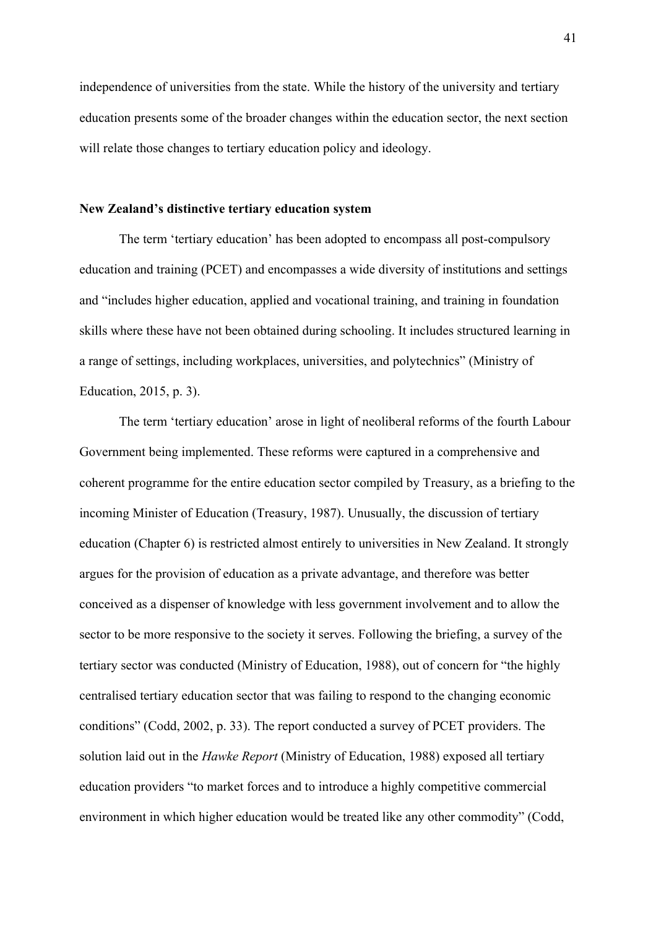independence of universities from the state. While the history of the university and tertiary education presents some of the broader changes within the education sector, the next section will relate those changes to tertiary education policy and ideology.

## **New Zealand's distinctive tertiary education system**

The term 'tertiary education' has been adopted to encompass all post-compulsory education and training (PCET) and encompasses a wide diversity of institutions and settings and "includes higher education, applied and vocational training, and training in foundation skills where these have not been obtained during schooling. It includes structured learning in a range of settings, including workplaces, universities, and polytechnics" (Ministry of Education, 2015, p. 3).

The term 'tertiary education' arose in light of neoliberal reforms of the fourth Labour Government being implemented. These reforms were captured in a comprehensive and coherent programme for the entire education sector compiled by Treasury, as a briefing to the incoming Minister of Education (Treasury, 1987). Unusually, the discussion of tertiary education (Chapter 6) is restricted almost entirely to universities in New Zealand. It strongly argues for the provision of education as a private advantage, and therefore was better conceived as a dispenser of knowledge with less government involvement and to allow the sector to be more responsive to the society it serves. Following the briefing, a survey of the tertiary sector was conducted (Ministry of Education, 1988), out of concern for "the highly centralised tertiary education sector that was failing to respond to the changing economic conditions" (Codd, 2002, p. 33). The report conducted a survey of PCET providers. The solution laid out in the *Hawke Report* (Ministry of Education, 1988) exposed all tertiary education providers "to market forces and to introduce a highly competitive commercial environment in which higher education would be treated like any other commodity" (Codd,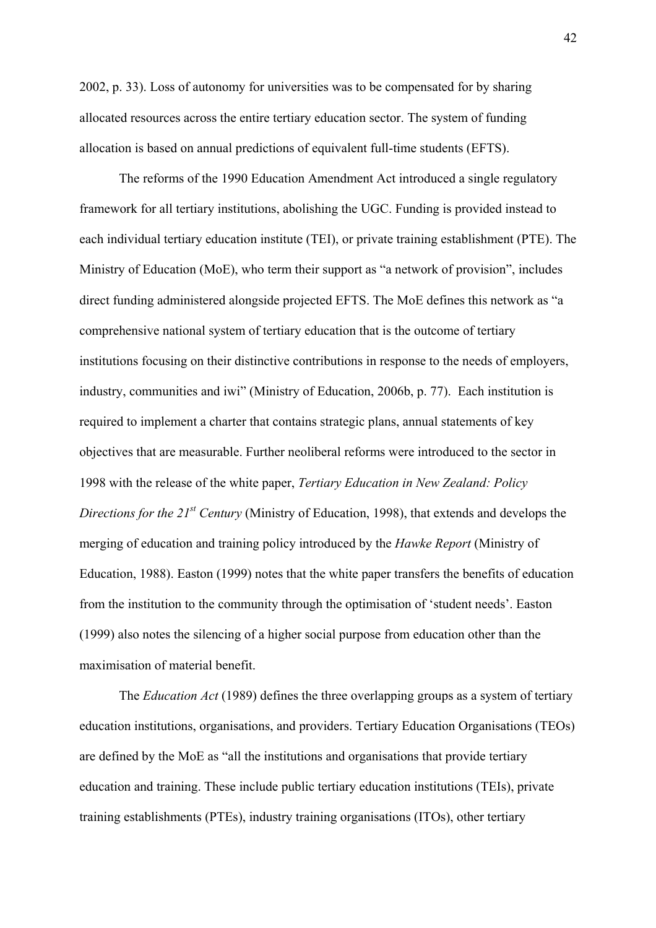2002, p. 33). Loss of autonomy for universities was to be compensated for by sharing allocated resources across the entire tertiary education sector. The system of funding allocation is based on annual predictions of equivalent full-time students (EFTS).

The reforms of the 1990 Education Amendment Act introduced a single regulatory framework for all tertiary institutions, abolishing the UGC. Funding is provided instead to each individual tertiary education institute (TEI), or private training establishment (PTE). The Ministry of Education (MoE), who term their support as "a network of provision", includes direct funding administered alongside projected EFTS. The MoE defines this network as "a comprehensive national system of tertiary education that is the outcome of tertiary institutions focusing on their distinctive contributions in response to the needs of employers, industry, communities and iwi" (Ministry of Education, 2006b, p. 77). Each institution is required to implement a charter that contains strategic plans, annual statements of key objectives that are measurable. Further neoliberal reforms were introduced to the sector in 1998 with the release of the white paper, *Tertiary Education in New Zealand: Policy Directions for the 21st Century* (Ministry of Education, 1998), that extends and develops the merging of education and training policy introduced by the *Hawke Report* (Ministry of Education, 1988). Easton (1999) notes that the white paper transfers the benefits of education from the institution to the community through the optimisation of 'student needs'. Easton (1999) also notes the silencing of a higher social purpose from education other than the maximisation of material benefit.

The *Education Act* (1989) defines the three overlapping groups as a system of tertiary education institutions, organisations, and providers. Tertiary Education Organisations (TEOs) are defined by the MoE as "all the institutions and organisations that provide tertiary education and training. These include public tertiary education institutions (TEIs), private training establishments (PTEs), industry training organisations (ITOs), other tertiary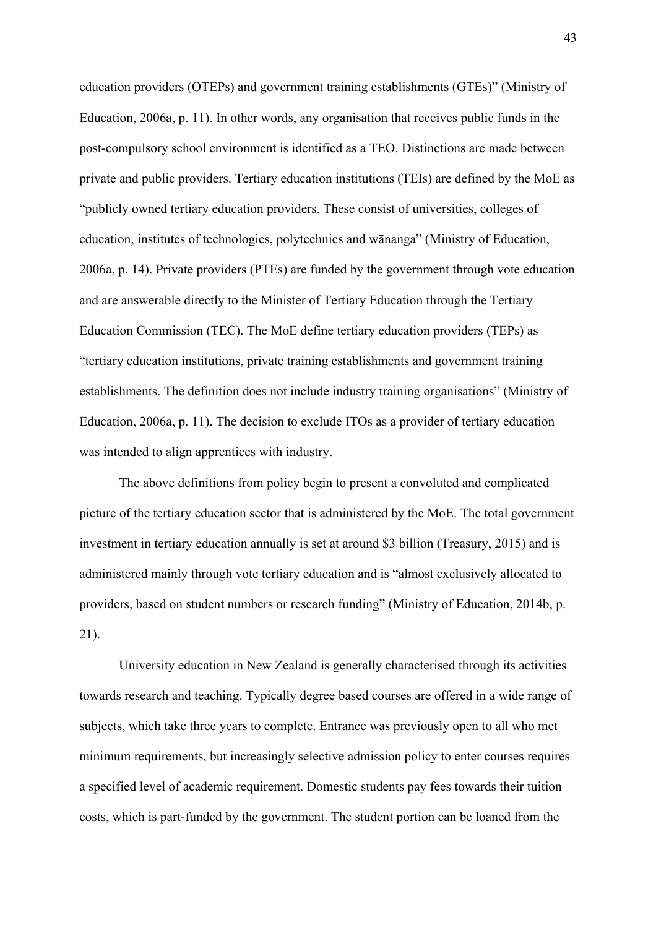education providers (OTEPs) and government training establishments (GTEs)" (Ministry of Education, 2006a, p. 11). In other words, any organisation that receives public funds in the post-compulsory school environment is identified as a TEO. Distinctions are made between private and public providers. Tertiary education institutions (TEIs) are defined by the MoE as "publicly owned tertiary education providers. These consist of universities, colleges of education, institutes of technologies, polytechnics and wānanga" (Ministry of Education, 2006a, p. 14). Private providers (PTEs) are funded by the government through vote education and are answerable directly to the Minister of Tertiary Education through the Tertiary Education Commission (TEC). The MoE define tertiary education providers (TEPs) as "tertiary education institutions, private training establishments and government training establishments. The definition does not include industry training organisations" (Ministry of Education, 2006a, p. 11). The decision to exclude ITOs as a provider of tertiary education was intended to align apprentices with industry.

The above definitions from policy begin to present a convoluted and complicated picture of the tertiary education sector that is administered by the MoE. The total government investment in tertiary education annually is set at around \$3 billion (Treasury, 2015) and is administered mainly through vote tertiary education and is "almost exclusively allocated to providers, based on student numbers or research funding" (Ministry of Education, 2014b, p. 21).

University education in New Zealand is generally characterised through its activities towards research and teaching. Typically degree based courses are offered in a wide range of subjects, which take three years to complete. Entrance was previously open to all who met minimum requirements, but increasingly selective admission policy to enter courses requires a specified level of academic requirement. Domestic students pay fees towards their tuition costs, which is part-funded by the government. The student portion can be loaned from the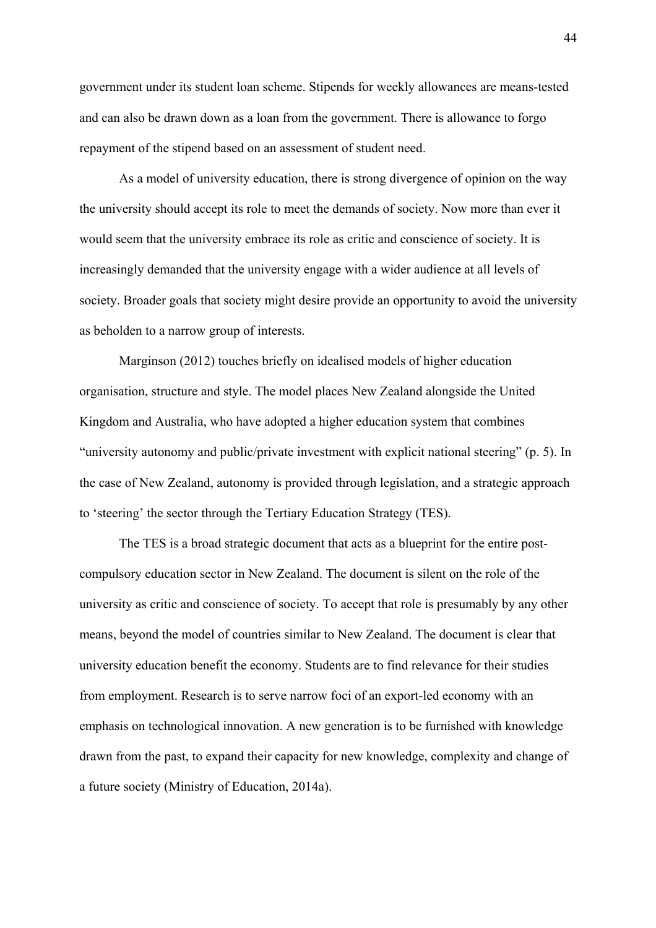government under its student loan scheme. Stipends for weekly allowances are means-tested and can also be drawn down as a loan from the government. There is allowance to forgo repayment of the stipend based on an assessment of student need.

As a model of university education, there is strong divergence of opinion on the way the university should accept its role to meet the demands of society. Now more than ever it would seem that the university embrace its role as critic and conscience of society. It is increasingly demanded that the university engage with a wider audience at all levels of society. Broader goals that society might desire provide an opportunity to avoid the university as beholden to a narrow group of interests.

Marginson (2012) touches briefly on idealised models of higher education organisation, structure and style. The model places New Zealand alongside the United Kingdom and Australia, who have adopted a higher education system that combines "university autonomy and public/private investment with explicit national steering" (p. 5). In the case of New Zealand, autonomy is provided through legislation, and a strategic approach to 'steering' the sector through the Tertiary Education Strategy (TES).

The TES is a broad strategic document that acts as a blueprint for the entire postcompulsory education sector in New Zealand. The document is silent on the role of the university as critic and conscience of society. To accept that role is presumably by any other means, beyond the model of countries similar to New Zealand. The document is clear that university education benefit the economy. Students are to find relevance for their studies from employment. Research is to serve narrow foci of an export-led economy with an emphasis on technological innovation. A new generation is to be furnished with knowledge drawn from the past, to expand their capacity for new knowledge, complexity and change of a future society (Ministry of Education, 2014a).

44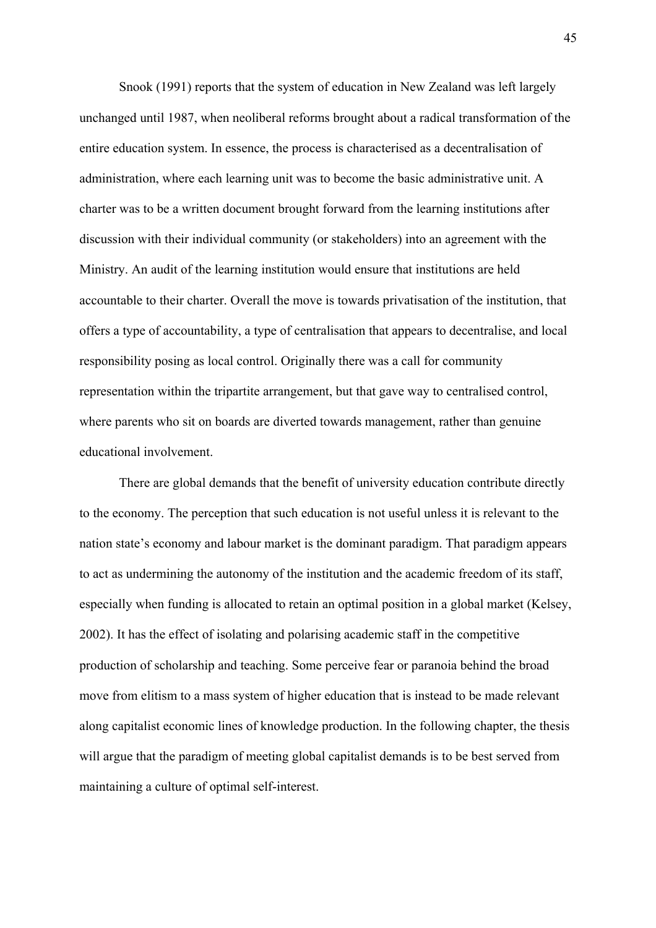Snook (1991) reports that the system of education in New Zealand was left largely unchanged until 1987, when neoliberal reforms brought about a radical transformation of the entire education system. In essence, the process is characterised as a decentralisation of administration, where each learning unit was to become the basic administrative unit. A charter was to be a written document brought forward from the learning institutions after discussion with their individual community (or stakeholders) into an agreement with the Ministry. An audit of the learning institution would ensure that institutions are held accountable to their charter. Overall the move is towards privatisation of the institution, that offers a type of accountability, a type of centralisation that appears to decentralise, and local responsibility posing as local control. Originally there was a call for community representation within the tripartite arrangement, but that gave way to centralised control, where parents who sit on boards are diverted towards management, rather than genuine educational involvement.

 There are global demands that the benefit of university education contribute directly to the economy. The perception that such education is not useful unless it is relevant to the nation state's economy and labour market is the dominant paradigm. That paradigm appears to act as undermining the autonomy of the institution and the academic freedom of its staff, especially when funding is allocated to retain an optimal position in a global market (Kelsey, 2002). It has the effect of isolating and polarising academic staff in the competitive production of scholarship and teaching. Some perceive fear or paranoia behind the broad move from elitism to a mass system of higher education that is instead to be made relevant along capitalist economic lines of knowledge production. In the following chapter, the thesis will argue that the paradigm of meeting global capitalist demands is to be best served from maintaining a culture of optimal self-interest.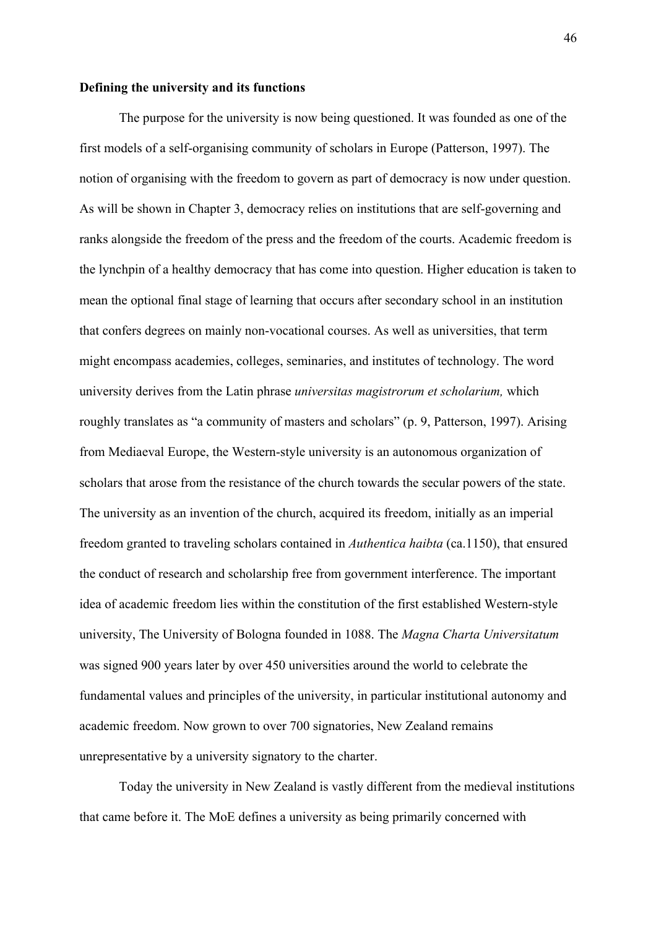## **Defining the university and its functions**

The purpose for the university is now being questioned. It was founded as one of the first models of a self-organising community of scholars in Europe (Patterson, 1997). The notion of organising with the freedom to govern as part of democracy is now under question. As will be shown in Chapter 3, democracy relies on institutions that are self-governing and ranks alongside the freedom of the press and the freedom of the courts. Academic freedom is the lynchpin of a healthy democracy that has come into question. Higher education is taken to mean the optional final stage of learning that occurs after secondary school in an institution that confers degrees on mainly non-vocational courses. As well as universities, that term might encompass academies, colleges, seminaries, and institutes of technology. The word university derives from the Latin phrase *universitas magistrorum et scholarium,* which roughly translates as "a community of masters and scholars" (p. 9, Patterson, 1997). Arising from Mediaeval Europe, the Western-style university is an autonomous organization of scholars that arose from the resistance of the church towards the secular powers of the state. The university as an invention of the church, acquired its freedom, initially as an imperial freedom granted to traveling scholars contained in *Authentica haibta* (ca.1150), that ensured the conduct of research and scholarship free from government interference. The important idea of academic freedom lies within the constitution of the first established Western-style university, The University of Bologna founded in 1088. The *Magna Charta Universitatum*  was signed 900 years later by over 450 universities around the world to celebrate the fundamental values and principles of the university, in particular institutional autonomy and academic freedom. Now grown to over 700 signatories, New Zealand remains unrepresentative by a university signatory to the charter.

Today the university in New Zealand is vastly different from the medieval institutions that came before it. The MoE defines a university as being primarily concerned with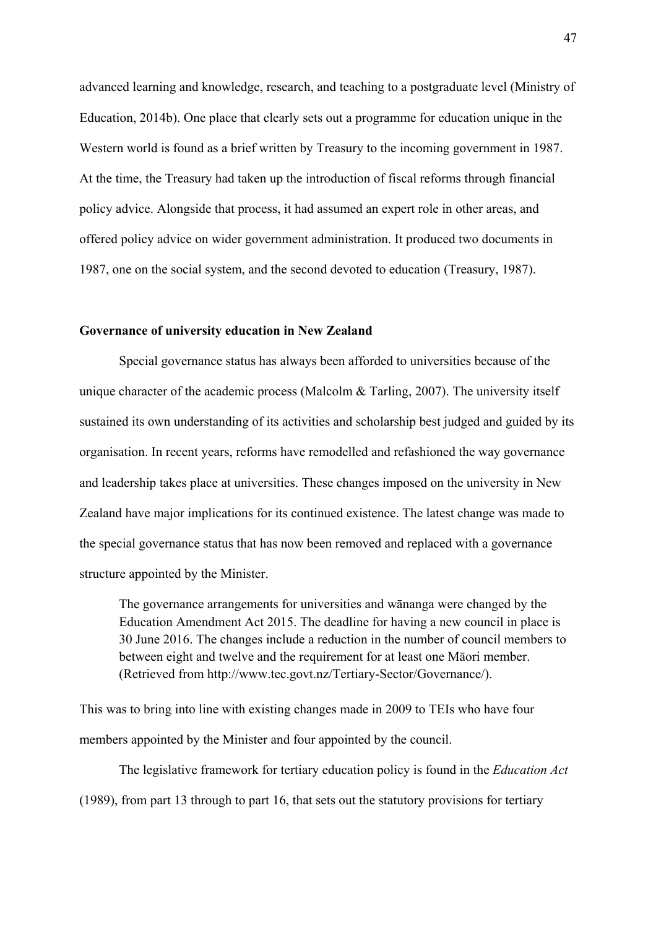advanced learning and knowledge, research, and teaching to a postgraduate level (Ministry of Education, 2014b). One place that clearly sets out a programme for education unique in the Western world is found as a brief written by Treasury to the incoming government in 1987. At the time, the Treasury had taken up the introduction of fiscal reforms through financial policy advice. Alongside that process, it had assumed an expert role in other areas, and offered policy advice on wider government administration. It produced two documents in 1987, one on the social system, and the second devoted to education (Treasury, 1987).

### **Governance of university education in New Zealand**

Special governance status has always been afforded to universities because of the unique character of the academic process (Malcolm & Tarling, 2007). The university itself sustained its own understanding of its activities and scholarship best judged and guided by its organisation. In recent years, reforms have remodelled and refashioned the way governance and leadership takes place at universities. These changes imposed on the university in New Zealand have major implications for its continued existence. The latest change was made to the special governance status that has now been removed and replaced with a governance structure appointed by the Minister.

The governance arrangements for universities and wānanga were changed by the Education Amendment Act 2015. The deadline for having a new council in place is 30 June 2016. The changes include a reduction in the number of council members to between eight and twelve and the requirement for at least one Māori member. (Retrieved from http://www.tec.govt.nz/Tertiary-Sector/Governance/).

This was to bring into line with existing changes made in 2009 to TEIs who have four members appointed by the Minister and four appointed by the council.

The legislative framework for tertiary education policy is found in the *Education Act*  (1989), from part 13 through to part 16, that sets out the statutory provisions for tertiary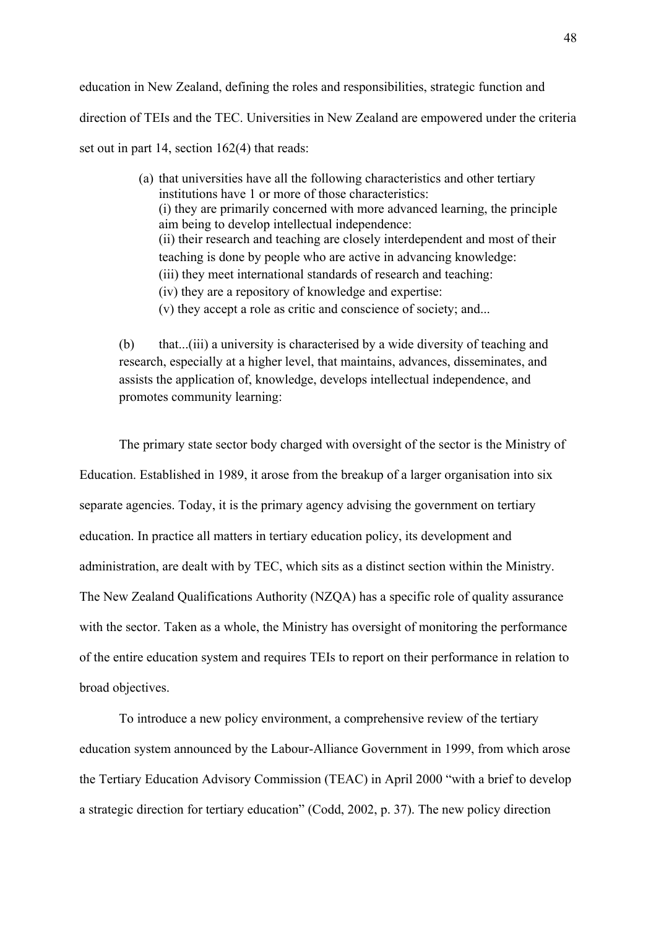education in New Zealand, defining the roles and responsibilities, strategic function and direction of TEIs and the TEC. Universities in New Zealand are empowered under the criteria set out in part 14, section 162(4) that reads:

> (a) that universities have all the following characteristics and other tertiary institutions have 1 or more of those characteristics: (i) they are primarily concerned with more advanced learning, the principle aim being to develop intellectual independence: (ii) their research and teaching are closely interdependent and most of their teaching is done by people who are active in advancing knowledge: (iii) they meet international standards of research and teaching: (iv) they are a repository of knowledge and expertise: (v) they accept a role as critic and conscience of society; and...

(b) that...(iii) a university is characterised by a wide diversity of teaching and research, especially at a higher level, that maintains, advances, disseminates, and assists the application of, knowledge, develops intellectual independence, and promotes community learning:

The primary state sector body charged with oversight of the sector is the Ministry of Education. Established in 1989, it arose from the breakup of a larger organisation into six separate agencies. Today, it is the primary agency advising the government on tertiary education. In practice all matters in tertiary education policy, its development and administration, are dealt with by TEC, which sits as a distinct section within the Ministry. The New Zealand Qualifications Authority (NZQA) has a specific role of quality assurance with the sector. Taken as a whole, the Ministry has oversight of monitoring the performance of the entire education system and requires TEIs to report on their performance in relation to broad objectives.

To introduce a new policy environment, a comprehensive review of the tertiary education system announced by the Labour-Alliance Government in 1999, from which arose the Tertiary Education Advisory Commission (TEAC) in April 2000 "with a brief to develop a strategic direction for tertiary education" (Codd, 2002, p. 37). The new policy direction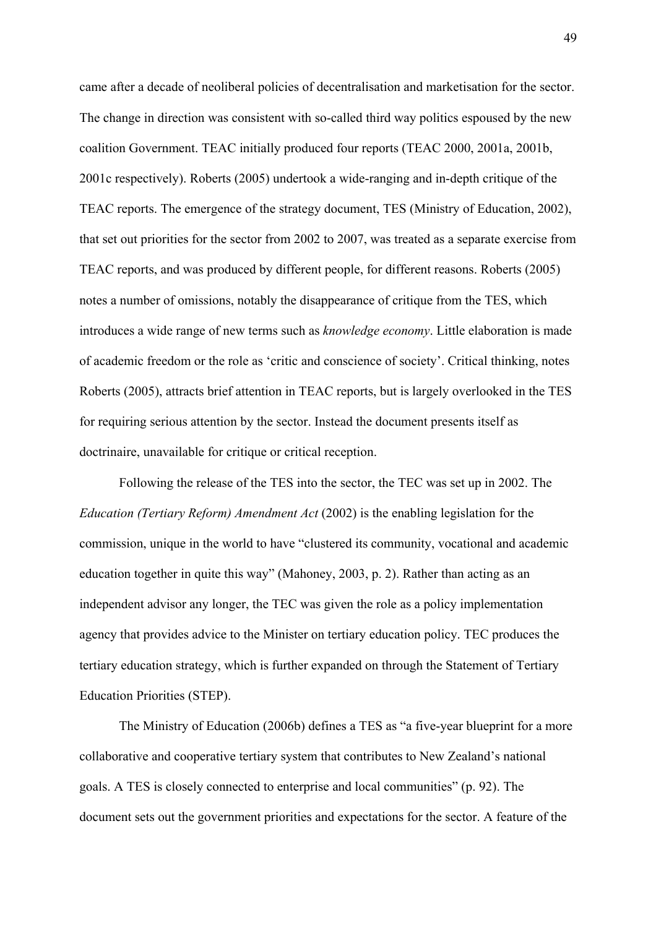came after a decade of neoliberal policies of decentralisation and marketisation for the sector. The change in direction was consistent with so-called third way politics espoused by the new coalition Government. TEAC initially produced four reports (TEAC 2000, 2001a, 2001b, 2001c respectively). Roberts (2005) undertook a wide-ranging and in-depth critique of the TEAC reports. The emergence of the strategy document, TES (Ministry of Education, 2002), that set out priorities for the sector from 2002 to 2007, was treated as a separate exercise from TEAC reports, and was produced by different people, for different reasons. Roberts (2005) notes a number of omissions, notably the disappearance of critique from the TES, which introduces a wide range of new terms such as *knowledge economy*. Little elaboration is made of academic freedom or the role as 'critic and conscience of society'. Critical thinking, notes Roberts (2005), attracts brief attention in TEAC reports, but is largely overlooked in the TES for requiring serious attention by the sector. Instead the document presents itself as doctrinaire, unavailable for critique or critical reception.

Following the release of the TES into the sector, the TEC was set up in 2002. The *Education (Tertiary Reform) Amendment Act* (2002) is the enabling legislation for the commission, unique in the world to have "clustered its community, vocational and academic education together in quite this way" (Mahoney, 2003, p. 2). Rather than acting as an independent advisor any longer, the TEC was given the role as a policy implementation agency that provides advice to the Minister on tertiary education policy. TEC produces the tertiary education strategy, which is further expanded on through the Statement of Tertiary Education Priorities (STEP).

The Ministry of Education (2006b) defines a TES as "a five-year blueprint for a more collaborative and cooperative tertiary system that contributes to New Zealand's national goals. A TES is closely connected to enterprise and local communities" (p. 92). The document sets out the government priorities and expectations for the sector. A feature of the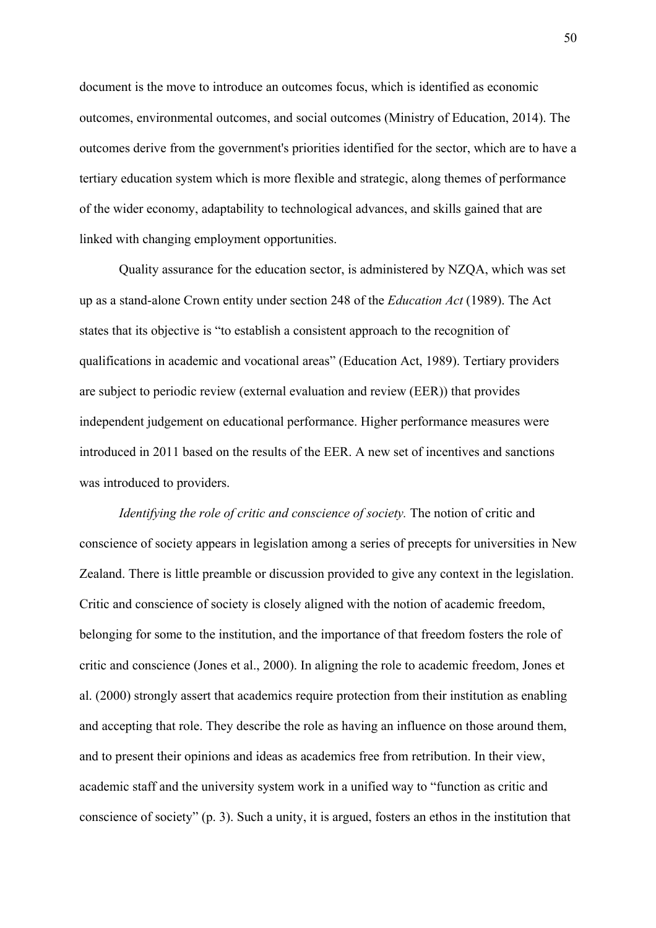document is the move to introduce an outcomes focus, which is identified as economic outcomes, environmental outcomes, and social outcomes (Ministry of Education, 2014). The outcomes derive from the government's priorities identified for the sector, which are to have a tertiary education system which is more flexible and strategic, along themes of performance of the wider economy, adaptability to technological advances, and skills gained that are linked with changing employment opportunities.

Quality assurance for the education sector, is administered by NZQA, which was set up as a stand-alone Crown entity under section 248 of the *Education Act* (1989). The Act states that its objective is "to establish a consistent approach to the recognition of qualifications in academic and vocational areas" (Education Act, 1989). Tertiary providers are subject to periodic review (external evaluation and review (EER)) that provides independent judgement on educational performance. Higher performance measures were introduced in 2011 based on the results of the EER. A new set of incentives and sanctions was introduced to providers.

*Identifying the role of critic and conscience of society.* The notion of critic and conscience of society appears in legislation among a series of precepts for universities in New Zealand. There is little preamble or discussion provided to give any context in the legislation. Critic and conscience of society is closely aligned with the notion of academic freedom, belonging for some to the institution, and the importance of that freedom fosters the role of critic and conscience (Jones et al., 2000). In aligning the role to academic freedom, Jones et al. (2000) strongly assert that academics require protection from their institution as enabling and accepting that role. They describe the role as having an influence on those around them, and to present their opinions and ideas as academics free from retribution. In their view, academic staff and the university system work in a unified way to "function as critic and conscience of society" (p. 3). Such a unity, it is argued, fosters an ethos in the institution that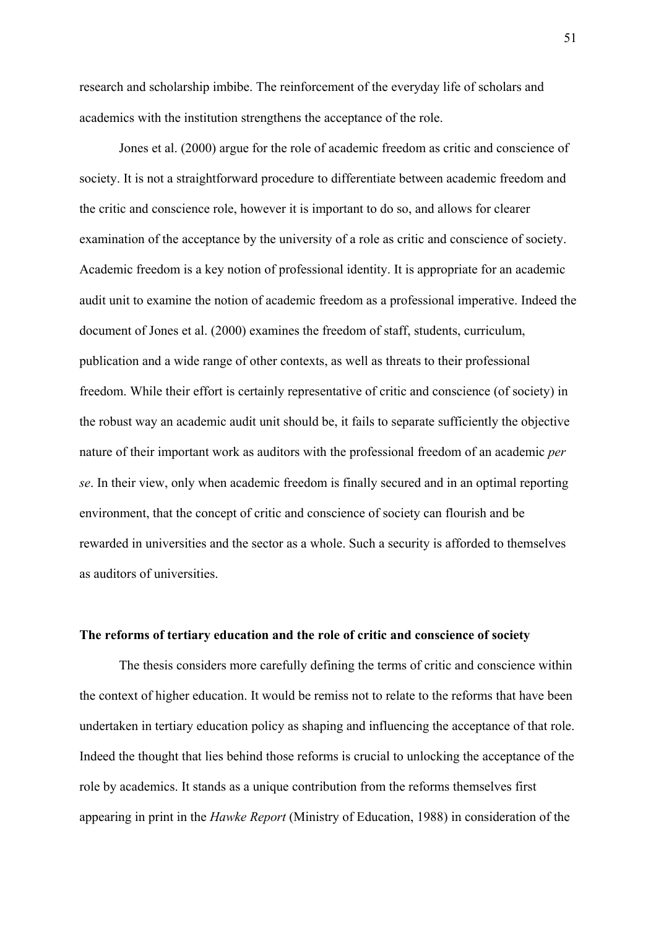research and scholarship imbibe. The reinforcement of the everyday life of scholars and academics with the institution strengthens the acceptance of the role.

 Jones et al. (2000) argue for the role of academic freedom as critic and conscience of society. It is not a straightforward procedure to differentiate between academic freedom and the critic and conscience role, however it is important to do so, and allows for clearer examination of the acceptance by the university of a role as critic and conscience of society. Academic freedom is a key notion of professional identity. It is appropriate for an academic audit unit to examine the notion of academic freedom as a professional imperative. Indeed the document of Jones et al. (2000) examines the freedom of staff, students, curriculum, publication and a wide range of other contexts, as well as threats to their professional freedom. While their effort is certainly representative of critic and conscience (of society) in the robust way an academic audit unit should be, it fails to separate sufficiently the objective nature of their important work as auditors with the professional freedom of an academic *per se*. In their view, only when academic freedom is finally secured and in an optimal reporting environment, that the concept of critic and conscience of society can flourish and be rewarded in universities and the sector as a whole. Such a security is afforded to themselves as auditors of universities.

## **The reforms of tertiary education and the role of critic and conscience of society**

The thesis considers more carefully defining the terms of critic and conscience within the context of higher education. It would be remiss not to relate to the reforms that have been undertaken in tertiary education policy as shaping and influencing the acceptance of that role. Indeed the thought that lies behind those reforms is crucial to unlocking the acceptance of the role by academics. It stands as a unique contribution from the reforms themselves first appearing in print in the *Hawke Report* (Ministry of Education, 1988) in consideration of the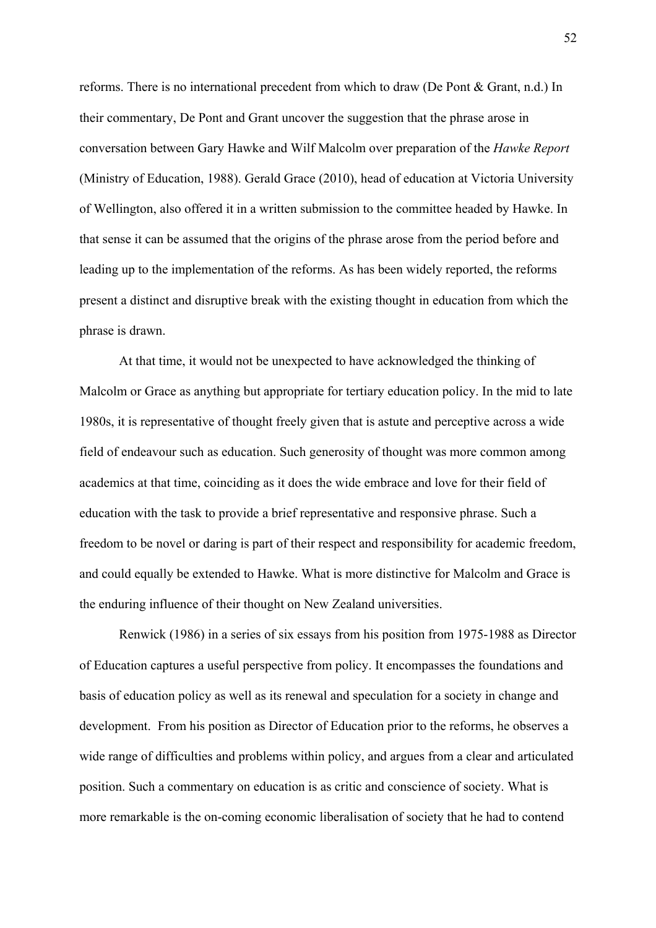reforms. There is no international precedent from which to draw (De Pont & Grant, n.d.) In their commentary, De Pont and Grant uncover the suggestion that the phrase arose in conversation between Gary Hawke and Wilf Malcolm over preparation of the *Hawke Report* (Ministry of Education, 1988). Gerald Grace (2010), head of education at Victoria University of Wellington, also offered it in a written submission to the committee headed by Hawke. In that sense it can be assumed that the origins of the phrase arose from the period before and leading up to the implementation of the reforms. As has been widely reported, the reforms present a distinct and disruptive break with the existing thought in education from which the phrase is drawn.

At that time, it would not be unexpected to have acknowledged the thinking of Malcolm or Grace as anything but appropriate for tertiary education policy. In the mid to late 1980s, it is representative of thought freely given that is astute and perceptive across a wide field of endeavour such as education. Such generosity of thought was more common among academics at that time, coinciding as it does the wide embrace and love for their field of education with the task to provide a brief representative and responsive phrase. Such a freedom to be novel or daring is part of their respect and responsibility for academic freedom, and could equally be extended to Hawke. What is more distinctive for Malcolm and Grace is the enduring influence of their thought on New Zealand universities.

Renwick (1986) in a series of six essays from his position from 1975-1988 as Director of Education captures a useful perspective from policy. It encompasses the foundations and basis of education policy as well as its renewal and speculation for a society in change and development. From his position as Director of Education prior to the reforms, he observes a wide range of difficulties and problems within policy, and argues from a clear and articulated position. Such a commentary on education is as critic and conscience of society. What is more remarkable is the on-coming economic liberalisation of society that he had to contend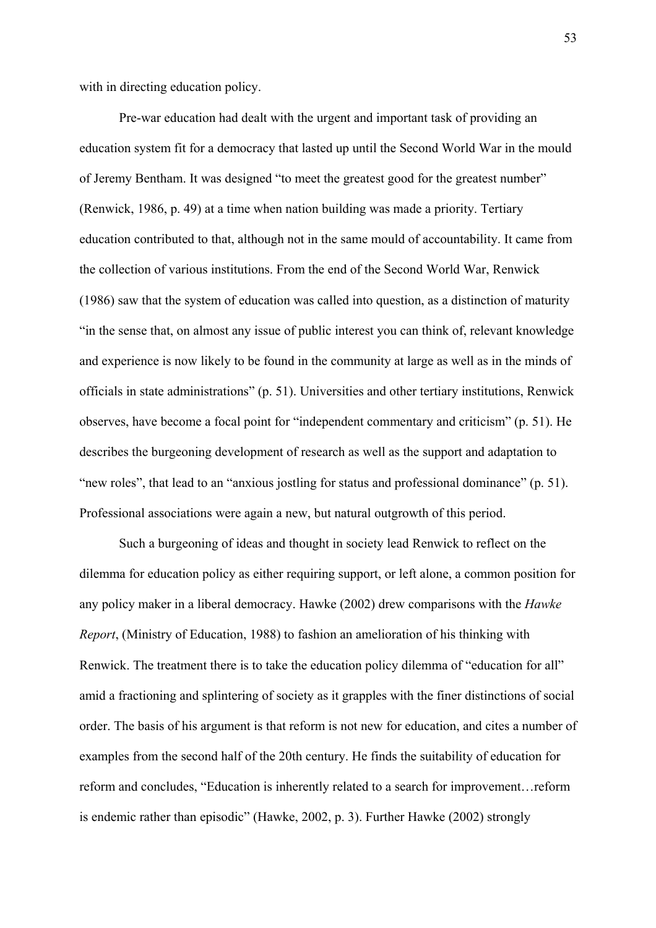with in directing education policy.

Pre-war education had dealt with the urgent and important task of providing an education system fit for a democracy that lasted up until the Second World War in the mould of Jeremy Bentham. It was designed "to meet the greatest good for the greatest number" (Renwick, 1986, p. 49) at a time when nation building was made a priority. Tertiary education contributed to that, although not in the same mould of accountability. It came from the collection of various institutions. From the end of the Second World War, Renwick (1986) saw that the system of education was called into question, as a distinction of maturity "in the sense that, on almost any issue of public interest you can think of, relevant knowledge and experience is now likely to be found in the community at large as well as in the minds of officials in state administrations" (p. 51). Universities and other tertiary institutions, Renwick observes, have become a focal point for "independent commentary and criticism" (p. 51). He describes the burgeoning development of research as well as the support and adaptation to "new roles", that lead to an "anxious jostling for status and professional dominance" (p. 51). Professional associations were again a new, but natural outgrowth of this period.

Such a burgeoning of ideas and thought in society lead Renwick to reflect on the dilemma for education policy as either requiring support, or left alone, a common position for any policy maker in a liberal democracy. Hawke (2002) drew comparisons with the *Hawke Report*, (Ministry of Education, 1988) to fashion an amelioration of his thinking with Renwick. The treatment there is to take the education policy dilemma of "education for all" amid a fractioning and splintering of society as it grapples with the finer distinctions of social order. The basis of his argument is that reform is not new for education, and cites a number of examples from the second half of the 20th century. He finds the suitability of education for reform and concludes, "Education is inherently related to a search for improvement…reform is endemic rather than episodic" (Hawke, 2002, p. 3). Further Hawke (2002) strongly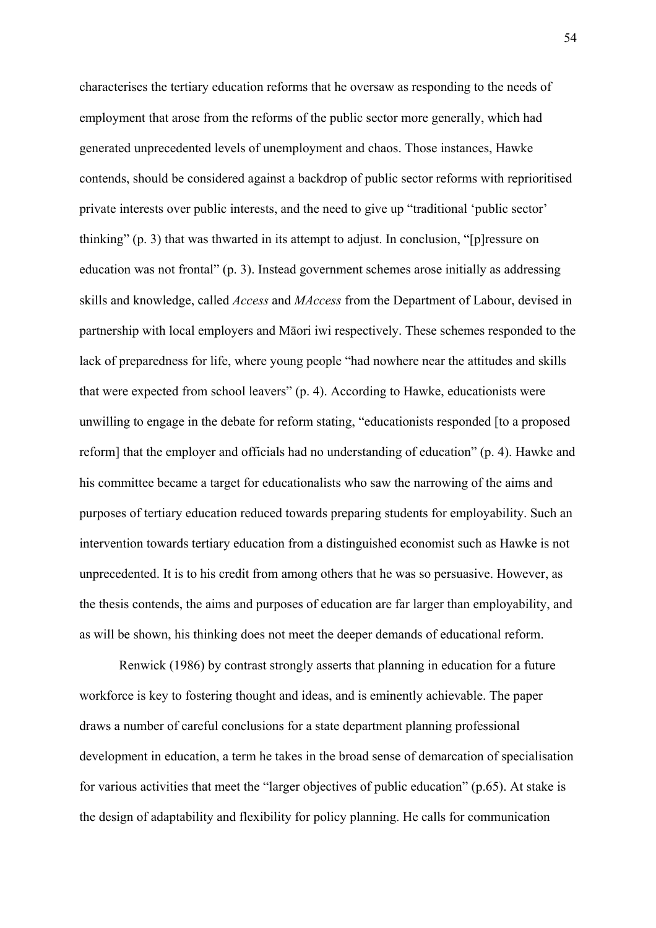characterises the tertiary education reforms that he oversaw as responding to the needs of employment that arose from the reforms of the public sector more generally, which had generated unprecedented levels of unemployment and chaos. Those instances, Hawke contends, should be considered against a backdrop of public sector reforms with reprioritised private interests over public interests, and the need to give up "traditional 'public sector' thinking" (p. 3) that was thwarted in its attempt to adjust. In conclusion, "[p]ressure on education was not frontal" (p. 3). Instead government schemes arose initially as addressing skills and knowledge, called *Access* and *MAccess* from the Department of Labour, devised in partnership with local employers and Māori iwi respectively. These schemes responded to the lack of preparedness for life, where young people "had nowhere near the attitudes and skills that were expected from school leavers" (p. 4). According to Hawke, educationists were unwilling to engage in the debate for reform stating, "educationists responded [to a proposed reform] that the employer and officials had no understanding of education" (p. 4). Hawke and his committee became a target for educationalists who saw the narrowing of the aims and purposes of tertiary education reduced towards preparing students for employability. Such an intervention towards tertiary education from a distinguished economist such as Hawke is not unprecedented. It is to his credit from among others that he was so persuasive. However, as the thesis contends, the aims and purposes of education are far larger than employability, and as will be shown, his thinking does not meet the deeper demands of educational reform.

Renwick (1986) by contrast strongly asserts that planning in education for a future workforce is key to fostering thought and ideas, and is eminently achievable. The paper draws a number of careful conclusions for a state department planning professional development in education, a term he takes in the broad sense of demarcation of specialisation for various activities that meet the "larger objectives of public education" (p.65). At stake is the design of adaptability and flexibility for policy planning. He calls for communication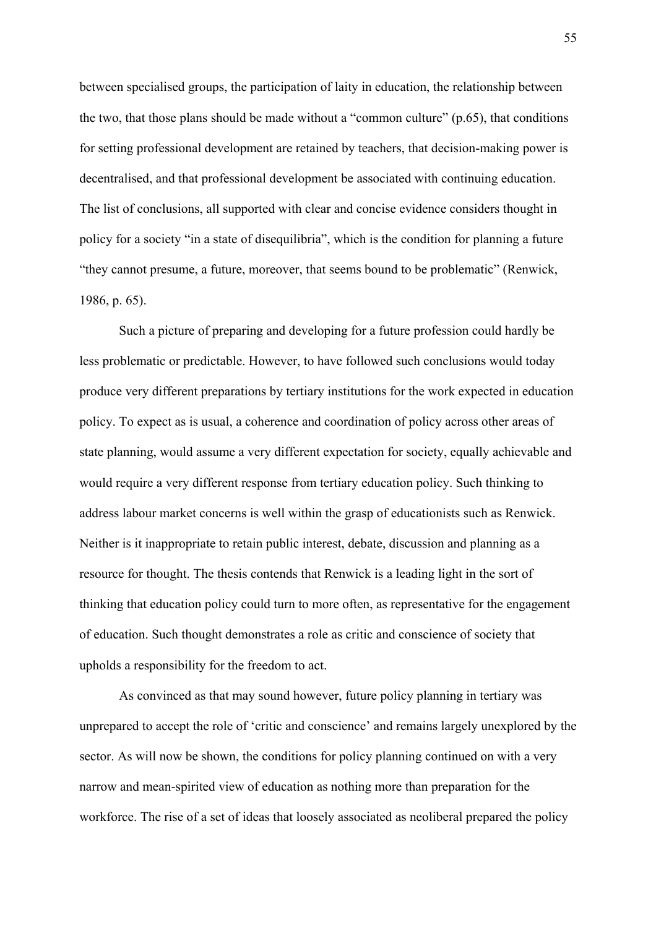between specialised groups, the participation of laity in education, the relationship between the two, that those plans should be made without a "common culture"  $(p.65)$ , that conditions for setting professional development are retained by teachers, that decision-making power is decentralised, and that professional development be associated with continuing education. The list of conclusions, all supported with clear and concise evidence considers thought in policy for a society "in a state of disequilibria", which is the condition for planning a future "they cannot presume, a future, moreover, that seems bound to be problematic" (Renwick, 1986, p. 65).

Such a picture of preparing and developing for a future profession could hardly be less problematic or predictable. However, to have followed such conclusions would today produce very different preparations by tertiary institutions for the work expected in education policy. To expect as is usual, a coherence and coordination of policy across other areas of state planning, would assume a very different expectation for society, equally achievable and would require a very different response from tertiary education policy. Such thinking to address labour market concerns is well within the grasp of educationists such as Renwick. Neither is it inappropriate to retain public interest, debate, discussion and planning as a resource for thought. The thesis contends that Renwick is a leading light in the sort of thinking that education policy could turn to more often, as representative for the engagement of education. Such thought demonstrates a role as critic and conscience of society that upholds a responsibility for the freedom to act.

As convinced as that may sound however, future policy planning in tertiary was unprepared to accept the role of 'critic and conscience' and remains largely unexplored by the sector. As will now be shown, the conditions for policy planning continued on with a very narrow and mean-spirited view of education as nothing more than preparation for the workforce. The rise of a set of ideas that loosely associated as neoliberal prepared the policy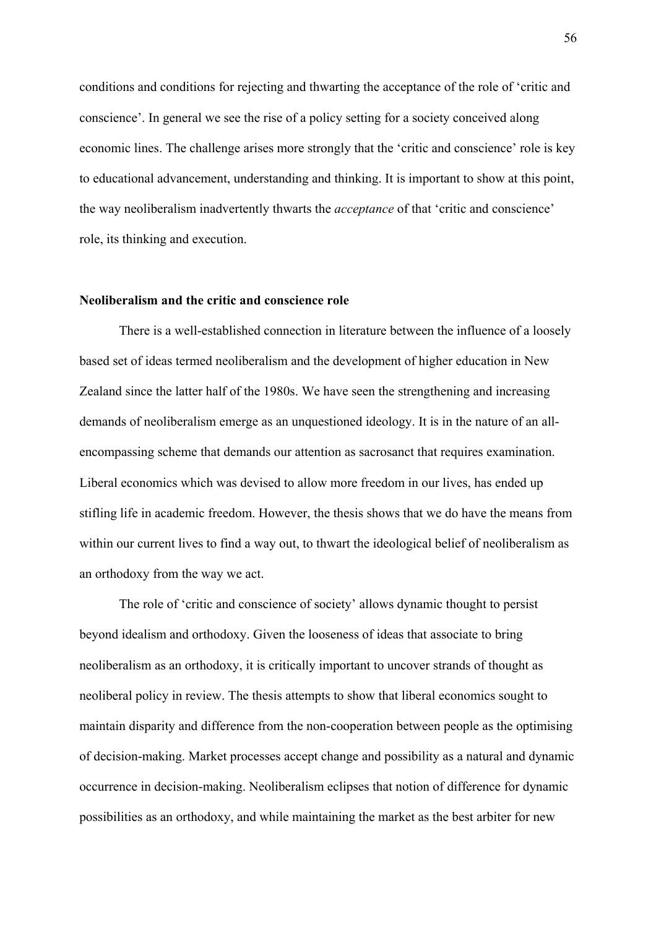conditions and conditions for rejecting and thwarting the acceptance of the role of 'critic and conscience'. In general we see the rise of a policy setting for a society conceived along economic lines. The challenge arises more strongly that the 'critic and conscience' role is key to educational advancement, understanding and thinking. It is important to show at this point, the way neoliberalism inadvertently thwarts the *acceptance* of that 'critic and conscience' role, its thinking and execution.

## **Neoliberalism and the critic and conscience role**

There is a well-established connection in literature between the influence of a loosely based set of ideas termed neoliberalism and the development of higher education in New Zealand since the latter half of the 1980s. We have seen the strengthening and increasing demands of neoliberalism emerge as an unquestioned ideology. It is in the nature of an allencompassing scheme that demands our attention as sacrosanct that requires examination. Liberal economics which was devised to allow more freedom in our lives, has ended up stifling life in academic freedom. However, the thesis shows that we do have the means from within our current lives to find a way out, to thwart the ideological belief of neoliberalism as an orthodoxy from the way we act.

The role of 'critic and conscience of society' allows dynamic thought to persist beyond idealism and orthodoxy. Given the looseness of ideas that associate to bring neoliberalism as an orthodoxy, it is critically important to uncover strands of thought as neoliberal policy in review. The thesis attempts to show that liberal economics sought to maintain disparity and difference from the non-cooperation between people as the optimising of decision-making. Market processes accept change and possibility as a natural and dynamic occurrence in decision-making. Neoliberalism eclipses that notion of difference for dynamic possibilities as an orthodoxy, and while maintaining the market as the best arbiter for new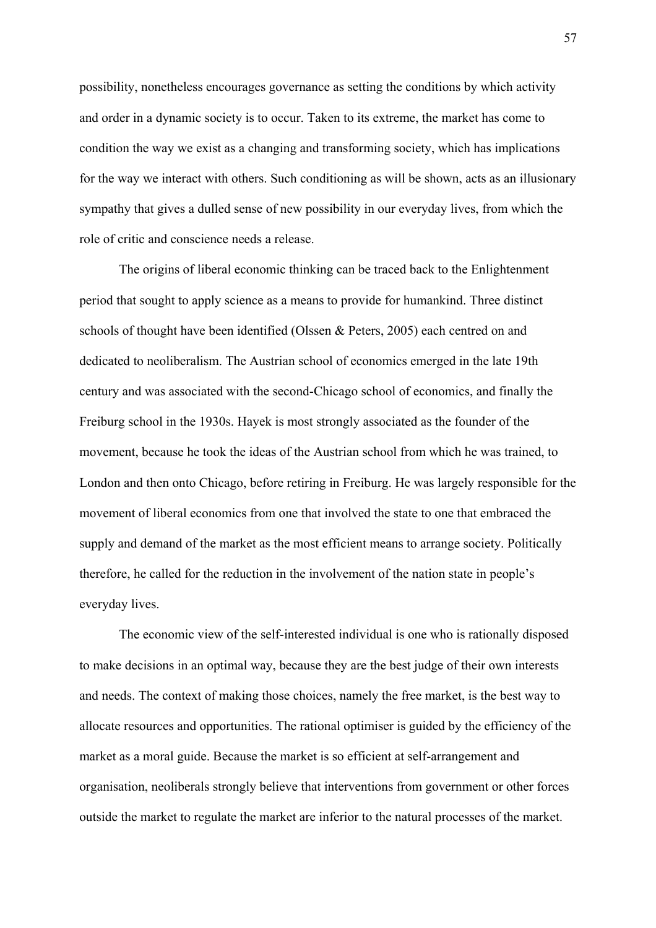possibility, nonetheless encourages governance as setting the conditions by which activity and order in a dynamic society is to occur. Taken to its extreme, the market has come to condition the way we exist as a changing and transforming society, which has implications for the way we interact with others. Such conditioning as will be shown, acts as an illusionary sympathy that gives a dulled sense of new possibility in our everyday lives, from which the role of critic and conscience needs a release.

The origins of liberal economic thinking can be traced back to the Enlightenment period that sought to apply science as a means to provide for humankind. Three distinct schools of thought have been identified (Olssen & Peters, 2005) each centred on and dedicated to neoliberalism. The Austrian school of economics emerged in the late 19th century and was associated with the second-Chicago school of economics, and finally the Freiburg school in the 1930s. Hayek is most strongly associated as the founder of the movement, because he took the ideas of the Austrian school from which he was trained, to London and then onto Chicago, before retiring in Freiburg. He was largely responsible for the movement of liberal economics from one that involved the state to one that embraced the supply and demand of the market as the most efficient means to arrange society. Politically therefore, he called for the reduction in the involvement of the nation state in people's everyday lives.

The economic view of the self-interested individual is one who is rationally disposed to make decisions in an optimal way, because they are the best judge of their own interests and needs. The context of making those choices, namely the free market, is the best way to allocate resources and opportunities. The rational optimiser is guided by the efficiency of the market as a moral guide. Because the market is so efficient at self-arrangement and organisation, neoliberals strongly believe that interventions from government or other forces outside the market to regulate the market are inferior to the natural processes of the market.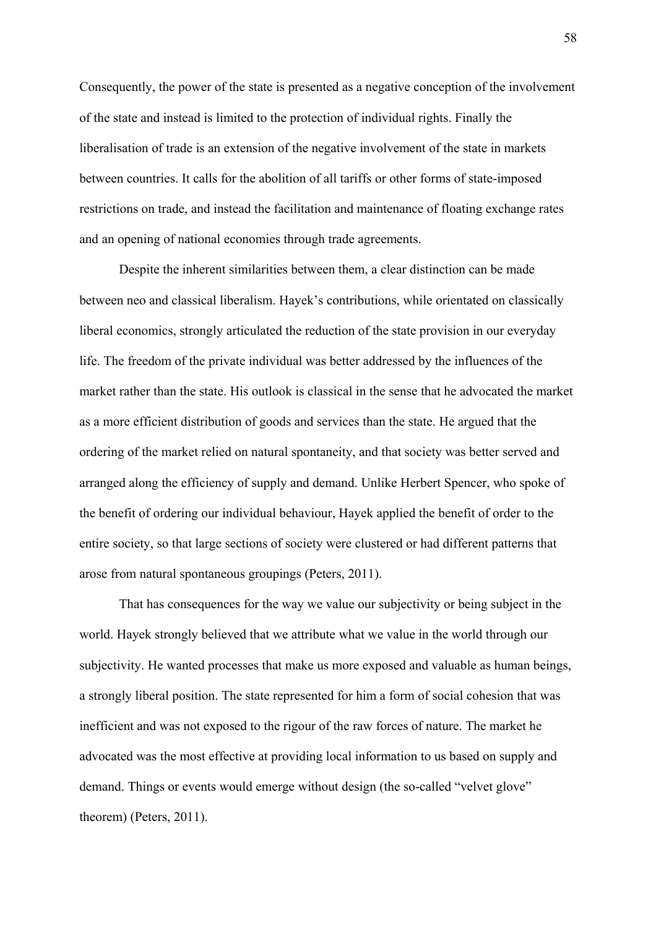Consequently, the power of the state is presented as a negative conception of the involvement of the state and instead is limited to the protection of individual rights. Finally the liberalisation of trade is an extension of the negative involvement of the state in markets between countries. It calls for the abolition of all tariffs or other forms of state-imposed restrictions on trade, and instead the facilitation and maintenance of floating exchange rates and an opening of national economies through trade agreements.

Despite the inherent similarities between them, a clear distinction can be made between neo and classical liberalism. Hayek's contributions, while orientated on classically liberal economics, strongly articulated the reduction of the state provision in our everyday life. The freedom of the private individual was better addressed by the influences of the market rather than the state. His outlook is classical in the sense that he advocated the market as a more efficient distribution of goods and services than the state. He argued that the ordering of the market relied on natural spontaneity, and that society was better served and arranged along the efficiency of supply and demand. Unlike Herbert Spencer, who spoke of the benefit of ordering our individual behaviour, Hayek applied the benefit of order to the entire society, so that large sections of society were clustered or had different patterns that arose from natural spontaneous groupings (Peters, 2011).

That has consequences for the way we value our subjectivity or being subject in the world. Hayek strongly believed that we attribute what we value in the world through our subjectivity. He wanted processes that make us more exposed and valuable as human beings, a strongly liberal position. The state represented for him a form of social cohesion that was inefficient and was not exposed to the rigour of the raw forces of nature. The market he advocated was the most effective at providing local information to us based on supply and demand. Things or events would emerge without design (the so-called "velvet glove" theorem) (Peters, 2011).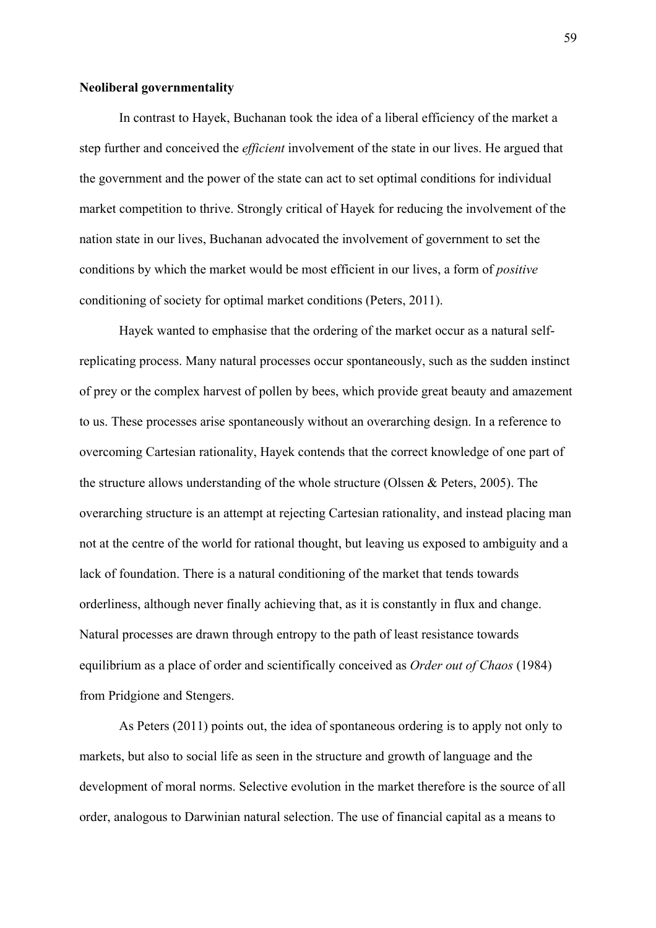### **Neoliberal governmentality**

In contrast to Hayek, Buchanan took the idea of a liberal efficiency of the market a step further and conceived the *efficient* involvement of the state in our lives. He argued that the government and the power of the state can act to set optimal conditions for individual market competition to thrive. Strongly critical of Hayek for reducing the involvement of the nation state in our lives, Buchanan advocated the involvement of government to set the conditions by which the market would be most efficient in our lives, a form of *positive* conditioning of society for optimal market conditions (Peters, 2011).

Hayek wanted to emphasise that the ordering of the market occur as a natural selfreplicating process. Many natural processes occur spontaneously, such as the sudden instinct of prey or the complex harvest of pollen by bees, which provide great beauty and amazement to us. These processes arise spontaneously without an overarching design. In a reference to overcoming Cartesian rationality, Hayek contends that the correct knowledge of one part of the structure allows understanding of the whole structure (Olssen & Peters, 2005). The overarching structure is an attempt at rejecting Cartesian rationality, and instead placing man not at the centre of the world for rational thought, but leaving us exposed to ambiguity and a lack of foundation. There is a natural conditioning of the market that tends towards orderliness, although never finally achieving that, as it is constantly in flux and change. Natural processes are drawn through entropy to the path of least resistance towards equilibrium as a place of order and scientifically conceived as *Order out of Chaos* (1984) from Pridgione and Stengers.

As Peters (2011) points out, the idea of spontaneous ordering is to apply not only to markets, but also to social life as seen in the structure and growth of language and the development of moral norms. Selective evolution in the market therefore is the source of all order, analogous to Darwinian natural selection. The use of financial capital as a means to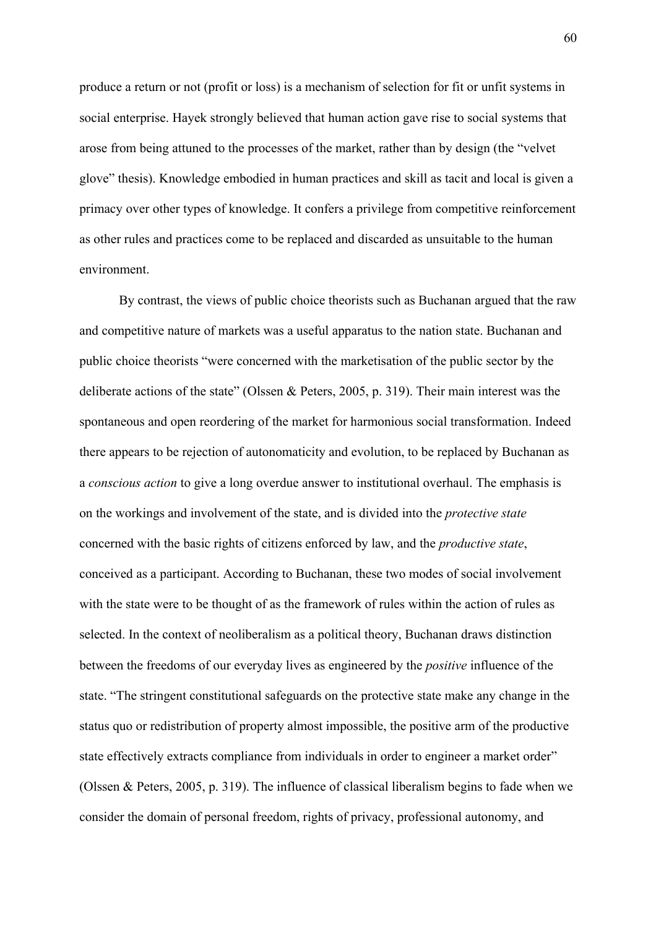produce a return or not (profit or loss) is a mechanism of selection for fit or unfit systems in social enterprise. Hayek strongly believed that human action gave rise to social systems that arose from being attuned to the processes of the market, rather than by design (the "velvet glove" thesis). Knowledge embodied in human practices and skill as tacit and local is given a primacy over other types of knowledge. It confers a privilege from competitive reinforcement as other rules and practices come to be replaced and discarded as unsuitable to the human environment.

By contrast, the views of public choice theorists such as Buchanan argued that the raw and competitive nature of markets was a useful apparatus to the nation state. Buchanan and public choice theorists "were concerned with the marketisation of the public sector by the deliberate actions of the state" (Olssen & Peters, 2005, p. 319). Their main interest was the spontaneous and open reordering of the market for harmonious social transformation. Indeed there appears to be rejection of autonomaticity and evolution, to be replaced by Buchanan as a *conscious action* to give a long overdue answer to institutional overhaul. The emphasis is on the workings and involvement of the state, and is divided into the *protective state*  concerned with the basic rights of citizens enforced by law, and the *productive state*, conceived as a participant. According to Buchanan, these two modes of social involvement with the state were to be thought of as the framework of rules within the action of rules as selected. In the context of neoliberalism as a political theory, Buchanan draws distinction between the freedoms of our everyday lives as engineered by the *positive* influence of the state. "The stringent constitutional safeguards on the protective state make any change in the status quo or redistribution of property almost impossible, the positive arm of the productive state effectively extracts compliance from individuals in order to engineer a market order" (Olssen & Peters, 2005, p. 319). The influence of classical liberalism begins to fade when we consider the domain of personal freedom, rights of privacy, professional autonomy, and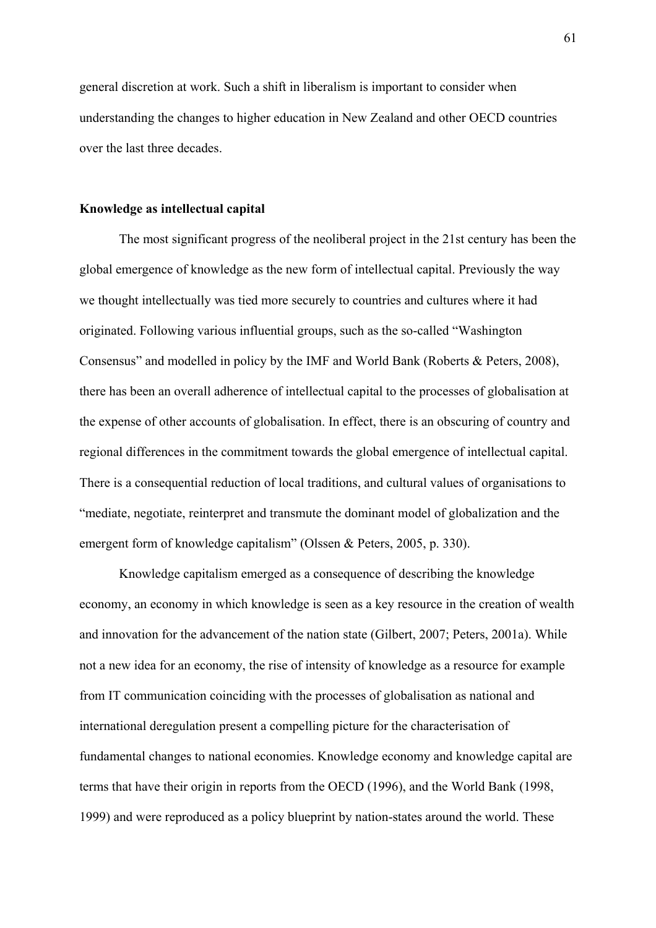general discretion at work. Such a shift in liberalism is important to consider when understanding the changes to higher education in New Zealand and other OECD countries over the last three decades.

#### **Knowledge as intellectual capital**

The most significant progress of the neoliberal project in the 21st century has been the global emergence of knowledge as the new form of intellectual capital. Previously the way we thought intellectually was tied more securely to countries and cultures where it had originated. Following various influential groups, such as the so-called "Washington Consensus" and modelled in policy by the IMF and World Bank (Roberts & Peters, 2008), there has been an overall adherence of intellectual capital to the processes of globalisation at the expense of other accounts of globalisation. In effect, there is an obscuring of country and regional differences in the commitment towards the global emergence of intellectual capital. There is a consequential reduction of local traditions, and cultural values of organisations to "mediate, negotiate, reinterpret and transmute the dominant model of globalization and the emergent form of knowledge capitalism" (Olssen & Peters, 2005, p. 330).

Knowledge capitalism emerged as a consequence of describing the knowledge economy, an economy in which knowledge is seen as a key resource in the creation of wealth and innovation for the advancement of the nation state (Gilbert, 2007; Peters, 2001a). While not a new idea for an economy, the rise of intensity of knowledge as a resource for example from IT communication coinciding with the processes of globalisation as national and international deregulation present a compelling picture for the characterisation of fundamental changes to national economies. Knowledge economy and knowledge capital are terms that have their origin in reports from the OECD (1996), and the World Bank (1998, 1999) and were reproduced as a policy blueprint by nation-states around the world. These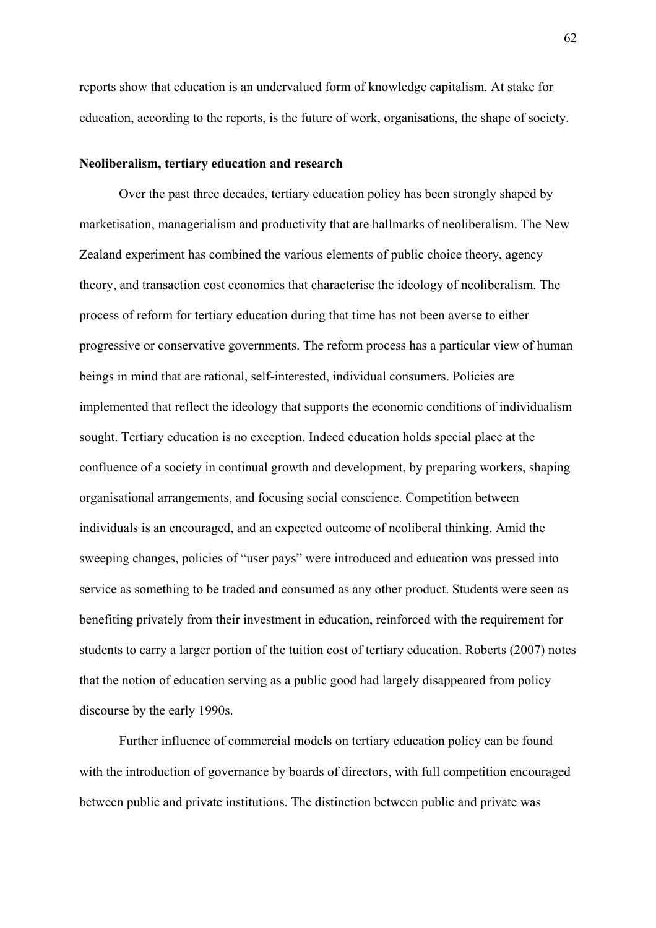reports show that education is an undervalued form of knowledge capitalism. At stake for education, according to the reports, is the future of work, organisations, the shape of society.

#### **Neoliberalism, tertiary education and research**

Over the past three decades, tertiary education policy has been strongly shaped by marketisation, managerialism and productivity that are hallmarks of neoliberalism. The New Zealand experiment has combined the various elements of public choice theory, agency theory, and transaction cost economics that characterise the ideology of neoliberalism. The process of reform for tertiary education during that time has not been averse to either progressive or conservative governments. The reform process has a particular view of human beings in mind that are rational, self-interested, individual consumers. Policies are implemented that reflect the ideology that supports the economic conditions of individualism sought. Tertiary education is no exception. Indeed education holds special place at the confluence of a society in continual growth and development, by preparing workers, shaping organisational arrangements, and focusing social conscience. Competition between individuals is an encouraged, and an expected outcome of neoliberal thinking. Amid the sweeping changes, policies of "user pays" were introduced and education was pressed into service as something to be traded and consumed as any other product. Students were seen as benefiting privately from their investment in education, reinforced with the requirement for students to carry a larger portion of the tuition cost of tertiary education. Roberts (2007) notes that the notion of education serving as a public good had largely disappeared from policy discourse by the early 1990s.

Further influence of commercial models on tertiary education policy can be found with the introduction of governance by boards of directors, with full competition encouraged between public and private institutions. The distinction between public and private was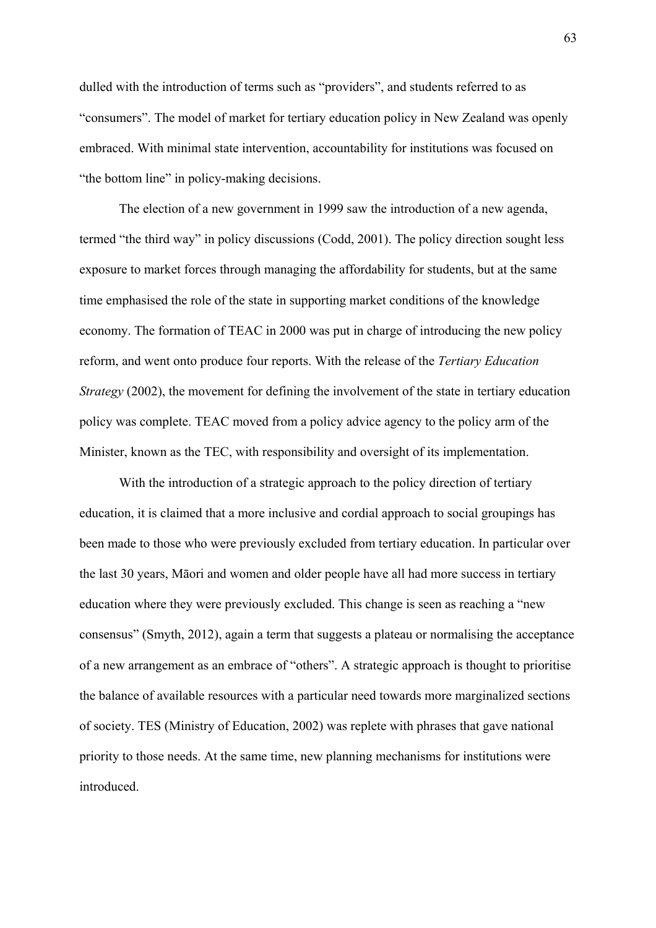dulled with the introduction of terms such as "providers", and students referred to as "consumers". The model of market for tertiary education policy in New Zealand was openly embraced. With minimal state intervention, accountability for institutions was focused on "the bottom line" in policy-making decisions.

The election of a new government in 1999 saw the introduction of a new agenda, termed "the third way" in policy discussions (Codd, 2001). The policy direction sought less exposure to market forces through managing the affordability for students, but at the same time emphasised the role of the state in supporting market conditions of the knowledge economy. The formation of TEAC in 2000 was put in charge of introducing the new policy reform, and went onto produce four reports. With the release of the *Tertiary Education Strategy* (2002), the movement for defining the involvement of the state in tertiary education policy was complete. TEAC moved from a policy advice agency to the policy arm of the Minister, known as the TEC, with responsibility and oversight of its implementation.

With the introduction of a strategic approach to the policy direction of tertiary education, it is claimed that a more inclusive and cordial approach to social groupings has been made to those who were previously excluded from tertiary education. In particular over the last 30 years, Māori and women and older people have all had more success in tertiary education where they were previously excluded. This change is seen as reaching a "new consensus" (Smyth, 2012), again a term that suggests a plateau or normalising the acceptance of a new arrangement as an embrace of "others". A strategic approach is thought to prioritise the balance of available resources with a particular need towards more marginalized sections of society. TES (Ministry of Education, 2002) was replete with phrases that gave national priority to those needs. At the same time, new planning mechanisms for institutions were introduced.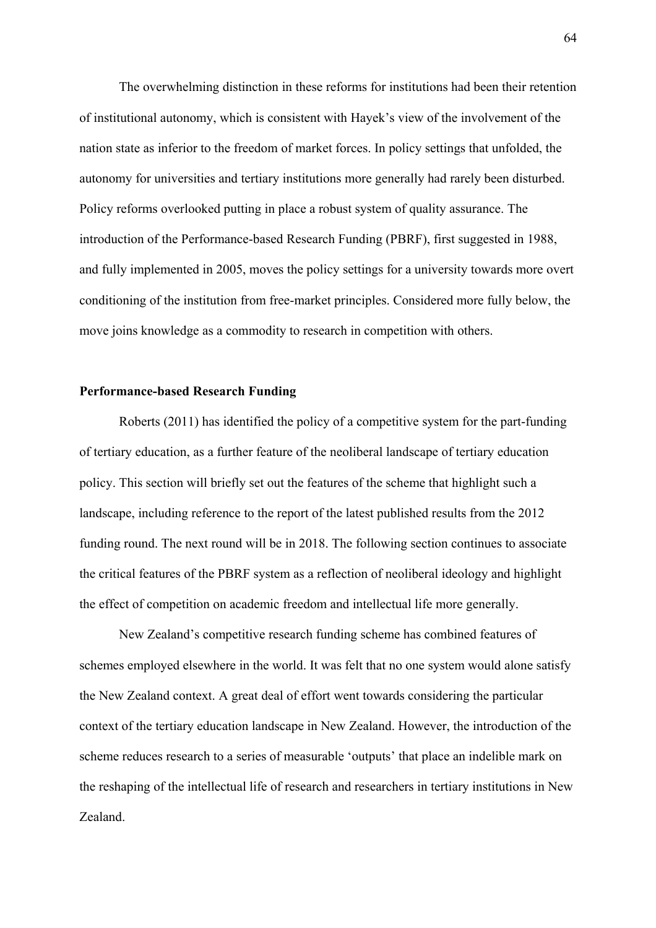The overwhelming distinction in these reforms for institutions had been their retention of institutional autonomy, which is consistent with Hayek's view of the involvement of the nation state as inferior to the freedom of market forces. In policy settings that unfolded, the autonomy for universities and tertiary institutions more generally had rarely been disturbed. Policy reforms overlooked putting in place a robust system of quality assurance. The introduction of the Performance-based Research Funding (PBRF), first suggested in 1988, and fully implemented in 2005, moves the policy settings for a university towards more overt conditioning of the institution from free-market principles. Considered more fully below, the move joins knowledge as a commodity to research in competition with others.

## **Performance-based Research Funding**

Roberts (2011) has identified the policy of a competitive system for the part-funding of tertiary education, as a further feature of the neoliberal landscape of tertiary education policy. This section will briefly set out the features of the scheme that highlight such a landscape, including reference to the report of the latest published results from the 2012 funding round. The next round will be in 2018. The following section continues to associate the critical features of the PBRF system as a reflection of neoliberal ideology and highlight the effect of competition on academic freedom and intellectual life more generally.

New Zealand's competitive research funding scheme has combined features of schemes employed elsewhere in the world. It was felt that no one system would alone satisfy the New Zealand context. A great deal of effort went towards considering the particular context of the tertiary education landscape in New Zealand. However, the introduction of the scheme reduces research to a series of measurable 'outputs' that place an indelible mark on the reshaping of the intellectual life of research and researchers in tertiary institutions in New Zealand.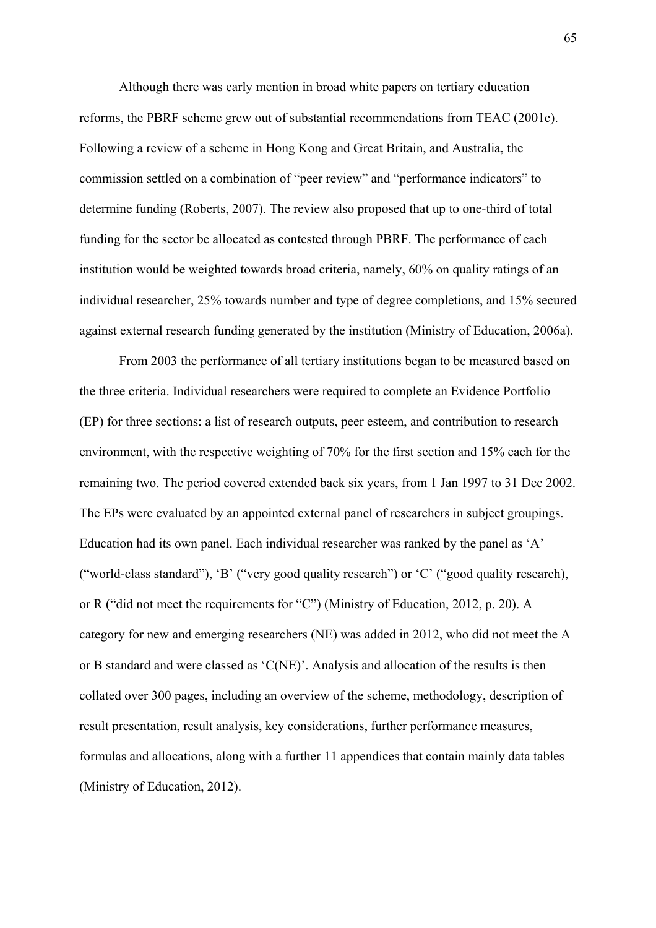Although there was early mention in broad white papers on tertiary education reforms, the PBRF scheme grew out of substantial recommendations from TEAC (2001c). Following a review of a scheme in Hong Kong and Great Britain, and Australia, the commission settled on a combination of "peer review" and "performance indicators" to determine funding (Roberts, 2007). The review also proposed that up to one-third of total funding for the sector be allocated as contested through PBRF. The performance of each institution would be weighted towards broad criteria, namely, 60% on quality ratings of an individual researcher, 25% towards number and type of degree completions, and 15% secured against external research funding generated by the institution (Ministry of Education, 2006a).

From 2003 the performance of all tertiary institutions began to be measured based on the three criteria. Individual researchers were required to complete an Evidence Portfolio (EP) for three sections: a list of research outputs, peer esteem, and contribution to research environment, with the respective weighting of 70% for the first section and 15% each for the remaining two. The period covered extended back six years, from 1 Jan 1997 to 31 Dec 2002. The EPs were evaluated by an appointed external panel of researchers in subject groupings. Education had its own panel. Each individual researcher was ranked by the panel as 'A' ("world-class standard"), 'B' ("very good quality research") or 'C' ("good quality research), or R ("did not meet the requirements for "C") (Ministry of Education, 2012, p. 20). A category for new and emerging researchers (NE) was added in 2012, who did not meet the A or B standard and were classed as 'C(NE)'. Analysis and allocation of the results is then collated over 300 pages, including an overview of the scheme, methodology, description of result presentation, result analysis, key considerations, further performance measures, formulas and allocations, along with a further 11 appendices that contain mainly data tables (Ministry of Education, 2012).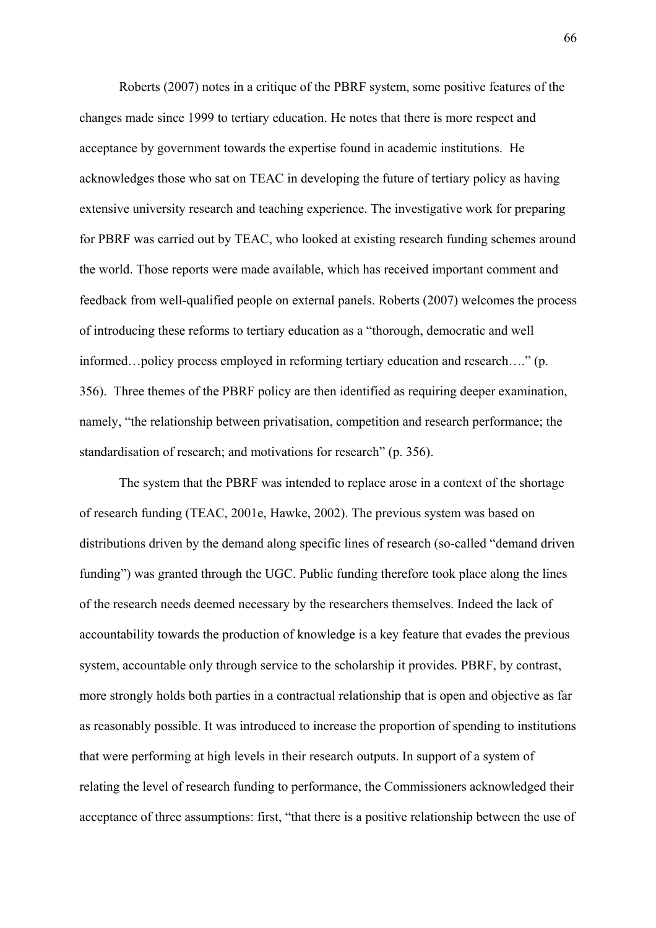Roberts (2007) notes in a critique of the PBRF system, some positive features of the changes made since 1999 to tertiary education. He notes that there is more respect and acceptance by government towards the expertise found in academic institutions. He acknowledges those who sat on TEAC in developing the future of tertiary policy as having extensive university research and teaching experience. The investigative work for preparing for PBRF was carried out by TEAC, who looked at existing research funding schemes around the world. Those reports were made available, which has received important comment and feedback from well-qualified people on external panels. Roberts (2007) welcomes the process of introducing these reforms to tertiary education as a "thorough, democratic and well informed…policy process employed in reforming tertiary education and research…." (p. 356). Three themes of the PBRF policy are then identified as requiring deeper examination, namely, "the relationship between privatisation, competition and research performance; the standardisation of research; and motivations for research" (p. 356).

The system that the PBRF was intended to replace arose in a context of the shortage of research funding (TEAC, 2001e, Hawke, 2002). The previous system was based on distributions driven by the demand along specific lines of research (so-called "demand driven funding") was granted through the UGC. Public funding therefore took place along the lines of the research needs deemed necessary by the researchers themselves. Indeed the lack of accountability towards the production of knowledge is a key feature that evades the previous system, accountable only through service to the scholarship it provides. PBRF, by contrast, more strongly holds both parties in a contractual relationship that is open and objective as far as reasonably possible. It was introduced to increase the proportion of spending to institutions that were performing at high levels in their research outputs. In support of a system of relating the level of research funding to performance, the Commissioners acknowledged their acceptance of three assumptions: first, "that there is a positive relationship between the use of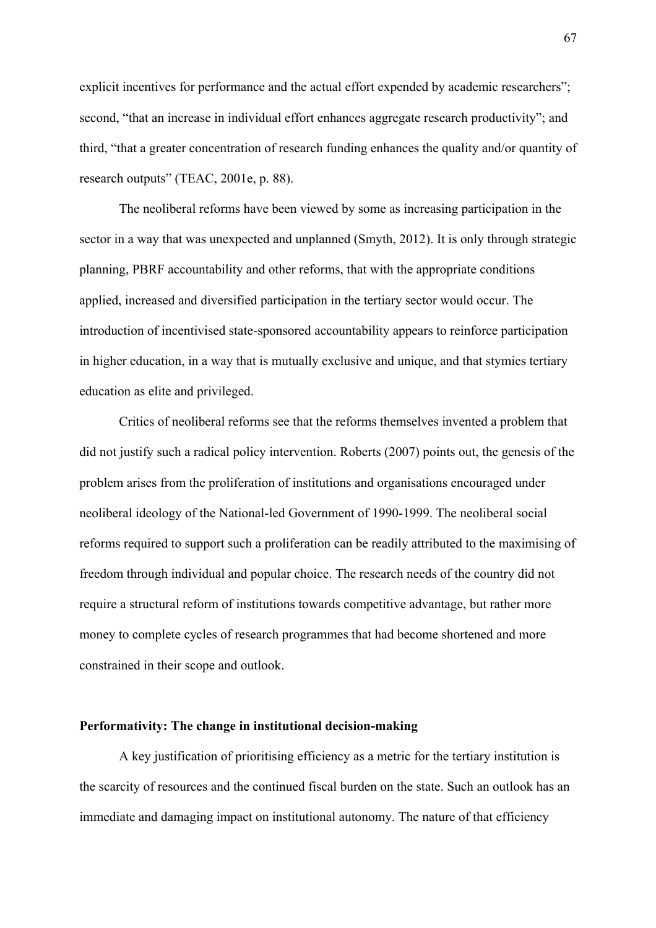explicit incentives for performance and the actual effort expended by academic researchers"; second, "that an increase in individual effort enhances aggregate research productivity"; and third, "that a greater concentration of research funding enhances the quality and/or quantity of research outputs" (TEAC, 2001e, p. 88).

The neoliberal reforms have been viewed by some as increasing participation in the sector in a way that was unexpected and unplanned (Smyth, 2012). It is only through strategic planning, PBRF accountability and other reforms, that with the appropriate conditions applied, increased and diversified participation in the tertiary sector would occur. The introduction of incentivised state-sponsored accountability appears to reinforce participation in higher education, in a way that is mutually exclusive and unique, and that stymies tertiary education as elite and privileged.

Critics of neoliberal reforms see that the reforms themselves invented a problem that did not justify such a radical policy intervention. Roberts (2007) points out, the genesis of the problem arises from the proliferation of institutions and organisations encouraged under neoliberal ideology of the National-led Government of 1990-1999. The neoliberal social reforms required to support such a proliferation can be readily attributed to the maximising of freedom through individual and popular choice. The research needs of the country did not require a structural reform of institutions towards competitive advantage, but rather more money to complete cycles of research programmes that had become shortened and more constrained in their scope and outlook.

## **Performativity: The change in institutional decision-making**

A key justification of prioritising efficiency as a metric for the tertiary institution is the scarcity of resources and the continued fiscal burden on the state. Such an outlook has an immediate and damaging impact on institutional autonomy. The nature of that efficiency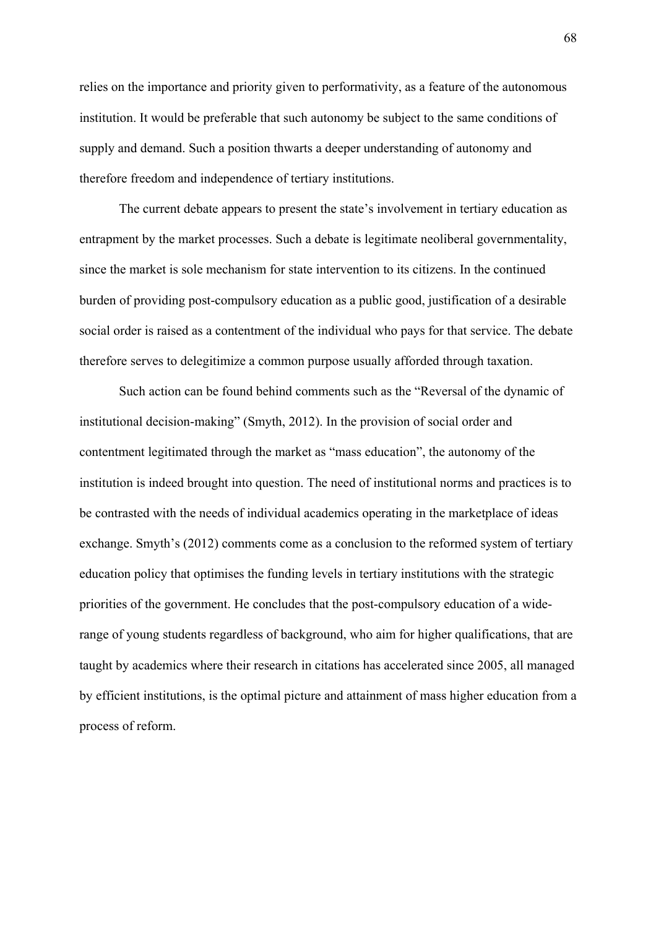relies on the importance and priority given to performativity, as a feature of the autonomous institution. It would be preferable that such autonomy be subject to the same conditions of supply and demand. Such a position thwarts a deeper understanding of autonomy and therefore freedom and independence of tertiary institutions.

The current debate appears to present the state's involvement in tertiary education as entrapment by the market processes. Such a debate is legitimate neoliberal governmentality, since the market is sole mechanism for state intervention to its citizens. In the continued burden of providing post-compulsory education as a public good, justification of a desirable social order is raised as a contentment of the individual who pays for that service. The debate therefore serves to delegitimize a common purpose usually afforded through taxation.

Such action can be found behind comments such as the "Reversal of the dynamic of institutional decision-making" (Smyth, 2012). In the provision of social order and contentment legitimated through the market as "mass education", the autonomy of the institution is indeed brought into question. The need of institutional norms and practices is to be contrasted with the needs of individual academics operating in the marketplace of ideas exchange. Smyth's (2012) comments come as a conclusion to the reformed system of tertiary education policy that optimises the funding levels in tertiary institutions with the strategic priorities of the government. He concludes that the post-compulsory education of a widerange of young students regardless of background, who aim for higher qualifications, that are taught by academics where their research in citations has accelerated since 2005, all managed by efficient institutions, is the optimal picture and attainment of mass higher education from a process of reform.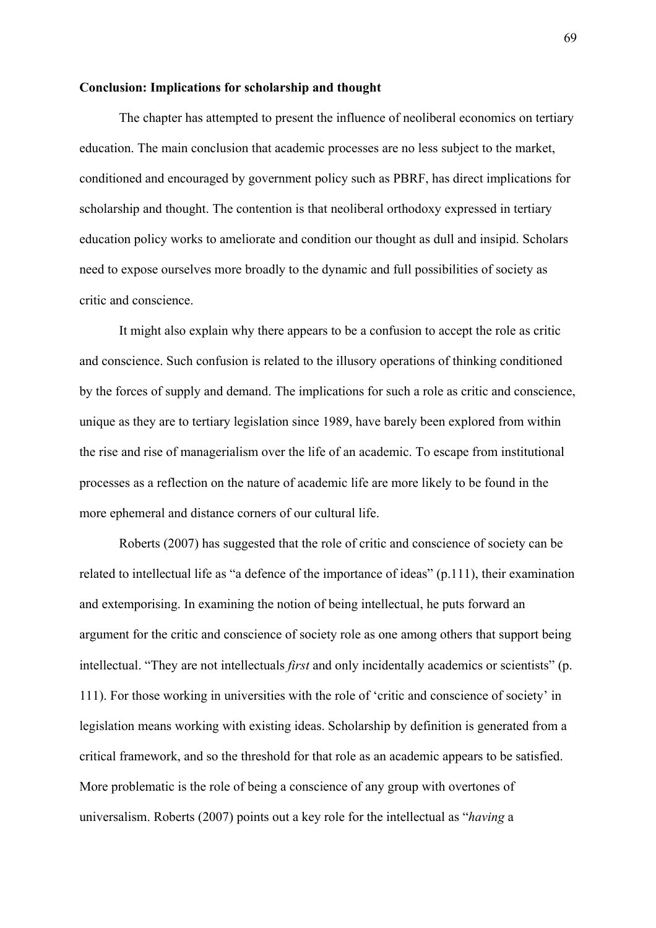### **Conclusion: Implications for scholarship and thought**

The chapter has attempted to present the influence of neoliberal economics on tertiary education. The main conclusion that academic processes are no less subject to the market, conditioned and encouraged by government policy such as PBRF, has direct implications for scholarship and thought. The contention is that neoliberal orthodoxy expressed in tertiary education policy works to ameliorate and condition our thought as dull and insipid. Scholars need to expose ourselves more broadly to the dynamic and full possibilities of society as critic and conscience.

It might also explain why there appears to be a confusion to accept the role as critic and conscience. Such confusion is related to the illusory operations of thinking conditioned by the forces of supply and demand. The implications for such a role as critic and conscience, unique as they are to tertiary legislation since 1989, have barely been explored from within the rise and rise of managerialism over the life of an academic. To escape from institutional processes as a reflection on the nature of academic life are more likely to be found in the more ephemeral and distance corners of our cultural life.

Roberts (2007) has suggested that the role of critic and conscience of society can be related to intellectual life as "a defence of the importance of ideas" (p.111), their examination and extemporising. In examining the notion of being intellectual, he puts forward an argument for the critic and conscience of society role as one among others that support being intellectual. "They are not intellectuals *first* and only incidentally academics or scientists" (p. 111). For those working in universities with the role of 'critic and conscience of society' in legislation means working with existing ideas. Scholarship by definition is generated from a critical framework, and so the threshold for that role as an academic appears to be satisfied. More problematic is the role of being a conscience of any group with overtones of universalism. Roberts (2007) points out a key role for the intellectual as "*having* a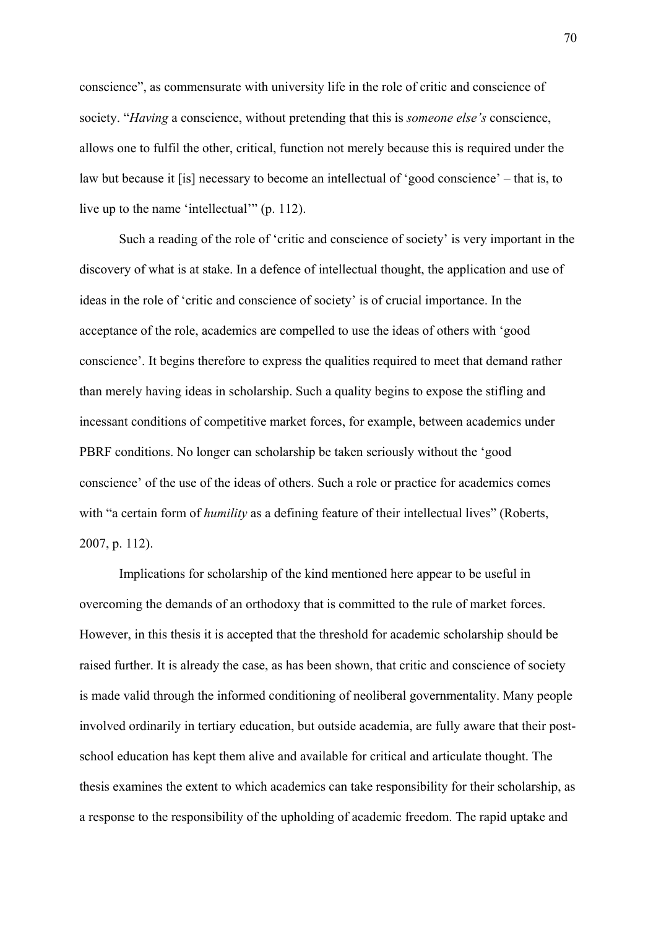conscience", as commensurate with university life in the role of critic and conscience of society. "*Having* a conscience, without pretending that this is *someone else's* conscience, allows one to fulfil the other, critical, function not merely because this is required under the law but because it [is] necessary to become an intellectual of 'good conscience' – that is, to live up to the name 'intellectual'" (p. 112).

Such a reading of the role of 'critic and conscience of society' is very important in the discovery of what is at stake. In a defence of intellectual thought, the application and use of ideas in the role of 'critic and conscience of society' is of crucial importance. In the acceptance of the role, academics are compelled to use the ideas of others with 'good conscience'. It begins therefore to express the qualities required to meet that demand rather than merely having ideas in scholarship. Such a quality begins to expose the stifling and incessant conditions of competitive market forces, for example, between academics under PBRF conditions. No longer can scholarship be taken seriously without the 'good conscience' of the use of the ideas of others. Such a role or practice for academics comes with "a certain form of *humility* as a defining feature of their intellectual lives" (Roberts, 2007, p. 112).

Implications for scholarship of the kind mentioned here appear to be useful in overcoming the demands of an orthodoxy that is committed to the rule of market forces. However, in this thesis it is accepted that the threshold for academic scholarship should be raised further. It is already the case, as has been shown, that critic and conscience of society is made valid through the informed conditioning of neoliberal governmentality. Many people involved ordinarily in tertiary education, but outside academia, are fully aware that their postschool education has kept them alive and available for critical and articulate thought. The thesis examines the extent to which academics can take responsibility for their scholarship, as a response to the responsibility of the upholding of academic freedom. The rapid uptake and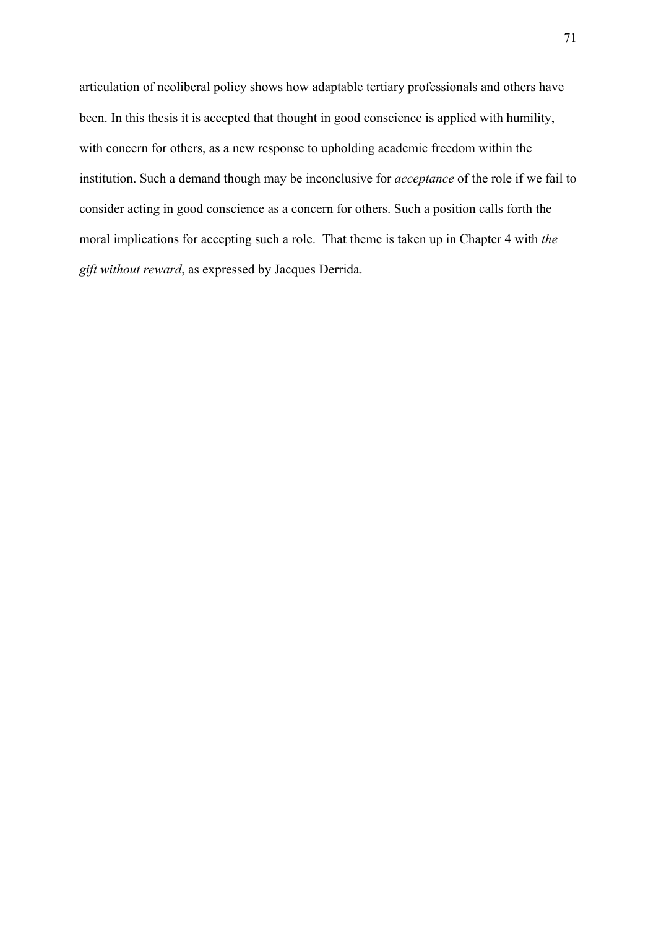articulation of neoliberal policy shows how adaptable tertiary professionals and others have been. In this thesis it is accepted that thought in good conscience is applied with humility, with concern for others, as a new response to upholding academic freedom within the institution. Such a demand though may be inconclusive for *acceptance* of the role if we fail to consider acting in good conscience as a concern for others. Such a position calls forth the moral implications for accepting such a role. That theme is taken up in Chapter 4 with *the gift without reward*, as expressed by Jacques Derrida.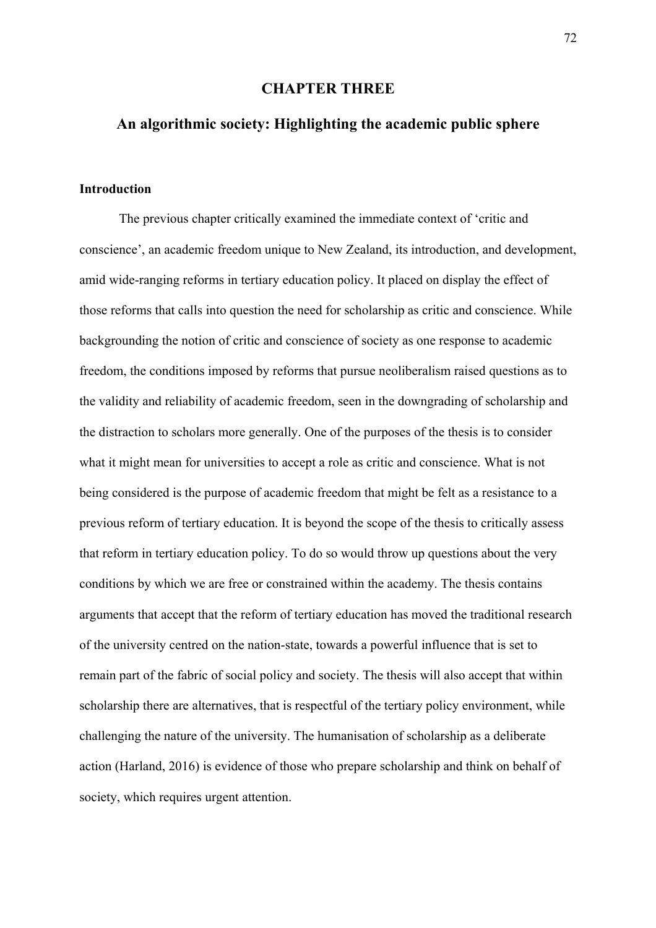## **CHAPTER THREE**

# **An algorithmic society: Highlighting the academic public sphere**

## **Introduction**

The previous chapter critically examined the immediate context of 'critic and conscience', an academic freedom unique to New Zealand, its introduction, and development, amid wide-ranging reforms in tertiary education policy. It placed on display the effect of those reforms that calls into question the need for scholarship as critic and conscience. While backgrounding the notion of critic and conscience of society as one response to academic freedom, the conditions imposed by reforms that pursue neoliberalism raised questions as to the validity and reliability of academic freedom, seen in the downgrading of scholarship and the distraction to scholars more generally. One of the purposes of the thesis is to consider what it might mean for universities to accept a role as critic and conscience. What is not being considered is the purpose of academic freedom that might be felt as a resistance to a previous reform of tertiary education. It is beyond the scope of the thesis to critically assess that reform in tertiary education policy. To do so would throw up questions about the very conditions by which we are free or constrained within the academy. The thesis contains arguments that accept that the reform of tertiary education has moved the traditional research of the university centred on the nation-state, towards a powerful influence that is set to remain part of the fabric of social policy and society. The thesis will also accept that within scholarship there are alternatives, that is respectful of the tertiary policy environment, while challenging the nature of the university. The humanisation of scholarship as a deliberate action (Harland, 2016) is evidence of those who prepare scholarship and think on behalf of society, which requires urgent attention.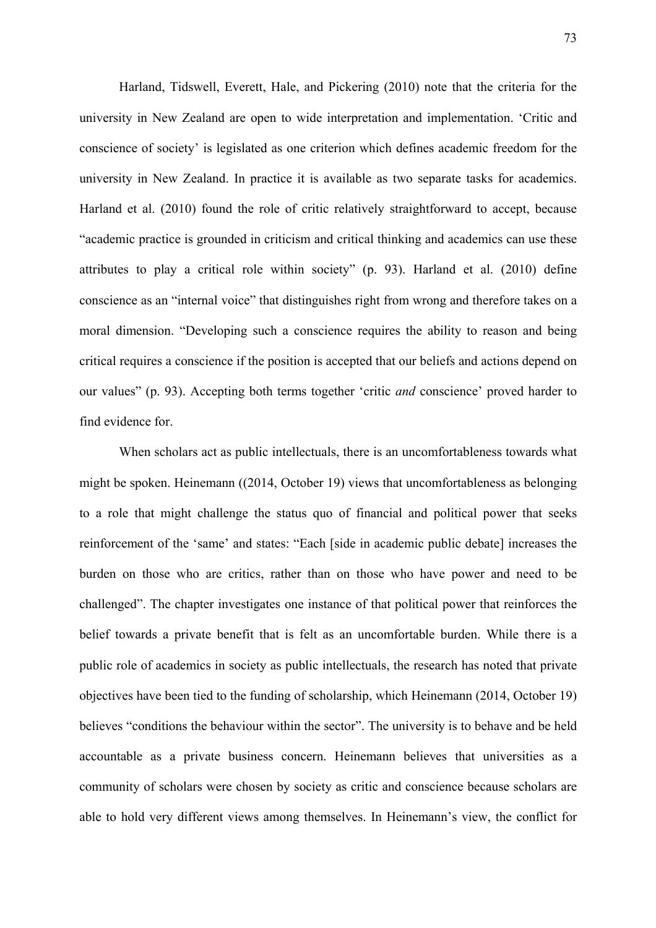Harland, Tidswell, Everett, Hale, and Pickering (2010) note that the criteria for the university in New Zealand are open to wide interpretation and implementation. 'Critic and conscience of society' is legislated as one criterion which defines academic freedom for the university in New Zealand. In practice it is available as two separate tasks for academics. Harland et al. (2010) found the role of critic relatively straightforward to accept, because "academic practice is grounded in criticism and critical thinking and academics can use these attributes to play a critical role within society" (p. 93). Harland et al. (2010) define conscience as an "internal voice" that distinguishes right from wrong and therefore takes on a moral dimension. "Developing such a conscience requires the ability to reason and being critical requires a conscience if the position is accepted that our beliefs and actions depend on our values" (p. 93). Accepting both terms together 'critic *and* conscience' proved harder to find evidence for.

When scholars act as public intellectuals, there is an uncomfortableness towards what might be spoken. Heinemann ((2014, October 19) views that uncomfortableness as belonging to a role that might challenge the status quo of financial and political power that seeks reinforcement of the 'same' and states: "Each [side in academic public debate] increases the burden on those who are critics, rather than on those who have power and need to be challenged". The chapter investigates one instance of that political power that reinforces the belief towards a private benefit that is felt as an uncomfortable burden. While there is a public role of academics in society as public intellectuals, the research has noted that private objectives have been tied to the funding of scholarship, which Heinemann (2014, October 19) believes "conditions the behaviour within the sector". The university is to behave and be held accountable as a private business concern. Heinemann believes that universities as a community of scholars were chosen by society as critic and conscience because scholars are able to hold very different views among themselves. In Heinemann's view, the conflict for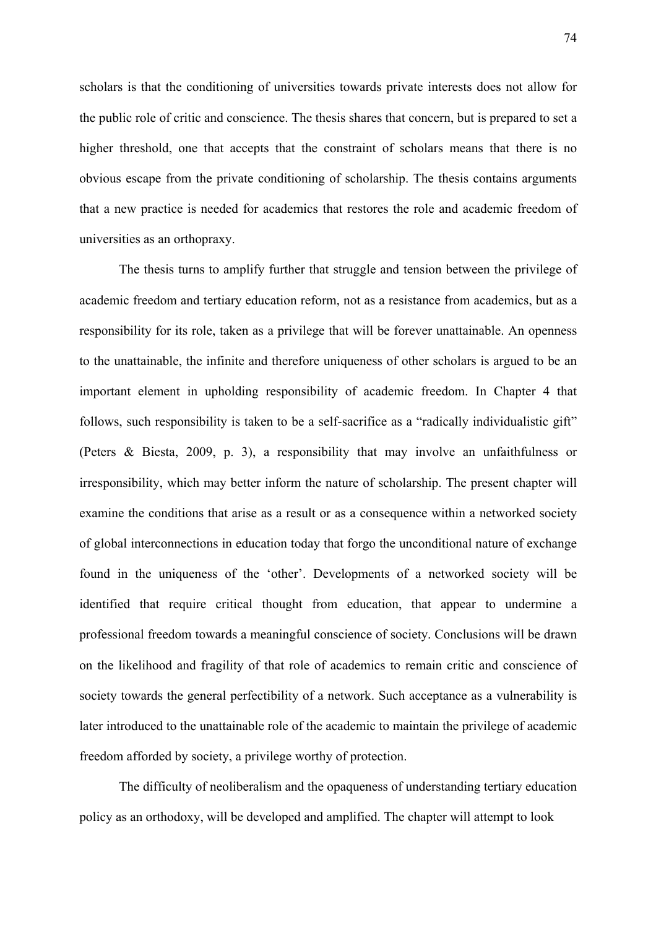scholars is that the conditioning of universities towards private interests does not allow for the public role of critic and conscience. The thesis shares that concern, but is prepared to set a higher threshold, one that accepts that the constraint of scholars means that there is no obvious escape from the private conditioning of scholarship. The thesis contains arguments that a new practice is needed for academics that restores the role and academic freedom of universities as an orthopraxy.

The thesis turns to amplify further that struggle and tension between the privilege of academic freedom and tertiary education reform, not as a resistance from academics, but as a responsibility for its role, taken as a privilege that will be forever unattainable. An openness to the unattainable, the infinite and therefore uniqueness of other scholars is argued to be an important element in upholding responsibility of academic freedom. In Chapter 4 that follows, such responsibility is taken to be a self-sacrifice as a "radically individualistic gift" (Peters & Biesta, 2009, p. 3), a responsibility that may involve an unfaithfulness or irresponsibility, which may better inform the nature of scholarship. The present chapter will examine the conditions that arise as a result or as a consequence within a networked society of global interconnections in education today that forgo the unconditional nature of exchange found in the uniqueness of the 'other'. Developments of a networked society will be identified that require critical thought from education, that appear to undermine a professional freedom towards a meaningful conscience of society. Conclusions will be drawn on the likelihood and fragility of that role of academics to remain critic and conscience of society towards the general perfectibility of a network. Such acceptance as a vulnerability is later introduced to the unattainable role of the academic to maintain the privilege of academic freedom afforded by society, a privilege worthy of protection.

The difficulty of neoliberalism and the opaqueness of understanding tertiary education policy as an orthodoxy, will be developed and amplified. The chapter will attempt to look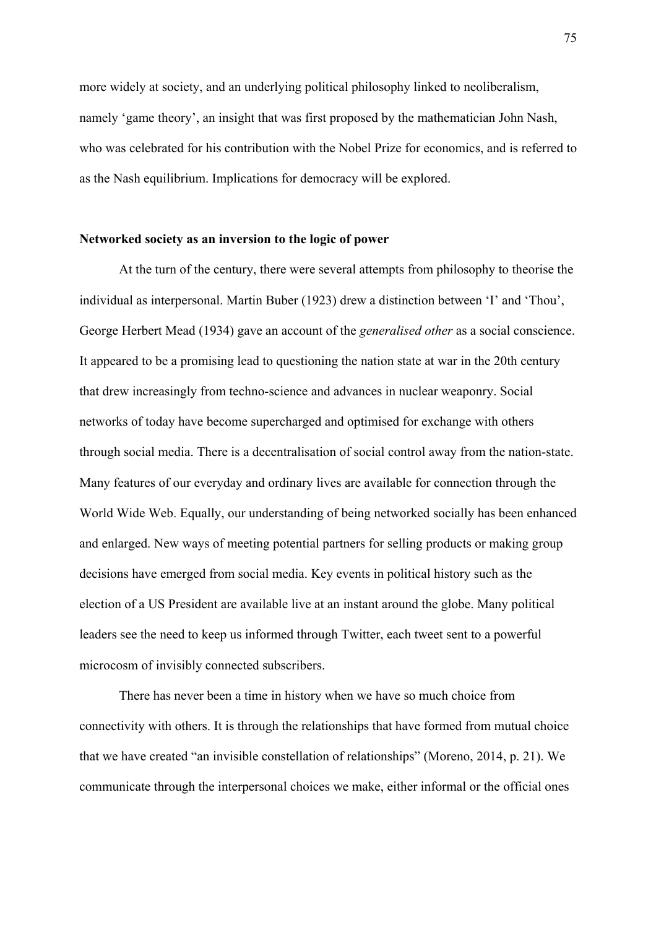more widely at society, and an underlying political philosophy linked to neoliberalism, namely 'game theory', an insight that was first proposed by the mathematician John Nash, who was celebrated for his contribution with the Nobel Prize for economics, and is referred to as the Nash equilibrium. Implications for democracy will be explored.

## **Networked society as an inversion to the logic of power**

At the turn of the century, there were several attempts from philosophy to theorise the individual as interpersonal. Martin Buber (1923) drew a distinction between 'I' and 'Thou', George Herbert Mead (1934) gave an account of the *generalised other* as a social conscience. It appeared to be a promising lead to questioning the nation state at war in the 20th century that drew increasingly from techno-science and advances in nuclear weaponry. Social networks of today have become supercharged and optimised for exchange with others through social media. There is a decentralisation of social control away from the nation-state. Many features of our everyday and ordinary lives are available for connection through the World Wide Web. Equally, our understanding of being networked socially has been enhanced and enlarged. New ways of meeting potential partners for selling products or making group decisions have emerged from social media. Key events in political history such as the election of a US President are available live at an instant around the globe. Many political leaders see the need to keep us informed through Twitter, each tweet sent to a powerful microcosm of invisibly connected subscribers.

There has never been a time in history when we have so much choice from connectivity with others. It is through the relationships that have formed from mutual choice that we have created "an invisible constellation of relationships" (Moreno, 2014, p. 21). We communicate through the interpersonal choices we make, either informal or the official ones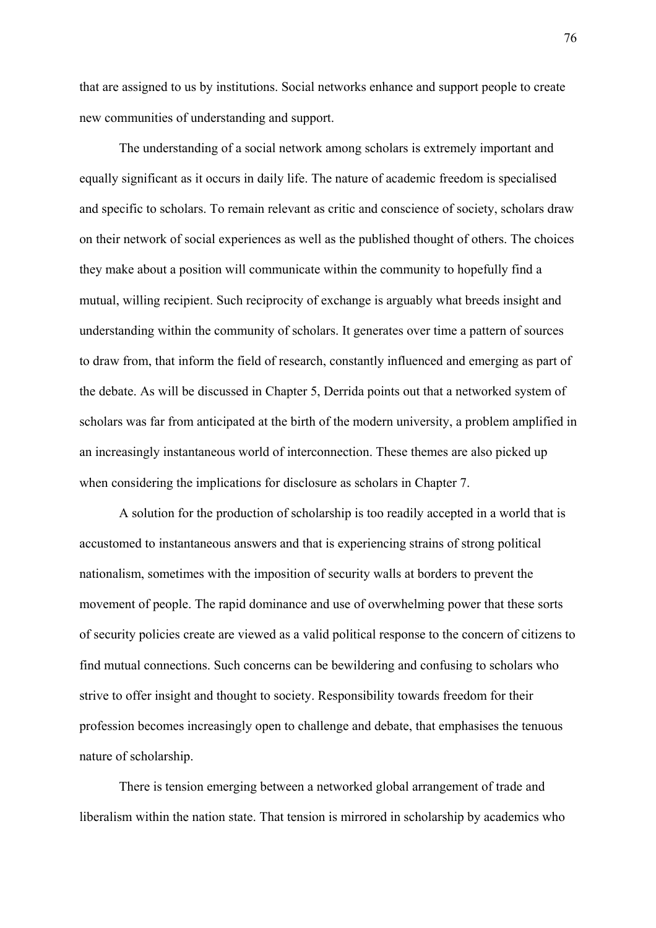that are assigned to us by institutions. Social networks enhance and support people to create new communities of understanding and support.

 The understanding of a social network among scholars is extremely important and equally significant as it occurs in daily life. The nature of academic freedom is specialised and specific to scholars. To remain relevant as critic and conscience of society, scholars draw on their network of social experiences as well as the published thought of others. The choices they make about a position will communicate within the community to hopefully find a mutual, willing recipient. Such reciprocity of exchange is arguably what breeds insight and understanding within the community of scholars. It generates over time a pattern of sources to draw from, that inform the field of research, constantly influenced and emerging as part of the debate. As will be discussed in Chapter 5, Derrida points out that a networked system of scholars was far from anticipated at the birth of the modern university, a problem amplified in an increasingly instantaneous world of interconnection. These themes are also picked up when considering the implications for disclosure as scholars in Chapter 7.

 A solution for the production of scholarship is too readily accepted in a world that is accustomed to instantaneous answers and that is experiencing strains of strong political nationalism, sometimes with the imposition of security walls at borders to prevent the movement of people. The rapid dominance and use of overwhelming power that these sorts of security policies create are viewed as a valid political response to the concern of citizens to find mutual connections. Such concerns can be bewildering and confusing to scholars who strive to offer insight and thought to society. Responsibility towards freedom for their profession becomes increasingly open to challenge and debate, that emphasises the tenuous nature of scholarship.

There is tension emerging between a networked global arrangement of trade and liberalism within the nation state. That tension is mirrored in scholarship by academics who

76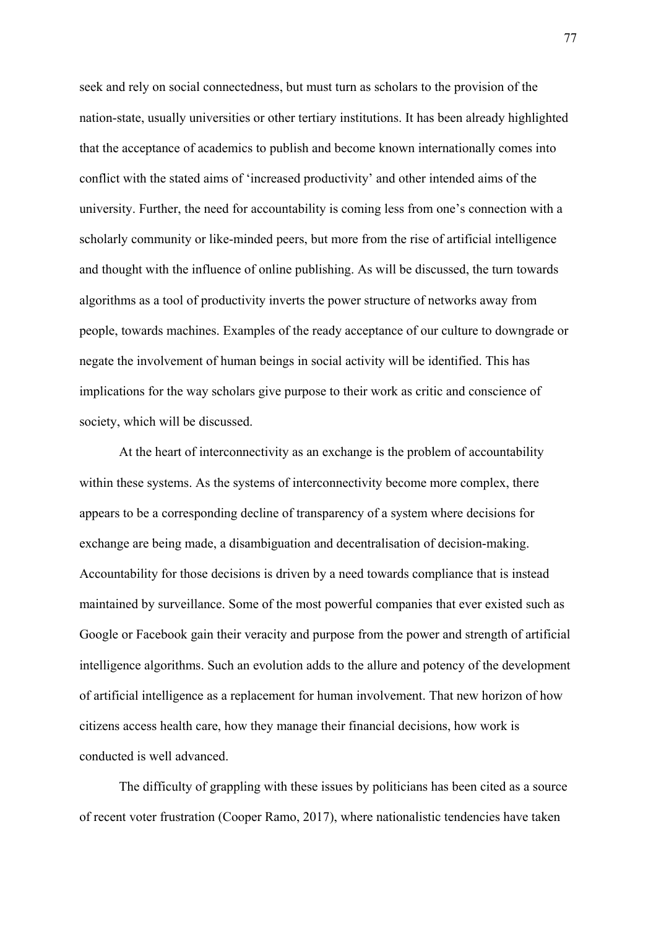seek and rely on social connectedness, but must turn as scholars to the provision of the nation-state, usually universities or other tertiary institutions. It has been already highlighted that the acceptance of academics to publish and become known internationally comes into conflict with the stated aims of 'increased productivity' and other intended aims of the university. Further, the need for accountability is coming less from one's connection with a scholarly community or like-minded peers, but more from the rise of artificial intelligence and thought with the influence of online publishing. As will be discussed, the turn towards algorithms as a tool of productivity inverts the power structure of networks away from people, towards machines. Examples of the ready acceptance of our culture to downgrade or negate the involvement of human beings in social activity will be identified. This has implications for the way scholars give purpose to their work as critic and conscience of society, which will be discussed.

At the heart of interconnectivity as an exchange is the problem of accountability within these systems. As the systems of interconnectivity become more complex, there appears to be a corresponding decline of transparency of a system where decisions for exchange are being made, a disambiguation and decentralisation of decision-making. Accountability for those decisions is driven by a need towards compliance that is instead maintained by surveillance. Some of the most powerful companies that ever existed such as Google or Facebook gain their veracity and purpose from the power and strength of artificial intelligence algorithms. Such an evolution adds to the allure and potency of the development of artificial intelligence as a replacement for human involvement. That new horizon of how citizens access health care, how they manage their financial decisions, how work is conducted is well advanced.

The difficulty of grappling with these issues by politicians has been cited as a source of recent voter frustration (Cooper Ramo, 2017), where nationalistic tendencies have taken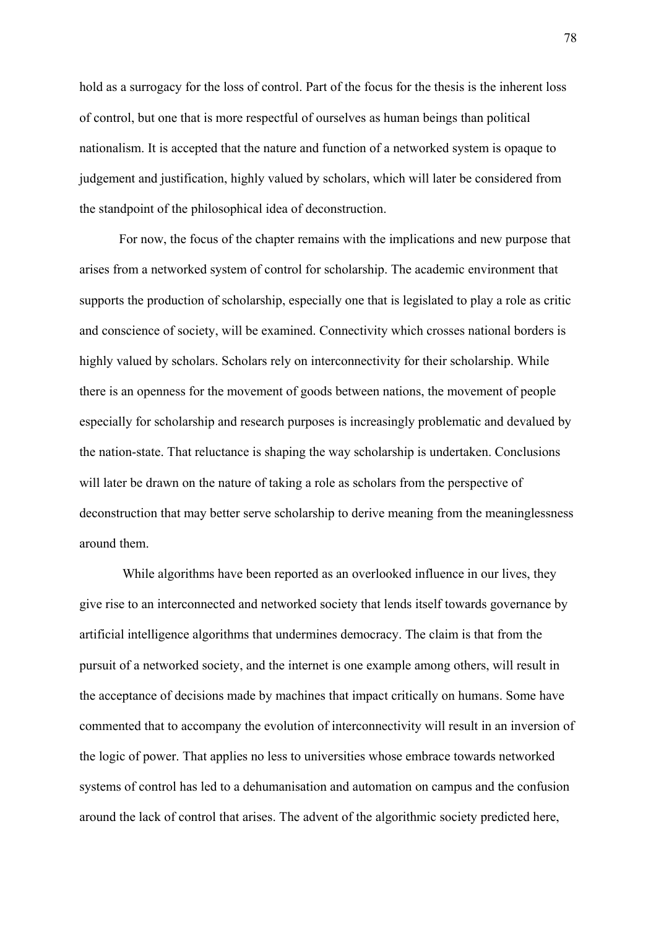hold as a surrogacy for the loss of control. Part of the focus for the thesis is the inherent loss of control, but one that is more respectful of ourselves as human beings than political nationalism. It is accepted that the nature and function of a networked system is opaque to judgement and justification, highly valued by scholars, which will later be considered from the standpoint of the philosophical idea of deconstruction.

For now, the focus of the chapter remains with the implications and new purpose that arises from a networked system of control for scholarship. The academic environment that supports the production of scholarship, especially one that is legislated to play a role as critic and conscience of society, will be examined. Connectivity which crosses national borders is highly valued by scholars. Scholars rely on interconnectivity for their scholarship. While there is an openness for the movement of goods between nations, the movement of people especially for scholarship and research purposes is increasingly problematic and devalued by the nation-state. That reluctance is shaping the way scholarship is undertaken. Conclusions will later be drawn on the nature of taking a role as scholars from the perspective of deconstruction that may better serve scholarship to derive meaning from the meaninglessness around them.

 While algorithms have been reported as an overlooked influence in our lives, they give rise to an interconnected and networked society that lends itself towards governance by artificial intelligence algorithms that undermines democracy. The claim is that from the pursuit of a networked society, and the internet is one example among others, will result in the acceptance of decisions made by machines that impact critically on humans. Some have commented that to accompany the evolution of interconnectivity will result in an inversion of the logic of power. That applies no less to universities whose embrace towards networked systems of control has led to a dehumanisation and automation on campus and the confusion around the lack of control that arises. The advent of the algorithmic society predicted here,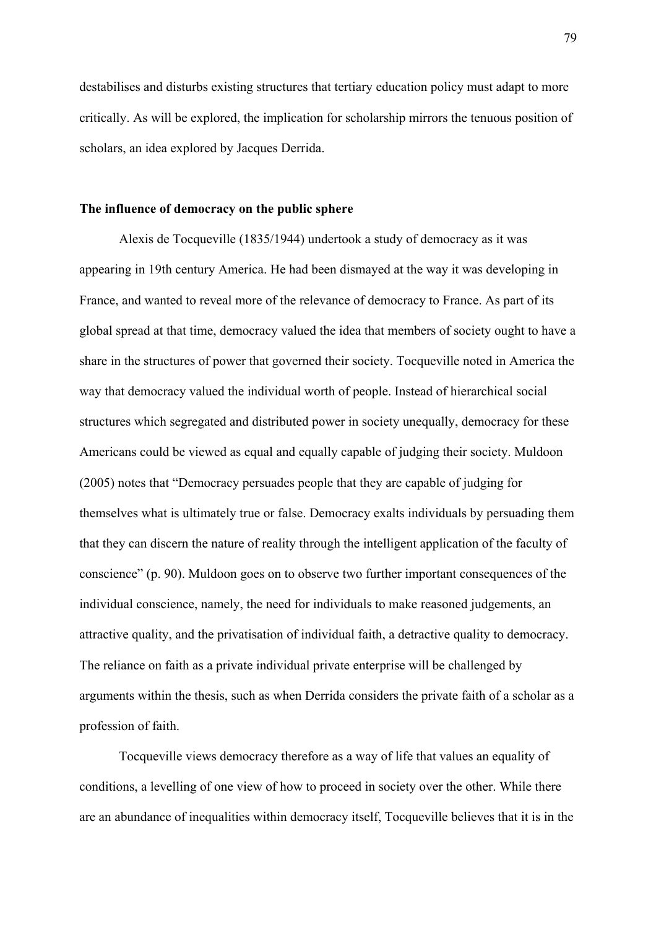destabilises and disturbs existing structures that tertiary education policy must adapt to more critically. As will be explored, the implication for scholarship mirrors the tenuous position of scholars, an idea explored by Jacques Derrida.

## **The influence of democracy on the public sphere**

Alexis de Tocqueville (1835/1944) undertook a study of democracy as it was appearing in 19th century America. He had been dismayed at the way it was developing in France, and wanted to reveal more of the relevance of democracy to France. As part of its global spread at that time, democracy valued the idea that members of society ought to have a share in the structures of power that governed their society. Tocqueville noted in America the way that democracy valued the individual worth of people. Instead of hierarchical social structures which segregated and distributed power in society unequally, democracy for these Americans could be viewed as equal and equally capable of judging their society. Muldoon (2005) notes that "Democracy persuades people that they are capable of judging for themselves what is ultimately true or false. Democracy exalts individuals by persuading them that they can discern the nature of reality through the intelligent application of the faculty of conscience" (p. 90). Muldoon goes on to observe two further important consequences of the individual conscience, namely, the need for individuals to make reasoned judgements, an attractive quality, and the privatisation of individual faith, a detractive quality to democracy. The reliance on faith as a private individual private enterprise will be challenged by arguments within the thesis, such as when Derrida considers the private faith of a scholar as a profession of faith.

Tocqueville views democracy therefore as a way of life that values an equality of conditions, a levelling of one view of how to proceed in society over the other. While there are an abundance of inequalities within democracy itself, Tocqueville believes that it is in the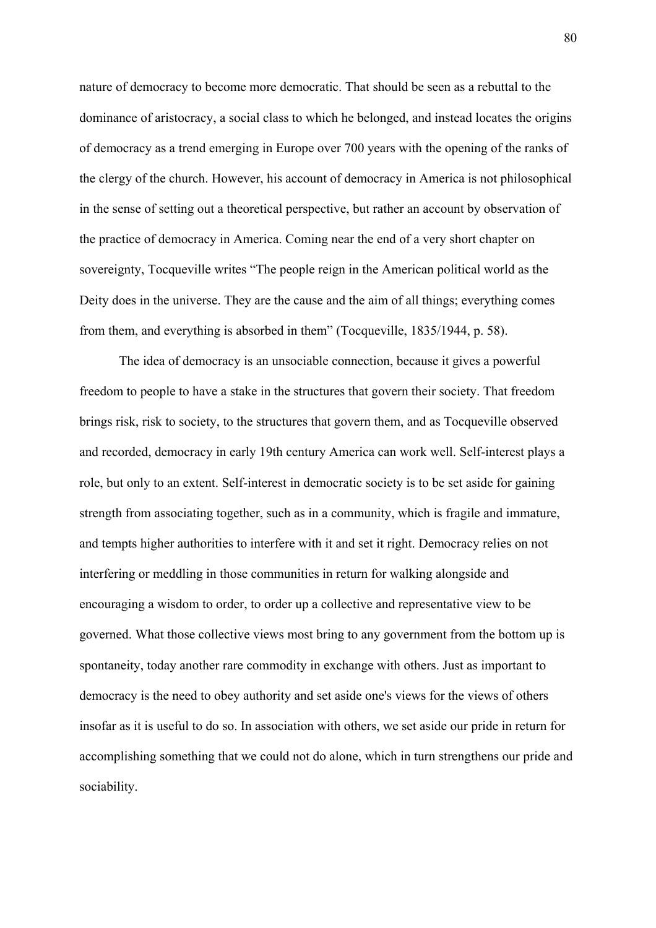nature of democracy to become more democratic. That should be seen as a rebuttal to the dominance of aristocracy, a social class to which he belonged, and instead locates the origins of democracy as a trend emerging in Europe over 700 years with the opening of the ranks of the clergy of the church. However, his account of democracy in America is not philosophical in the sense of setting out a theoretical perspective, but rather an account by observation of the practice of democracy in America. Coming near the end of a very short chapter on sovereignty, Tocqueville writes "The people reign in the American political world as the Deity does in the universe. They are the cause and the aim of all things; everything comes from them, and everything is absorbed in them" (Tocqueville, 1835/1944, p. 58).

The idea of democracy is an unsociable connection, because it gives a powerful freedom to people to have a stake in the structures that govern their society. That freedom brings risk, risk to society, to the structures that govern them, and as Tocqueville observed and recorded, democracy in early 19th century America can work well. Self-interest plays a role, but only to an extent. Self-interest in democratic society is to be set aside for gaining strength from associating together, such as in a community, which is fragile and immature, and tempts higher authorities to interfere with it and set it right. Democracy relies on not interfering or meddling in those communities in return for walking alongside and encouraging a wisdom to order, to order up a collective and representative view to be governed. What those collective views most bring to any government from the bottom up is spontaneity, today another rare commodity in exchange with others. Just as important to democracy is the need to obey authority and set aside one's views for the views of others insofar as it is useful to do so. In association with others, we set aside our pride in return for accomplishing something that we could not do alone, which in turn strengthens our pride and sociability.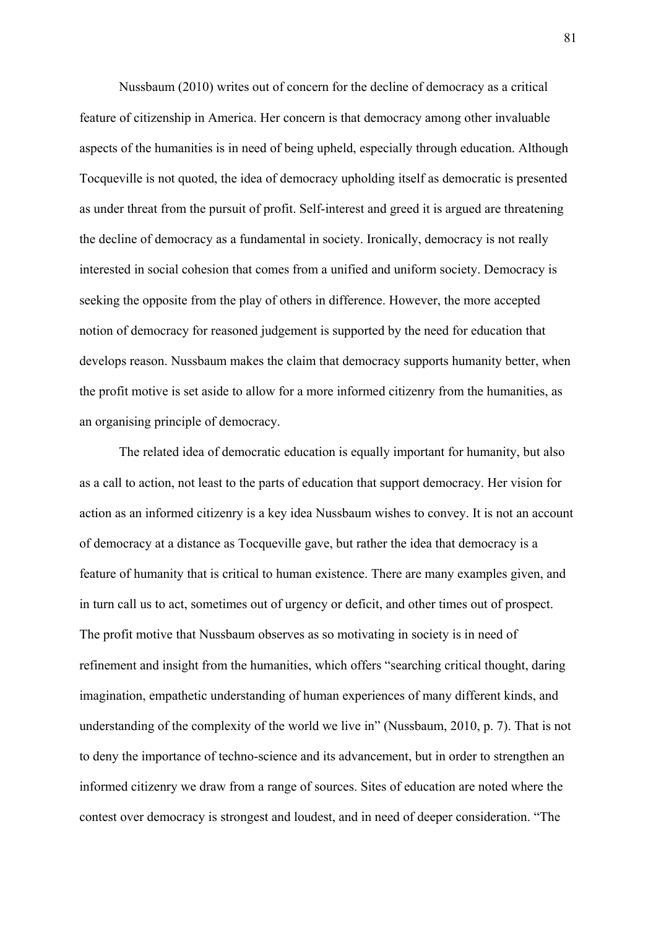Nussbaum (2010) writes out of concern for the decline of democracy as a critical feature of citizenship in America. Her concern is that democracy among other invaluable aspects of the humanities is in need of being upheld, especially through education. Although Tocqueville is not quoted, the idea of democracy upholding itself as democratic is presented as under threat from the pursuit of profit. Self-interest and greed it is argued are threatening the decline of democracy as a fundamental in society. Ironically, democracy is not really interested in social cohesion that comes from a unified and uniform society. Democracy is seeking the opposite from the play of others in difference. However, the more accepted notion of democracy for reasoned judgement is supported by the need for education that develops reason. Nussbaum makes the claim that democracy supports humanity better, when the profit motive is set aside to allow for a more informed citizenry from the humanities, as an organising principle of democracy.

The related idea of democratic education is equally important for humanity, but also as a call to action, not least to the parts of education that support democracy. Her vision for action as an informed citizenry is a key idea Nussbaum wishes to convey. It is not an account of democracy at a distance as Tocqueville gave, but rather the idea that democracy is a feature of humanity that is critical to human existence. There are many examples given, and in turn call us to act, sometimes out of urgency or deficit, and other times out of prospect. The profit motive that Nussbaum observes as so motivating in society is in need of refinement and insight from the humanities, which offers "searching critical thought, daring imagination, empathetic understanding of human experiences of many different kinds, and understanding of the complexity of the world we live in" (Nussbaum, 2010, p. 7). That is not to deny the importance of techno-science and its advancement, but in order to strengthen an informed citizenry we draw from a range of sources. Sites of education are noted where the contest over democracy is strongest and loudest, and in need of deeper consideration. "The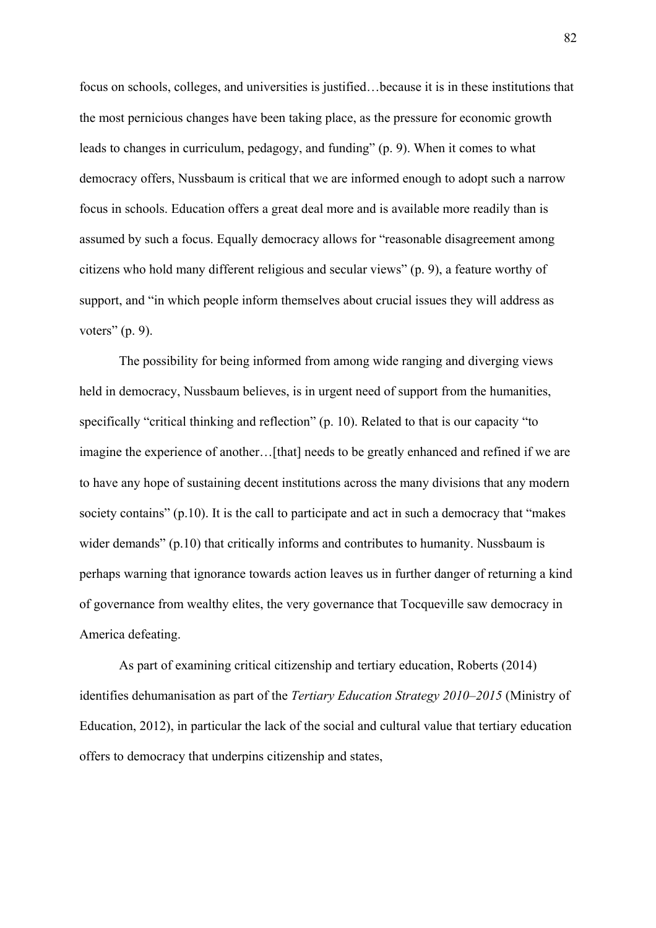focus on schools, colleges, and universities is justified…because it is in these institutions that the most pernicious changes have been taking place, as the pressure for economic growth leads to changes in curriculum, pedagogy, and funding" (p. 9). When it comes to what democracy offers, Nussbaum is critical that we are informed enough to adopt such a narrow focus in schools. Education offers a great deal more and is available more readily than is assumed by such a focus. Equally democracy allows for "reasonable disagreement among citizens who hold many different religious and secular views" (p. 9), a feature worthy of support, and "in which people inform themselves about crucial issues they will address as voters"  $(p. 9)$ .

The possibility for being informed from among wide ranging and diverging views held in democracy, Nussbaum believes, is in urgent need of support from the humanities, specifically "critical thinking and reflection" (p. 10). Related to that is our capacity "to imagine the experience of another...[that] needs to be greatly enhanced and refined if we are to have any hope of sustaining decent institutions across the many divisions that any modern society contains" (p.10). It is the call to participate and act in such a democracy that "makes wider demands" (p.10) that critically informs and contributes to humanity. Nussbaum is perhaps warning that ignorance towards action leaves us in further danger of returning a kind of governance from wealthy elites, the very governance that Tocqueville saw democracy in America defeating.

As part of examining critical citizenship and tertiary education, Roberts (2014) identifies dehumanisation as part of the *Tertiary Education Strategy 2010–2015* (Ministry of Education, 2012), in particular the lack of the social and cultural value that tertiary education offers to democracy that underpins citizenship and states,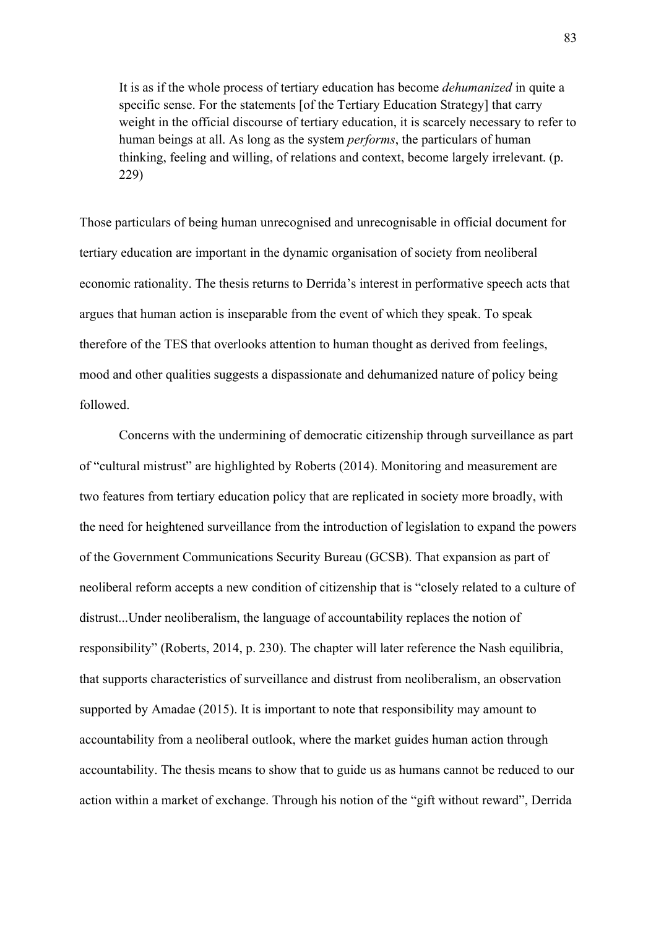It is as if the whole process of tertiary education has become *dehumanized* in quite a specific sense. For the statements [of the Tertiary Education Strategy] that carry weight in the official discourse of tertiary education, it is scarcely necessary to refer to human beings at all. As long as the system *performs*, the particulars of human thinking, feeling and willing, of relations and context, become largely irrelevant. (p. 229)

Those particulars of being human unrecognised and unrecognisable in official document for tertiary education are important in the dynamic organisation of society from neoliberal economic rationality. The thesis returns to Derrida's interest in performative speech acts that argues that human action is inseparable from the event of which they speak. To speak therefore of the TES that overlooks attention to human thought as derived from feelings, mood and other qualities suggests a dispassionate and dehumanized nature of policy being followed.

Concerns with the undermining of democratic citizenship through surveillance as part of "cultural mistrust" are highlighted by Roberts (2014). Monitoring and measurement are two features from tertiary education policy that are replicated in society more broadly, with the need for heightened surveillance from the introduction of legislation to expand the powers of the Government Communications Security Bureau (GCSB). That expansion as part of neoliberal reform accepts a new condition of citizenship that is "closely related to a culture of distrust...Under neoliberalism, the language of accountability replaces the notion of responsibility" (Roberts, 2014, p. 230). The chapter will later reference the Nash equilibria, that supports characteristics of surveillance and distrust from neoliberalism, an observation supported by Amadae (2015). It is important to note that responsibility may amount to accountability from a neoliberal outlook, where the market guides human action through accountability. The thesis means to show that to guide us as humans cannot be reduced to our action within a market of exchange. Through his notion of the "gift without reward", Derrida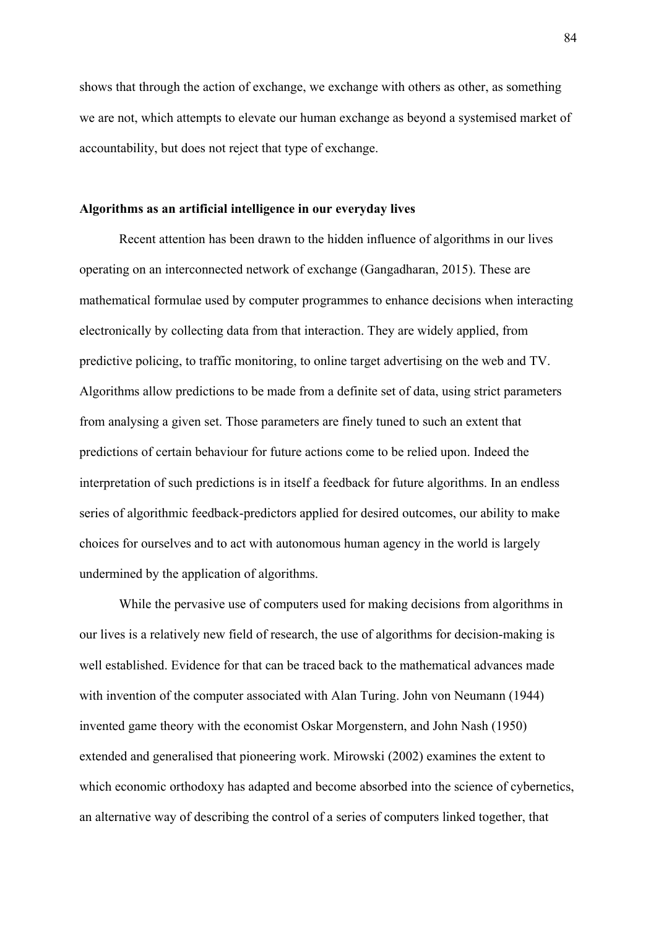shows that through the action of exchange, we exchange with others as other, as something we are not, which attempts to elevate our human exchange as beyond a systemised market of accountability, but does not reject that type of exchange.

#### **Algorithms as an artificial intelligence in our everyday lives**

Recent attention has been drawn to the hidden influence of algorithms in our lives operating on an interconnected network of exchange (Gangadharan, 2015). These are mathematical formulae used by computer programmes to enhance decisions when interacting electronically by collecting data from that interaction. They are widely applied, from predictive policing, to traffic monitoring, to online target advertising on the web and TV. Algorithms allow predictions to be made from a definite set of data, using strict parameters from analysing a given set. Those parameters are finely tuned to such an extent that predictions of certain behaviour for future actions come to be relied upon. Indeed the interpretation of such predictions is in itself a feedback for future algorithms. In an endless series of algorithmic feedback-predictors applied for desired outcomes, our ability to make choices for ourselves and to act with autonomous human agency in the world is largely undermined by the application of algorithms.

While the pervasive use of computers used for making decisions from algorithms in our lives is a relatively new field of research, the use of algorithms for decision-making is well established. Evidence for that can be traced back to the mathematical advances made with invention of the computer associated with Alan Turing. John von Neumann (1944) invented game theory with the economist Oskar Morgenstern, and John Nash (1950) extended and generalised that pioneering work. Mirowski (2002) examines the extent to which economic orthodoxy has adapted and become absorbed into the science of cybernetics, an alternative way of describing the control of a series of computers linked together, that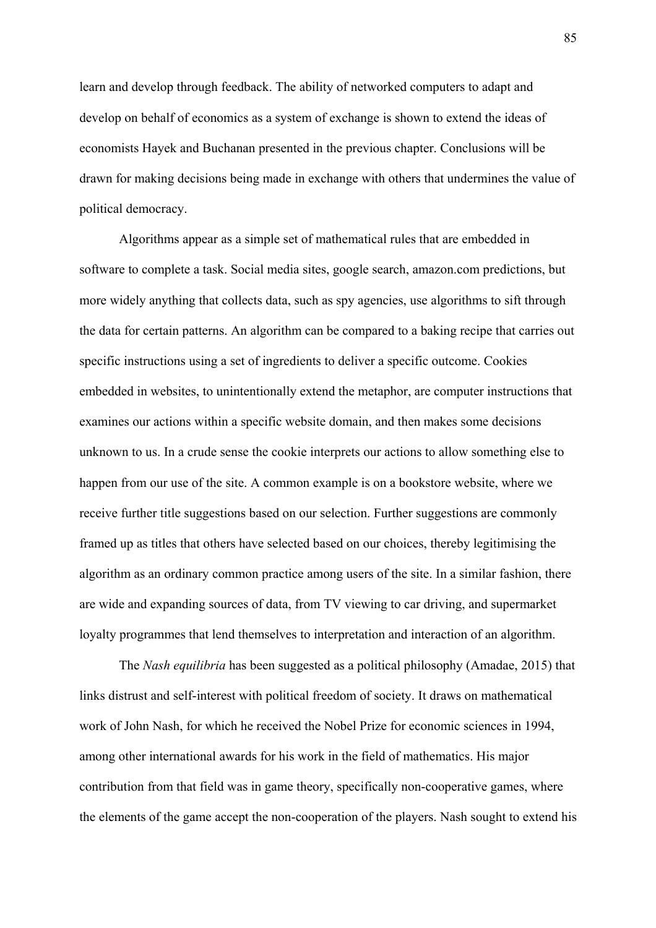learn and develop through feedback. The ability of networked computers to adapt and develop on behalf of economics as a system of exchange is shown to extend the ideas of economists Hayek and Buchanan presented in the previous chapter. Conclusions will be drawn for making decisions being made in exchange with others that undermines the value of political democracy.

 Algorithms appear as a simple set of mathematical rules that are embedded in software to complete a task. Social media sites, google search, amazon.com predictions, but more widely anything that collects data, such as spy agencies, use algorithms to sift through the data for certain patterns. An algorithm can be compared to a baking recipe that carries out specific instructions using a set of ingredients to deliver a specific outcome. Cookies embedded in websites, to unintentionally extend the metaphor, are computer instructions that examines our actions within a specific website domain, and then makes some decisions unknown to us. In a crude sense the cookie interprets our actions to allow something else to happen from our use of the site. A common example is on a bookstore website, where we receive further title suggestions based on our selection. Further suggestions are commonly framed up as titles that others have selected based on our choices, thereby legitimising the algorithm as an ordinary common practice among users of the site. In a similar fashion, there are wide and expanding sources of data, from TV viewing to car driving, and supermarket loyalty programmes that lend themselves to interpretation and interaction of an algorithm.

The *Nash equilibria* has been suggested as a political philosophy (Amadae, 2015) that links distrust and self-interest with political freedom of society. It draws on mathematical work of John Nash, for which he received the Nobel Prize for economic sciences in 1994, among other international awards for his work in the field of mathematics. His major contribution from that field was in game theory, specifically non-cooperative games, where the elements of the game accept the non-cooperation of the players. Nash sought to extend his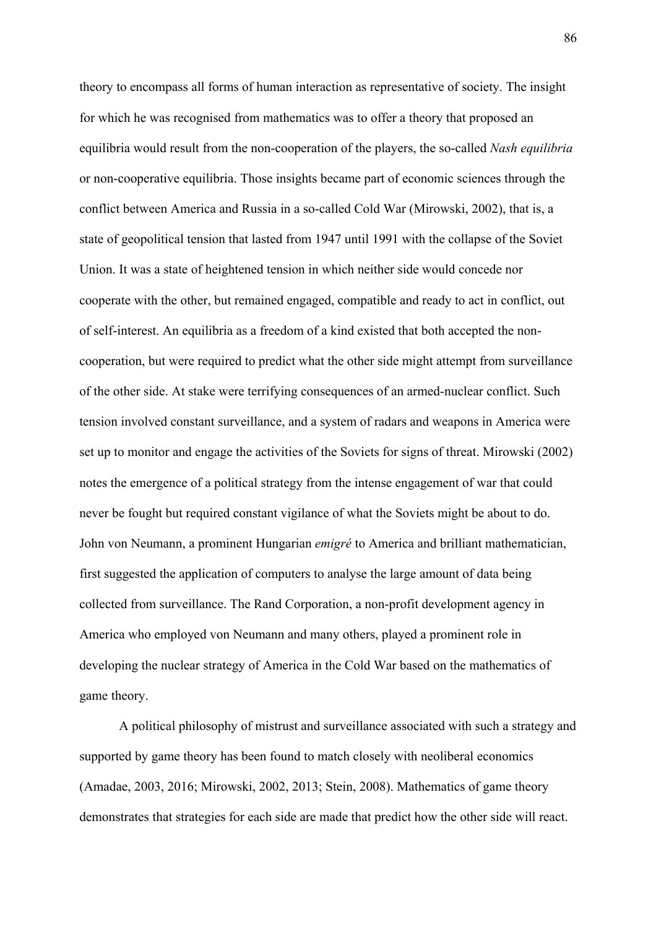theory to encompass all forms of human interaction as representative of society. The insight for which he was recognised from mathematics was to offer a theory that proposed an equilibria would result from the non-cooperation of the players, the so-called *Nash equilibria* or non-cooperative equilibria. Those insights became part of economic sciences through the conflict between America and Russia in a so-called Cold War (Mirowski, 2002), that is, a state of geopolitical tension that lasted from 1947 until 1991 with the collapse of the Soviet Union. It was a state of heightened tension in which neither side would concede nor cooperate with the other, but remained engaged, compatible and ready to act in conflict, out of self-interest. An equilibria as a freedom of a kind existed that both accepted the noncooperation, but were required to predict what the other side might attempt from surveillance of the other side. At stake were terrifying consequences of an armed-nuclear conflict. Such tension involved constant surveillance, and a system of radars and weapons in America were set up to monitor and engage the activities of the Soviets for signs of threat. Mirowski (2002) notes the emergence of a political strategy from the intense engagement of war that could never be fought but required constant vigilance of what the Soviets might be about to do. John von Neumann, a prominent Hungarian *emigré* to America and brilliant mathematician, first suggested the application of computers to analyse the large amount of data being collected from surveillance. The Rand Corporation, a non-profit development agency in America who employed von Neumann and many others, played a prominent role in developing the nuclear strategy of America in the Cold War based on the mathematics of game theory.

A political philosophy of mistrust and surveillance associated with such a strategy and supported by game theory has been found to match closely with neoliberal economics (Amadae, 2003, 2016; Mirowski, 2002, 2013; Stein, 2008). Mathematics of game theory demonstrates that strategies for each side are made that predict how the other side will react.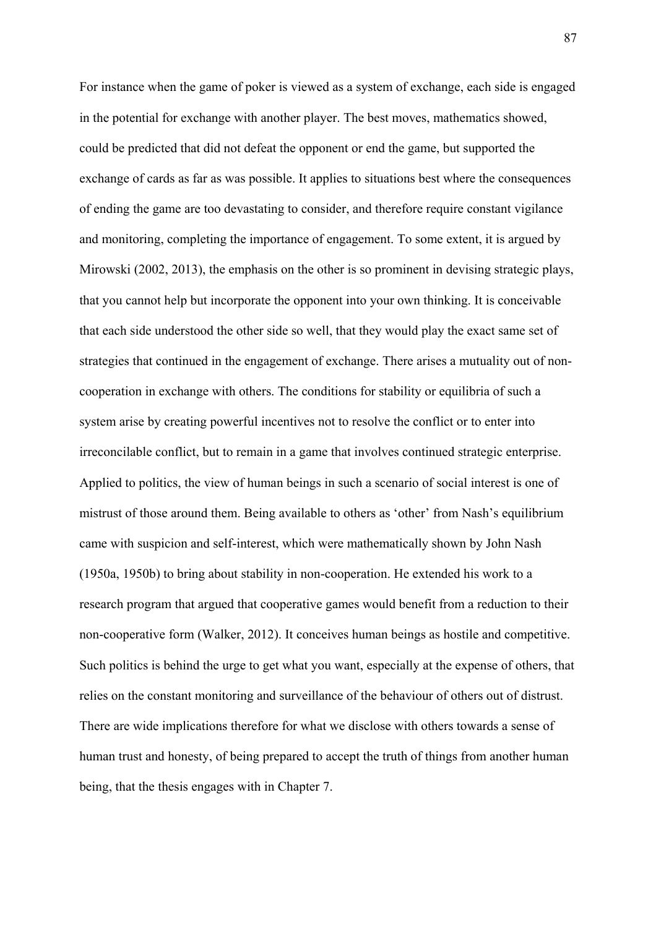For instance when the game of poker is viewed as a system of exchange, each side is engaged in the potential for exchange with another player. The best moves, mathematics showed, could be predicted that did not defeat the opponent or end the game, but supported the exchange of cards as far as was possible. It applies to situations best where the consequences of ending the game are too devastating to consider, and therefore require constant vigilance and monitoring, completing the importance of engagement. To some extent, it is argued by Mirowski (2002, 2013), the emphasis on the other is so prominent in devising strategic plays, that you cannot help but incorporate the opponent into your own thinking. It is conceivable that each side understood the other side so well, that they would play the exact same set of strategies that continued in the engagement of exchange. There arises a mutuality out of noncooperation in exchange with others. The conditions for stability or equilibria of such a system arise by creating powerful incentives not to resolve the conflict or to enter into irreconcilable conflict, but to remain in a game that involves continued strategic enterprise. Applied to politics, the view of human beings in such a scenario of social interest is one of mistrust of those around them. Being available to others as 'other' from Nash's equilibrium came with suspicion and self-interest, which were mathematically shown by John Nash (1950a, 1950b) to bring about stability in non-cooperation. He extended his work to a research program that argued that cooperative games would benefit from a reduction to their non-cooperative form (Walker, 2012). It conceives human beings as hostile and competitive. Such politics is behind the urge to get what you want, especially at the expense of others, that relies on the constant monitoring and surveillance of the behaviour of others out of distrust. There are wide implications therefore for what we disclose with others towards a sense of human trust and honesty, of being prepared to accept the truth of things from another human being, that the thesis engages with in Chapter 7.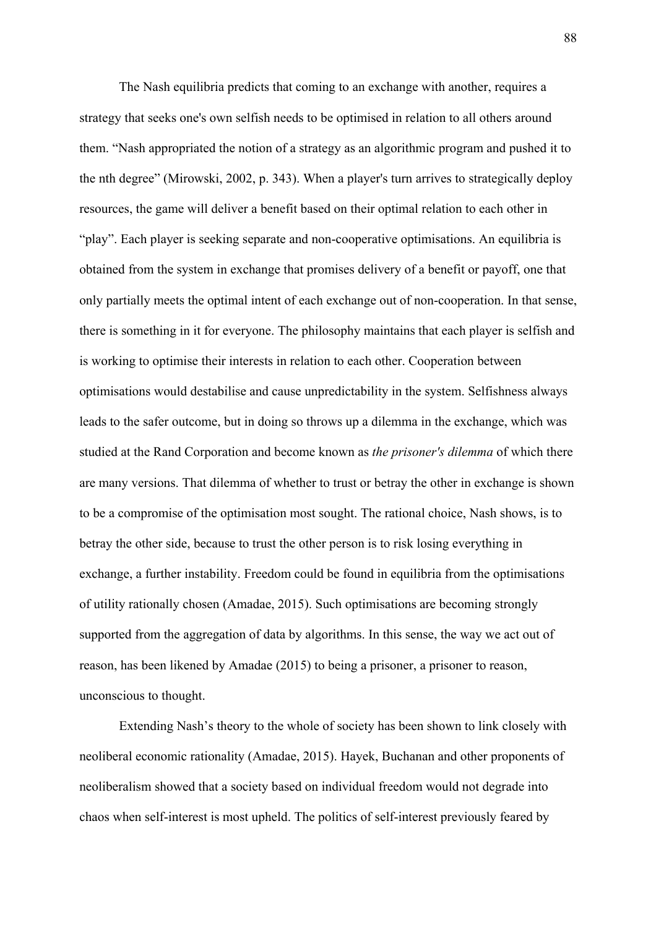The Nash equilibria predicts that coming to an exchange with another, requires a strategy that seeks one's own selfish needs to be optimised in relation to all others around them. "Nash appropriated the notion of a strategy as an algorithmic program and pushed it to the nth degree" (Mirowski, 2002, p. 343). When a player's turn arrives to strategically deploy resources, the game will deliver a benefit based on their optimal relation to each other in "play". Each player is seeking separate and non-cooperative optimisations. An equilibria is obtained from the system in exchange that promises delivery of a benefit or payoff, one that only partially meets the optimal intent of each exchange out of non-cooperation. In that sense, there is something in it for everyone. The philosophy maintains that each player is selfish and is working to optimise their interests in relation to each other. Cooperation between optimisations would destabilise and cause unpredictability in the system. Selfishness always leads to the safer outcome, but in doing so throws up a dilemma in the exchange, which was studied at the Rand Corporation and become known as *the prisoner's dilemma* of which there are many versions. That dilemma of whether to trust or betray the other in exchange is shown to be a compromise of the optimisation most sought. The rational choice, Nash shows, is to betray the other side, because to trust the other person is to risk losing everything in exchange, a further instability. Freedom could be found in equilibria from the optimisations of utility rationally chosen (Amadae, 2015). Such optimisations are becoming strongly supported from the aggregation of data by algorithms. In this sense, the way we act out of reason, has been likened by Amadae (2015) to being a prisoner, a prisoner to reason, unconscious to thought.

Extending Nash's theory to the whole of society has been shown to link closely with neoliberal economic rationality (Amadae, 2015). Hayek, Buchanan and other proponents of neoliberalism showed that a society based on individual freedom would not degrade into chaos when self-interest is most upheld. The politics of self-interest previously feared by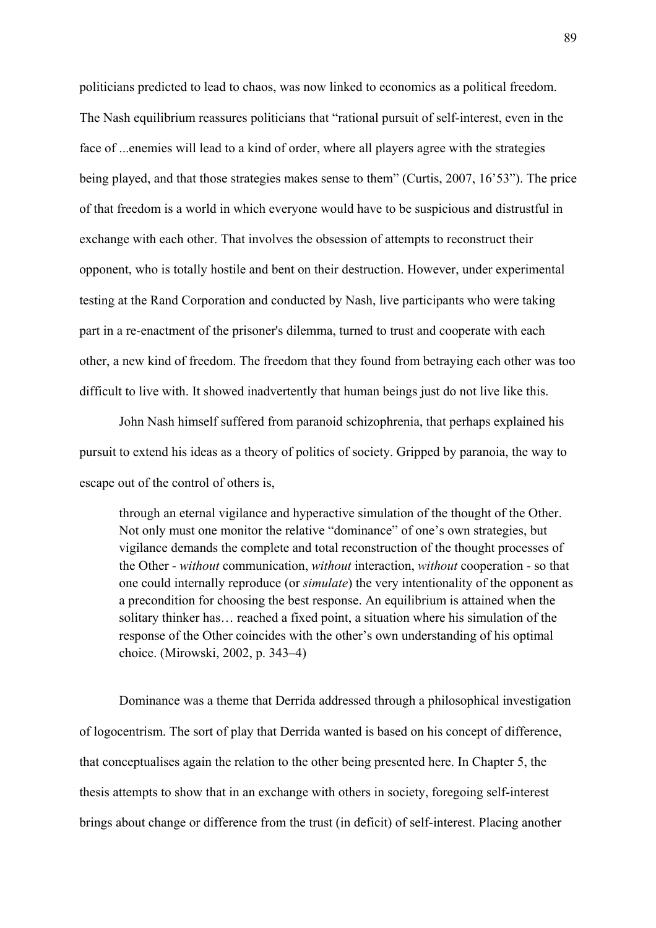politicians predicted to lead to chaos, was now linked to economics as a political freedom. The Nash equilibrium reassures politicians that "rational pursuit of self-interest, even in the face of ...enemies will lead to a kind of order, where all players agree with the strategies being played, and that those strategies makes sense to them" (Curtis, 2007, 16'53"). The price of that freedom is a world in which everyone would have to be suspicious and distrustful in exchange with each other. That involves the obsession of attempts to reconstruct their opponent, who is totally hostile and bent on their destruction. However, under experimental testing at the Rand Corporation and conducted by Nash, live participants who were taking part in a re-enactment of the prisoner's dilemma, turned to trust and cooperate with each other, a new kind of freedom. The freedom that they found from betraying each other was too difficult to live with. It showed inadvertently that human beings just do not live like this.

John Nash himself suffered from paranoid schizophrenia, that perhaps explained his pursuit to extend his ideas as a theory of politics of society. Gripped by paranoia, the way to escape out of the control of others is,

through an eternal vigilance and hyperactive simulation of the thought of the Other. Not only must one monitor the relative "dominance" of one's own strategies, but vigilance demands the complete and total reconstruction of the thought processes of the Other - *without* communication, *without* interaction, *without* cooperation - so that one could internally reproduce (or *simulate*) the very intentionality of the opponent as a precondition for choosing the best response. An equilibrium is attained when the solitary thinker has… reached a fixed point, a situation where his simulation of the response of the Other coincides with the other's own understanding of his optimal choice. (Mirowski, 2002, p. 343–4)

Dominance was a theme that Derrida addressed through a philosophical investigation of logocentrism. The sort of play that Derrida wanted is based on his concept of difference, that conceptualises again the relation to the other being presented here. In Chapter 5, the thesis attempts to show that in an exchange with others in society, foregoing self-interest brings about change or difference from the trust (in deficit) of self-interest. Placing another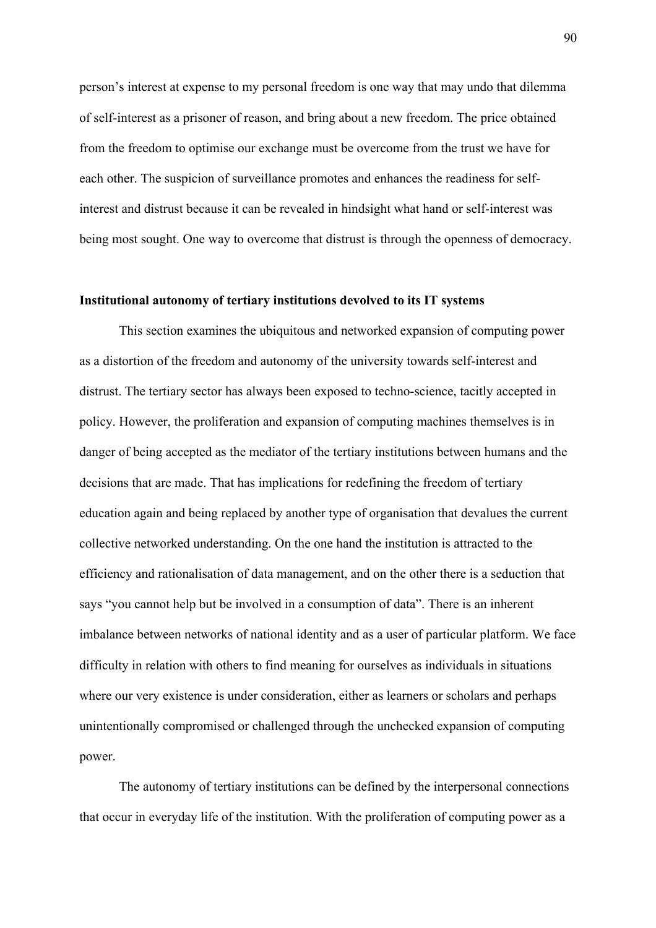person's interest at expense to my personal freedom is one way that may undo that dilemma of self-interest as a prisoner of reason, and bring about a new freedom. The price obtained from the freedom to optimise our exchange must be overcome from the trust we have for each other. The suspicion of surveillance promotes and enhances the readiness for selfinterest and distrust because it can be revealed in hindsight what hand or self-interest was being most sought. One way to overcome that distrust is through the openness of democracy.

## **Institutional autonomy of tertiary institutions devolved to its IT systems**

This section examines the ubiquitous and networked expansion of computing power as a distortion of the freedom and autonomy of the university towards self-interest and distrust. The tertiary sector has always been exposed to techno-science, tacitly accepted in policy. However, the proliferation and expansion of computing machines themselves is in danger of being accepted as the mediator of the tertiary institutions between humans and the decisions that are made. That has implications for redefining the freedom of tertiary education again and being replaced by another type of organisation that devalues the current collective networked understanding. On the one hand the institution is attracted to the efficiency and rationalisation of data management, and on the other there is a seduction that says "you cannot help but be involved in a consumption of data". There is an inherent imbalance between networks of national identity and as a user of particular platform. We face difficulty in relation with others to find meaning for ourselves as individuals in situations where our very existence is under consideration, either as learners or scholars and perhaps unintentionally compromised or challenged through the unchecked expansion of computing power.

The autonomy of tertiary institutions can be defined by the interpersonal connections that occur in everyday life of the institution. With the proliferation of computing power as a

90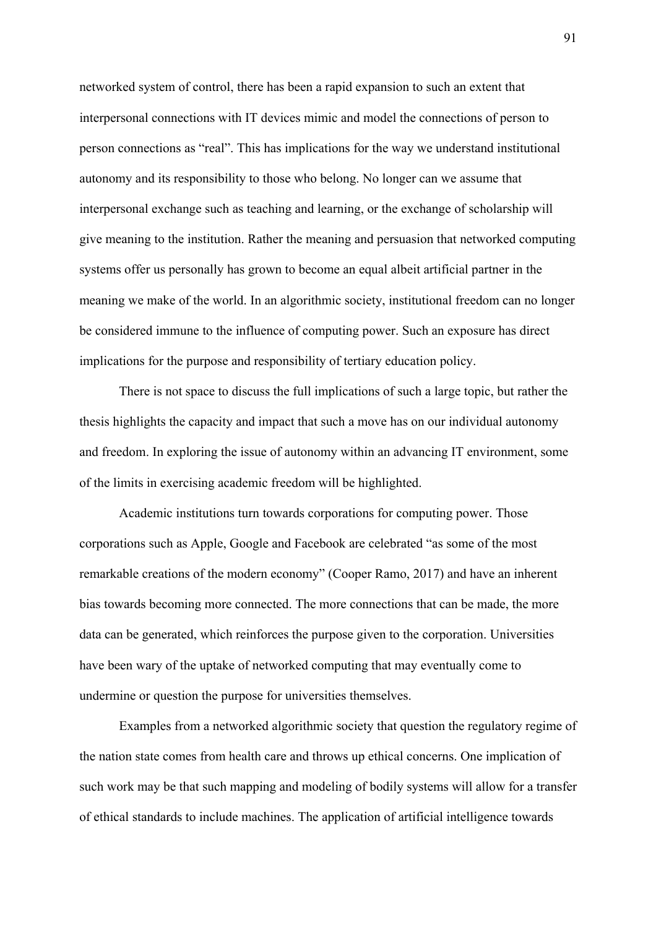networked system of control, there has been a rapid expansion to such an extent that interpersonal connections with IT devices mimic and model the connections of person to person connections as "real". This has implications for the way we understand institutional autonomy and its responsibility to those who belong. No longer can we assume that interpersonal exchange such as teaching and learning, or the exchange of scholarship will give meaning to the institution. Rather the meaning and persuasion that networked computing systems offer us personally has grown to become an equal albeit artificial partner in the meaning we make of the world. In an algorithmic society, institutional freedom can no longer be considered immune to the influence of computing power. Such an exposure has direct implications for the purpose and responsibility of tertiary education policy.

There is not space to discuss the full implications of such a large topic, but rather the thesis highlights the capacity and impact that such a move has on our individual autonomy and freedom. In exploring the issue of autonomy within an advancing IT environment, some of the limits in exercising academic freedom will be highlighted.

Academic institutions turn towards corporations for computing power. Those corporations such as Apple, Google and Facebook are celebrated "as some of the most remarkable creations of the modern economy" (Cooper Ramo, 2017) and have an inherent bias towards becoming more connected. The more connections that can be made, the more data can be generated, which reinforces the purpose given to the corporation. Universities have been wary of the uptake of networked computing that may eventually come to undermine or question the purpose for universities themselves.

Examples from a networked algorithmic society that question the regulatory regime of the nation state comes from health care and throws up ethical concerns. One implication of such work may be that such mapping and modeling of bodily systems will allow for a transfer of ethical standards to include machines. The application of artificial intelligence towards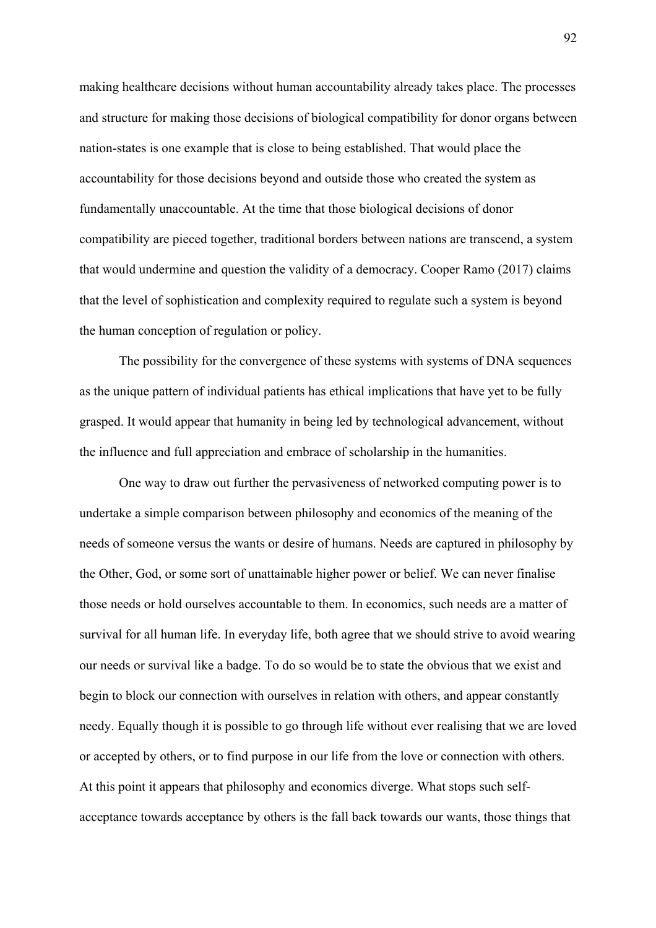making healthcare decisions without human accountability already takes place. The processes and structure for making those decisions of biological compatibility for donor organs between nation-states is one example that is close to being established. That would place the accountability for those decisions beyond and outside those who created the system as fundamentally unaccountable. At the time that those biological decisions of donor compatibility are pieced together, traditional borders between nations are transcend, a system that would undermine and question the validity of a democracy. Cooper Ramo (2017) claims that the level of sophistication and complexity required to regulate such a system is beyond the human conception of regulation or policy.

The possibility for the convergence of these systems with systems of DNA sequences as the unique pattern of individual patients has ethical implications that have yet to be fully grasped. It would appear that humanity in being led by technological advancement, without the influence and full appreciation and embrace of scholarship in the humanities.

One way to draw out further the pervasiveness of networked computing power is to undertake a simple comparison between philosophy and economics of the meaning of the needs of someone versus the wants or desire of humans. Needs are captured in philosophy by the Other, God, or some sort of unattainable higher power or belief. We can never finalise those needs or hold ourselves accountable to them. In economics, such needs are a matter of survival for all human life. In everyday life, both agree that we should strive to avoid wearing our needs or survival like a badge. To do so would be to state the obvious that we exist and begin to block our connection with ourselves in relation with others, and appear constantly needy. Equally though it is possible to go through life without ever realising that we are loved or accepted by others, or to find purpose in our life from the love or connection with others. At this point it appears that philosophy and economics diverge. What stops such selfacceptance towards acceptance by others is the fall back towards our wants, those things that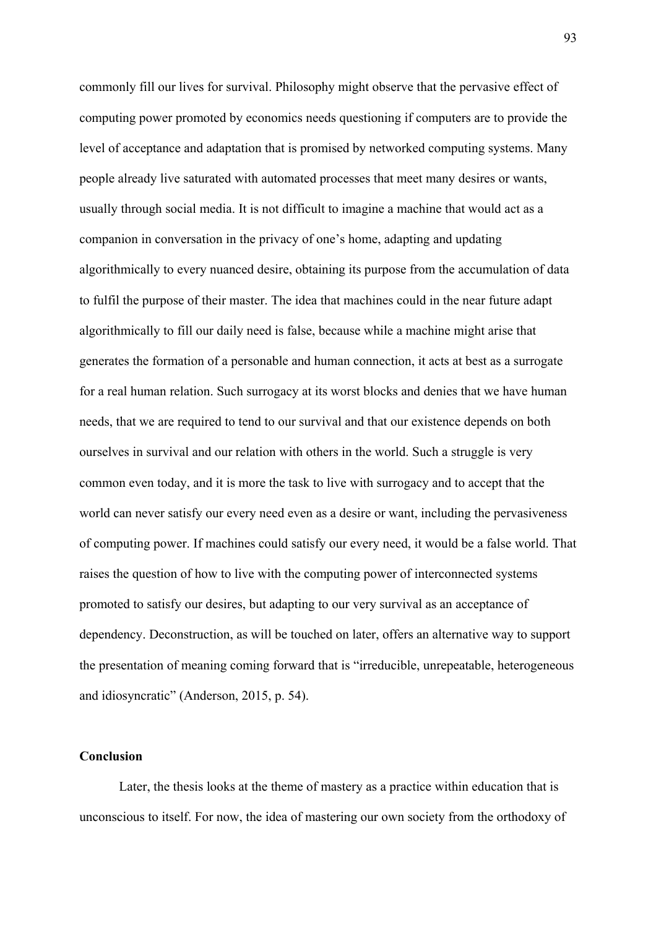commonly fill our lives for survival. Philosophy might observe that the pervasive effect of computing power promoted by economics needs questioning if computers are to provide the level of acceptance and adaptation that is promised by networked computing systems. Many people already live saturated with automated processes that meet many desires or wants, usually through social media. It is not difficult to imagine a machine that would act as a companion in conversation in the privacy of one's home, adapting and updating algorithmically to every nuanced desire, obtaining its purpose from the accumulation of data to fulfil the purpose of their master. The idea that machines could in the near future adapt algorithmically to fill our daily need is false, because while a machine might arise that generates the formation of a personable and human connection, it acts at best as a surrogate for a real human relation. Such surrogacy at its worst blocks and denies that we have human needs, that we are required to tend to our survival and that our existence depends on both ourselves in survival and our relation with others in the world. Such a struggle is very common even today, and it is more the task to live with surrogacy and to accept that the world can never satisfy our every need even as a desire or want, including the pervasiveness of computing power. If machines could satisfy our every need, it would be a false world. That raises the question of how to live with the computing power of interconnected systems promoted to satisfy our desires, but adapting to our very survival as an acceptance of dependency. Deconstruction, as will be touched on later, offers an alternative way to support the presentation of meaning coming forward that is "irreducible, unrepeatable, heterogeneous and idiosyncratic" (Anderson, 2015, p. 54).

# **Conclusion**

Later, the thesis looks at the theme of mastery as a practice within education that is unconscious to itself. For now, the idea of mastering our own society from the orthodoxy of

93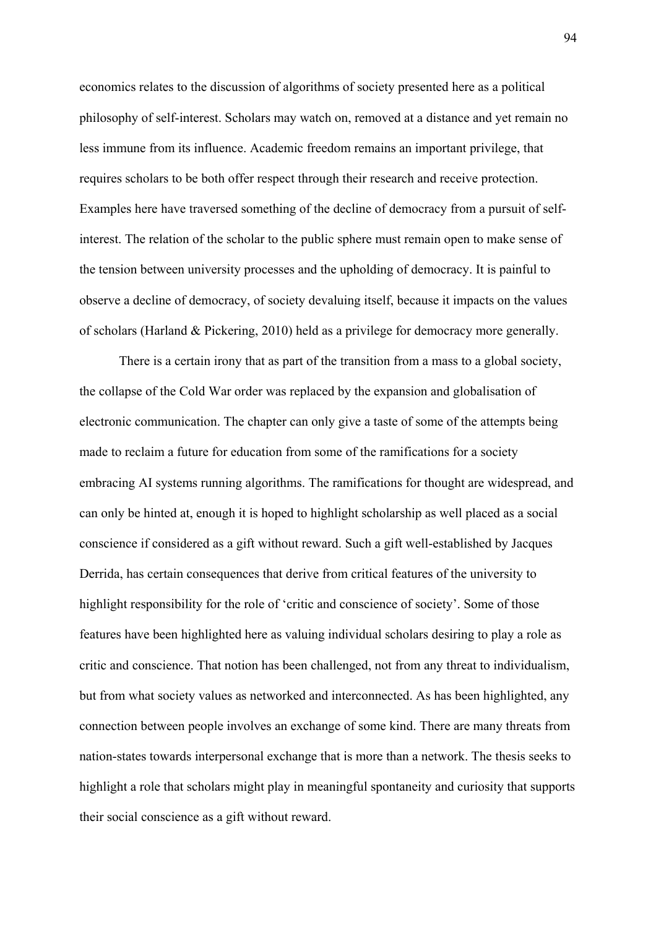economics relates to the discussion of algorithms of society presented here as a political philosophy of self-interest. Scholars may watch on, removed at a distance and yet remain no less immune from its influence. Academic freedom remains an important privilege, that requires scholars to be both offer respect through their research and receive protection. Examples here have traversed something of the decline of democracy from a pursuit of selfinterest. The relation of the scholar to the public sphere must remain open to make sense of the tension between university processes and the upholding of democracy. It is painful to observe a decline of democracy, of society devaluing itself, because it impacts on the values of scholars (Harland & Pickering, 2010) held as a privilege for democracy more generally.

There is a certain irony that as part of the transition from a mass to a global society, the collapse of the Cold War order was replaced by the expansion and globalisation of electronic communication. The chapter can only give a taste of some of the attempts being made to reclaim a future for education from some of the ramifications for a society embracing AI systems running algorithms. The ramifications for thought are widespread, and can only be hinted at, enough it is hoped to highlight scholarship as well placed as a social conscience if considered as a gift without reward. Such a gift well-established by Jacques Derrida, has certain consequences that derive from critical features of the university to highlight responsibility for the role of 'critic and conscience of society'. Some of those features have been highlighted here as valuing individual scholars desiring to play a role as critic and conscience. That notion has been challenged, not from any threat to individualism, but from what society values as networked and interconnected. As has been highlighted, any connection between people involves an exchange of some kind. There are many threats from nation-states towards interpersonal exchange that is more than a network. The thesis seeks to highlight a role that scholars might play in meaningful spontaneity and curiosity that supports their social conscience as a gift without reward.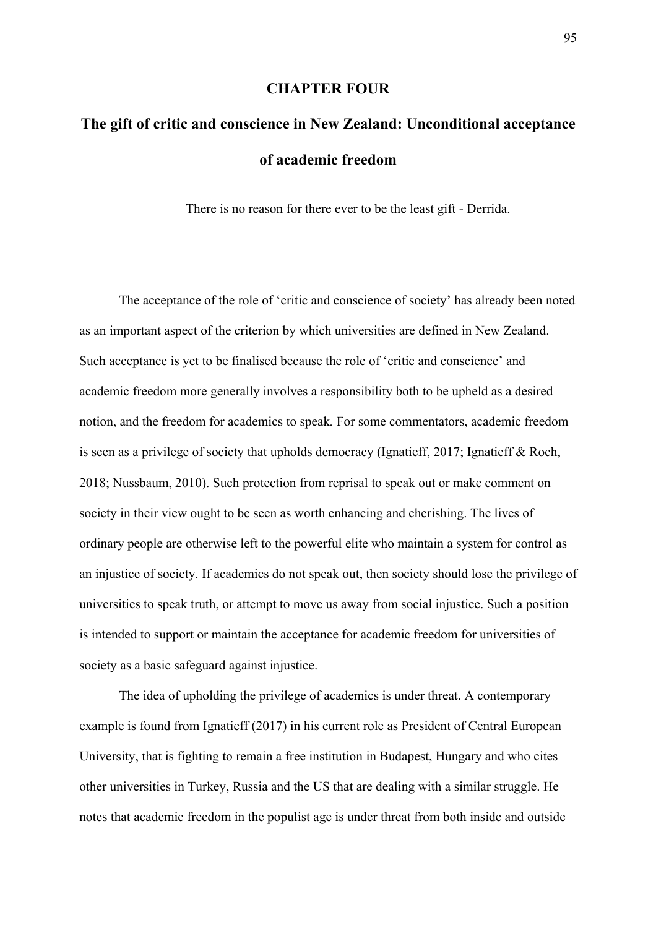## **CHAPTER FOUR**

# **The gift of critic and conscience in New Zealand: Unconditional acceptance of academic freedom**

There is no reason for there ever to be the least gift - Derrida.

The acceptance of the role of 'critic and conscience of society' has already been noted as an important aspect of the criterion by which universities are defined in New Zealand. Such acceptance is yet to be finalised because the role of 'critic and conscience' and academic freedom more generally involves a responsibility both to be upheld as a desired notion, and the freedom for academics to speak*.* For some commentators, academic freedom is seen as a privilege of society that upholds democracy (Ignatieff, 2017; Ignatieff & Roch, 2018; Nussbaum, 2010). Such protection from reprisal to speak out or make comment on society in their view ought to be seen as worth enhancing and cherishing. The lives of ordinary people are otherwise left to the powerful elite who maintain a system for control as an injustice of society. If academics do not speak out, then society should lose the privilege of universities to speak truth, or attempt to move us away from social injustice. Such a position is intended to support or maintain the acceptance for academic freedom for universities of society as a basic safeguard against injustice.

The idea of upholding the privilege of academics is under threat. A contemporary example is found from Ignatieff (2017) in his current role as President of Central European University, that is fighting to remain a free institution in Budapest, Hungary and who cites other universities in Turkey, Russia and the US that are dealing with a similar struggle. He notes that academic freedom in the populist age is under threat from both inside and outside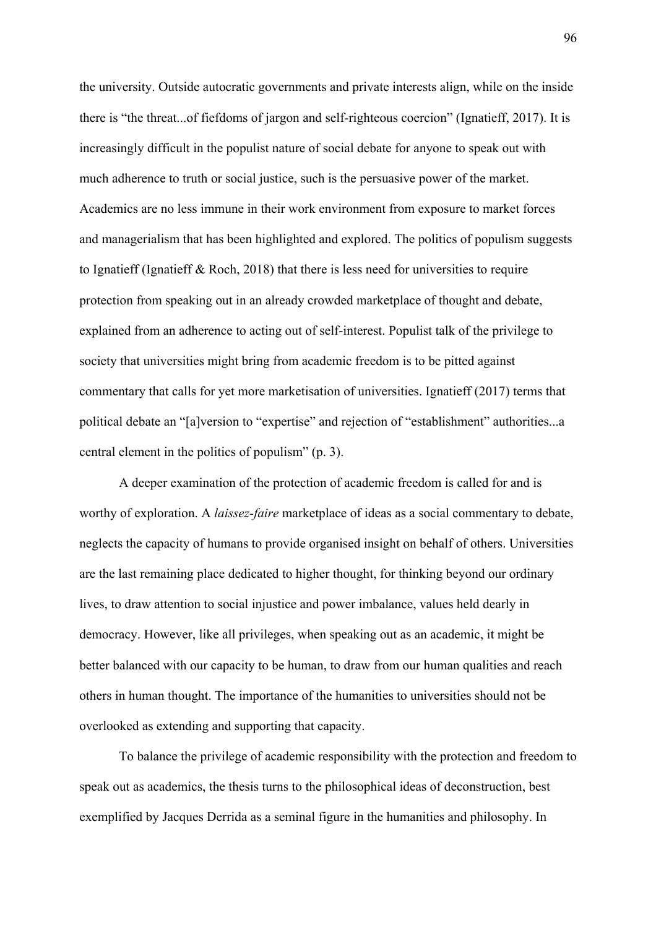the university. Outside autocratic governments and private interests align, while on the inside there is "the threat...of fiefdoms of jargon and self-righteous coercion" (Ignatieff, 2017). It is increasingly difficult in the populist nature of social debate for anyone to speak out with much adherence to truth or social justice, such is the persuasive power of the market. Academics are no less immune in their work environment from exposure to market forces and managerialism that has been highlighted and explored. The politics of populism suggests to Ignatieff (Ignatieff & Roch, 2018) that there is less need for universities to require protection from speaking out in an already crowded marketplace of thought and debate, explained from an adherence to acting out of self-interest. Populist talk of the privilege to society that universities might bring from academic freedom is to be pitted against commentary that calls for yet more marketisation of universities. Ignatieff (2017) terms that political debate an "[a]version to "expertise" and rejection of "establishment" authorities...a central element in the politics of populism" (p. 3).

A deeper examination of the protection of academic freedom is called for and is worthy of exploration. A *laissez-faire* marketplace of ideas as a social commentary to debate, neglects the capacity of humans to provide organised insight on behalf of others. Universities are the last remaining place dedicated to higher thought, for thinking beyond our ordinary lives, to draw attention to social injustice and power imbalance, values held dearly in democracy. However, like all privileges, when speaking out as an academic, it might be better balanced with our capacity to be human, to draw from our human qualities and reach others in human thought. The importance of the humanities to universities should not be overlooked as extending and supporting that capacity.

To balance the privilege of academic responsibility with the protection and freedom to speak out as academics, the thesis turns to the philosophical ideas of deconstruction, best exemplified by Jacques Derrida as a seminal figure in the humanities and philosophy. In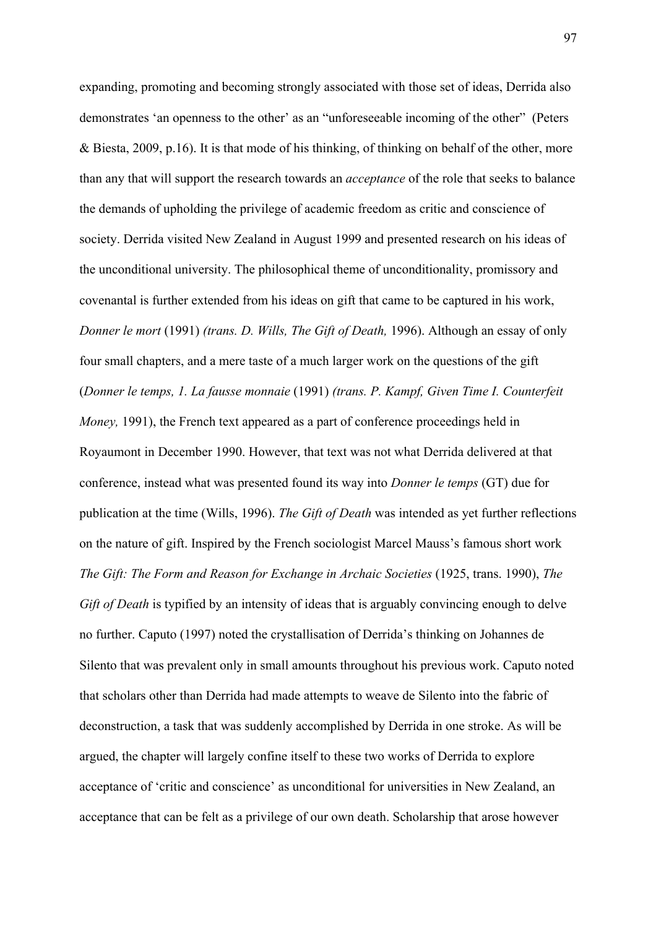expanding, promoting and becoming strongly associated with those set of ideas, Derrida also demonstrates 'an openness to the other' as an "unforeseeable incoming of the other" (Peters & Biesta, 2009, p.16). It is that mode of his thinking, of thinking on behalf of the other, more than any that will support the research towards an *acceptance* of the role that seeks to balance the demands of upholding the privilege of academic freedom as critic and conscience of society. Derrida visited New Zealand in August 1999 and presented research on his ideas of the unconditional university. The philosophical theme of unconditionality, promissory and covenantal is further extended from his ideas on gift that came to be captured in his work, *Donner le mort* (1991) *(trans. D. Wills, The Gift of Death,* 1996). Although an essay of only four small chapters, and a mere taste of a much larger work on the questions of the gift (*Donner le temps, 1. La fausse monnaie* (1991) *(trans. P. Kampf, Given Time I. Counterfeit Money,* 1991), the French text appeared as a part of conference proceedings held in Royaumont in December 1990. However, that text was not what Derrida delivered at that conference, instead what was presented found its way into *Donner le temps* (GT) due for publication at the time (Wills, 1996). *The Gift of Death* was intended as yet further reflections on the nature of gift. Inspired by the French sociologist Marcel Mauss's famous short work *The Gift: The Form and Reason for Exchange in Archaic Societies (1925, trans. 1990), The Gift of Death* is typified by an intensity of ideas that is arguably convincing enough to delve no further. Caputo (1997) noted the crystallisation of Derrida's thinking on Johannes de Silento that was prevalent only in small amounts throughout his previous work. Caputo noted that scholars other than Derrida had made attempts to weave de Silento into the fabric of deconstruction, a task that was suddenly accomplished by Derrida in one stroke. As will be argued, the chapter will largely confine itself to these two works of Derrida to explore acceptance of 'critic and conscience' as unconditional for universities in New Zealand, an acceptance that can be felt as a privilege of our own death. Scholarship that arose however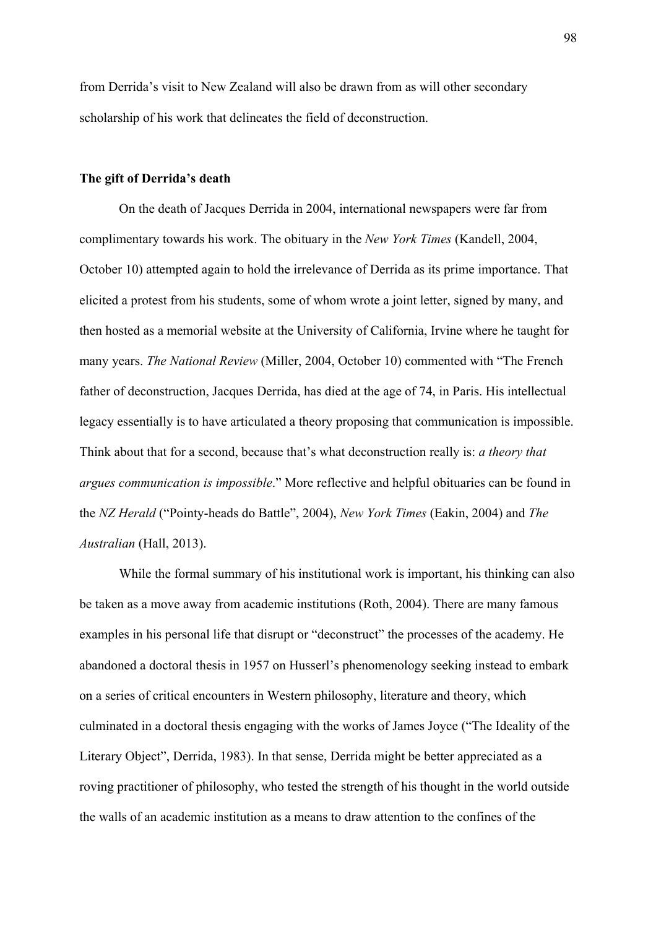from Derrida's visit to New Zealand will also be drawn from as will other secondary scholarship of his work that delineates the field of deconstruction.

## **The gift of Derrida's death**

On the death of Jacques Derrida in 2004, international newspapers were far from complimentary towards his work. The obituary in the *New York Times* (Kandell, 2004, October 10) attempted again to hold the irrelevance of Derrida as its prime importance. That elicited a protest from his students, some of whom wrote a joint letter, signed by many, and then hosted as a memorial website at the University of California, Irvine where he taught for many years. *The National Review* (Miller, 2004, October 10) commented with "The French father of deconstruction, Jacques Derrida, has died at the age of 74, in Paris. His intellectual legacy essentially is to have articulated a theory proposing that communication is impossible. Think about that for a second, because that's what deconstruction really is: *a theory that argues communication is impossible*." More reflective and helpful obituaries can be found in the *NZ Herald* ("Pointy-heads do Battle", 2004), *New York Times* (Eakin, 2004) and *The Australian* (Hall, 2013).

While the formal summary of his institutional work is important, his thinking can also be taken as a move away from academic institutions (Roth, 2004). There are many famous examples in his personal life that disrupt or "deconstruct" the processes of the academy. He abandoned a doctoral thesis in 1957 on Husserl's phenomenology seeking instead to embark on a series of critical encounters in Western philosophy, literature and theory, which culminated in a doctoral thesis engaging with the works of James Joyce ("The Ideality of the Literary Object", Derrida, 1983). In that sense, Derrida might be better appreciated as a roving practitioner of philosophy, who tested the strength of his thought in the world outside the walls of an academic institution as a means to draw attention to the confines of the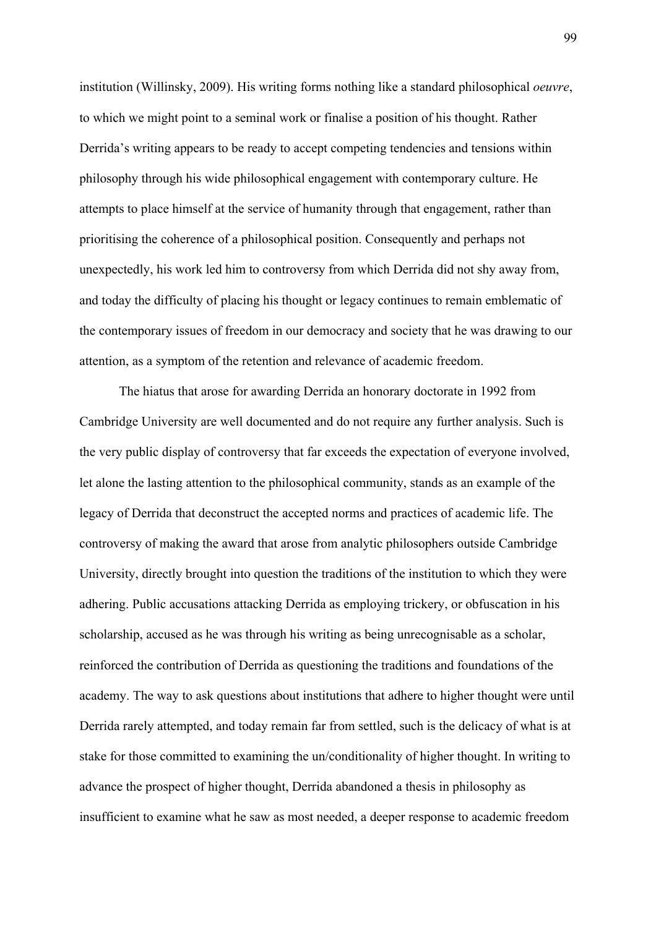institution (Willinsky, 2009). His writing forms nothing like a standard philosophical *oeuvre*, to which we might point to a seminal work or finalise a position of his thought. Rather Derrida's writing appears to be ready to accept competing tendencies and tensions within philosophy through his wide philosophical engagement with contemporary culture. He attempts to place himself at the service of humanity through that engagement, rather than prioritising the coherence of a philosophical position. Consequently and perhaps not unexpectedly, his work led him to controversy from which Derrida did not shy away from, and today the difficulty of placing his thought or legacy continues to remain emblematic of the contemporary issues of freedom in our democracy and society that he was drawing to our attention, as a symptom of the retention and relevance of academic freedom.

The hiatus that arose for awarding Derrida an honorary doctorate in 1992 from Cambridge University are well documented and do not require any further analysis. Such is the very public display of controversy that far exceeds the expectation of everyone involved, let alone the lasting attention to the philosophical community, stands as an example of the legacy of Derrida that deconstruct the accepted norms and practices of academic life. The controversy of making the award that arose from analytic philosophers outside Cambridge University, directly brought into question the traditions of the institution to which they were adhering. Public accusations attacking Derrida as employing trickery, or obfuscation in his scholarship, accused as he was through his writing as being unrecognisable as a scholar, reinforced the contribution of Derrida as questioning the traditions and foundations of the academy. The way to ask questions about institutions that adhere to higher thought were until Derrida rarely attempted, and today remain far from settled, such is the delicacy of what is at stake for those committed to examining the un/conditionality of higher thought. In writing to advance the prospect of higher thought, Derrida abandoned a thesis in philosophy as insufficient to examine what he saw as most needed, a deeper response to academic freedom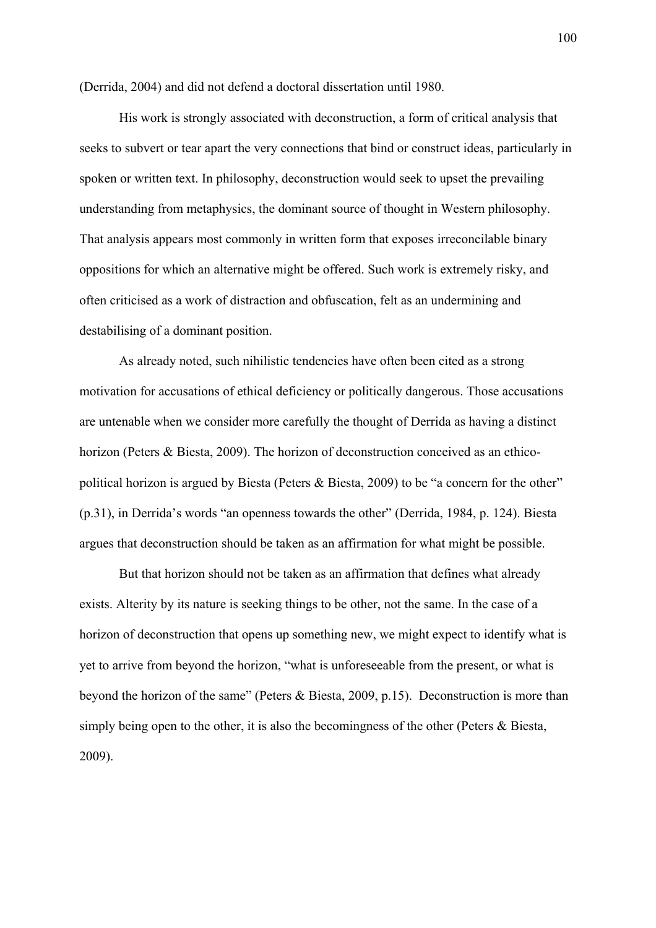(Derrida, 2004) and did not defend a doctoral dissertation until 1980.

His work is strongly associated with deconstruction, a form of critical analysis that seeks to subvert or tear apart the very connections that bind or construct ideas, particularly in spoken or written text. In philosophy, deconstruction would seek to upset the prevailing understanding from metaphysics, the dominant source of thought in Western philosophy. That analysis appears most commonly in written form that exposes irreconcilable binary oppositions for which an alternative might be offered. Such work is extremely risky, and often criticised as a work of distraction and obfuscation, felt as an undermining and destabilising of a dominant position.

As already noted, such nihilistic tendencies have often been cited as a strong motivation for accusations of ethical deficiency or politically dangerous. Those accusations are untenable when we consider more carefully the thought of Derrida as having a distinct horizon (Peters & Biesta, 2009). The horizon of deconstruction conceived as an ethicopolitical horizon is argued by Biesta (Peters & Biesta, 2009) to be "a concern for the other" (p.31), in Derrida's words "an openness towards the other" (Derrida, 1984, p. 124). Biesta argues that deconstruction should be taken as an affirmation for what might be possible.

But that horizon should not be taken as an affirmation that defines what already exists. Alterity by its nature is seeking things to be other, not the same. In the case of a horizon of deconstruction that opens up something new, we might expect to identify what is yet to arrive from beyond the horizon, "what is unforeseeable from the present, or what is beyond the horizon of the same" (Peters & Biesta, 2009, p.15). Deconstruction is more than simply being open to the other, it is also the becomingness of the other (Peters & Biesta, 2009).

100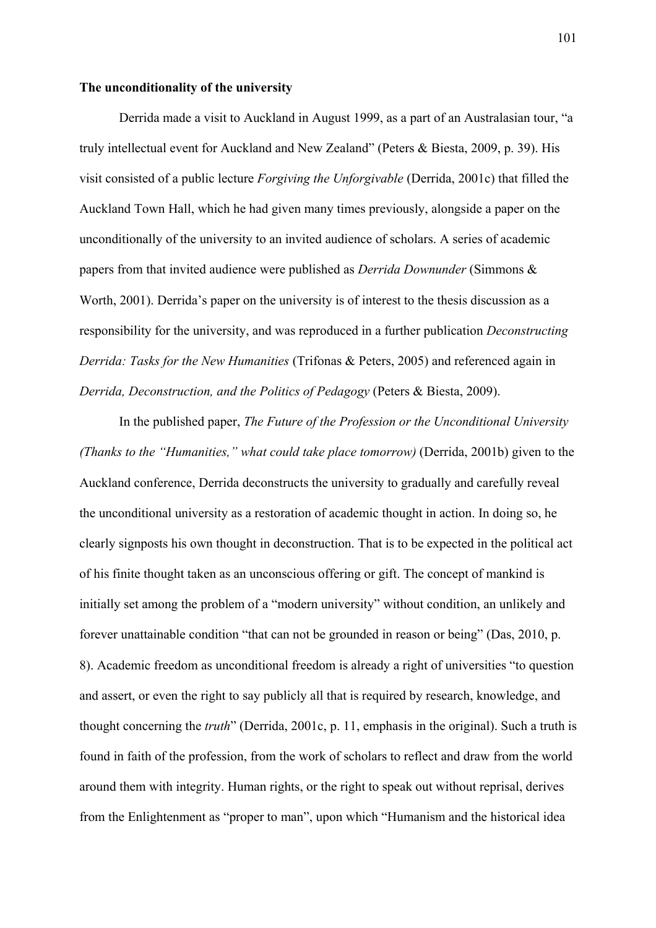## **The unconditionality of the university**

Derrida made a visit to Auckland in August 1999, as a part of an Australasian tour, "a truly intellectual event for Auckland and New Zealand" (Peters & Biesta, 2009, p. 39). His visit consisted of a public lecture *Forgiving the Unforgivable* (Derrida, 2001c) that filled the Auckland Town Hall, which he had given many times previously, alongside a paper on the unconditionally of the university to an invited audience of scholars. A series of academic papers from that invited audience were published as *Derrida Downunder* (Simmons & Worth, 2001). Derrida's paper on the university is of interest to the thesis discussion as a responsibility for the university, and was reproduced in a further publication *Deconstructing Derrida: Tasks for the New Humanities* (Trifonas & Peters, 2005) and referenced again in *Derrida, Deconstruction, and the Politics of Pedagogy* (Peters & Biesta, 2009).

In the published paper, *The Future of the Profession or the Unconditional University (Thanks to the "Humanities," what could take place tomorrow)* (Derrida, 2001b) given to the Auckland conference, Derrida deconstructs the university to gradually and carefully reveal the unconditional university as a restoration of academic thought in action. In doing so, he clearly signposts his own thought in deconstruction. That is to be expected in the political act of his finite thought taken as an unconscious offering or gift. The concept of mankind is initially set among the problem of a "modern university" without condition, an unlikely and forever unattainable condition "that can not be grounded in reason or being" (Das, 2010, p. 8). Academic freedom as unconditional freedom is already a right of universities "to question and assert, or even the right to say publicly all that is required by research, knowledge, and thought concerning the *truth*" (Derrida, 2001c, p. 11, emphasis in the original). Such a truth is found in faith of the profession, from the work of scholars to reflect and draw from the world around them with integrity. Human rights, or the right to speak out without reprisal, derives from the Enlightenment as "proper to man", upon which "Humanism and the historical idea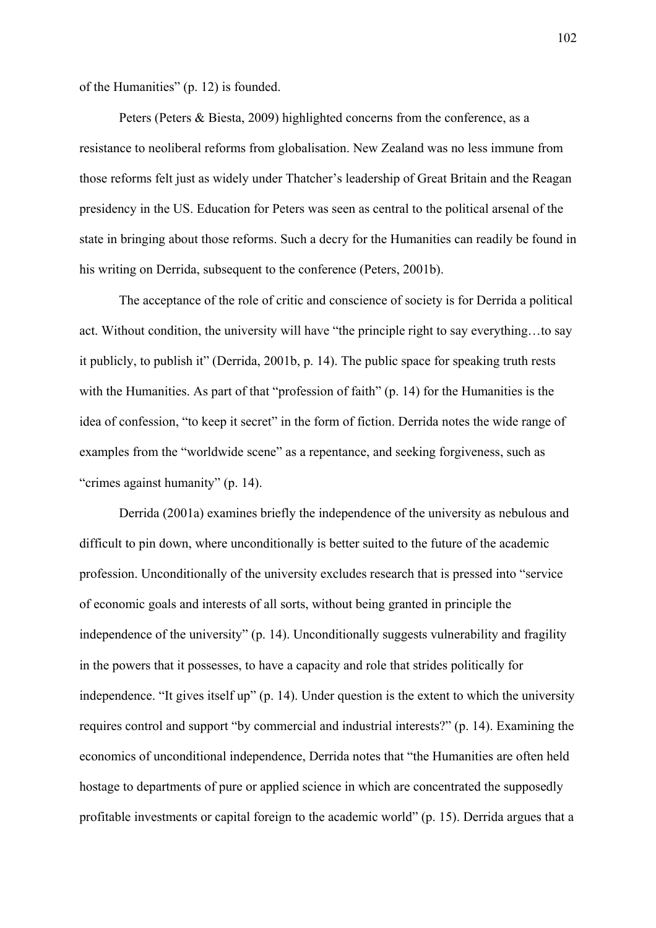of the Humanities" (p. 12) is founded.

 Peters (Peters & Biesta, 2009) highlighted concerns from the conference, as a resistance to neoliberal reforms from globalisation. New Zealand was no less immune from those reforms felt just as widely under Thatcher's leadership of Great Britain and the Reagan presidency in the US. Education for Peters was seen as central to the political arsenal of the state in bringing about those reforms. Such a decry for the Humanities can readily be found in his writing on Derrida, subsequent to the conference (Peters, 2001b).

 The acceptance of the role of critic and conscience of society is for Derrida a political act. Without condition, the university will have "the principle right to say everything…to say it publicly, to publish it" (Derrida, 2001b, p. 14). The public space for speaking truth rests with the Humanities. As part of that "profession of faith" (p. 14) for the Humanities is the idea of confession, "to keep it secret" in the form of fiction. Derrida notes the wide range of examples from the "worldwide scene" as a repentance, and seeking forgiveness, such as "crimes against humanity" (p. 14).

 Derrida (2001a) examines briefly the independence of the university as nebulous and difficult to pin down, where unconditionally is better suited to the future of the academic profession. Unconditionally of the university excludes research that is pressed into "service of economic goals and interests of all sorts, without being granted in principle the independence of the university" (p. 14). Unconditionally suggests vulnerability and fragility in the powers that it possesses, to have a capacity and role that strides politically for independence. "It gives itself up" (p. 14). Under question is the extent to which the university requires control and support "by commercial and industrial interests?" (p. 14). Examining the economics of unconditional independence, Derrida notes that "the Humanities are often held hostage to departments of pure or applied science in which are concentrated the supposedly profitable investments or capital foreign to the academic world" (p. 15). Derrida argues that a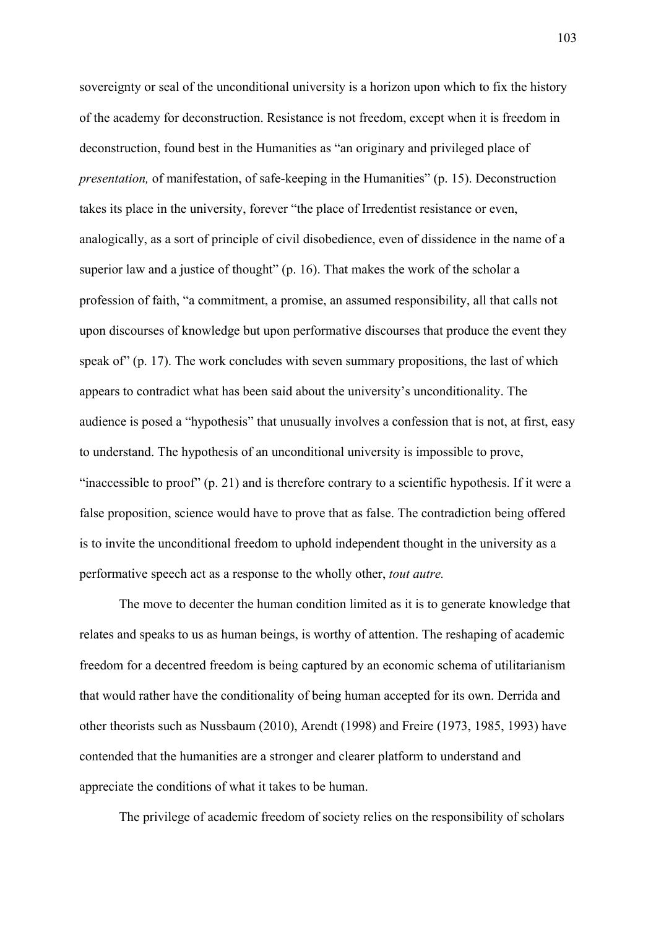sovereignty or seal of the unconditional university is a horizon upon which to fix the history of the academy for deconstruction. Resistance is not freedom, except when it is freedom in deconstruction, found best in the Humanities as "an originary and privileged place of *presentation,* of manifestation, of safe-keeping in the Humanities" (p. 15). Deconstruction takes its place in the university, forever "the place of Irredentist resistance or even, analogically, as a sort of principle of civil disobedience, even of dissidence in the name of a superior law and a justice of thought" (p. 16). That makes the work of the scholar a profession of faith, "a commitment, a promise, an assumed responsibility, all that calls not upon discourses of knowledge but upon performative discourses that produce the event they speak of" (p. 17). The work concludes with seven summary propositions, the last of which appears to contradict what has been said about the university's unconditionality. The audience is posed a "hypothesis" that unusually involves a confession that is not, at first, easy to understand. The hypothesis of an unconditional university is impossible to prove, "inaccessible to proof" (p. 21) and is therefore contrary to a scientific hypothesis. If it were a false proposition, science would have to prove that as false. The contradiction being offered is to invite the unconditional freedom to uphold independent thought in the university as a performative speech act as a response to the wholly other, *tout autre.* 

The move to decenter the human condition limited as it is to generate knowledge that relates and speaks to us as human beings, is worthy of attention. The reshaping of academic freedom for a decentred freedom is being captured by an economic schema of utilitarianism that would rather have the conditionality of being human accepted for its own. Derrida and other theorists such as Nussbaum (2010), Arendt (1998) and Freire (1973, 1985, 1993) have contended that the humanities are a stronger and clearer platform to understand and appreciate the conditions of what it takes to be human.

The privilege of academic freedom of society relies on the responsibility of scholars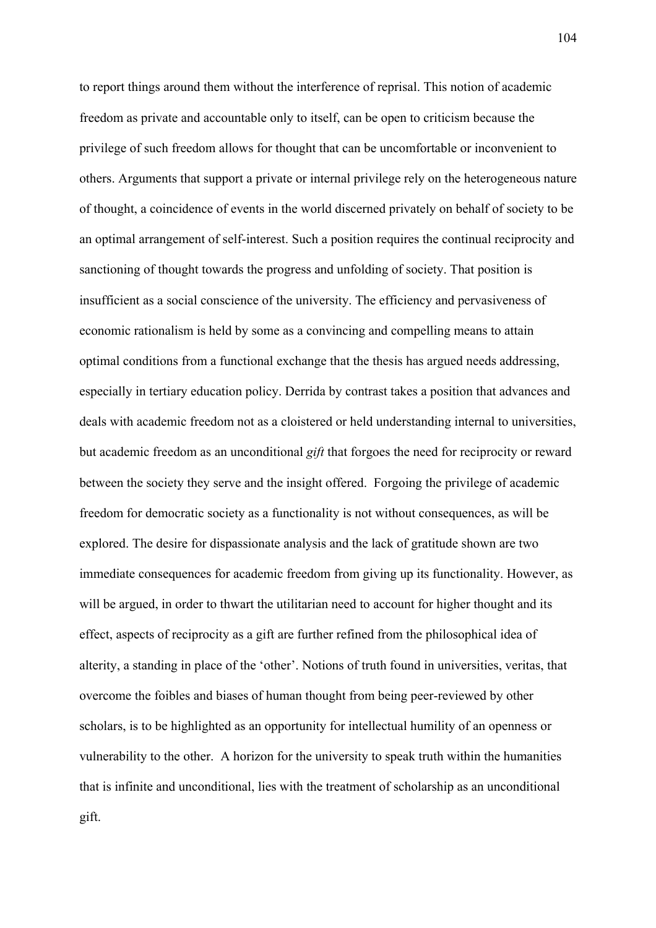to report things around them without the interference of reprisal. This notion of academic freedom as private and accountable only to itself, can be open to criticism because the privilege of such freedom allows for thought that can be uncomfortable or inconvenient to others. Arguments that support a private or internal privilege rely on the heterogeneous nature of thought, a coincidence of events in the world discerned privately on behalf of society to be an optimal arrangement of self-interest. Such a position requires the continual reciprocity and sanctioning of thought towards the progress and unfolding of society. That position is insufficient as a social conscience of the university. The efficiency and pervasiveness of economic rationalism is held by some as a convincing and compelling means to attain optimal conditions from a functional exchange that the thesis has argued needs addressing, especially in tertiary education policy. Derrida by contrast takes a position that advances and deals with academic freedom not as a cloistered or held understanding internal to universities, but academic freedom as an unconditional *gift* that forgoes the need for reciprocity or reward between the society they serve and the insight offered. Forgoing the privilege of academic freedom for democratic society as a functionality is not without consequences, as will be explored. The desire for dispassionate analysis and the lack of gratitude shown are two immediate consequences for academic freedom from giving up its functionality. However, as will be argued, in order to thwart the utilitarian need to account for higher thought and its effect, aspects of reciprocity as a gift are further refined from the philosophical idea of alterity, a standing in place of the 'other'. Notions of truth found in universities, veritas, that overcome the foibles and biases of human thought from being peer-reviewed by other scholars, is to be highlighted as an opportunity for intellectual humility of an openness or vulnerability to the other. A horizon for the university to speak truth within the humanities that is infinite and unconditional, lies with the treatment of scholarship as an unconditional gift.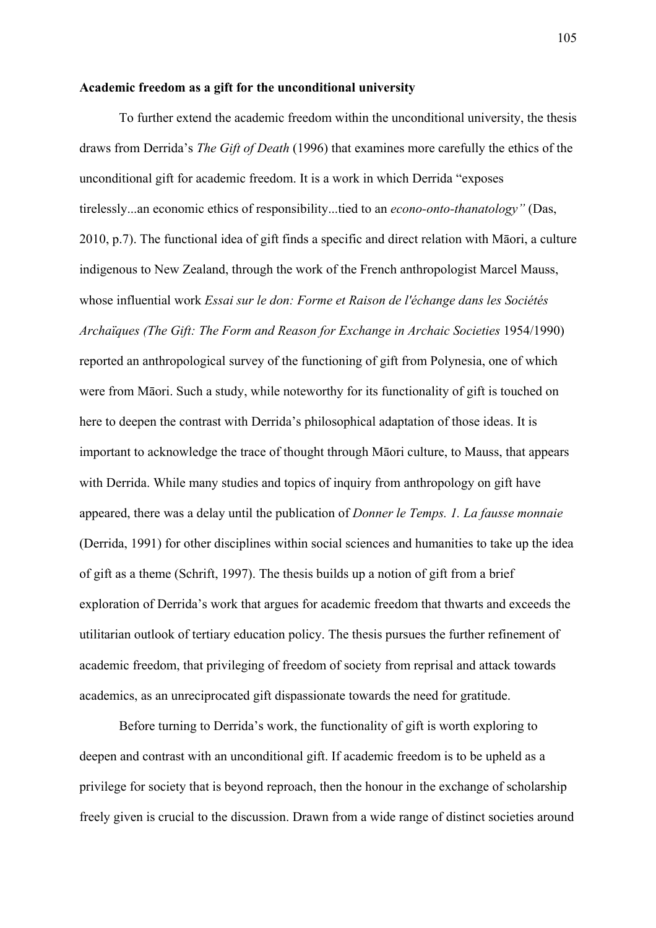## **Academic freedom as a gift for the unconditional university**

To further extend the academic freedom within the unconditional university, the thesis draws from Derrida's *The Gift of Death* (1996) that examines more carefully the ethics of the unconditional gift for academic freedom. It is a work in which Derrida "exposes tirelessly...an economic ethics of responsibility...tied to an *econo-onto-thanatology"* (Das, 2010, p.7). The functional idea of gift finds a specific and direct relation with Māori, a culture indigenous to New Zealand, through the work of the French anthropologist Marcel Mauss, whose influential work *Essai sur le don: Forme et Raison de l'échange dans les Sociétés Archaïques (The Gift: The Form and Reason for Exchange in Archaic Societies 1954/1990)* reported an anthropological survey of the functioning of gift from Polynesia, one of which were from Māori. Such a study, while noteworthy for its functionality of gift is touched on here to deepen the contrast with Derrida's philosophical adaptation of those ideas. It is important to acknowledge the trace of thought through Māori culture, to Mauss, that appears with Derrida. While many studies and topics of inquiry from anthropology on gift have appeared, there was a delay until the publication of *Donner le Temps. 1. La fausse monnaie*  (Derrida, 1991) for other disciplines within social sciences and humanities to take up the idea of gift as a theme (Schrift, 1997). The thesis builds up a notion of gift from a brief exploration of Derrida's work that argues for academic freedom that thwarts and exceeds the utilitarian outlook of tertiary education policy. The thesis pursues the further refinement of academic freedom, that privileging of freedom of society from reprisal and attack towards academics, as an unreciprocated gift dispassionate towards the need for gratitude.

Before turning to Derrida's work, the functionality of gift is worth exploring to deepen and contrast with an unconditional gift. If academic freedom is to be upheld as a privilege for society that is beyond reproach, then the honour in the exchange of scholarship freely given is crucial to the discussion. Drawn from a wide range of distinct societies around

105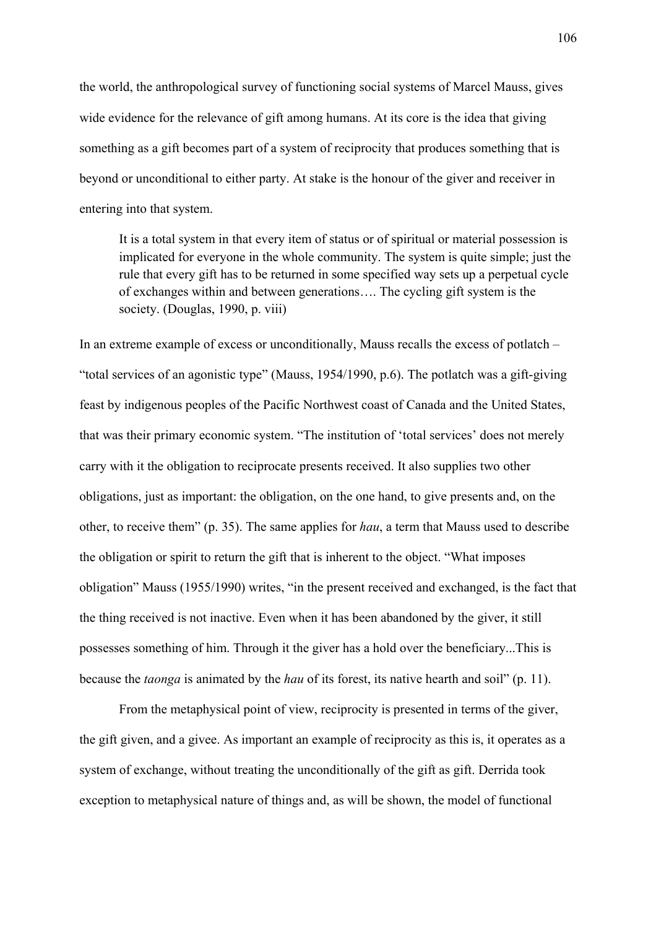the world, the anthropological survey of functioning social systems of Marcel Mauss, gives wide evidence for the relevance of gift among humans. At its core is the idea that giving something as a gift becomes part of a system of reciprocity that produces something that is beyond or unconditional to either party. At stake is the honour of the giver and receiver in entering into that system.

It is a total system in that every item of status or of spiritual or material possession is implicated for everyone in the whole community. The system is quite simple; just the rule that every gift has to be returned in some specified way sets up a perpetual cycle of exchanges within and between generations…. The cycling gift system is the society. (Douglas, 1990, p. viii)

In an extreme example of excess or unconditionally, Mauss recalls the excess of potlatch – "total services of an agonistic type" (Mauss, 1954/1990, p.6). The potlatch was a gift-giving feast by indigenous peoples of the Pacific Northwest coast of Canada and the United States, that was their primary economic system. "The institution of 'total services' does not merely carry with it the obligation to reciprocate presents received. It also supplies two other obligations, just as important: the obligation, on the one hand, to give presents and, on the other, to receive them" (p. 35). The same applies for *hau*, a term that Mauss used to describe the obligation or spirit to return the gift that is inherent to the object. "What imposes obligation" Mauss (1955/1990) writes, "in the present received and exchanged, is the fact that the thing received is not inactive. Even when it has been abandoned by the giver, it still possesses something of him. Through it the giver has a hold over the beneficiary...This is because the *taonga* is animated by the *hau* of its forest, its native hearth and soil" (p. 11).

From the metaphysical point of view, reciprocity is presented in terms of the giver, the gift given, and a givee. As important an example of reciprocity as this is, it operates as a system of exchange, without treating the unconditionally of the gift as gift. Derrida took exception to metaphysical nature of things and, as will be shown, the model of functional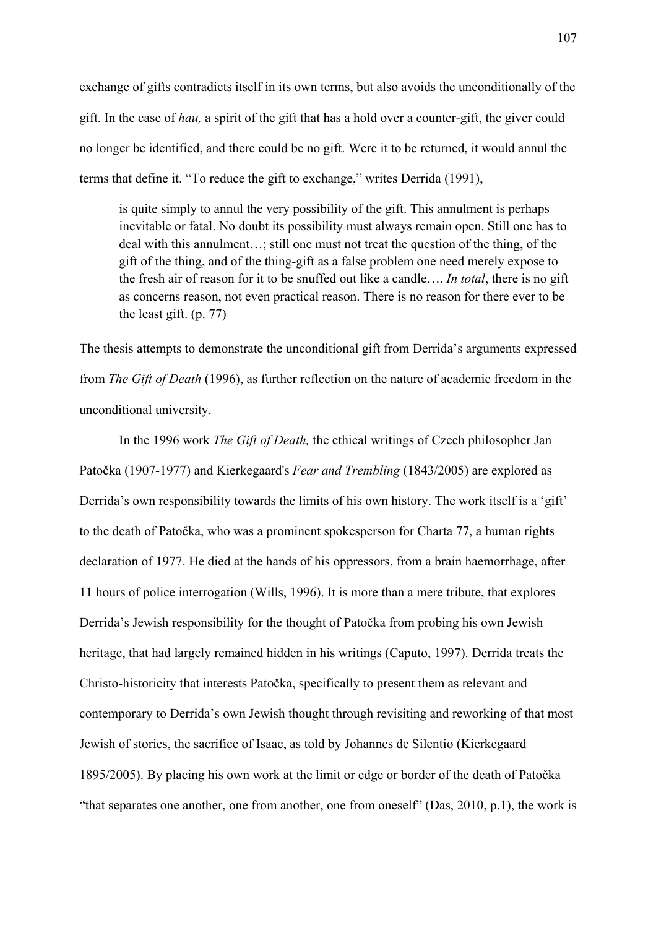exchange of gifts contradicts itself in its own terms, but also avoids the unconditionally of the gift. In the case of *hau,* a spirit of the gift that has a hold over a counter-gift, the giver could no longer be identified, and there could be no gift. Were it to be returned, it would annul the terms that define it. "To reduce the gift to exchange," writes Derrida (1991),

is quite simply to annul the very possibility of the gift. This annulment is perhaps inevitable or fatal. No doubt its possibility must always remain open. Still one has to deal with this annulment…; still one must not treat the question of the thing, of the gift of the thing, and of the thing-gift as a false problem one need merely expose to the fresh air of reason for it to be snuffed out like a candle…. *In total*, there is no gift as concerns reason, not even practical reason. There is no reason for there ever to be the least gift. (p. 77)

The thesis attempts to demonstrate the unconditional gift from Derrida's arguments expressed from *The Gift of Death* (1996), as further reflection on the nature of academic freedom in the unconditional university.

In the 1996 work *The Gift of Death,* the ethical writings of Czech philosopher Jan Patočka (1907-1977) and Kierkegaard's *Fear and Trembling* (1843/2005) are explored as Derrida's own responsibility towards the limits of his own history. The work itself is a 'gift' to the death of Patočka, who was a prominent spokesperson for Charta 77, a human rights declaration of 1977. He died at the hands of his oppressors, from a brain haemorrhage, after 11 hours of police interrogation (Wills, 1996). It is more than a mere tribute, that explores Derrida's Jewish responsibility for the thought of Patočka from probing his own Jewish heritage, that had largely remained hidden in his writings (Caputo, 1997). Derrida treats the Christo-historicity that interests Patočka, specifically to present them as relevant and contemporary to Derrida's own Jewish thought through revisiting and reworking of that most Jewish of stories, the sacrifice of Isaac, as told by Johannes de Silentio (Kierkegaard 1895/2005). By placing his own work at the limit or edge or border of the death of Patočka "that separates one another, one from another, one from oneself" (Das, 2010, p.1), the work is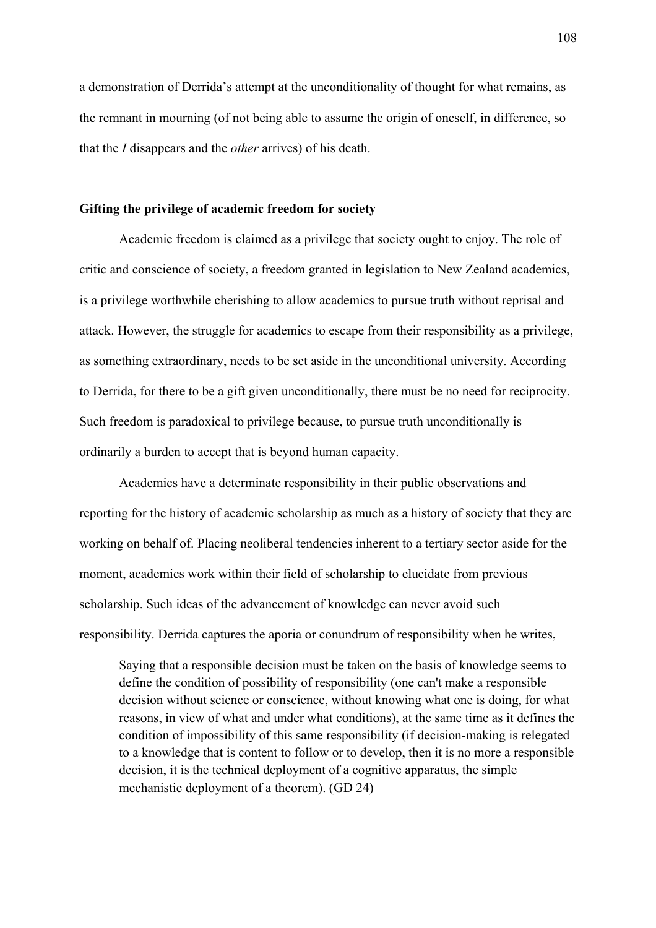a demonstration of Derrida's attempt at the unconditionality of thought for what remains, as the remnant in mourning (of not being able to assume the origin of oneself, in difference, so that the *I* disappears and the *other* arrives) of his death.

## **Gifting the privilege of academic freedom for society**

Academic freedom is claimed as a privilege that society ought to enjoy. The role of critic and conscience of society, a freedom granted in legislation to New Zealand academics, is a privilege worthwhile cherishing to allow academics to pursue truth without reprisal and attack. However, the struggle for academics to escape from their responsibility as a privilege, as something extraordinary, needs to be set aside in the unconditional university. According to Derrida, for there to be a gift given unconditionally, there must be no need for reciprocity. Such freedom is paradoxical to privilege because, to pursue truth unconditionally is ordinarily a burden to accept that is beyond human capacity.

Academics have a determinate responsibility in their public observations and reporting for the history of academic scholarship as much as a history of society that they are working on behalf of. Placing neoliberal tendencies inherent to a tertiary sector aside for the moment, academics work within their field of scholarship to elucidate from previous scholarship. Such ideas of the advancement of knowledge can never avoid such responsibility. Derrida captures the aporia or conundrum of responsibility when he writes,

Saying that a responsible decision must be taken on the basis of knowledge seems to define the condition of possibility of responsibility (one can't make a responsible decision without science or conscience, without knowing what one is doing, for what reasons, in view of what and under what conditions), at the same time as it defines the condition of impossibility of this same responsibility (if decision-making is relegated to a knowledge that is content to follow or to develop, then it is no more a responsible decision, it is the technical deployment of a cognitive apparatus, the simple mechanistic deployment of a theorem). (GD 24)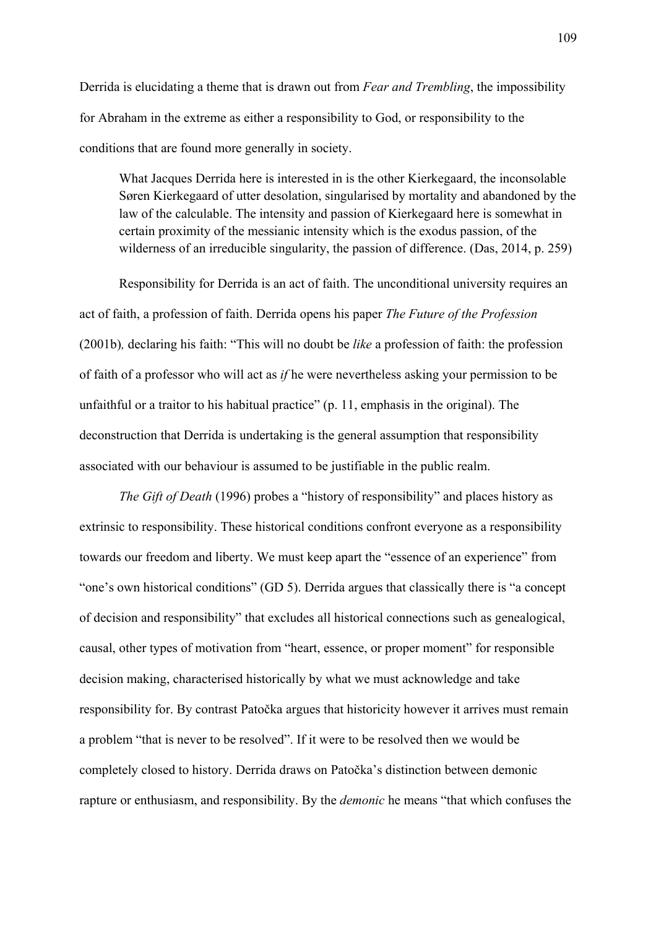Derrida is elucidating a theme that is drawn out from *Fear and Trembling*, the impossibility for Abraham in the extreme as either a responsibility to God, or responsibility to the conditions that are found more generally in society.

What Jacques Derrida here is interested in is the other Kierkegaard, the inconsolable Søren Kierkegaard of utter desolation, singularised by mortality and abandoned by the law of the calculable. The intensity and passion of Kierkegaard here is somewhat in certain proximity of the messianic intensity which is the exodus passion, of the wilderness of an irreducible singularity, the passion of difference. (Das, 2014, p. 259)

Responsibility for Derrida is an act of faith. The unconditional university requires an act of faith, a profession of faith. Derrida opens his paper *The Future of the Profession*  (2001b)*,* declaring his faith: "This will no doubt be *like* a profession of faith: the profession of faith of a professor who will act as *if* he were nevertheless asking your permission to be unfaithful or a traitor to his habitual practice" (p. 11, emphasis in the original). The deconstruction that Derrida is undertaking is the general assumption that responsibility associated with our behaviour is assumed to be justifiable in the public realm.

*The Gift of Death* (1996) probes a "history of responsibility" and places history as extrinsic to responsibility. These historical conditions confront everyone as a responsibility towards our freedom and liberty. We must keep apart the "essence of an experience" from "one's own historical conditions" (GD 5). Derrida argues that classically there is "a concept of decision and responsibility" that excludes all historical connections such as genealogical, causal, other types of motivation from "heart, essence, or proper moment" for responsible decision making, characterised historically by what we must acknowledge and take responsibility for. By contrast Patočka argues that historicity however it arrives must remain a problem "that is never to be resolved". If it were to be resolved then we would be completely closed to history. Derrida draws on Patočka's distinction between demonic rapture or enthusiasm, and responsibility. By the *demonic* he means "that which confuses the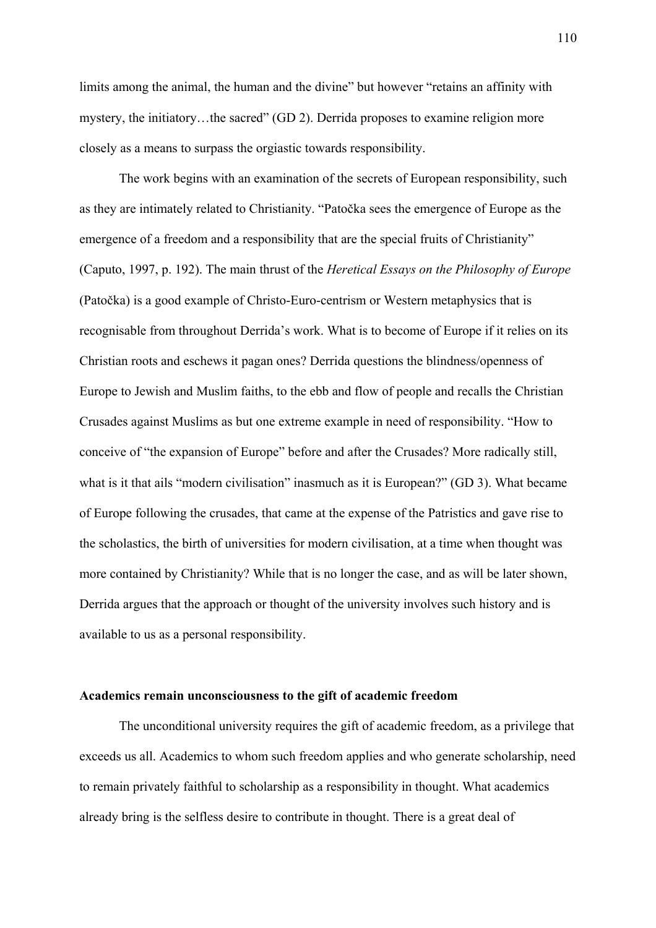limits among the animal, the human and the divine" but however "retains an affinity with mystery, the initiatory…the sacred" (GD 2). Derrida proposes to examine religion more closely as a means to surpass the orgiastic towards responsibility.

The work begins with an examination of the secrets of European responsibility, such as they are intimately related to Christianity. "Patočka sees the emergence of Europe as the emergence of a freedom and a responsibility that are the special fruits of Christianity" (Caputo, 1997, p. 192). The main thrust of the *Heretical Essays on the Philosophy of Europe* (Patočka) is a good example of Christo-Euro-centrism or Western metaphysics that is recognisable from throughout Derrida's work. What is to become of Europe if it relies on its Christian roots and eschews it pagan ones? Derrida questions the blindness/openness of Europe to Jewish and Muslim faiths, to the ebb and flow of people and recalls the Christian Crusades against Muslims as but one extreme example in need of responsibility. "How to conceive of "the expansion of Europe" before and after the Crusades? More radically still, what is it that ails "modern civilisation" inasmuch as it is European?" (GD 3). What became of Europe following the crusades, that came at the expense of the Patristics and gave rise to the scholastics, the birth of universities for modern civilisation, at a time when thought was more contained by Christianity? While that is no longer the case, and as will be later shown, Derrida argues that the approach or thought of the university involves such history and is available to us as a personal responsibility.

## **Academics remain unconsciousness to the gift of academic freedom**

The unconditional university requires the gift of academic freedom, as a privilege that exceeds us all. Academics to whom such freedom applies and who generate scholarship, need to remain privately faithful to scholarship as a responsibility in thought. What academics already bring is the selfless desire to contribute in thought. There is a great deal of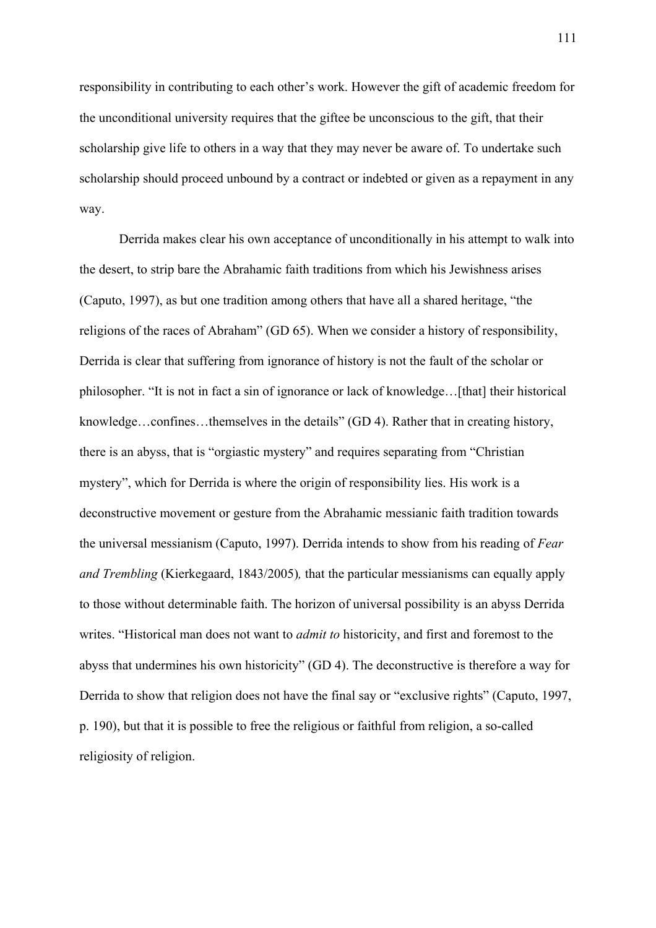responsibility in contributing to each other's work. However the gift of academic freedom for the unconditional university requires that the giftee be unconscious to the gift, that their scholarship give life to others in a way that they may never be aware of. To undertake such scholarship should proceed unbound by a contract or indebted or given as a repayment in any way.

Derrida makes clear his own acceptance of unconditionally in his attempt to walk into the desert, to strip bare the Abrahamic faith traditions from which his Jewishness arises (Caputo, 1997), as but one tradition among others that have all a shared heritage, "the religions of the races of Abraham" (GD 65). When we consider a history of responsibility, Derrida is clear that suffering from ignorance of history is not the fault of the scholar or philosopher. "It is not in fact a sin of ignorance or lack of knowledge…[that] their historical knowledge…confines…themselves in the details" (GD 4). Rather that in creating history, there is an abyss, that is "orgiastic mystery" and requires separating from "Christian mystery", which for Derrida is where the origin of responsibility lies. His work is a deconstructive movement or gesture from the Abrahamic messianic faith tradition towards the universal messianism (Caputo, 1997). Derrida intends to show from his reading of *Fear and Trembling* (Kierkegaard, 1843/2005)*,* that the particular messianisms can equally apply to those without determinable faith. The horizon of universal possibility is an abyss Derrida writes. "Historical man does not want to *admit to* historicity, and first and foremost to the abyss that undermines his own historicity" (GD 4). The deconstructive is therefore a way for Derrida to show that religion does not have the final say or "exclusive rights" (Caputo, 1997, p. 190), but that it is possible to free the religious or faithful from religion, a so-called religiosity of religion.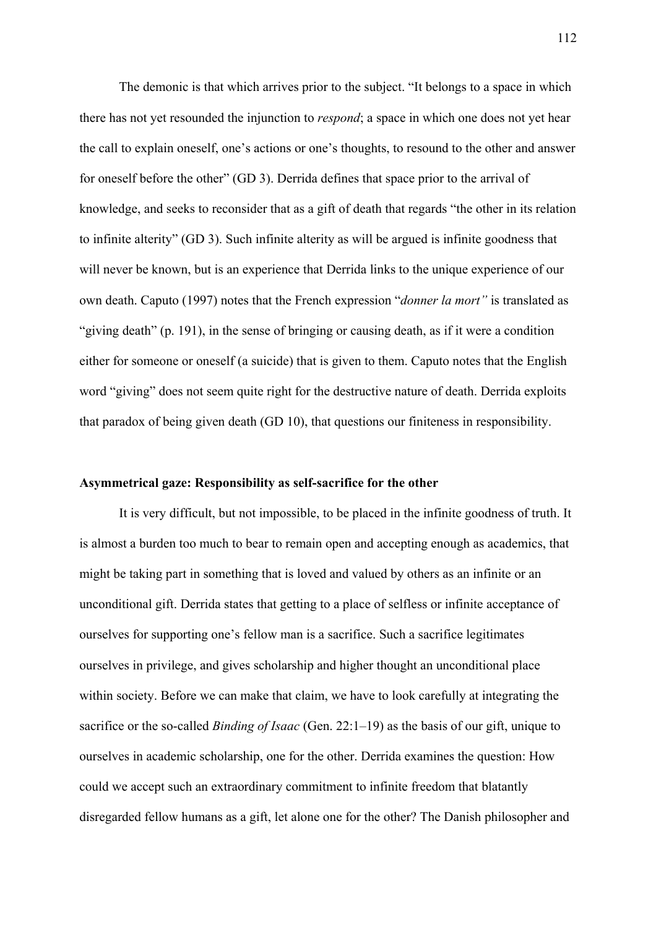The demonic is that which arrives prior to the subject. "It belongs to a space in which there has not yet resounded the injunction to *respond*; a space in which one does not yet hear the call to explain oneself, one's actions or one's thoughts, to resound to the other and answer for oneself before the other" (GD 3). Derrida defines that space prior to the arrival of knowledge, and seeks to reconsider that as a gift of death that regards "the other in its relation to infinite alterity" (GD 3). Such infinite alterity as will be argued is infinite goodness that will never be known, but is an experience that Derrida links to the unique experience of our own death. Caputo (1997) notes that the French expression "*donner la mort"* is translated as "giving death" (p. 191), in the sense of bringing or causing death, as if it were a condition either for someone or oneself (a suicide) that is given to them. Caputo notes that the English word "giving" does not seem quite right for the destructive nature of death. Derrida exploits that paradox of being given death (GD 10), that questions our finiteness in responsibility.

#### **Asymmetrical gaze: Responsibility as self-sacrifice for the other**

It is very difficult, but not impossible, to be placed in the infinite goodness of truth. It is almost a burden too much to bear to remain open and accepting enough as academics, that might be taking part in something that is loved and valued by others as an infinite or an unconditional gift. Derrida states that getting to a place of selfless or infinite acceptance of ourselves for supporting one's fellow man is a sacrifice. Such a sacrifice legitimates ourselves in privilege, and gives scholarship and higher thought an unconditional place within society. Before we can make that claim, we have to look carefully at integrating the sacrifice or the so-called *Binding of Isaac* (Gen. 22:1–19) as the basis of our gift, unique to ourselves in academic scholarship, one for the other. Derrida examines the question: How could we accept such an extraordinary commitment to infinite freedom that blatantly disregarded fellow humans as a gift, let alone one for the other? The Danish philosopher and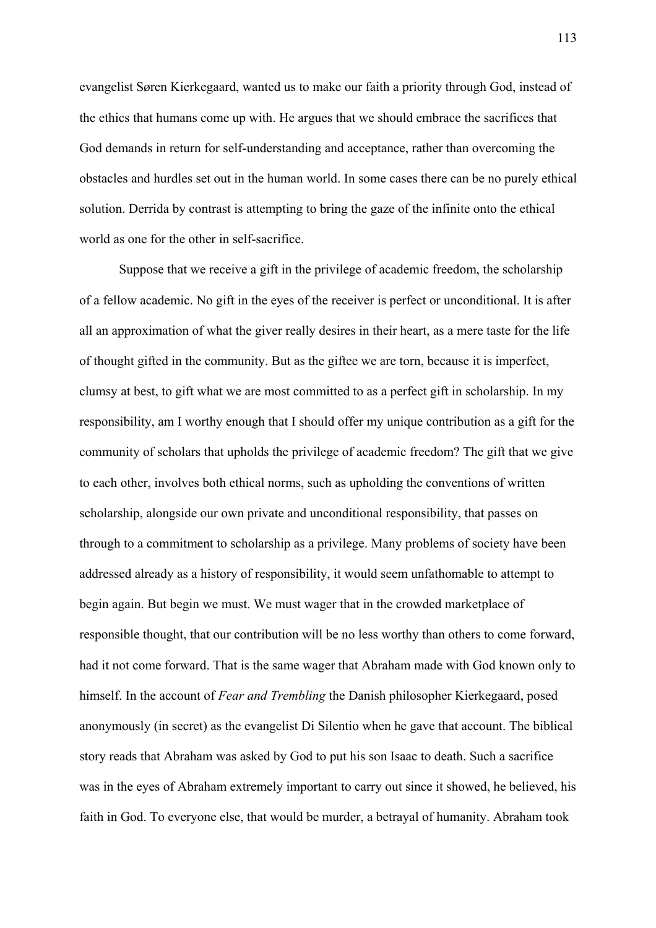evangelist Søren Kierkegaard, wanted us to make our faith a priority through God, instead of the ethics that humans come up with. He argues that we should embrace the sacrifices that God demands in return for self-understanding and acceptance, rather than overcoming the obstacles and hurdles set out in the human world. In some cases there can be no purely ethical solution. Derrida by contrast is attempting to bring the gaze of the infinite onto the ethical world as one for the other in self-sacrifice.

Suppose that we receive a gift in the privilege of academic freedom, the scholarship of a fellow academic. No gift in the eyes of the receiver is perfect or unconditional. It is after all an approximation of what the giver really desires in their heart, as a mere taste for the life of thought gifted in the community. But as the giftee we are torn, because it is imperfect, clumsy at best, to gift what we are most committed to as a perfect gift in scholarship. In my responsibility, am I worthy enough that I should offer my unique contribution as a gift for the community of scholars that upholds the privilege of academic freedom? The gift that we give to each other, involves both ethical norms, such as upholding the conventions of written scholarship, alongside our own private and unconditional responsibility, that passes on through to a commitment to scholarship as a privilege. Many problems of society have been addressed already as a history of responsibility, it would seem unfathomable to attempt to begin again. But begin we must. We must wager that in the crowded marketplace of responsible thought, that our contribution will be no less worthy than others to come forward, had it not come forward. That is the same wager that Abraham made with God known only to himself. In the account of *Fear and Trembling* the Danish philosopher Kierkegaard, posed anonymously (in secret) as the evangelist Di Silentio when he gave that account. The biblical story reads that Abraham was asked by God to put his son Isaac to death. Such a sacrifice was in the eyes of Abraham extremely important to carry out since it showed, he believed, his faith in God. To everyone else, that would be murder, a betrayal of humanity. Abraham took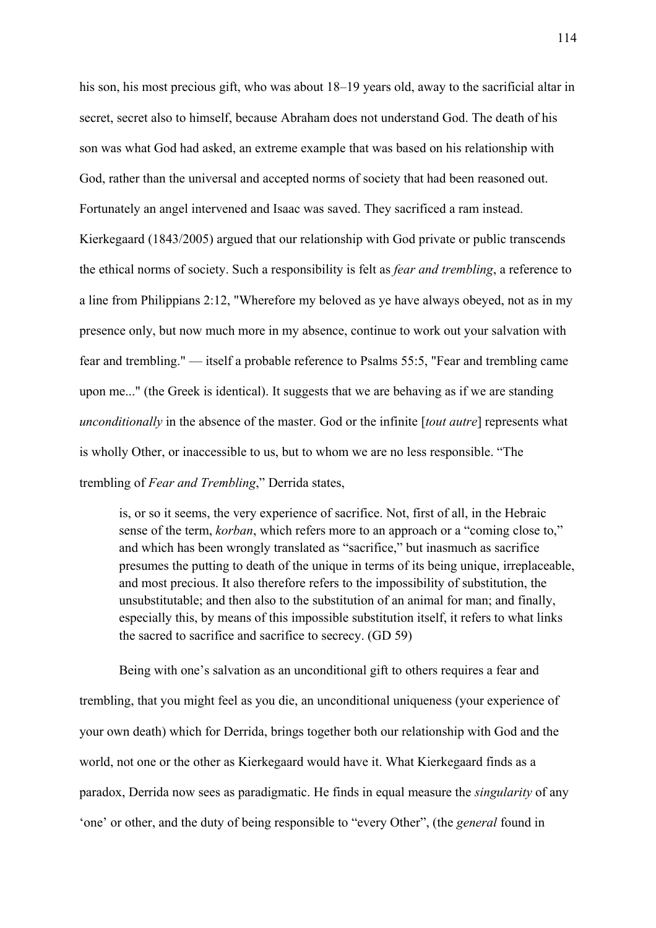his son, his most precious gift, who was about 18–19 years old, away to the sacrificial altar in secret, secret also to himself, because Abraham does not understand God. The death of his son was what God had asked, an extreme example that was based on his relationship with God, rather than the universal and accepted norms of society that had been reasoned out. Fortunately an angel intervened and Isaac was saved. They sacrificed a ram instead. Kierkegaard (1843/2005) argued that our relationship with God private or public transcends the ethical norms of society. Such a responsibility is felt as *fear and trembling*, a reference to a line from Philippians 2:12, "Wherefore my beloved as ye have always obeyed, not as in my presence only, but now much more in my absence, continue to work out your salvation with fear and trembling." — itself a probable reference to Psalms 55:5, "Fear and trembling came upon me..." (the Greek is identical). It suggests that we are behaving as if we are standing *unconditionally* in the absence of the master. God or the infinite [*tout autre*] represents what is wholly Other, or inaccessible to us, but to whom we are no less responsible. "The trembling of *Fear and Trembling*," Derrida states,

is, or so it seems, the very experience of sacrifice. Not, first of all, in the Hebraic sense of the term, *korban*, which refers more to an approach or a "coming close to," and which has been wrongly translated as "sacrifice," but inasmuch as sacrifice presumes the putting to death of the unique in terms of its being unique, irreplaceable, and most precious. It also therefore refers to the impossibility of substitution, the unsubstitutable; and then also to the substitution of an animal for man; and finally, especially this, by means of this impossible substitution itself, it refers to what links the sacred to sacrifice and sacrifice to secrecy. (GD 59)

Being with one's salvation as an unconditional gift to others requires a fear and trembling, that you might feel as you die, an unconditional uniqueness (your experience of your own death) which for Derrida, brings together both our relationship with God and the world, not one or the other as Kierkegaard would have it. What Kierkegaard finds as a paradox, Derrida now sees as paradigmatic. He finds in equal measure the *singularity* of any 'one' or other, and the duty of being responsible to "every Other", (the *general* found in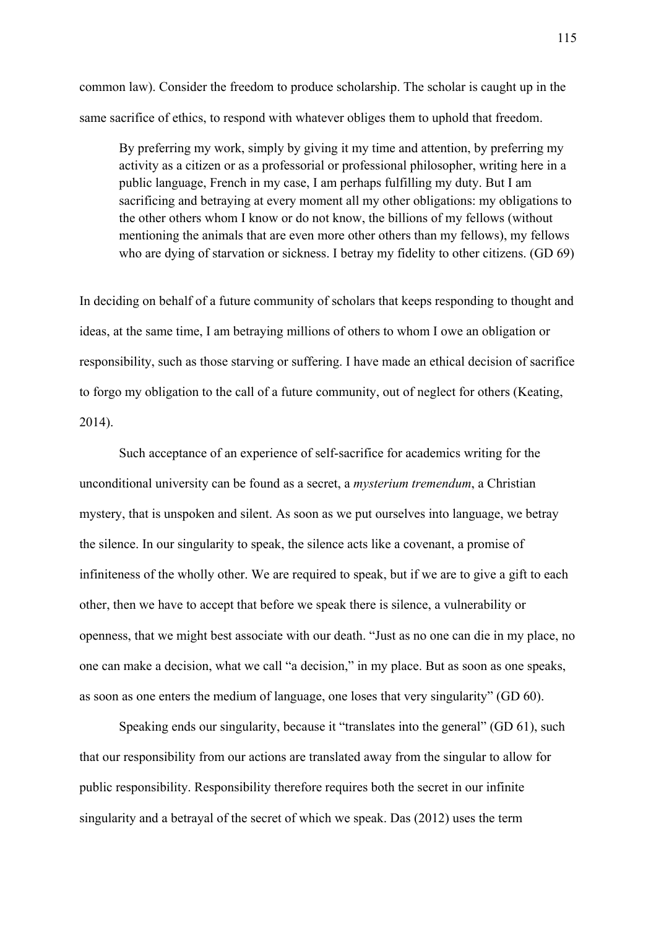common law). Consider the freedom to produce scholarship. The scholar is caught up in the same sacrifice of ethics, to respond with whatever obliges them to uphold that freedom.

By preferring my work, simply by giving it my time and attention, by preferring my activity as a citizen or as a professorial or professional philosopher, writing here in a public language, French in my case, I am perhaps fulfilling my duty. But I am sacrificing and betraying at every moment all my other obligations: my obligations to the other others whom I know or do not know, the billions of my fellows (without mentioning the animals that are even more other others than my fellows), my fellows who are dying of starvation or sickness. I betray my fidelity to other citizens. (GD 69)

In deciding on behalf of a future community of scholars that keeps responding to thought and ideas, at the same time, I am betraying millions of others to whom I owe an obligation or responsibility, such as those starving or suffering. I have made an ethical decision of sacrifice to forgo my obligation to the call of a future community, out of neglect for others (Keating, 2014).

Such acceptance of an experience of self-sacrifice for academics writing for the unconditional university can be found as a secret, a *mysterium tremendum*, a Christian mystery, that is unspoken and silent. As soon as we put ourselves into language, we betray the silence. In our singularity to speak, the silence acts like a covenant, a promise of infiniteness of the wholly other. We are required to speak, but if we are to give a gift to each other, then we have to accept that before we speak there is silence, a vulnerability or openness, that we might best associate with our death. "Just as no one can die in my place, no one can make a decision, what we call "a decision," in my place. But as soon as one speaks, as soon as one enters the medium of language, one loses that very singularity" (GD 60).

Speaking ends our singularity, because it "translates into the general" (GD 61), such that our responsibility from our actions are translated away from the singular to allow for public responsibility. Responsibility therefore requires both the secret in our infinite singularity and a betrayal of the secret of which we speak. Das (2012) uses the term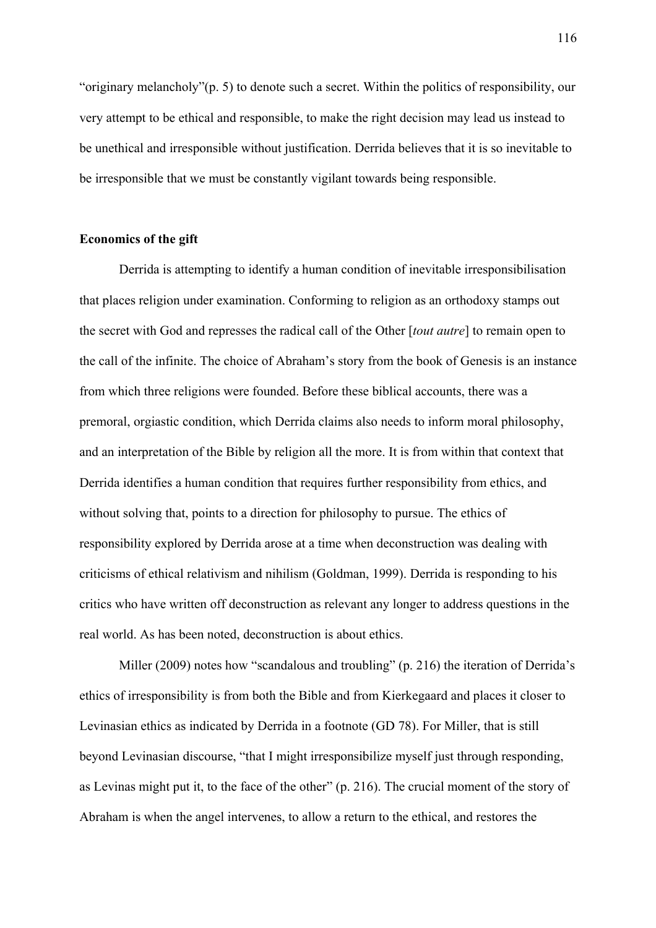"originary melancholy"(p. 5) to denote such a secret. Within the politics of responsibility, our very attempt to be ethical and responsible, to make the right decision may lead us instead to be unethical and irresponsible without justification. Derrida believes that it is so inevitable to be irresponsible that we must be constantly vigilant towards being responsible.

#### **Economics of the gift**

Derrida is attempting to identify a human condition of inevitable irresponsibilisation that places religion under examination. Conforming to religion as an orthodoxy stamps out the secret with God and represses the radical call of the Other [*tout autre*] to remain open to the call of the infinite. The choice of Abraham's story from the book of Genesis is an instance from which three religions were founded. Before these biblical accounts, there was a premoral, orgiastic condition, which Derrida claims also needs to inform moral philosophy, and an interpretation of the Bible by religion all the more. It is from within that context that Derrida identifies a human condition that requires further responsibility from ethics, and without solving that, points to a direction for philosophy to pursue. The ethics of responsibility explored by Derrida arose at a time when deconstruction was dealing with criticisms of ethical relativism and nihilism (Goldman, 1999). Derrida is responding to his critics who have written off deconstruction as relevant any longer to address questions in the real world. As has been noted, deconstruction is about ethics.

Miller (2009) notes how "scandalous and troubling" (p. 216) the iteration of Derrida's ethics of irresponsibility is from both the Bible and from Kierkegaard and places it closer to Levinasian ethics as indicated by Derrida in a footnote (GD 78). For Miller, that is still beyond Levinasian discourse, "that I might irresponsibilize myself just through responding, as Levinas might put it, to the face of the other" (p. 216). The crucial moment of the story of Abraham is when the angel intervenes, to allow a return to the ethical, and restores the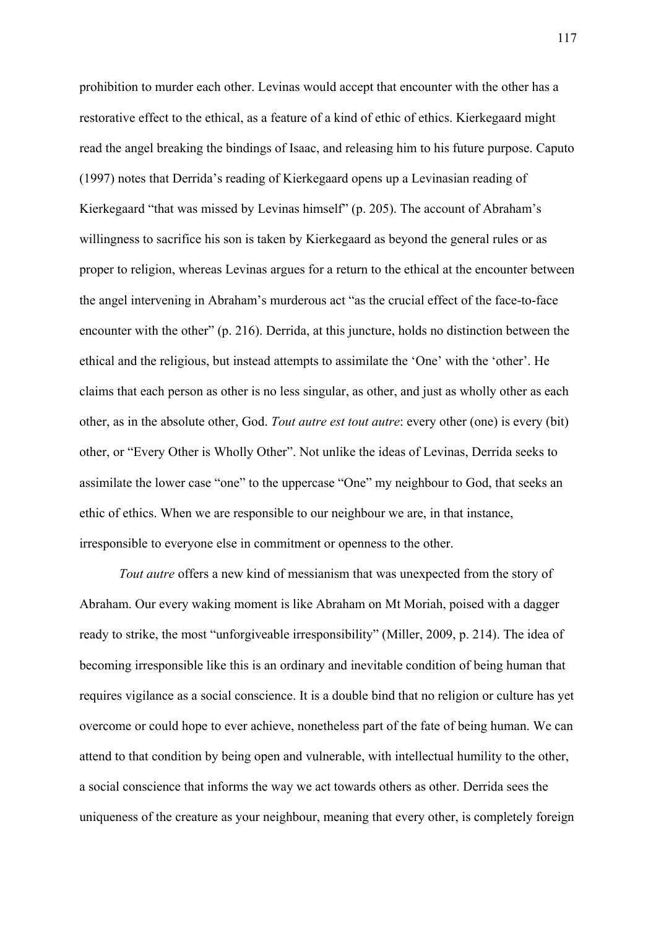prohibition to murder each other. Levinas would accept that encounter with the other has a restorative effect to the ethical, as a feature of a kind of ethic of ethics. Kierkegaard might read the angel breaking the bindings of Isaac, and releasing him to his future purpose. Caputo (1997) notes that Derrida's reading of Kierkegaard opens up a Levinasian reading of Kierkegaard "that was missed by Levinas himself" (p. 205). The account of Abraham's willingness to sacrifice his son is taken by Kierkegaard as beyond the general rules or as proper to religion, whereas Levinas argues for a return to the ethical at the encounter between the angel intervening in Abraham's murderous act "as the crucial effect of the face-to-face encounter with the other" (p. 216). Derrida, at this juncture, holds no distinction between the ethical and the religious, but instead attempts to assimilate the 'One' with the 'other'. He claims that each person as other is no less singular, as other, and just as wholly other as each other, as in the absolute other, God. *Tout autre est tout autre*: every other (one) is every (bit) other, or "Every Other is Wholly Other". Not unlike the ideas of Levinas, Derrida seeks to assimilate the lower case "one" to the uppercase "One" my neighbour to God, that seeks an ethic of ethics. When we are responsible to our neighbour we are, in that instance, irresponsible to everyone else in commitment or openness to the other.

*Tout autre* offers a new kind of messianism that was unexpected from the story of Abraham. Our every waking moment is like Abraham on Mt Moriah, poised with a dagger ready to strike, the most "unforgiveable irresponsibility" (Miller, 2009, p. 214). The idea of becoming irresponsible like this is an ordinary and inevitable condition of being human that requires vigilance as a social conscience. It is a double bind that no religion or culture has yet overcome or could hope to ever achieve, nonetheless part of the fate of being human. We can attend to that condition by being open and vulnerable, with intellectual humility to the other, a social conscience that informs the way we act towards others as other. Derrida sees the uniqueness of the creature as your neighbour, meaning that every other, is completely foreign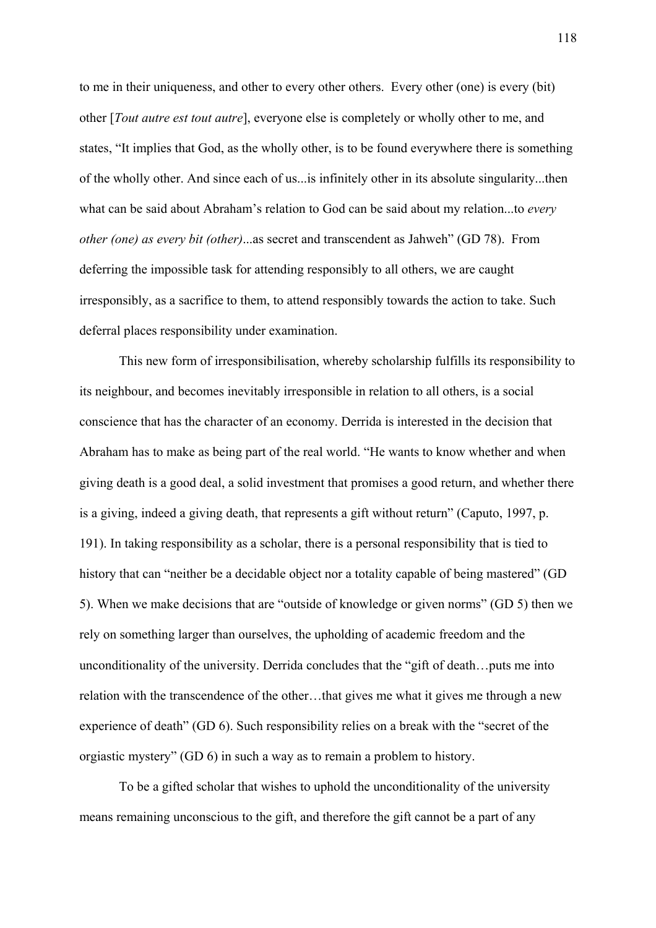to me in their uniqueness, and other to every other others. Every other (one) is every (bit) other [*Tout autre est tout autre*], everyone else is completely or wholly other to me, and states, "It implies that God, as the wholly other, is to be found everywhere there is something of the wholly other. And since each of us...is infinitely other in its absolute singularity...then what can be said about Abraham's relation to God can be said about my relation...to *every other (one) as every bit (other)*...as secret and transcendent as Jahweh" (GD 78). From deferring the impossible task for attending responsibly to all others, we are caught irresponsibly, as a sacrifice to them, to attend responsibly towards the action to take. Such deferral places responsibility under examination.

This new form of irresponsibilisation, whereby scholarship fulfills its responsibility to its neighbour, and becomes inevitably irresponsible in relation to all others, is a social conscience that has the character of an economy. Derrida is interested in the decision that Abraham has to make as being part of the real world. "He wants to know whether and when giving death is a good deal, a solid investment that promises a good return, and whether there is a giving, indeed a giving death, that represents a gift without return" (Caputo, 1997, p. 191). In taking responsibility as a scholar, there is a personal responsibility that is tied to history that can "neither be a decidable object nor a totality capable of being mastered" (GD 5). When we make decisions that are "outside of knowledge or given norms" (GD 5) then we rely on something larger than ourselves, the upholding of academic freedom and the unconditionality of the university. Derrida concludes that the "gift of death…puts me into relation with the transcendence of the other…that gives me what it gives me through a new experience of death" (GD 6). Such responsibility relies on a break with the "secret of the orgiastic mystery" (GD 6) in such a way as to remain a problem to history.

To be a gifted scholar that wishes to uphold the unconditionality of the university means remaining unconscious to the gift, and therefore the gift cannot be a part of any

118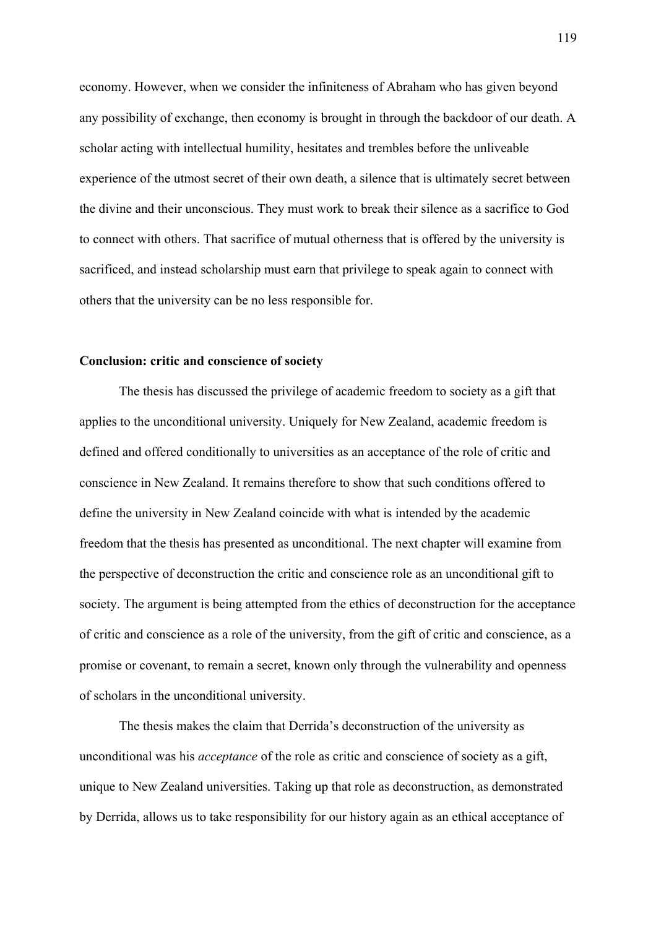economy. However, when we consider the infiniteness of Abraham who has given beyond any possibility of exchange, then economy is brought in through the backdoor of our death. A scholar acting with intellectual humility, hesitates and trembles before the unliveable experience of the utmost secret of their own death, a silence that is ultimately secret between the divine and their unconscious. They must work to break their silence as a sacrifice to God to connect with others. That sacrifice of mutual otherness that is offered by the university is sacrificed, and instead scholarship must earn that privilege to speak again to connect with others that the university can be no less responsible for.

#### **Conclusion: critic and conscience of society**

The thesis has discussed the privilege of academic freedom to society as a gift that applies to the unconditional university. Uniquely for New Zealand, academic freedom is defined and offered conditionally to universities as an acceptance of the role of critic and conscience in New Zealand. It remains therefore to show that such conditions offered to define the university in New Zealand coincide with what is intended by the academic freedom that the thesis has presented as unconditional. The next chapter will examine from the perspective of deconstruction the critic and conscience role as an unconditional gift to society. The argument is being attempted from the ethics of deconstruction for the acceptance of critic and conscience as a role of the university, from the gift of critic and conscience, as a promise or covenant, to remain a secret, known only through the vulnerability and openness of scholars in the unconditional university.

The thesis makes the claim that Derrida's deconstruction of the university as unconditional was his *acceptance* of the role as critic and conscience of society as a gift, unique to New Zealand universities. Taking up that role as deconstruction, as demonstrated by Derrida, allows us to take responsibility for our history again as an ethical acceptance of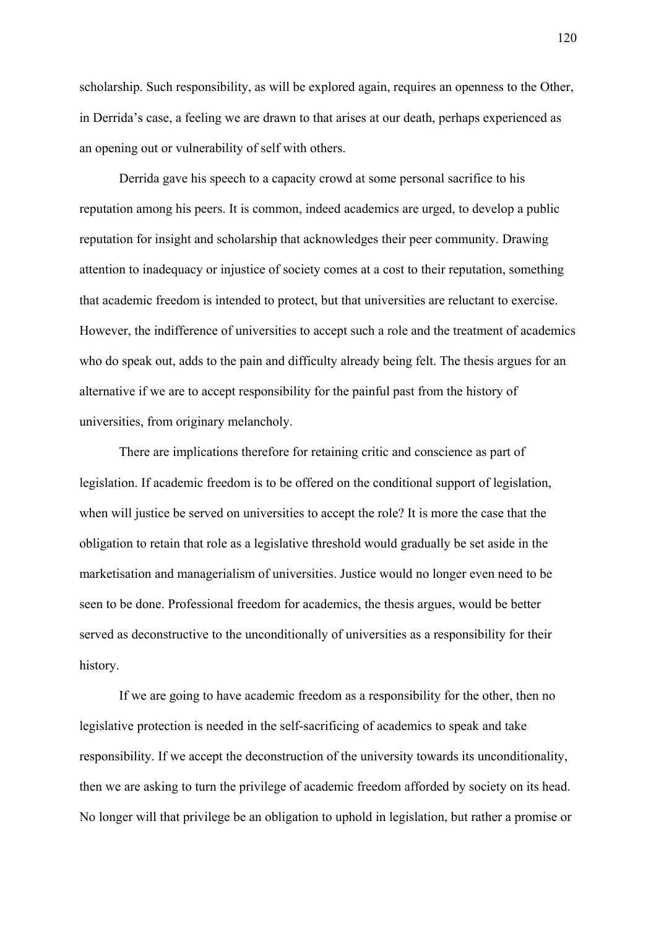scholarship. Such responsibility, as will be explored again, requires an openness to the Other, in Derrida's case, a feeling we are drawn to that arises at our death, perhaps experienced as an opening out or vulnerability of self with others.

 Derrida gave his speech to a capacity crowd at some personal sacrifice to his reputation among his peers. It is common, indeed academics are urged, to develop a public reputation for insight and scholarship that acknowledges their peer community. Drawing attention to inadequacy or injustice of society comes at a cost to their reputation, something that academic freedom is intended to protect, but that universities are reluctant to exercise. However, the indifference of universities to accept such a role and the treatment of academics who do speak out, adds to the pain and difficulty already being felt. The thesis argues for an alternative if we are to accept responsibility for the painful past from the history of universities, from originary melancholy.

 There are implications therefore for retaining critic and conscience as part of legislation. If academic freedom is to be offered on the conditional support of legislation, when will justice be served on universities to accept the role? It is more the case that the obligation to retain that role as a legislative threshold would gradually be set aside in the marketisation and managerialism of universities. Justice would no longer even need to be seen to be done. Professional freedom for academics, the thesis argues, would be better served as deconstructive to the unconditionally of universities as a responsibility for their history.

If we are going to have academic freedom as a responsibility for the other, then no legislative protection is needed in the self-sacrificing of academics to speak and take responsibility. If we accept the deconstruction of the university towards its unconditionality, then we are asking to turn the privilege of academic freedom afforded by society on its head. No longer will that privilege be an obligation to uphold in legislation, but rather a promise or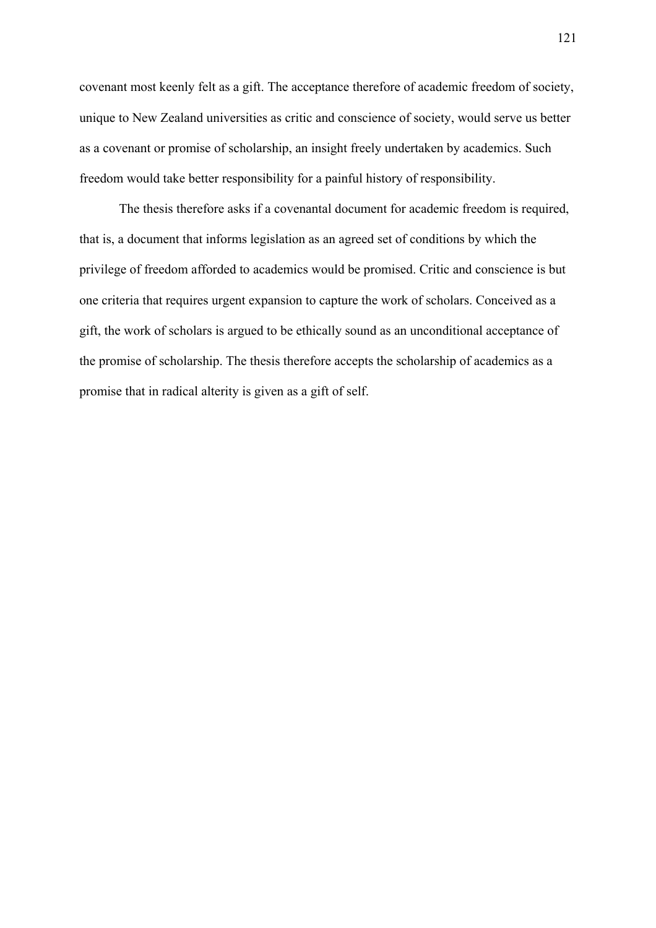covenant most keenly felt as a gift. The acceptance therefore of academic freedom of society, unique to New Zealand universities as critic and conscience of society, would serve us better as a covenant or promise of scholarship, an insight freely undertaken by academics. Such freedom would take better responsibility for a painful history of responsibility.

The thesis therefore asks if a covenantal document for academic freedom is required, that is, a document that informs legislation as an agreed set of conditions by which the privilege of freedom afforded to academics would be promised. Critic and conscience is but one criteria that requires urgent expansion to capture the work of scholars. Conceived as a gift, the work of scholars is argued to be ethically sound as an unconditional acceptance of the promise of scholarship. The thesis therefore accepts the scholarship of academics as a promise that in radical alterity is given as a gift of self.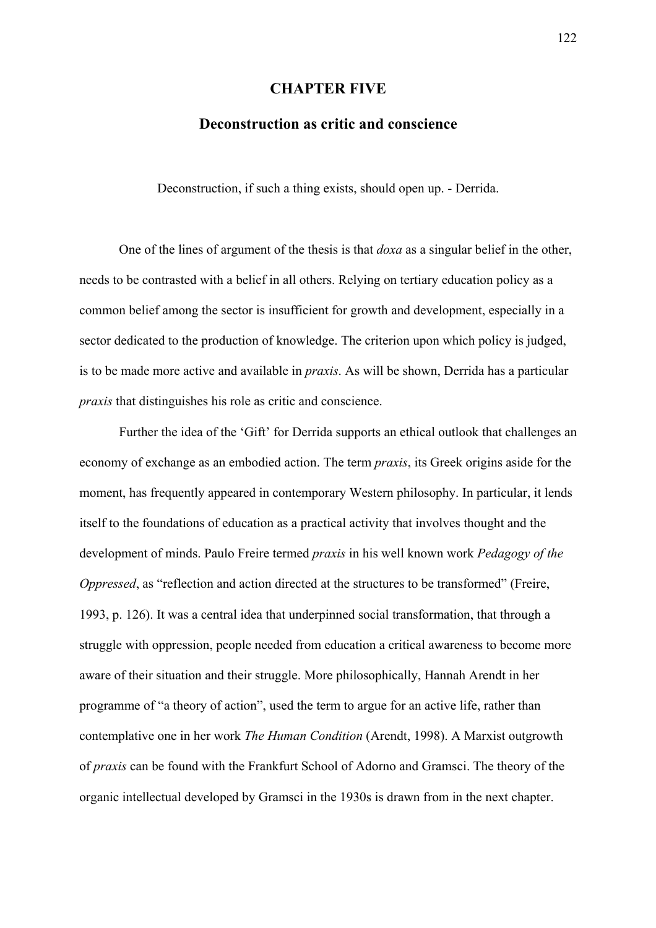## **CHAPTER FIVE**

# **Deconstruction as critic and conscience**

Deconstruction, if such a thing exists, should open up. - Derrida.

One of the lines of argument of the thesis is that *doxa* as a singular belief in the other, needs to be contrasted with a belief in all others. Relying on tertiary education policy as a common belief among the sector is insufficient for growth and development, especially in a sector dedicated to the production of knowledge. The criterion upon which policy is judged, is to be made more active and available in *praxis*. As will be shown, Derrida has a particular *praxis* that distinguishes his role as critic and conscience.

Further the idea of the 'Gift' for Derrida supports an ethical outlook that challenges an economy of exchange as an embodied action. The term *praxis*, its Greek origins aside for the moment, has frequently appeared in contemporary Western philosophy. In particular, it lends itself to the foundations of education as a practical activity that involves thought and the development of minds. Paulo Freire termed *praxis* in his well known work *Pedagogy of the Oppressed*, as "reflection and action directed at the structures to be transformed" (Freire, 1993, p. 126). It was a central idea that underpinned social transformation, that through a struggle with oppression, people needed from education a critical awareness to become more aware of their situation and their struggle. More philosophically, Hannah Arendt in her programme of "a theory of action", used the term to argue for an active life, rather than contemplative one in her work *The Human Condition* (Arendt, 1998). A Marxist outgrowth of *praxis* can be found with the Frankfurt School of Adorno and Gramsci. The theory of the organic intellectual developed by Gramsci in the 1930s is drawn from in the next chapter.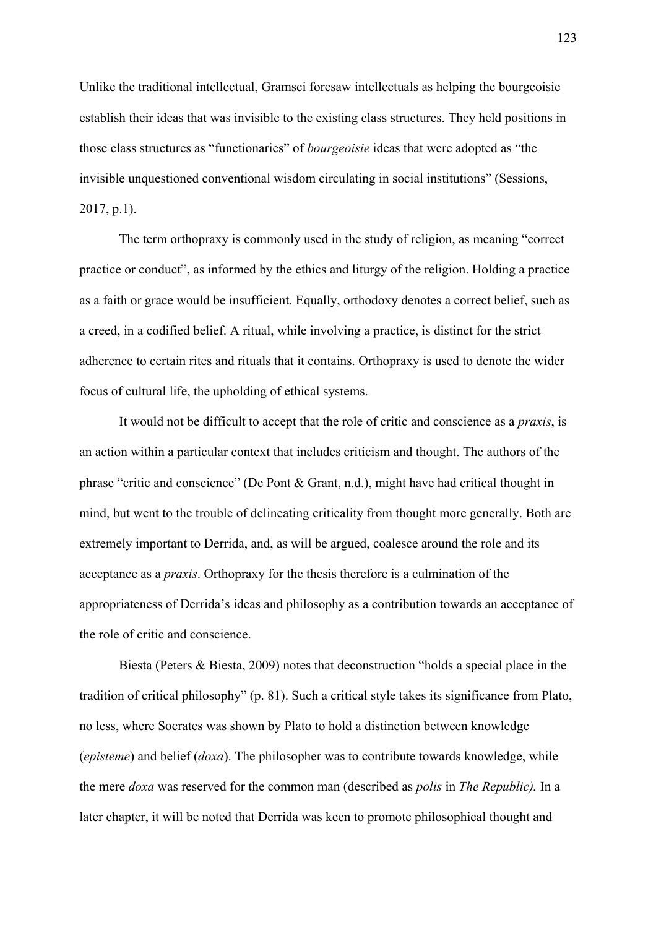Unlike the traditional intellectual, Gramsci foresaw intellectuals as helping the bourgeoisie establish their ideas that was invisible to the existing class structures. They held positions in those class structures as "functionaries" of *bourgeoisie* ideas that were adopted as "the invisible unquestioned conventional wisdom circulating in social institutions" (Sessions, 2017, p.1).

The term orthopraxy is commonly used in the study of religion, as meaning "correct practice or conduct", as informed by the ethics and liturgy of the religion. Holding a practice as a faith or grace would be insufficient. Equally, orthodoxy denotes a correct belief, such as a creed, in a codified belief. A ritual, while involving a practice, is distinct for the strict adherence to certain rites and rituals that it contains. Orthopraxy is used to denote the wider focus of cultural life, the upholding of ethical systems.

It would not be difficult to accept that the role of critic and conscience as a *praxis*, is an action within a particular context that includes criticism and thought. The authors of the phrase "critic and conscience" (De Pont & Grant, n.d.), might have had critical thought in mind, but went to the trouble of delineating criticality from thought more generally. Both are extremely important to Derrida, and, as will be argued, coalesce around the role and its acceptance as a *praxis*. Orthopraxy for the thesis therefore is a culmination of the appropriateness of Derrida's ideas and philosophy as a contribution towards an acceptance of the role of critic and conscience.

Biesta (Peters & Biesta, 2009) notes that deconstruction "holds a special place in the tradition of critical philosophy" (p. 81). Such a critical style takes its significance from Plato, no less, where Socrates was shown by Plato to hold a distinction between knowledge (*episteme*) and belief (*doxa*). The philosopher was to contribute towards knowledge, while the mere *doxa* was reserved for the common man (described as *polis* in *The Republic).* In a later chapter, it will be noted that Derrida was keen to promote philosophical thought and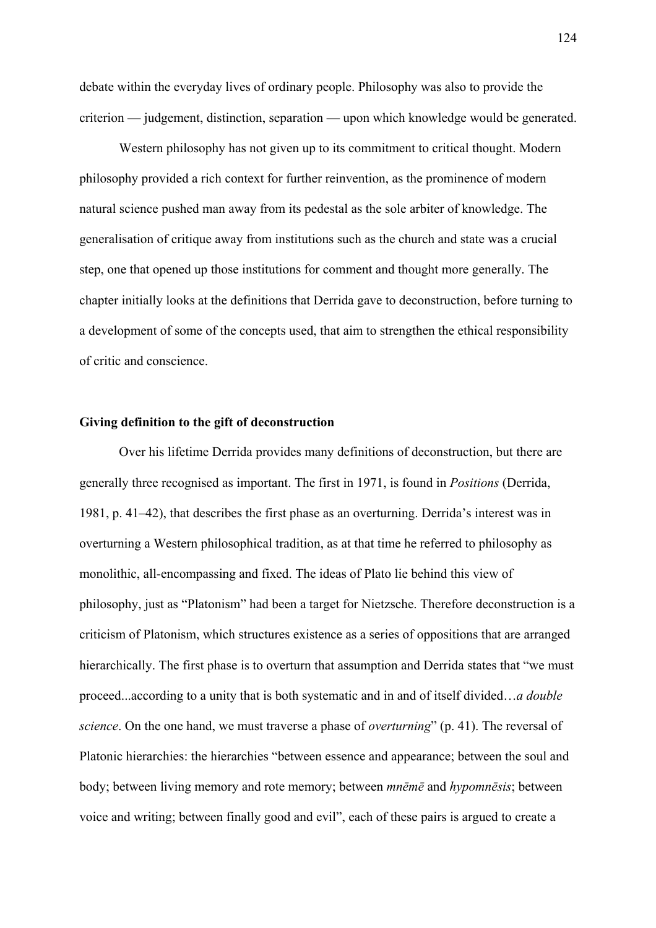debate within the everyday lives of ordinary people. Philosophy was also to provide the criterion — judgement, distinction, separation — upon which knowledge would be generated.

Western philosophy has not given up to its commitment to critical thought. Modern philosophy provided a rich context for further reinvention, as the prominence of modern natural science pushed man away from its pedestal as the sole arbiter of knowledge. The generalisation of critique away from institutions such as the church and state was a crucial step, one that opened up those institutions for comment and thought more generally. The chapter initially looks at the definitions that Derrida gave to deconstruction, before turning to a development of some of the concepts used, that aim to strengthen the ethical responsibility of critic and conscience.

## **Giving definition to the gift of deconstruction**

Over his lifetime Derrida provides many definitions of deconstruction, but there are generally three recognised as important. The first in 1971, is found in *Positions* (Derrida, 1981, p. 41‒42), that describes the first phase as an overturning. Derrida's interest was in overturning a Western philosophical tradition, as at that time he referred to philosophy as monolithic, all-encompassing and fixed. The ideas of Plato lie behind this view of philosophy, just as "Platonism" had been a target for Nietzsche. Therefore deconstruction is a criticism of Platonism, which structures existence as a series of oppositions that are arranged hierarchically. The first phase is to overturn that assumption and Derrida states that "we must proceed...according to a unity that is both systematic and in and of itself divided…*a double science*. On the one hand, we must traverse a phase of *overturning*" (p. 41). The reversal of Platonic hierarchies: the hierarchies "between essence and appearance; between the soul and body; between living memory and rote memory; between *mnēmē* and *hypomnēsis*; between voice and writing; between finally good and evil", each of these pairs is argued to create a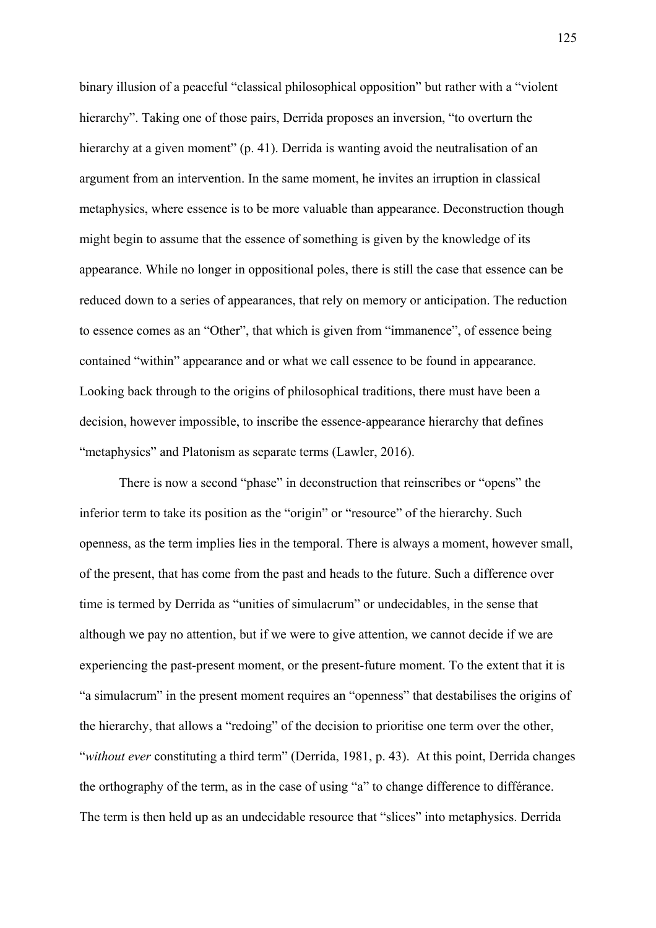binary illusion of a peaceful "classical philosophical opposition" but rather with a "violent hierarchy". Taking one of those pairs, Derrida proposes an inversion, "to overturn the hierarchy at a given moment" (p. 41). Derrida is wanting avoid the neutralisation of an argument from an intervention. In the same moment, he invites an irruption in classical metaphysics, where essence is to be more valuable than appearance. Deconstruction though might begin to assume that the essence of something is given by the knowledge of its appearance. While no longer in oppositional poles, there is still the case that essence can be reduced down to a series of appearances, that rely on memory or anticipation. The reduction to essence comes as an "Other", that which is given from "immanence", of essence being contained "within" appearance and or what we call essence to be found in appearance. Looking back through to the origins of philosophical traditions, there must have been a decision, however impossible, to inscribe the essence-appearance hierarchy that defines "metaphysics" and Platonism as separate terms (Lawler, 2016).

There is now a second "phase" in deconstruction that reinscribes or "opens" the inferior term to take its position as the "origin" or "resource" of the hierarchy. Such openness, as the term implies lies in the temporal. There is always a moment, however small, of the present, that has come from the past and heads to the future. Such a difference over time is termed by Derrida as "unities of simulacrum" or undecidables, in the sense that although we pay no attention, but if we were to give attention, we cannot decide if we are experiencing the past-present moment, or the present-future moment. To the extent that it is "a simulacrum" in the present moment requires an "openness" that destabilises the origins of the hierarchy, that allows a "redoing" of the decision to prioritise one term over the other, "*without ever* constituting a third term" (Derrida, 1981, p. 43). At this point, Derrida changes the orthography of the term, as in the case of using "a" to change difference to différance. The term is then held up as an undecidable resource that "slices" into metaphysics. Derrida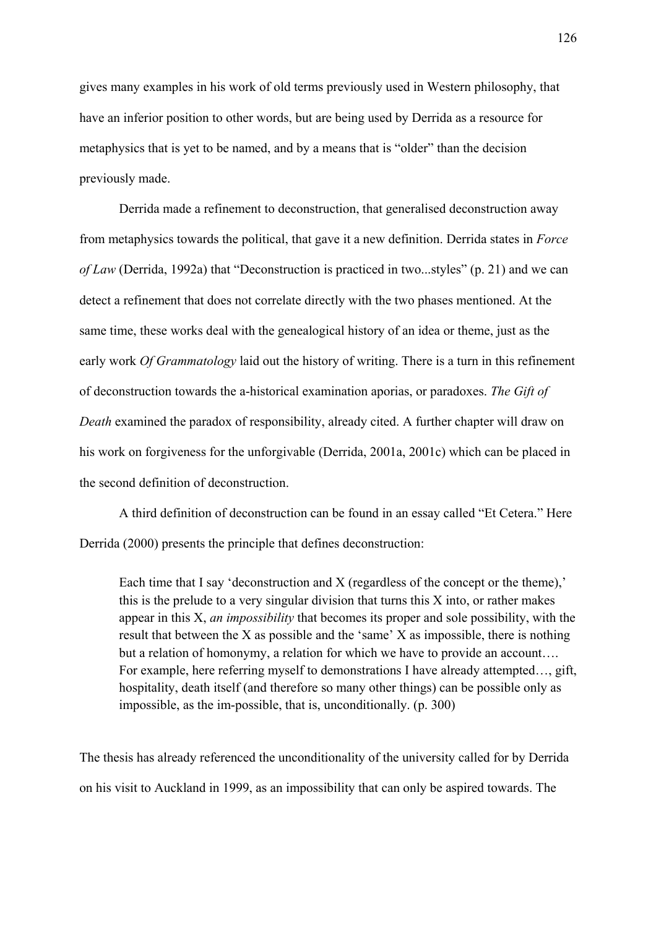gives many examples in his work of old terms previously used in Western philosophy, that have an inferior position to other words, but are being used by Derrida as a resource for metaphysics that is yet to be named, and by a means that is "older" than the decision previously made.

Derrida made a refinement to deconstruction, that generalised deconstruction away from metaphysics towards the political, that gave it a new definition. Derrida states in *Force of Law* (Derrida, 1992a) that "Deconstruction is practiced in two...styles" (p. 21) and we can detect a refinement that does not correlate directly with the two phases mentioned. At the same time, these works deal with the genealogical history of an idea or theme, just as the early work *Of Grammatology* laid out the history of writing. There is a turn in this refinement of deconstruction towards the a-historical examination aporias, or paradoxes. *The Gift of Death* examined the paradox of responsibility, already cited. A further chapter will draw on his work on forgiveness for the unforgivable (Derrida, 2001a, 2001c) which can be placed in the second definition of deconstruction.

A third definition of deconstruction can be found in an essay called "Et Cetera." Here Derrida (2000) presents the principle that defines deconstruction:

Each time that I say 'deconstruction and X (regardless of the concept or the theme),' this is the prelude to a very singular division that turns this X into, or rather makes appear in this X, *an impossibility* that becomes its proper and sole possibility, with the result that between the X as possible and the 'same' X as impossible, there is nothing but a relation of homonymy, a relation for which we have to provide an account…. For example, here referring myself to demonstrations I have already attempted…, gift, hospitality, death itself (and therefore so many other things) can be possible only as impossible, as the im-possible, that is, unconditionally. (p. 300)

The thesis has already referenced the unconditionality of the university called for by Derrida on his visit to Auckland in 1999, as an impossibility that can only be aspired towards. The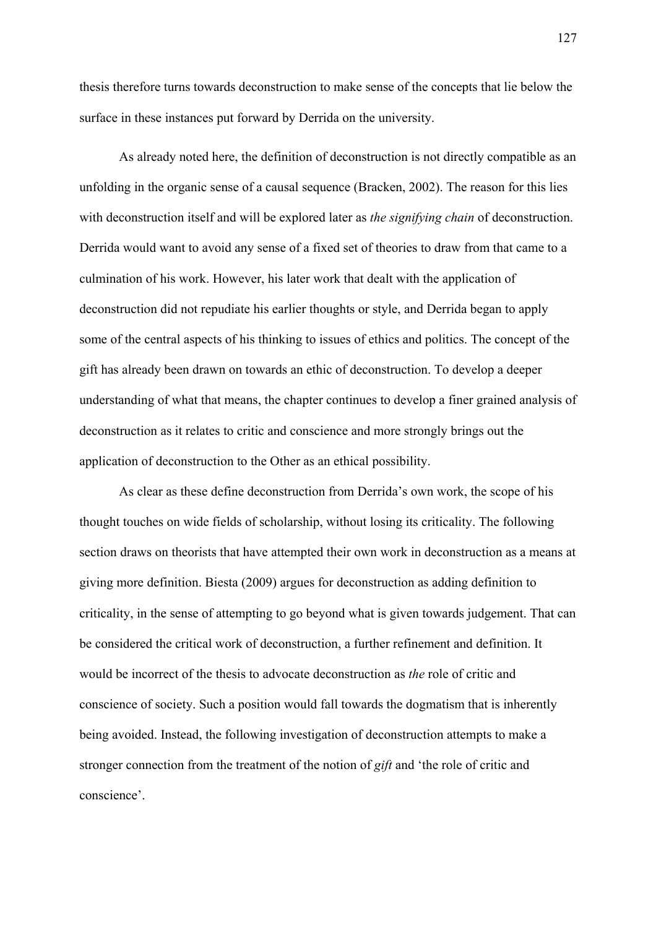thesis therefore turns towards deconstruction to make sense of the concepts that lie below the surface in these instances put forward by Derrida on the university.

As already noted here, the definition of deconstruction is not directly compatible as an unfolding in the organic sense of a causal sequence (Bracken, 2002). The reason for this lies with deconstruction itself and will be explored later as *the signifying chain* of deconstruction. Derrida would want to avoid any sense of a fixed set of theories to draw from that came to a culmination of his work. However, his later work that dealt with the application of deconstruction did not repudiate his earlier thoughts or style, and Derrida began to apply some of the central aspects of his thinking to issues of ethics and politics. The concept of the gift has already been drawn on towards an ethic of deconstruction. To develop a deeper understanding of what that means, the chapter continues to develop a finer grained analysis of deconstruction as it relates to critic and conscience and more strongly brings out the application of deconstruction to the Other as an ethical possibility.

As clear as these define deconstruction from Derrida's own work, the scope of his thought touches on wide fields of scholarship, without losing its criticality. The following section draws on theorists that have attempted their own work in deconstruction as a means at giving more definition. Biesta (2009) argues for deconstruction as adding definition to criticality, in the sense of attempting to go beyond what is given towards judgement. That can be considered the critical work of deconstruction, a further refinement and definition. It would be incorrect of the thesis to advocate deconstruction as *the* role of critic and conscience of society. Such a position would fall towards the dogmatism that is inherently being avoided. Instead, the following investigation of deconstruction attempts to make a stronger connection from the treatment of the notion of *gift* and 'the role of critic and conscience'.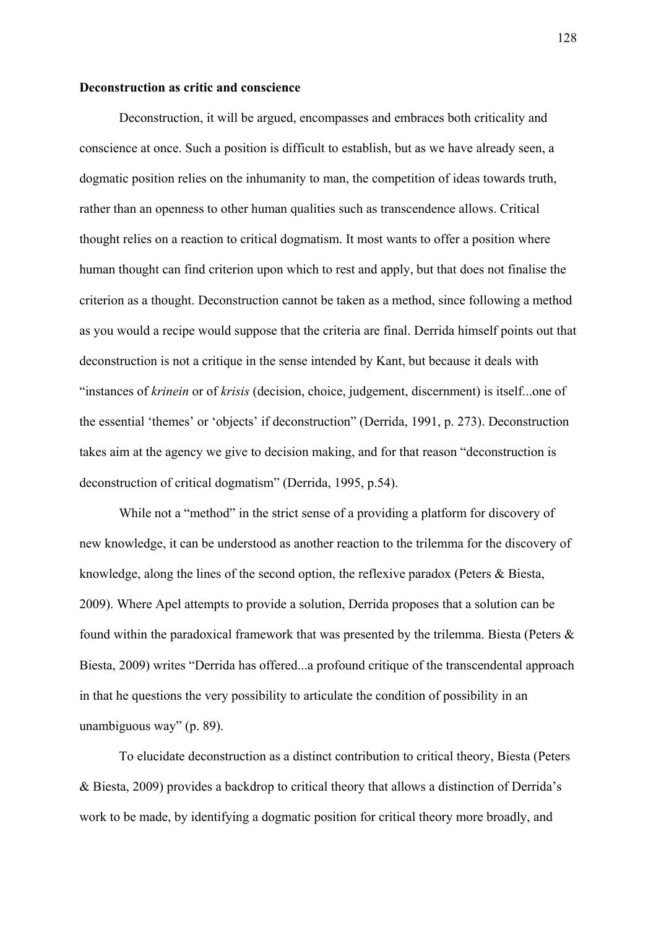#### **Deconstruction as critic and conscience**

 Deconstruction, it will be argued, encompasses and embraces both criticality and conscience at once. Such a position is difficult to establish, but as we have already seen, a dogmatic position relies on the inhumanity to man, the competition of ideas towards truth, rather than an openness to other human qualities such as transcendence allows. Critical thought relies on a reaction to critical dogmatism. It most wants to offer a position where human thought can find criterion upon which to rest and apply, but that does not finalise the criterion as a thought. Deconstruction cannot be taken as a method, since following a method as you would a recipe would suppose that the criteria are final. Derrida himself points out that deconstruction is not a critique in the sense intended by Kant, but because it deals with "instances of *krinein* or of *krisis* (decision, choice, judgement, discernment) is itself...one of the essential 'themes' or 'objects' if deconstruction" (Derrida, 1991, p. 273). Deconstruction takes aim at the agency we give to decision making, and for that reason "deconstruction is deconstruction of critical dogmatism" (Derrida, 1995, p.54).

 While not a "method" in the strict sense of a providing a platform for discovery of new knowledge, it can be understood as another reaction to the trilemma for the discovery of knowledge, along the lines of the second option, the reflexive paradox (Peters & Biesta, 2009). Where Apel attempts to provide a solution, Derrida proposes that a solution can be found within the paradoxical framework that was presented by the trilemma. Biesta (Peters & Biesta, 2009) writes "Derrida has offered...a profound critique of the transcendental approach in that he questions the very possibility to articulate the condition of possibility in an unambiguous way" (p. 89).

To elucidate deconstruction as a distinct contribution to critical theory, Biesta (Peters & Biesta, 2009) provides a backdrop to critical theory that allows a distinction of Derrida's work to be made, by identifying a dogmatic position for critical theory more broadly, and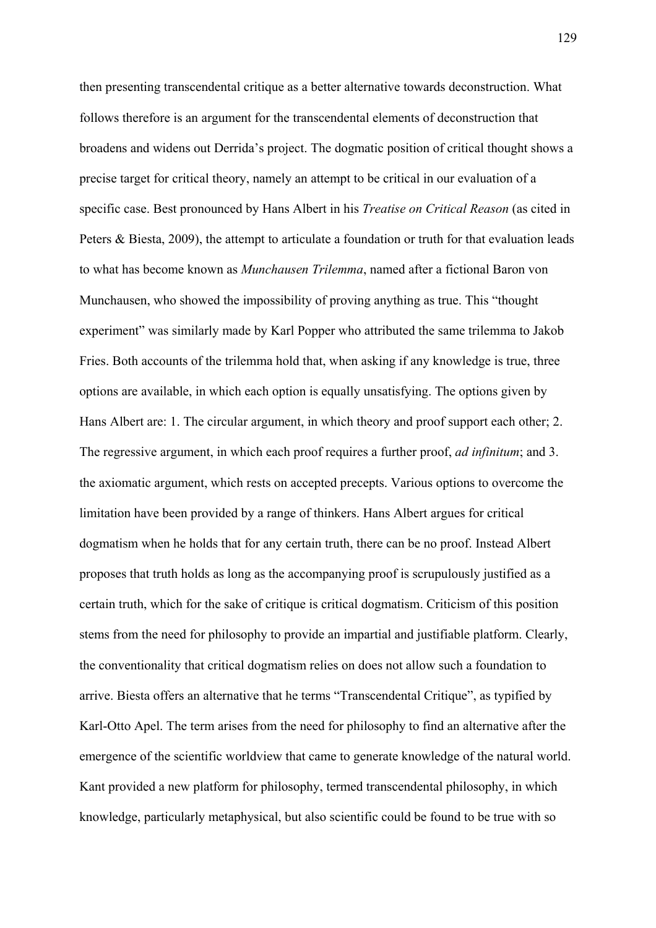then presenting transcendental critique as a better alternative towards deconstruction. What follows therefore is an argument for the transcendental elements of deconstruction that broadens and widens out Derrida's project. The dogmatic position of critical thought shows a precise target for critical theory, namely an attempt to be critical in our evaluation of a specific case. Best pronounced by Hans Albert in his *Treatise on Critical Reason* (as cited in Peters & Biesta, 2009), the attempt to articulate a foundation or truth for that evaluation leads to what has become known as *Munchausen Trilemma*, named after a fictional Baron von Munchausen, who showed the impossibility of proving anything as true. This "thought experiment" was similarly made by Karl Popper who attributed the same trilemma to Jakob Fries. Both accounts of the trilemma hold that, when asking if any knowledge is true, three options are available, in which each option is equally unsatisfying. The options given by Hans Albert are: 1. The circular argument, in which theory and proof support each other; 2. The regressive argument, in which each proof requires a further proof, *ad infinitum*; and 3. the axiomatic argument, which rests on accepted precepts. Various options to overcome the limitation have been provided by a range of thinkers. Hans Albert argues for critical dogmatism when he holds that for any certain truth, there can be no proof. Instead Albert proposes that truth holds as long as the accompanying proof is scrupulously justified as a certain truth, which for the sake of critique is critical dogmatism. Criticism of this position stems from the need for philosophy to provide an impartial and justifiable platform. Clearly, the conventionality that critical dogmatism relies on does not allow such a foundation to arrive. Biesta offers an alternative that he terms "Transcendental Critique", as typified by Karl-Otto Apel. The term arises from the need for philosophy to find an alternative after the emergence of the scientific worldview that came to generate knowledge of the natural world. Kant provided a new platform for philosophy, termed transcendental philosophy, in which knowledge, particularly metaphysical, but also scientific could be found to be true with so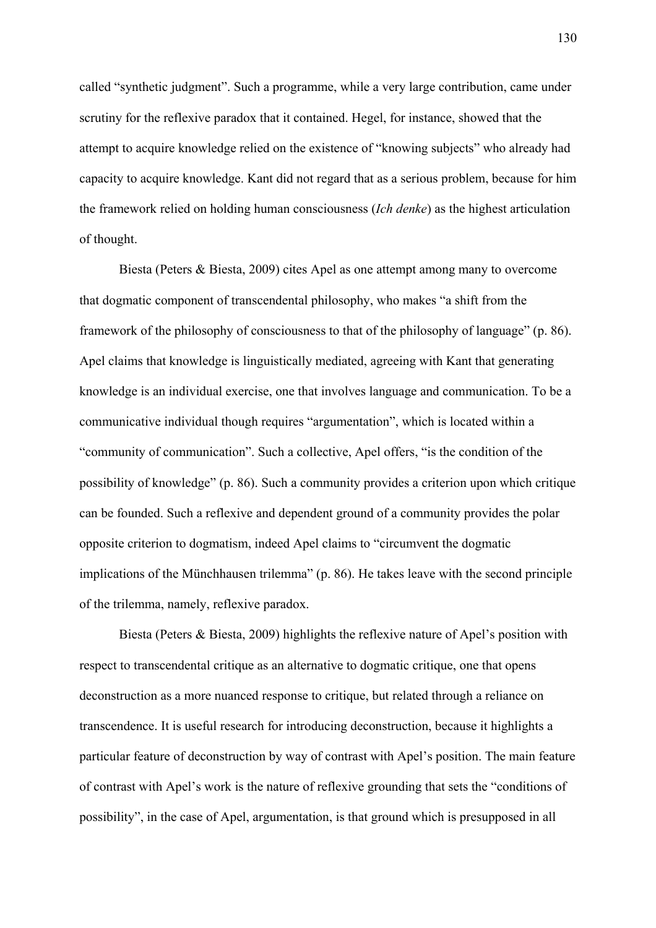called "synthetic judgment". Such a programme, while a very large contribution, came under scrutiny for the reflexive paradox that it contained. Hegel, for instance, showed that the attempt to acquire knowledge relied on the existence of "knowing subjects" who already had capacity to acquire knowledge. Kant did not regard that as a serious problem, because for him the framework relied on holding human consciousness (*Ich denke*) as the highest articulation of thought.

 Biesta (Peters & Biesta, 2009) cites Apel as one attempt among many to overcome that dogmatic component of transcendental philosophy, who makes "a shift from the framework of the philosophy of consciousness to that of the philosophy of language" (p. 86). Apel claims that knowledge is linguistically mediated, agreeing with Kant that generating knowledge is an individual exercise, one that involves language and communication. To be a communicative individual though requires "argumentation", which is located within a "community of communication". Such a collective, Apel offers, "is the condition of the possibility of knowledge" (p. 86). Such a community provides a criterion upon which critique can be founded. Such a reflexive and dependent ground of a community provides the polar opposite criterion to dogmatism, indeed Apel claims to "circumvent the dogmatic implications of the Münchhausen trilemma" (p. 86). He takes leave with the second principle of the trilemma, namely, reflexive paradox.

 Biesta (Peters & Biesta, 2009) highlights the reflexive nature of Apel's position with respect to transcendental critique as an alternative to dogmatic critique, one that opens deconstruction as a more nuanced response to critique, but related through a reliance on transcendence. It is useful research for introducing deconstruction, because it highlights a particular feature of deconstruction by way of contrast with Apel's position. The main feature of contrast with Apel's work is the nature of reflexive grounding that sets the "conditions of possibility", in the case of Apel, argumentation, is that ground which is presupposed in all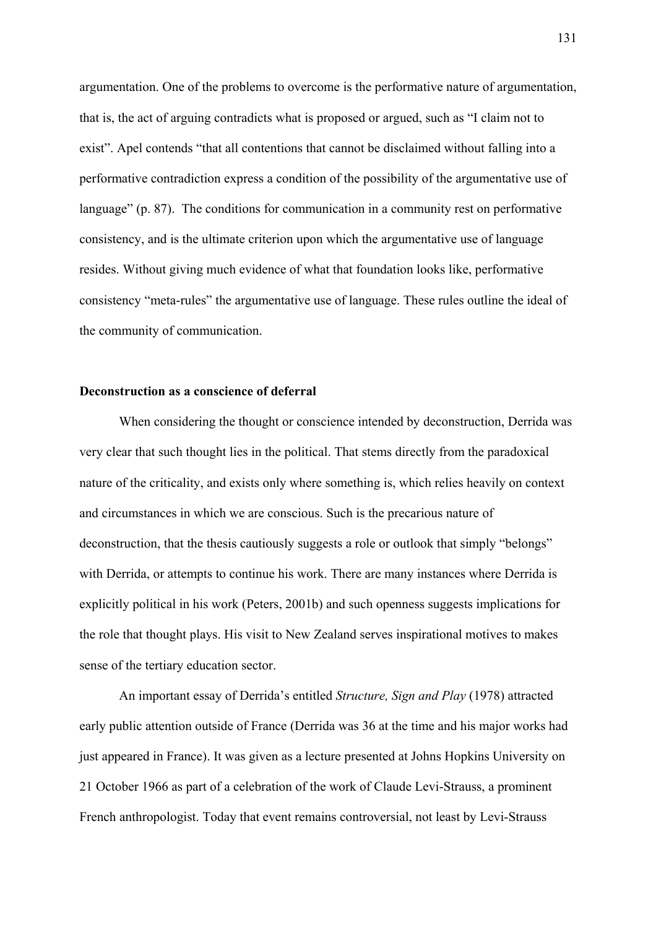argumentation. One of the problems to overcome is the performative nature of argumentation, that is, the act of arguing contradicts what is proposed or argued, such as "I claim not to exist". Apel contends "that all contentions that cannot be disclaimed without falling into a performative contradiction express a condition of the possibility of the argumentative use of language" (p. 87). The conditions for communication in a community rest on performative consistency, and is the ultimate criterion upon which the argumentative use of language resides. Without giving much evidence of what that foundation looks like, performative consistency "meta-rules" the argumentative use of language. These rules outline the ideal of the community of communication.

# **Deconstruction as a conscience of deferral**

 When considering the thought or conscience intended by deconstruction, Derrida was very clear that such thought lies in the political. That stems directly from the paradoxical nature of the criticality, and exists only where something is, which relies heavily on context and circumstances in which we are conscious. Such is the precarious nature of deconstruction, that the thesis cautiously suggests a role or outlook that simply "belongs" with Derrida, or attempts to continue his work. There are many instances where Derrida is explicitly political in his work (Peters, 2001b) and such openness suggests implications for the role that thought plays. His visit to New Zealand serves inspirational motives to makes sense of the tertiary education sector.

An important essay of Derrida's entitled *Structure, Sign and Play* (1978) attracted early public attention outside of France (Derrida was 36 at the time and his major works had just appeared in France). It was given as a lecture presented at Johns Hopkins University on 21 October 1966 as part of a celebration of the work of Claude Levi-Strauss, a prominent French anthropologist. Today that event remains controversial, not least by Levi-Strauss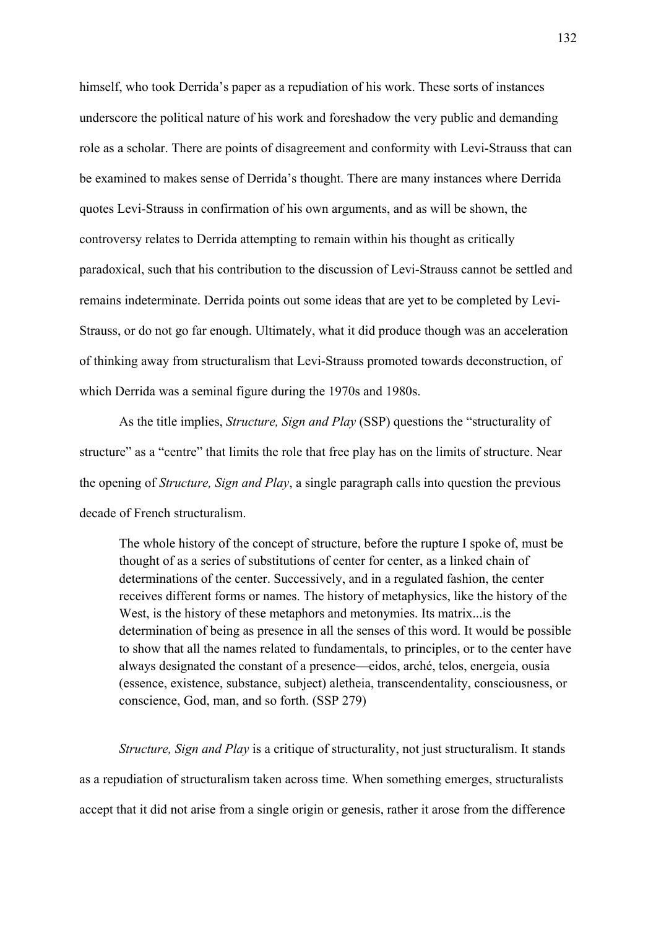himself, who took Derrida's paper as a repudiation of his work. These sorts of instances underscore the political nature of his work and foreshadow the very public and demanding role as a scholar. There are points of disagreement and conformity with Levi-Strauss that can be examined to makes sense of Derrida's thought. There are many instances where Derrida quotes Levi-Strauss in confirmation of his own arguments, and as will be shown, the controversy relates to Derrida attempting to remain within his thought as critically paradoxical, such that his contribution to the discussion of Levi-Strauss cannot be settled and remains indeterminate. Derrida points out some ideas that are yet to be completed by Levi-Strauss, or do not go far enough. Ultimately, what it did produce though was an acceleration of thinking away from structuralism that Levi-Strauss promoted towards deconstruction, of which Derrida was a seminal figure during the 1970s and 1980s.

As the title implies, *Structure, Sign and Play* (SSP) questions the "structurality of structure" as a "centre" that limits the role that free play has on the limits of structure. Near the opening of *Structure, Sign and Play*, a single paragraph calls into question the previous decade of French structuralism.

The whole history of the concept of structure, before the rupture I spoke of, must be thought of as a series of substitutions of center for center, as a linked chain of determinations of the center. Successively, and in a regulated fashion, the center receives different forms or names. The history of metaphysics, like the history of the West, is the history of these metaphors and metonymies. Its matrix...is the determination of being as presence in all the senses of this word. It would be possible to show that all the names related to fundamentals, to principles, or to the center have always designated the constant of a presence—eidos, arché, telos, energeia, ousia (essence, existence, substance, subject) aletheia, transcendentality, consciousness, or conscience, God, man, and so forth. (SSP 279)

*Structure, Sign and Play* is a critique of structurality, not just structuralism. It stands as a repudiation of structuralism taken across time. When something emerges, structuralists accept that it did not arise from a single origin or genesis, rather it arose from the difference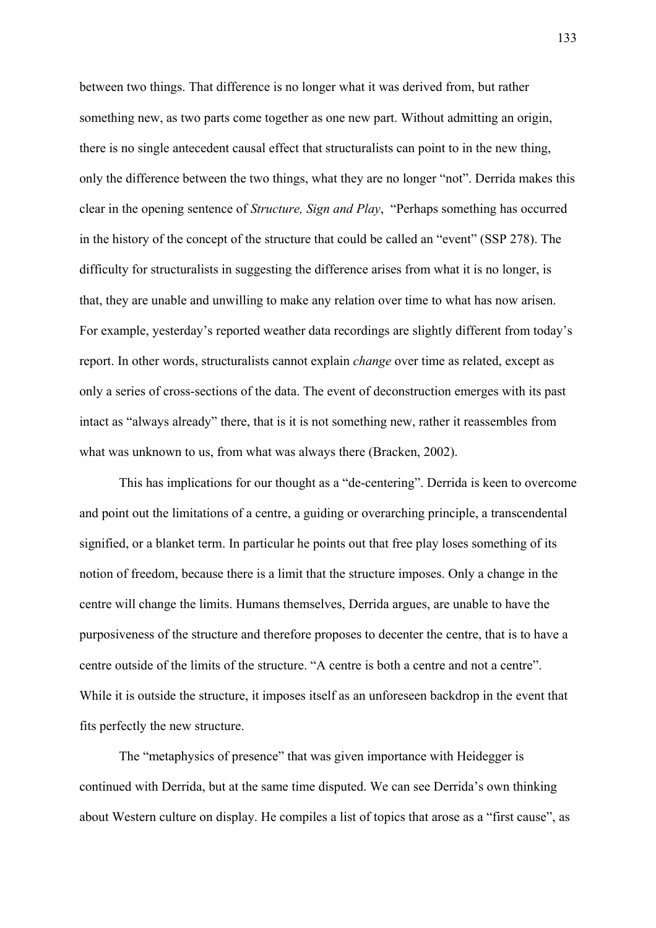between two things. That difference is no longer what it was derived from, but rather something new, as two parts come together as one new part. Without admitting an origin, there is no single antecedent causal effect that structuralists can point to in the new thing, only the difference between the two things, what they are no longer "not". Derrida makes this clear in the opening sentence of *Structure, Sign and Play*, "Perhaps something has occurred in the history of the concept of the structure that could be called an "event" (SSP 278). The difficulty for structuralists in suggesting the difference arises from what it is no longer, is that, they are unable and unwilling to make any relation over time to what has now arisen. For example, yesterday's reported weather data recordings are slightly different from today's report. In other words, structuralists cannot explain *change* over time as related, except as only a series of cross-sections of the data. The event of deconstruction emerges with its past intact as "always already" there, that is it is not something new, rather it reassembles from what was unknown to us, from what was always there (Bracken, 2002).

This has implications for our thought as a "de-centering". Derrida is keen to overcome and point out the limitations of a centre, a guiding or overarching principle, a transcendental signified, or a blanket term. In particular he points out that free play loses something of its notion of freedom, because there is a limit that the structure imposes. Only a change in the centre will change the limits. Humans themselves, Derrida argues, are unable to have the purposiveness of the structure and therefore proposes to decenter the centre, that is to have a centre outside of the limits of the structure. "A centre is both a centre and not a centre". While it is outside the structure, it imposes itself as an unforeseen backdrop in the event that fits perfectly the new structure.

The "metaphysics of presence" that was given importance with Heidegger is continued with Derrida, but at the same time disputed. We can see Derrida's own thinking about Western culture on display. He compiles a list of topics that arose as a "first cause", as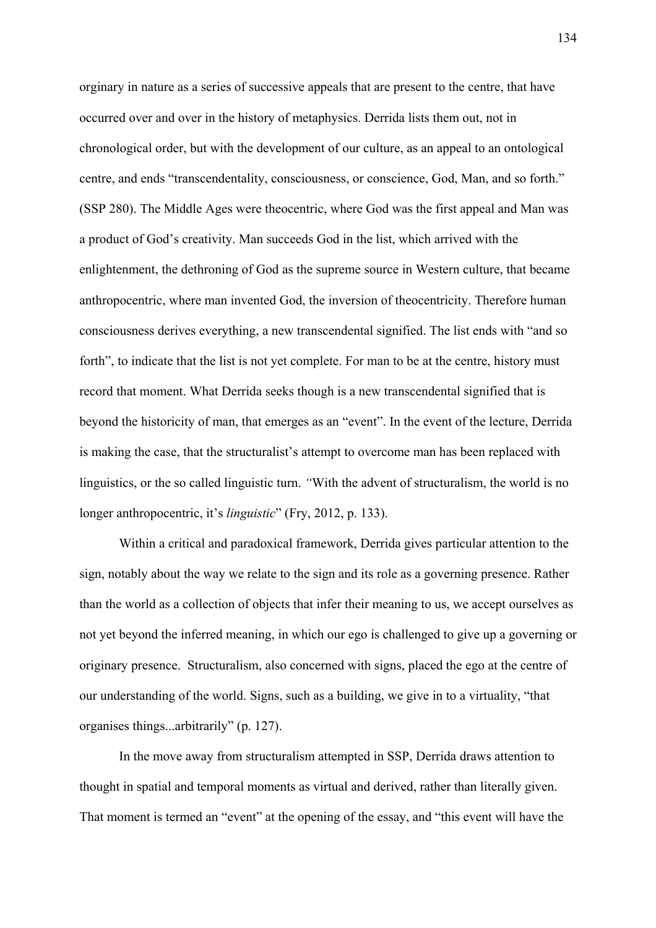orginary in nature as a series of successive appeals that are present to the centre, that have occurred over and over in the history of metaphysics. Derrida lists them out, not in chronological order, but with the development of our culture, as an appeal to an ontological centre, and ends "transcendentality, consciousness, or conscience, God, Man, and so forth." (SSP 280). The Middle Ages were theocentric, where God was the first appeal and Man was a product of God's creativity. Man succeeds God in the list, which arrived with the enlightenment, the dethroning of God as the supreme source in Western culture, that became anthropocentric, where man invented God, the inversion of theocentricity. Therefore human consciousness derives everything, a new transcendental signified. The list ends with "and so forth", to indicate that the list is not yet complete. For man to be at the centre, history must record that moment. What Derrida seeks though is a new transcendental signified that is beyond the historicity of man, that emerges as an "event". In the event of the lecture, Derrida is making the case, that the structuralist's attempt to overcome man has been replaced with linguistics, or the so called linguistic turn. *"*With the advent of structuralism, the world is no longer anthropocentric, it's *linguistic*" (Fry, 2012, p. 133).

Within a critical and paradoxical framework, Derrida gives particular attention to the sign, notably about the way we relate to the sign and its role as a governing presence. Rather than the world as a collection of objects that infer their meaning to us, we accept ourselves as not yet beyond the inferred meaning, in which our ego is challenged to give up a governing or originary presence. Structuralism, also concerned with signs, placed the ego at the centre of our understanding of the world. Signs, such as a building, we give in to a virtuality, "that organises things...arbitrarily" (p. 127).

In the move away from structuralism attempted in SSP, Derrida draws attention to thought in spatial and temporal moments as virtual and derived, rather than literally given. That moment is termed an "event" at the opening of the essay, and "this event will have the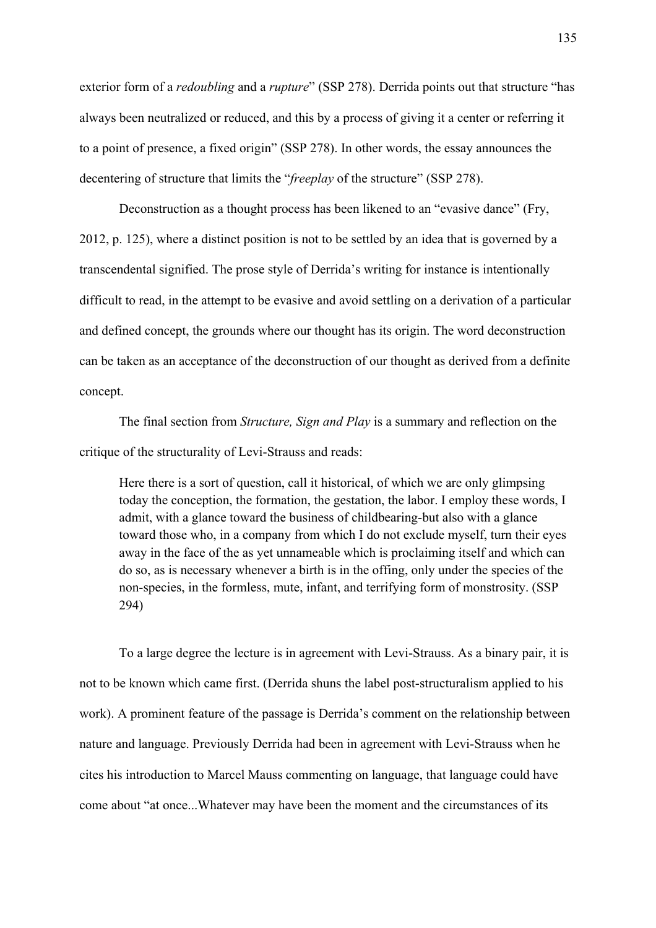exterior form of a *redoubling* and a *rupture*" (SSP 278). Derrida points out that structure "has always been neutralized or reduced, and this by a process of giving it a center or referring it to a point of presence, a fixed origin" (SSP 278). In other words, the essay announces the decentering of structure that limits the "*freeplay* of the structure" (SSP 278).

Deconstruction as a thought process has been likened to an "evasive dance" (Fry, 2012, p. 125), where a distinct position is not to be settled by an idea that is governed by a transcendental signified. The prose style of Derrida's writing for instance is intentionally difficult to read, in the attempt to be evasive and avoid settling on a derivation of a particular and defined concept, the grounds where our thought has its origin. The word deconstruction can be taken as an acceptance of the deconstruction of our thought as derived from a definite concept.

The final section from *Structure, Sign and Play* is a summary and reflection on the critique of the structurality of Levi-Strauss and reads:

Here there is a sort of question, call it historical, of which we are only glimpsing today the conception, the formation, the gestation, the labor. I employ these words, I admit, with a glance toward the business of childbearing-but also with a glance toward those who, in a company from which I do not exclude myself, turn their eyes away in the face of the as yet unnameable which is proclaiming itself and which can do so, as is necessary whenever a birth is in the offing, only under the species of the non-species, in the formless, mute, infant, and terrifying form of monstrosity. (SSP 294)

To a large degree the lecture is in agreement with Levi-Strauss. As a binary pair, it is not to be known which came first. (Derrida shuns the label post-structuralism applied to his work). A prominent feature of the passage is Derrida's comment on the relationship between nature and language. Previously Derrida had been in agreement with Levi-Strauss when he cites his introduction to Marcel Mauss commenting on language, that language could have come about "at once...Whatever may have been the moment and the circumstances of its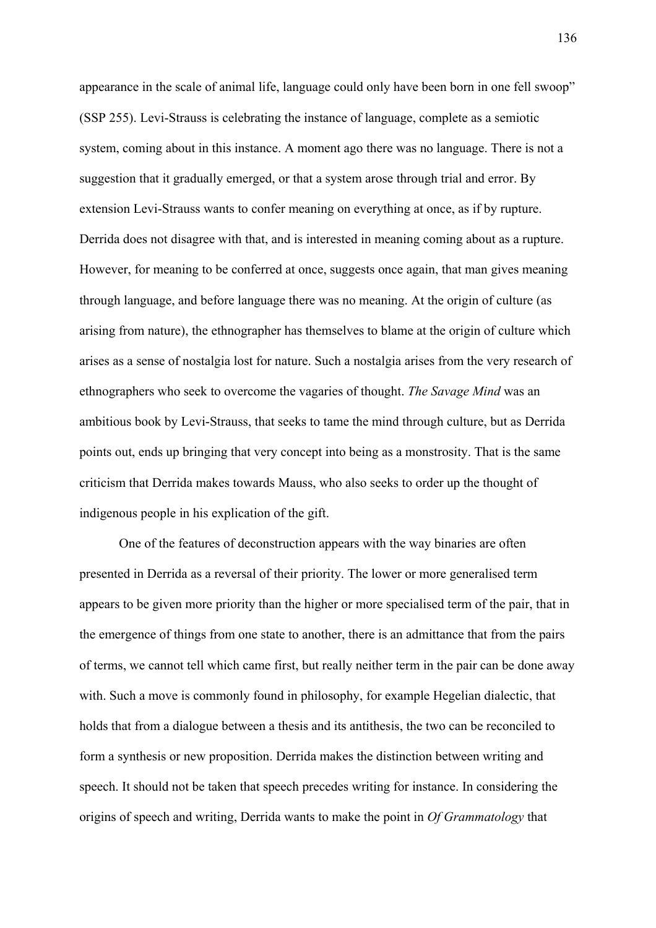appearance in the scale of animal life, language could only have been born in one fell swoop" (SSP 255). Levi-Strauss is celebrating the instance of language, complete as a semiotic system, coming about in this instance. A moment ago there was no language. There is not a suggestion that it gradually emerged, or that a system arose through trial and error. By extension Levi-Strauss wants to confer meaning on everything at once, as if by rupture. Derrida does not disagree with that, and is interested in meaning coming about as a rupture. However, for meaning to be conferred at once, suggests once again, that man gives meaning through language, and before language there was no meaning. At the origin of culture (as arising from nature), the ethnographer has themselves to blame at the origin of culture which arises as a sense of nostalgia lost for nature. Such a nostalgia arises from the very research of ethnographers who seek to overcome the vagaries of thought. *The Savage Mind* was an ambitious book by Levi-Strauss, that seeks to tame the mind through culture, but as Derrida points out, ends up bringing that very concept into being as a monstrosity. That is the same criticism that Derrida makes towards Mauss, who also seeks to order up the thought of indigenous people in his explication of the gift.

One of the features of deconstruction appears with the way binaries are often presented in Derrida as a reversal of their priority. The lower or more generalised term appears to be given more priority than the higher or more specialised term of the pair, that in the emergence of things from one state to another, there is an admittance that from the pairs of terms, we cannot tell which came first, but really neither term in the pair can be done away with. Such a move is commonly found in philosophy, for example Hegelian dialectic, that holds that from a dialogue between a thesis and its antithesis, the two can be reconciled to form a synthesis or new proposition. Derrida makes the distinction between writing and speech. It should not be taken that speech precedes writing for instance. In considering the origins of speech and writing, Derrida wants to make the point in *Of Grammatology* that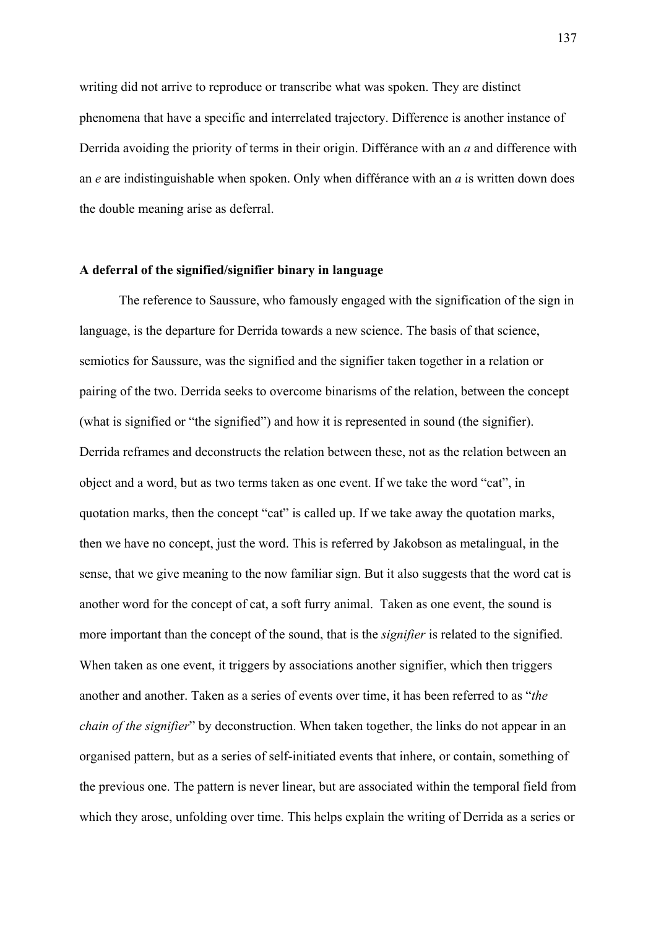writing did not arrive to reproduce or transcribe what was spoken. They are distinct phenomena that have a specific and interrelated trajectory. Difference is another instance of Derrida avoiding the priority of terms in their origin. Différance with an *a* and difference with an *e* are indistinguishable when spoken. Only when différance with an *a* is written down does the double meaning arise as deferral.

# **A deferral of the signified/signifier binary in language**

The reference to Saussure, who famously engaged with the signification of the sign in language, is the departure for Derrida towards a new science. The basis of that science, semiotics for Saussure, was the signified and the signifier taken together in a relation or pairing of the two. Derrida seeks to overcome binarisms of the relation, between the concept (what is signified or "the signified") and how it is represented in sound (the signifier). Derrida reframes and deconstructs the relation between these, not as the relation between an object and a word, but as two terms taken as one event. If we take the word "cat", in quotation marks, then the concept "cat" is called up. If we take away the quotation marks, then we have no concept, just the word. This is referred by Jakobson as metalingual, in the sense, that we give meaning to the now familiar sign. But it also suggests that the word cat is another word for the concept of cat, a soft furry animal. Taken as one event, the sound is more important than the concept of the sound, that is the *signifier* is related to the signified. When taken as one event, it triggers by associations another signifier, which then triggers another and another. Taken as a series of events over time, it has been referred to as "*the chain of the signifier*" by deconstruction. When taken together, the links do not appear in an organised pattern, but as a series of self-initiated events that inhere, or contain, something of the previous one. The pattern is never linear, but are associated within the temporal field from which they arose, unfolding over time. This helps explain the writing of Derrida as a series or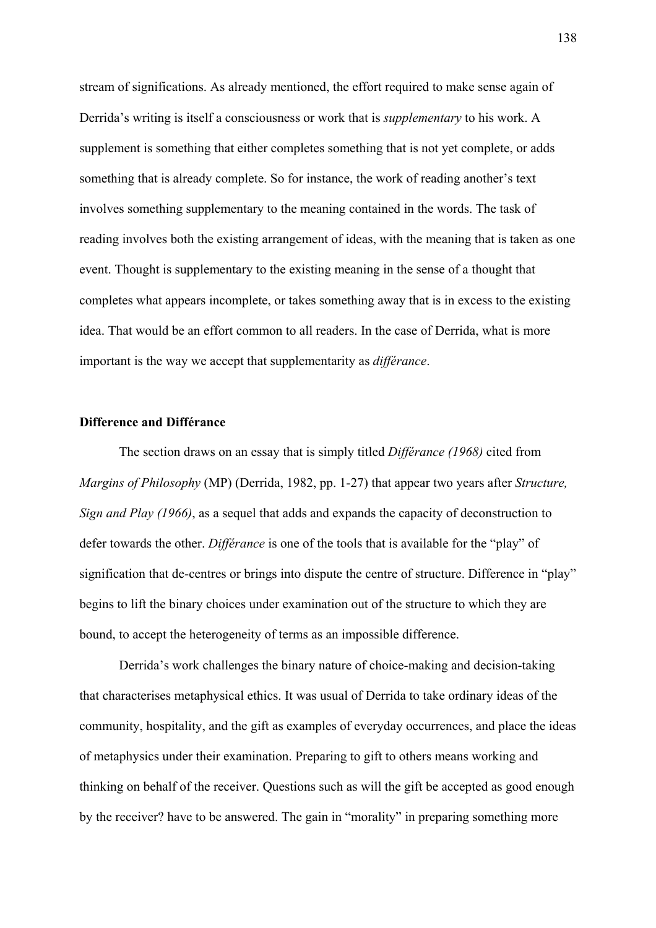stream of significations. As already mentioned, the effort required to make sense again of Derrida's writing is itself a consciousness or work that is *supplementary* to his work. A supplement is something that either completes something that is not yet complete, or adds something that is already complete. So for instance, the work of reading another's text involves something supplementary to the meaning contained in the words. The task of reading involves both the existing arrangement of ideas, with the meaning that is taken as one event. Thought is supplementary to the existing meaning in the sense of a thought that completes what appears incomplete, or takes something away that is in excess to the existing idea. That would be an effort common to all readers. In the case of Derrida, what is more important is the way we accept that supplementarity as *différance*.

# **Difference and Différance**

The section draws on an essay that is simply titled *Différance (1968)* cited from *Margins of Philosophy* (MP) (Derrida, 1982, pp. 1-27) that appear two years after *Structure, Sign and Play (1966)*, as a sequel that adds and expands the capacity of deconstruction to defer towards the other. *Différance* is one of the tools that is available for the "play" of signification that de-centres or brings into dispute the centre of structure. Difference in "play" begins to lift the binary choices under examination out of the structure to which they are bound, to accept the heterogeneity of terms as an impossible difference.

Derrida's work challenges the binary nature of choice-making and decision-taking that characterises metaphysical ethics. It was usual of Derrida to take ordinary ideas of the community, hospitality, and the gift as examples of everyday occurrences, and place the ideas of metaphysics under their examination. Preparing to gift to others means working and thinking on behalf of the receiver. Questions such as will the gift be accepted as good enough by the receiver? have to be answered. The gain in "morality" in preparing something more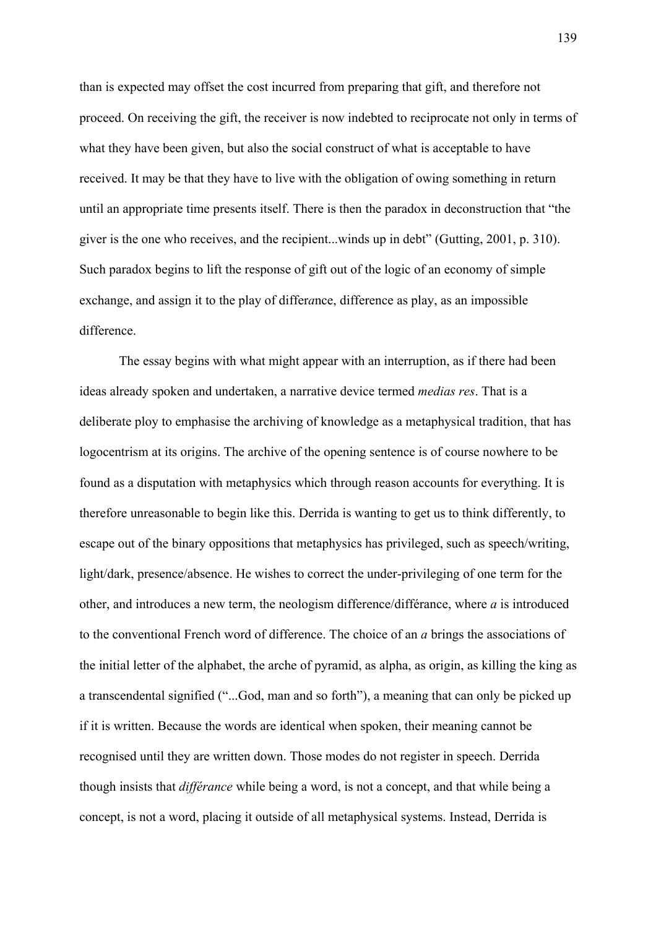than is expected may offset the cost incurred from preparing that gift, and therefore not proceed. On receiving the gift, the receiver is now indebted to reciprocate not only in terms of what they have been given, but also the social construct of what is acceptable to have received. It may be that they have to live with the obligation of owing something in return until an appropriate time presents itself. There is then the paradox in deconstruction that "the giver is the one who receives, and the recipient...winds up in debt" (Gutting, 2001, p. 310). Such paradox begins to lift the response of gift out of the logic of an economy of simple exchange, and assign it to the play of differ*a*nce, difference as play, as an impossible difference.

The essay begins with what might appear with an interruption, as if there had been ideas already spoken and undertaken, a narrative device termed *medias res*. That is a deliberate ploy to emphasise the archiving of knowledge as a metaphysical tradition, that has logocentrism at its origins. The archive of the opening sentence is of course nowhere to be found as a disputation with metaphysics which through reason accounts for everything. It is therefore unreasonable to begin like this. Derrida is wanting to get us to think differently, to escape out of the binary oppositions that metaphysics has privileged, such as speech/writing, light/dark, presence/absence. He wishes to correct the under-privileging of one term for the other, and introduces a new term, the neologism difference/différance, where *a* is introduced to the conventional French word of difference. The choice of an *a* brings the associations of the initial letter of the alphabet, the arche of pyramid, as alpha, as origin, as killing the king as a transcendental signified ("...God, man and so forth"), a meaning that can only be picked up if it is written. Because the words are identical when spoken, their meaning cannot be recognised until they are written down. Those modes do not register in speech. Derrida though insists that *différance* while being a word, is not a concept, and that while being a concept, is not a word, placing it outside of all metaphysical systems. Instead, Derrida is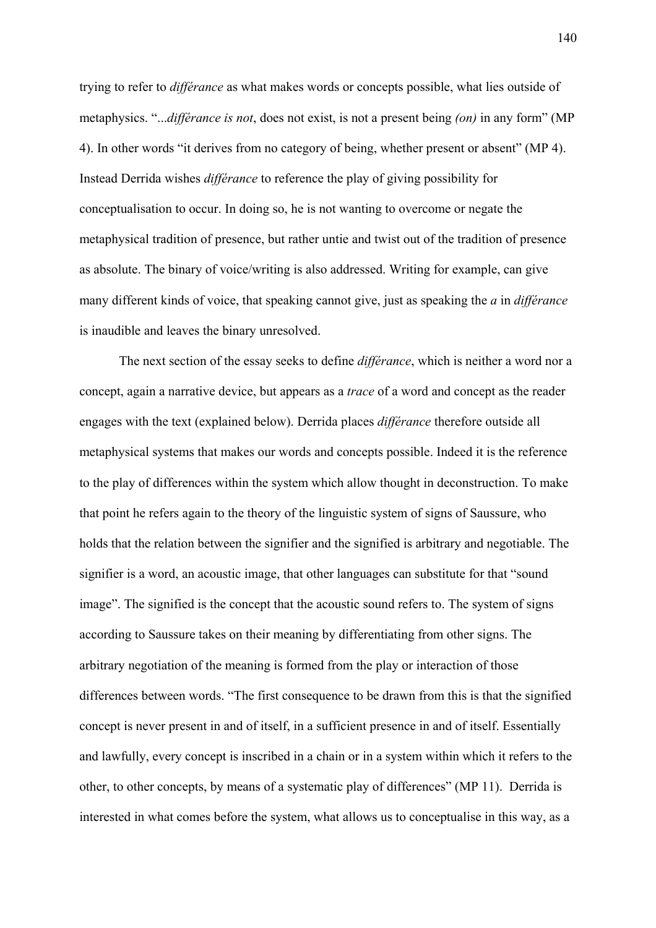trying to refer to *différance* as what makes words or concepts possible, what lies outside of metaphysics. "...*différance is not*, does not exist, is not a present being *(on)* in any form" (MP 4). In other words "it derives from no category of being, whether present or absent" (MP 4). Instead Derrida wishes *différance* to reference the play of giving possibility for conceptualisation to occur. In doing so, he is not wanting to overcome or negate the metaphysical tradition of presence, but rather untie and twist out of the tradition of presence as absolute. The binary of voice/writing is also addressed. Writing for example, can give many different kinds of voice, that speaking cannot give, just as speaking the *a* in *différance* is inaudible and leaves the binary unresolved.

The next section of the essay seeks to define *différance*, which is neither a word nor a concept, again a narrative device, but appears as a *trace* of a word and concept as the reader engages with the text (explained below). Derrida places *différance* therefore outside all metaphysical systems that makes our words and concepts possible. Indeed it is the reference to the play of differences within the system which allow thought in deconstruction. To make that point he refers again to the theory of the linguistic system of signs of Saussure, who holds that the relation between the signifier and the signified is arbitrary and negotiable. The signifier is a word, an acoustic image, that other languages can substitute for that "sound image". The signified is the concept that the acoustic sound refers to. The system of signs according to Saussure takes on their meaning by differentiating from other signs. The arbitrary negotiation of the meaning is formed from the play or interaction of those differences between words. "The first consequence to be drawn from this is that the signified concept is never present in and of itself, in a sufficient presence in and of itself. Essentially and lawfully, every concept is inscribed in a chain or in a system within which it refers to the other, to other concepts, by means of a systematic play of differences" (MP 11). Derrida is interested in what comes before the system, what allows us to conceptualise in this way, as a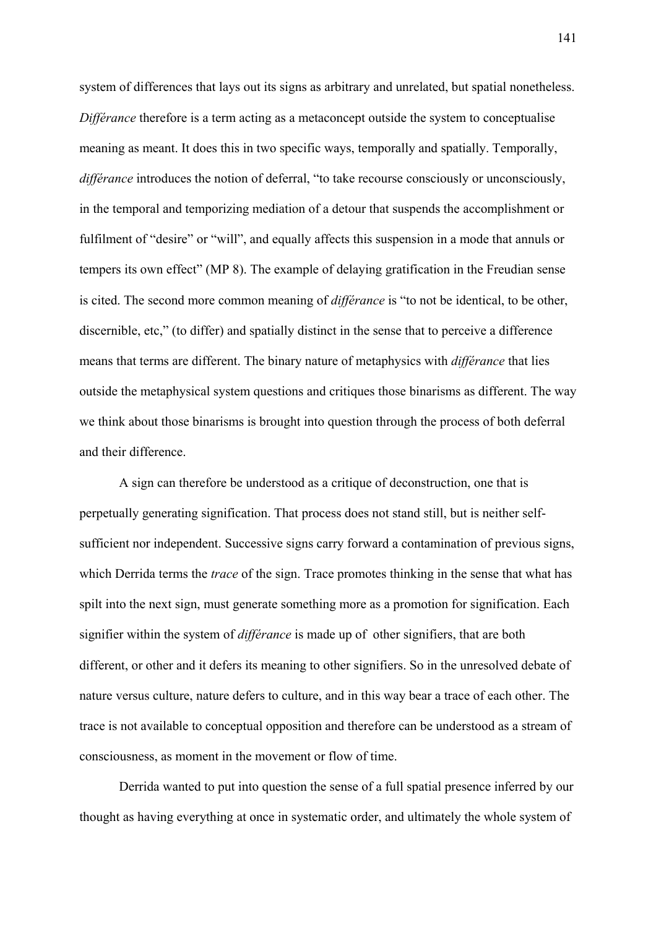system of differences that lays out its signs as arbitrary and unrelated, but spatial nonetheless. *Différance* therefore is a term acting as a metaconcept outside the system to conceptualise meaning as meant. It does this in two specific ways, temporally and spatially. Temporally, *différance* introduces the notion of deferral, "to take recourse consciously or unconsciously, in the temporal and temporizing mediation of a detour that suspends the accomplishment or fulfilment of "desire" or "will", and equally affects this suspension in a mode that annuls or tempers its own effect" (MP 8). The example of delaying gratification in the Freudian sense is cited. The second more common meaning of *différance* is "to not be identical, to be other, discernible, etc," (to differ) and spatially distinct in the sense that to perceive a difference means that terms are different. The binary nature of metaphysics with *différance* that lies outside the metaphysical system questions and critiques those binarisms as different. The way we think about those binarisms is brought into question through the process of both deferral and their difference.

A sign can therefore be understood as a critique of deconstruction, one that is perpetually generating signification. That process does not stand still, but is neither selfsufficient nor independent. Successive signs carry forward a contamination of previous signs, which Derrida terms the *trace* of the sign. Trace promotes thinking in the sense that what has spilt into the next sign, must generate something more as a promotion for signification. Each signifier within the system of *différance* is made up of other signifiers, that are both different, or other and it defers its meaning to other signifiers. So in the unresolved debate of nature versus culture, nature defers to culture, and in this way bear a trace of each other. The trace is not available to conceptual opposition and therefore can be understood as a stream of consciousness, as moment in the movement or flow of time.

Derrida wanted to put into question the sense of a full spatial presence inferred by our thought as having everything at once in systematic order, and ultimately the whole system of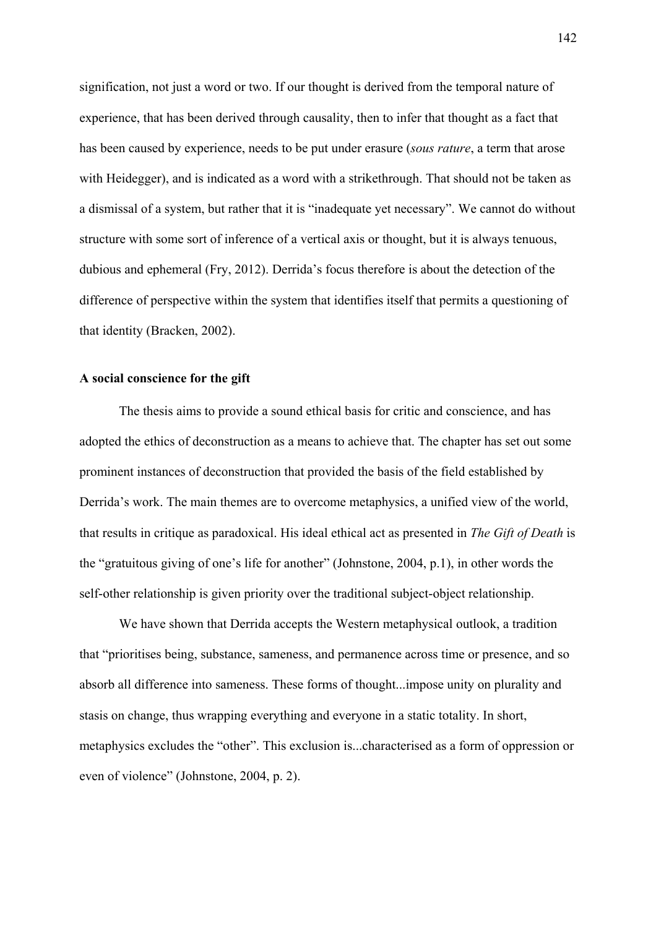signification, not just a word or two. If our thought is derived from the temporal nature of experience, that has been derived through causality, then to infer that thought as a fact that has been caused by experience, needs to be put under erasure (*sous rature*, a term that arose with Heidegger), and is indicated as a word with a strikethrough. That should not be taken as a dismissal of a system, but rather that it is "inadequate yet necessary". We cannot do without structure with some sort of inference of a vertical axis or thought, but it is always tenuous, dubious and ephemeral (Fry, 2012). Derrida's focus therefore is about the detection of the difference of perspective within the system that identifies itself that permits a questioning of that identity (Bracken, 2002).

## **A social conscience for the gift**

The thesis aims to provide a sound ethical basis for critic and conscience, and has adopted the ethics of deconstruction as a means to achieve that. The chapter has set out some prominent instances of deconstruction that provided the basis of the field established by Derrida's work. The main themes are to overcome metaphysics, a unified view of the world, that results in critique as paradoxical. His ideal ethical act as presented in *The Gift of Death* is the "gratuitous giving of one's life for another" (Johnstone, 2004, p.1), in other words the self-other relationship is given priority over the traditional subject-object relationship.

We have shown that Derrida accepts the Western metaphysical outlook, a tradition that "prioritises being, substance, sameness, and permanence across time or presence, and so absorb all difference into sameness. These forms of thought...impose unity on plurality and stasis on change, thus wrapping everything and everyone in a static totality. In short, metaphysics excludes the "other". This exclusion is...characterised as a form of oppression or even of violence" (Johnstone, 2004, p. 2).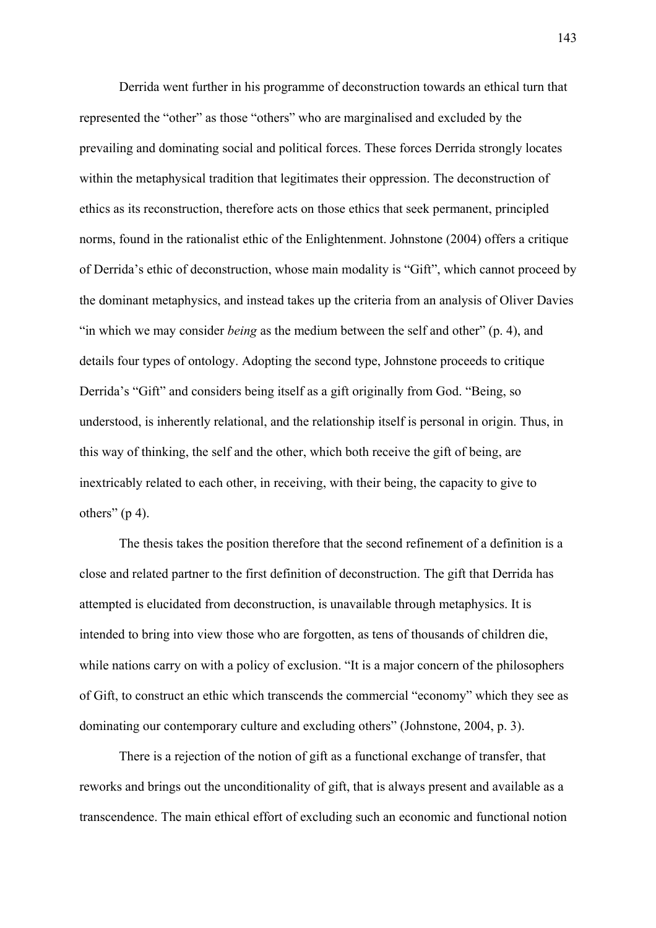Derrida went further in his programme of deconstruction towards an ethical turn that represented the "other" as those "others" who are marginalised and excluded by the prevailing and dominating social and political forces. These forces Derrida strongly locates within the metaphysical tradition that legitimates their oppression. The deconstruction of ethics as its reconstruction, therefore acts on those ethics that seek permanent, principled norms, found in the rationalist ethic of the Enlightenment. Johnstone (2004) offers a critique of Derrida's ethic of deconstruction, whose main modality is "Gift", which cannot proceed by the dominant metaphysics, and instead takes up the criteria from an analysis of Oliver Davies "in which we may consider *being* as the medium between the self and other" (p. 4), and details four types of ontology. Adopting the second type, Johnstone proceeds to critique Derrida's "Gift" and considers being itself as a gift originally from God. "Being, so understood, is inherently relational, and the relationship itself is personal in origin. Thus, in this way of thinking, the self and the other, which both receive the gift of being, are inextricably related to each other, in receiving, with their being, the capacity to give to others"  $(p 4)$ .

The thesis takes the position therefore that the second refinement of a definition is a close and related partner to the first definition of deconstruction. The gift that Derrida has attempted is elucidated from deconstruction, is unavailable through metaphysics. It is intended to bring into view those who are forgotten, as tens of thousands of children die, while nations carry on with a policy of exclusion. "It is a major concern of the philosophers of Gift, to construct an ethic which transcends the commercial "economy" which they see as dominating our contemporary culture and excluding others" (Johnstone, 2004, p. 3).

There is a rejection of the notion of gift as a functional exchange of transfer, that reworks and brings out the unconditionality of gift, that is always present and available as a transcendence. The main ethical effort of excluding such an economic and functional notion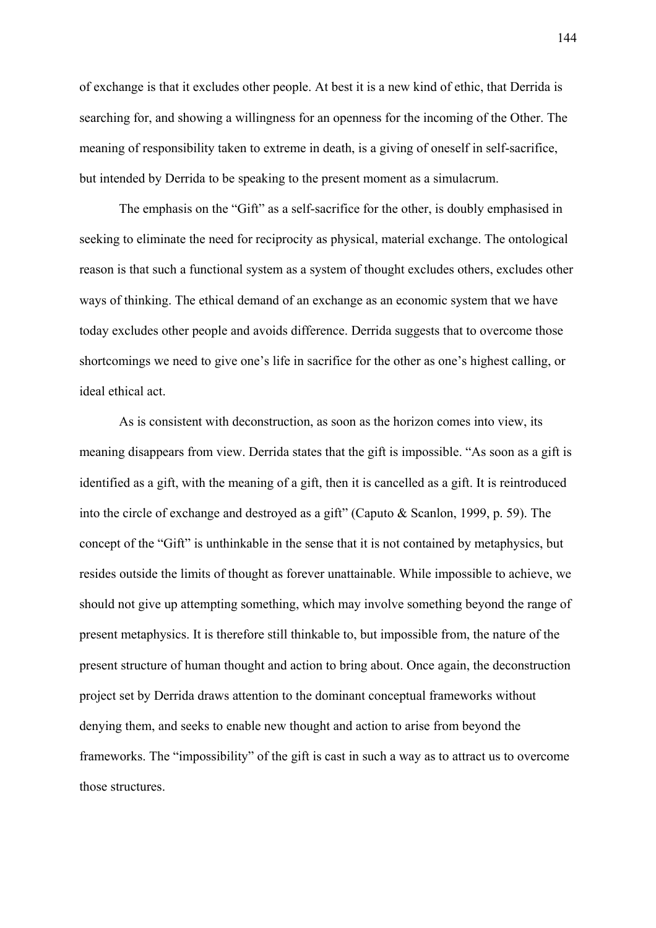of exchange is that it excludes other people. At best it is a new kind of ethic, that Derrida is searching for, and showing a willingness for an openness for the incoming of the Other. The meaning of responsibility taken to extreme in death, is a giving of oneself in self-sacrifice, but intended by Derrida to be speaking to the present moment as a simulacrum.

The emphasis on the "Gift" as a self-sacrifice for the other, is doubly emphasised in seeking to eliminate the need for reciprocity as physical, material exchange. The ontological reason is that such a functional system as a system of thought excludes others, excludes other ways of thinking. The ethical demand of an exchange as an economic system that we have today excludes other people and avoids difference. Derrida suggests that to overcome those shortcomings we need to give one's life in sacrifice for the other as one's highest calling, or ideal ethical act.

As is consistent with deconstruction, as soon as the horizon comes into view, its meaning disappears from view. Derrida states that the gift is impossible. "As soon as a gift is identified as a gift, with the meaning of a gift, then it is cancelled as a gift. It is reintroduced into the circle of exchange and destroyed as a gift" (Caputo & Scanlon, 1999, p. 59). The concept of the "Gift" is unthinkable in the sense that it is not contained by metaphysics, but resides outside the limits of thought as forever unattainable. While impossible to achieve, we should not give up attempting something, which may involve something beyond the range of present metaphysics. It is therefore still thinkable to, but impossible from, the nature of the present structure of human thought and action to bring about. Once again, the deconstruction project set by Derrida draws attention to the dominant conceptual frameworks without denying them, and seeks to enable new thought and action to arise from beyond the frameworks. The "impossibility" of the gift is cast in such a way as to attract us to overcome those structures.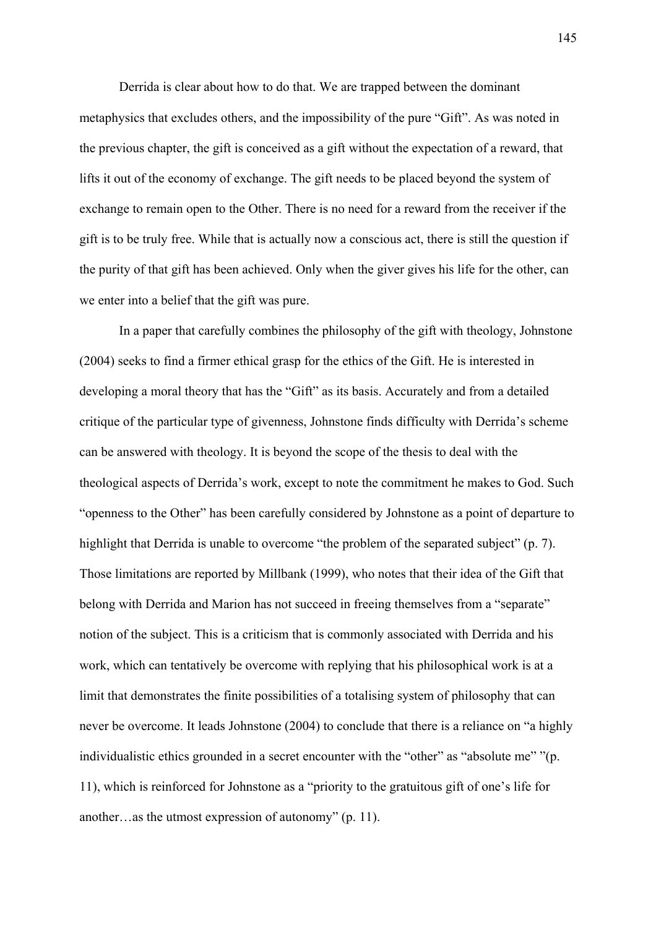Derrida is clear about how to do that. We are trapped between the dominant metaphysics that excludes others, and the impossibility of the pure "Gift". As was noted in the previous chapter, the gift is conceived as a gift without the expectation of a reward, that lifts it out of the economy of exchange. The gift needs to be placed beyond the system of exchange to remain open to the Other. There is no need for a reward from the receiver if the gift is to be truly free. While that is actually now a conscious act, there is still the question if the purity of that gift has been achieved. Only when the giver gives his life for the other, can we enter into a belief that the gift was pure.

In a paper that carefully combines the philosophy of the gift with theology, Johnstone (2004) seeks to find a firmer ethical grasp for the ethics of the Gift. He is interested in developing a moral theory that has the "Gift" as its basis. Accurately and from a detailed critique of the particular type of givenness, Johnstone finds difficulty with Derrida's scheme can be answered with theology. It is beyond the scope of the thesis to deal with the theological aspects of Derrida's work, except to note the commitment he makes to God. Such "openness to the Other" has been carefully considered by Johnstone as a point of departure to highlight that Derrida is unable to overcome "the problem of the separated subject" (p. 7). Those limitations are reported by Millbank (1999), who notes that their idea of the Gift that belong with Derrida and Marion has not succeed in freeing themselves from a "separate" notion of the subject. This is a criticism that is commonly associated with Derrida and his work, which can tentatively be overcome with replying that his philosophical work is at a limit that demonstrates the finite possibilities of a totalising system of philosophy that can never be overcome. It leads Johnstone (2004) to conclude that there is a reliance on "a highly individualistic ethics grounded in a secret encounter with the "other" as "absolute me" "(p. 11), which is reinforced for Johnstone as a "priority to the gratuitous gift of one's life for another…as the utmost expression of autonomy" (p. 11).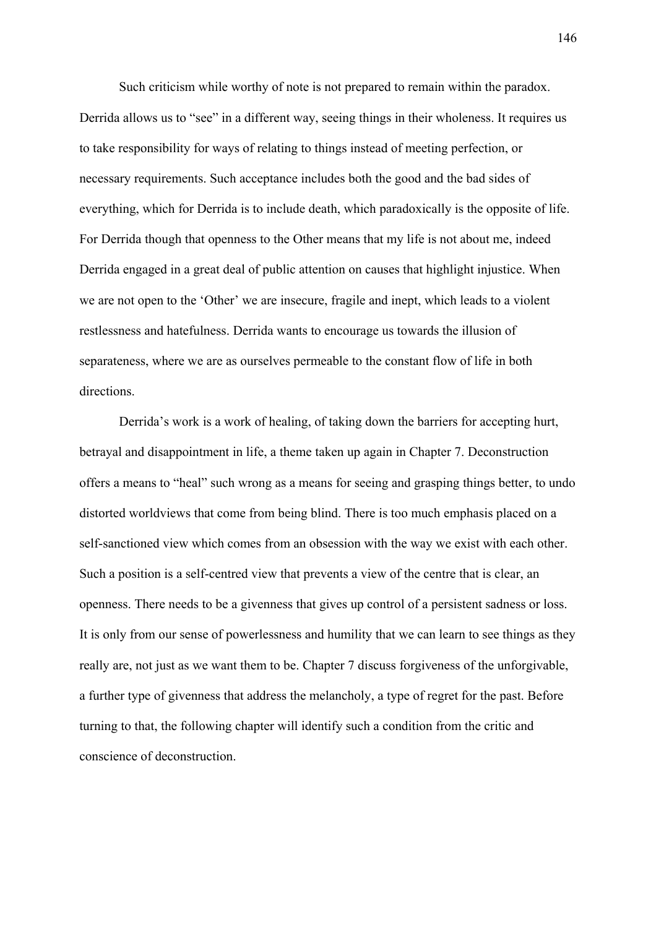Such criticism while worthy of note is not prepared to remain within the paradox. Derrida allows us to "see" in a different way, seeing things in their wholeness. It requires us to take responsibility for ways of relating to things instead of meeting perfection, or necessary requirements. Such acceptance includes both the good and the bad sides of everything, which for Derrida is to include death, which paradoxically is the opposite of life. For Derrida though that openness to the Other means that my life is not about me, indeed Derrida engaged in a great deal of public attention on causes that highlight injustice. When we are not open to the 'Other' we are insecure, fragile and inept, which leads to a violent restlessness and hatefulness. Derrida wants to encourage us towards the illusion of separateness, where we are as ourselves permeable to the constant flow of life in both directions.

Derrida's work is a work of healing, of taking down the barriers for accepting hurt, betrayal and disappointment in life, a theme taken up again in Chapter 7. Deconstruction offers a means to "heal" such wrong as a means for seeing and grasping things better, to undo distorted worldviews that come from being blind. There is too much emphasis placed on a self-sanctioned view which comes from an obsession with the way we exist with each other. Such a position is a self-centred view that prevents a view of the centre that is clear, an openness. There needs to be a givenness that gives up control of a persistent sadness or loss. It is only from our sense of powerlessness and humility that we can learn to see things as they really are, not just as we want them to be. Chapter 7 discuss forgiveness of the unforgivable, a further type of givenness that address the melancholy, a type of regret for the past. Before turning to that, the following chapter will identify such a condition from the critic and conscience of deconstruction.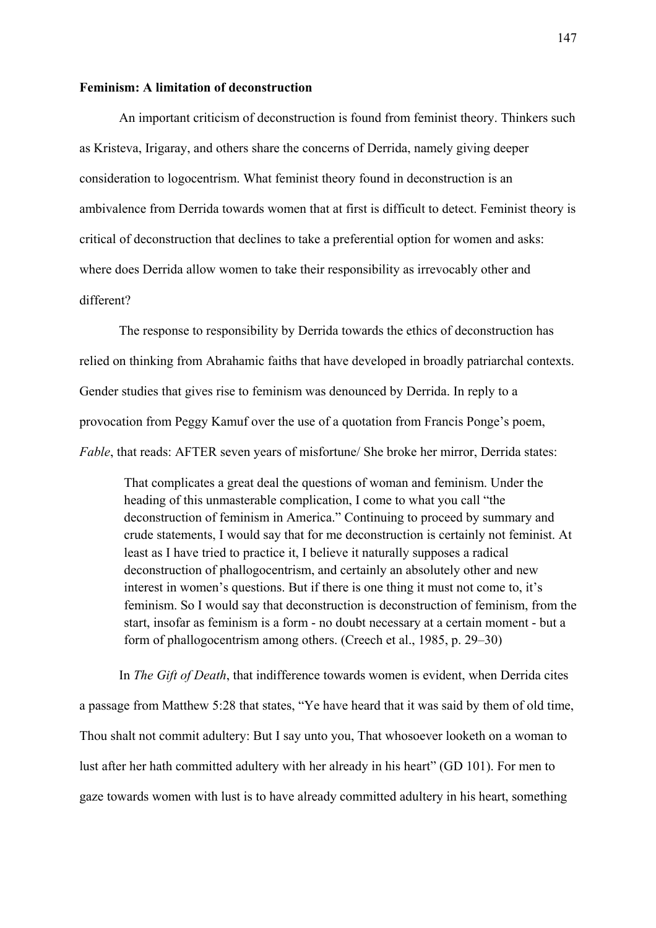#### **Feminism: A limitation of deconstruction**

An important criticism of deconstruction is found from feminist theory. Thinkers such as Kristeva, Irigaray, and others share the concerns of Derrida, namely giving deeper consideration to logocentrism. What feminist theory found in deconstruction is an ambivalence from Derrida towards women that at first is difficult to detect. Feminist theory is critical of deconstruction that declines to take a preferential option for women and asks: where does Derrida allow women to take their responsibility as irrevocably other and different?

The response to responsibility by Derrida towards the ethics of deconstruction has relied on thinking from Abrahamic faiths that have developed in broadly patriarchal contexts. Gender studies that gives rise to feminism was denounced by Derrida. In reply to a provocation from Peggy Kamuf over the use of a quotation from Francis Ponge's poem, *Fable*, that reads: AFTER seven years of misfortune/ She broke her mirror, Derrida states:

That complicates a great deal the questions of woman and feminism. Under the heading of this unmasterable complication, I come to what you call "the deconstruction of feminism in America." Continuing to proceed by summary and crude statements, I would say that for me deconstruction is certainly not feminist. At least as I have tried to practice it, I believe it naturally supposes a radical deconstruction of phallogocentrism, and certainly an absolutely other and new interest in women's questions. But if there is one thing it must not come to, it's feminism. So I would say that deconstruction is deconstruction of feminism, from the start, insofar as feminism is a form - no doubt necessary at a certain moment - but a form of phallogocentrism among others. (Creech et al., 1985, p. 29–30)

In *The Gift of Death*, that indifference towards women is evident, when Derrida cites a passage from Matthew 5:28 that states, "Ye have heard that it was said by them of old time, Thou shalt not commit adultery: But I say unto you, That whosoever looketh on a woman to lust after her hath committed adultery with her already in his heart" (GD 101). For men to gaze towards women with lust is to have already committed adultery in his heart, something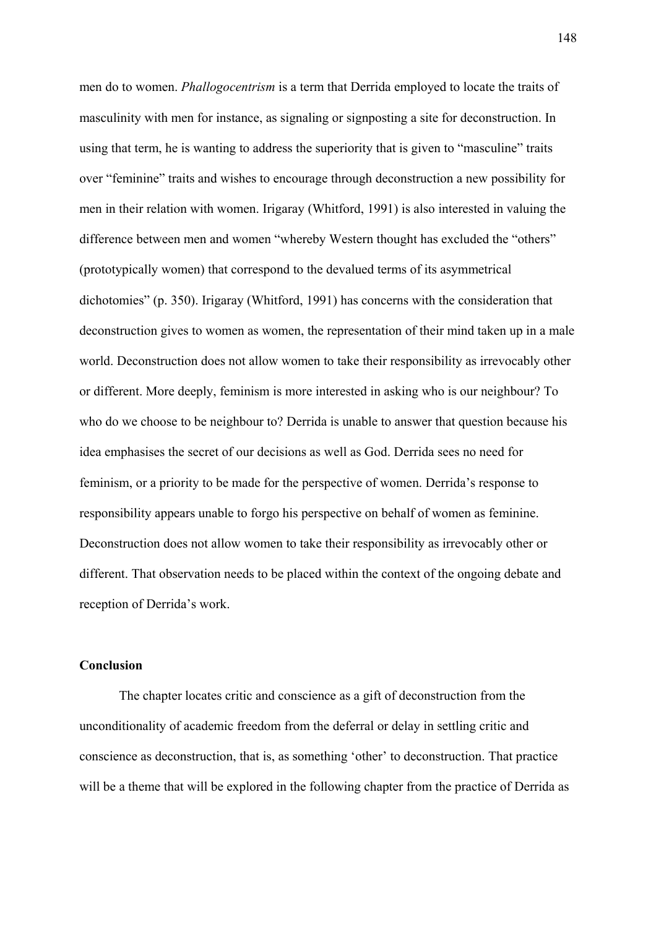men do to women. *Phallogocentrism* is a term that Derrida employed to locate the traits of masculinity with men for instance, as signaling or signposting a site for deconstruction. In using that term, he is wanting to address the superiority that is given to "masculine" traits over "feminine" traits and wishes to encourage through deconstruction a new possibility for men in their relation with women. Irigaray (Whitford, 1991) is also interested in valuing the difference between men and women "whereby Western thought has excluded the "others" (prototypically women) that correspond to the devalued terms of its asymmetrical dichotomies" (p. 350). Irigaray (Whitford, 1991) has concerns with the consideration that deconstruction gives to women as women, the representation of their mind taken up in a male world. Deconstruction does not allow women to take their responsibility as irrevocably other or different. More deeply, feminism is more interested in asking who is our neighbour? To who do we choose to be neighbour to? Derrida is unable to answer that question because his idea emphasises the secret of our decisions as well as God. Derrida sees no need for feminism, or a priority to be made for the perspective of women. Derrida's response to responsibility appears unable to forgo his perspective on behalf of women as feminine. Deconstruction does not allow women to take their responsibility as irrevocably other or different. That observation needs to be placed within the context of the ongoing debate and reception of Derrida's work.

### **Conclusion**

The chapter locates critic and conscience as a gift of deconstruction from the unconditionality of academic freedom from the deferral or delay in settling critic and conscience as deconstruction, that is, as something 'other' to deconstruction. That practice will be a theme that will be explored in the following chapter from the practice of Derrida as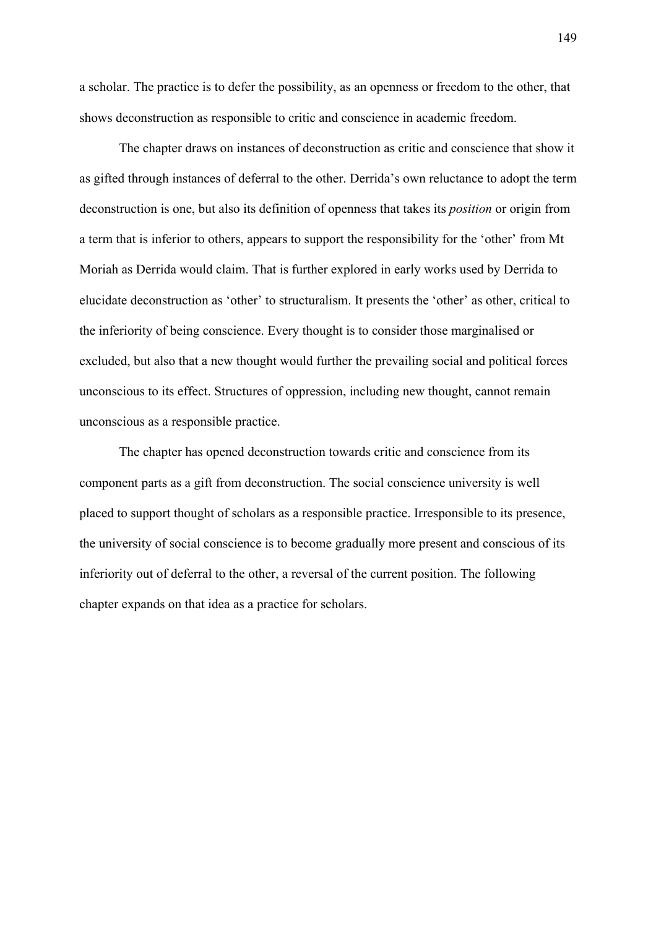a scholar. The practice is to defer the possibility, as an openness or freedom to the other, that shows deconstruction as responsible to critic and conscience in academic freedom.

The chapter draws on instances of deconstruction as critic and conscience that show it as gifted through instances of deferral to the other. Derrida's own reluctance to adopt the term deconstruction is one, but also its definition of openness that takes its *position* or origin from a term that is inferior to others, appears to support the responsibility for the 'other' from Mt Moriah as Derrida would claim. That is further explored in early works used by Derrida to elucidate deconstruction as 'other' to structuralism. It presents the 'other' as other, critical to the inferiority of being conscience. Every thought is to consider those marginalised or excluded, but also that a new thought would further the prevailing social and political forces unconscious to its effect. Structures of oppression, including new thought, cannot remain unconscious as a responsible practice.

The chapter has opened deconstruction towards critic and conscience from its component parts as a gift from deconstruction. The social conscience university is well placed to support thought of scholars as a responsible practice. Irresponsible to its presence, the university of social conscience is to become gradually more present and conscious of its inferiority out of deferral to the other, a reversal of the current position. The following chapter expands on that idea as a practice for scholars.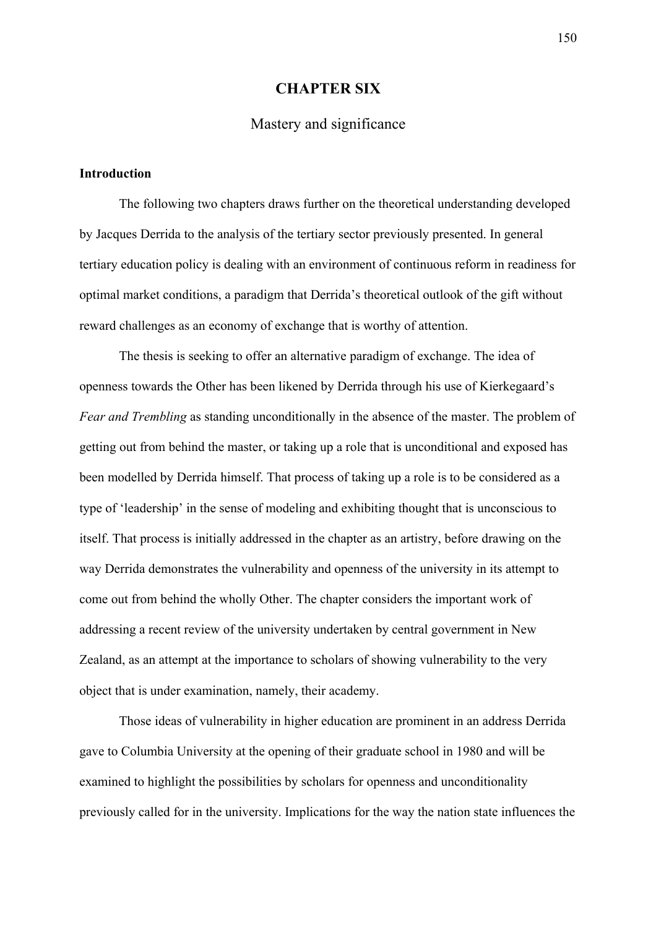## **CHAPTER SIX**

# Mastery and significance

#### **Introduction**

The following two chapters draws further on the theoretical understanding developed by Jacques Derrida to the analysis of the tertiary sector previously presented. In general tertiary education policy is dealing with an environment of continuous reform in readiness for optimal market conditions, a paradigm that Derrida's theoretical outlook of the gift without reward challenges as an economy of exchange that is worthy of attention.

The thesis is seeking to offer an alternative paradigm of exchange. The idea of openness towards the Other has been likened by Derrida through his use of Kierkegaard's *Fear and Trembling* as standing unconditionally in the absence of the master. The problem of getting out from behind the master, or taking up a role that is unconditional and exposed has been modelled by Derrida himself. That process of taking up a role is to be considered as a type of 'leadership' in the sense of modeling and exhibiting thought that is unconscious to itself. That process is initially addressed in the chapter as an artistry, before drawing on the way Derrida demonstrates the vulnerability and openness of the university in its attempt to come out from behind the wholly Other. The chapter considers the important work of addressing a recent review of the university undertaken by central government in New Zealand, as an attempt at the importance to scholars of showing vulnerability to the very object that is under examination, namely, their academy.

Those ideas of vulnerability in higher education are prominent in an address Derrida gave to Columbia University at the opening of their graduate school in 1980 and will be examined to highlight the possibilities by scholars for openness and unconditionality previously called for in the university. Implications for the way the nation state influences the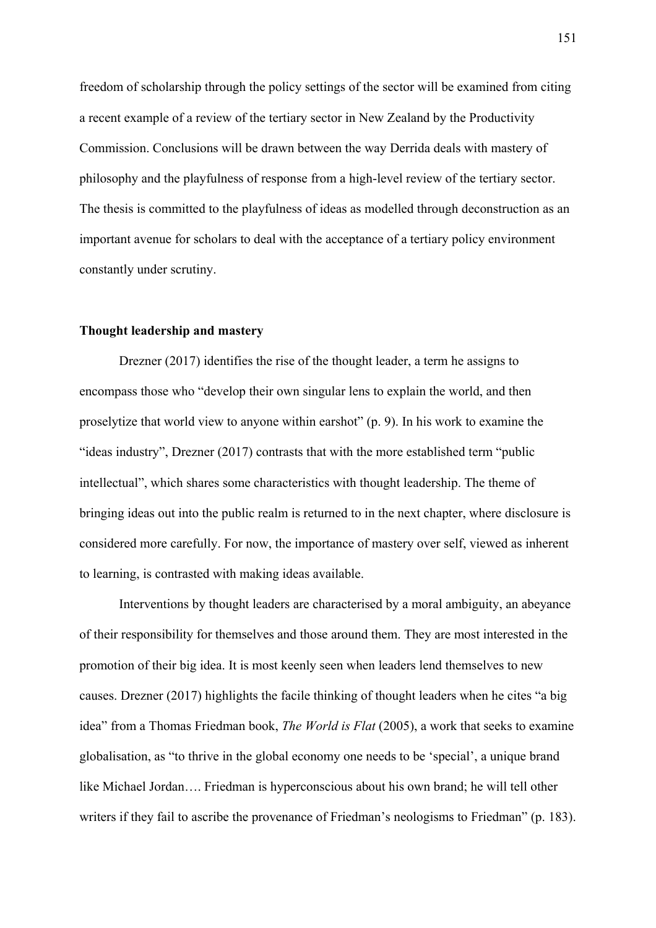freedom of scholarship through the policy settings of the sector will be examined from citing a recent example of a review of the tertiary sector in New Zealand by the Productivity Commission. Conclusions will be drawn between the way Derrida deals with mastery of philosophy and the playfulness of response from a high-level review of the tertiary sector. The thesis is committed to the playfulness of ideas as modelled through deconstruction as an important avenue for scholars to deal with the acceptance of a tertiary policy environment constantly under scrutiny.

#### **Thought leadership and mastery**

Drezner (2017) identifies the rise of the thought leader, a term he assigns to encompass those who "develop their own singular lens to explain the world, and then proselytize that world view to anyone within earshot" (p. 9). In his work to examine the "ideas industry", Drezner (2017) contrasts that with the more established term "public intellectual", which shares some characteristics with thought leadership. The theme of bringing ideas out into the public realm is returned to in the next chapter, where disclosure is considered more carefully. For now, the importance of mastery over self, viewed as inherent to learning, is contrasted with making ideas available.

Interventions by thought leaders are characterised by a moral ambiguity, an abeyance of their responsibility for themselves and those around them. They are most interested in the promotion of their big idea. It is most keenly seen when leaders lend themselves to new causes. Drezner (2017) highlights the facile thinking of thought leaders when he cites "a big idea" from a Thomas Friedman book, *The World is Flat* (2005), a work that seeks to examine globalisation, as "to thrive in the global economy one needs to be 'special', a unique brand like Michael Jordan…. Friedman is hyperconscious about his own brand; he will tell other writers if they fail to ascribe the provenance of Friedman's neologisms to Friedman" (p. 183).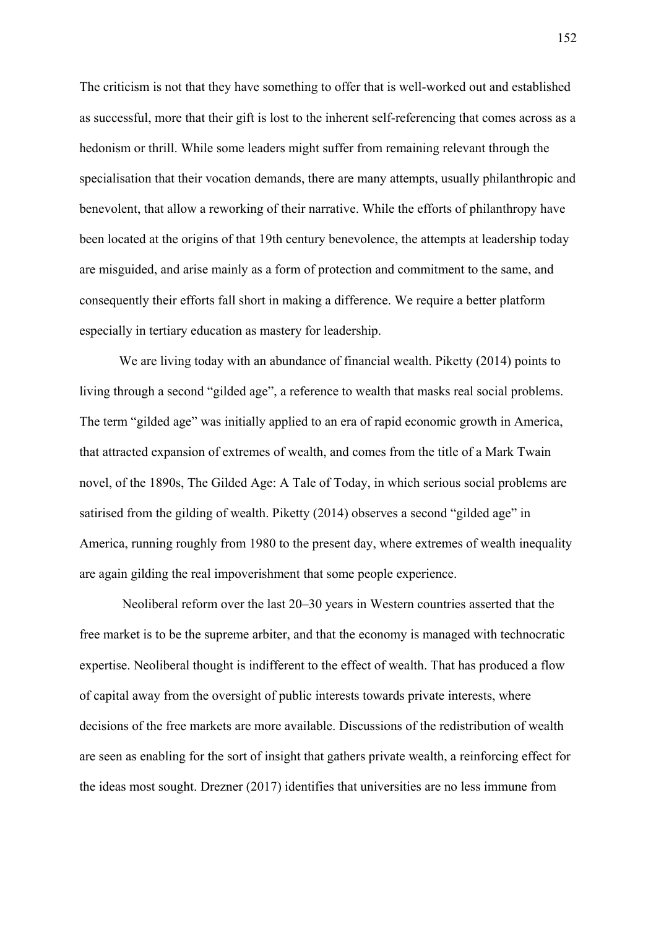The criticism is not that they have something to offer that is well-worked out and established as successful, more that their gift is lost to the inherent self-referencing that comes across as a hedonism or thrill. While some leaders might suffer from remaining relevant through the specialisation that their vocation demands, there are many attempts, usually philanthropic and benevolent, that allow a reworking of their narrative. While the efforts of philanthropy have been located at the origins of that 19th century benevolence, the attempts at leadership today are misguided, and arise mainly as a form of protection and commitment to the same, and consequently their efforts fall short in making a difference. We require a better platform especially in tertiary education as mastery for leadership.

We are living today with an abundance of financial wealth. Piketty (2014) points to living through a second "gilded age", a reference to wealth that masks real social problems. The term "gilded age" was initially applied to an era of rapid economic growth in America, that attracted expansion of extremes of wealth, and comes from the title of a Mark Twain novel, of the 1890s, The Gilded Age: A Tale of Today, in which serious social problems are satirised from the gilding of wealth. Piketty (2014) observes a second "gilded age" in America, running roughly from 1980 to the present day, where extremes of wealth inequality are again gilding the real impoverishment that some people experience.

 Neoliberal reform over the last 20–30 years in Western countries asserted that the free market is to be the supreme arbiter, and that the economy is managed with technocratic expertise. Neoliberal thought is indifferent to the effect of wealth. That has produced a flow of capital away from the oversight of public interests towards private interests, where decisions of the free markets are more available. Discussions of the redistribution of wealth are seen as enabling for the sort of insight that gathers private wealth, a reinforcing effect for the ideas most sought. Drezner (2017) identifies that universities are no less immune from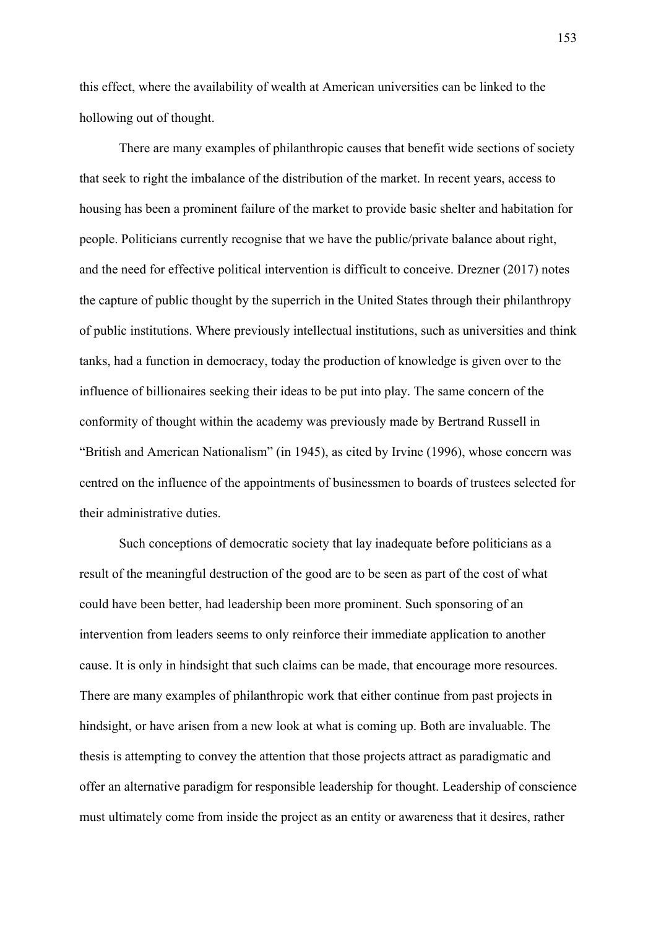this effect, where the availability of wealth at American universities can be linked to the hollowing out of thought.

There are many examples of philanthropic causes that benefit wide sections of society that seek to right the imbalance of the distribution of the market. In recent years, access to housing has been a prominent failure of the market to provide basic shelter and habitation for people. Politicians currently recognise that we have the public/private balance about right, and the need for effective political intervention is difficult to conceive. Drezner (2017) notes the capture of public thought by the superrich in the United States through their philanthropy of public institutions. Where previously intellectual institutions, such as universities and think tanks, had a function in democracy, today the production of knowledge is given over to the influence of billionaires seeking their ideas to be put into play. The same concern of the conformity of thought within the academy was previously made by Bertrand Russell in "British and American Nationalism" (in 1945), as cited by Irvine (1996), whose concern was centred on the influence of the appointments of businessmen to boards of trustees selected for their administrative duties.

Such conceptions of democratic society that lay inadequate before politicians as a result of the meaningful destruction of the good are to be seen as part of the cost of what could have been better, had leadership been more prominent. Such sponsoring of an intervention from leaders seems to only reinforce their immediate application to another cause. It is only in hindsight that such claims can be made, that encourage more resources. There are many examples of philanthropic work that either continue from past projects in hindsight, or have arisen from a new look at what is coming up. Both are invaluable. The thesis is attempting to convey the attention that those projects attract as paradigmatic and offer an alternative paradigm for responsible leadership for thought. Leadership of conscience must ultimately come from inside the project as an entity or awareness that it desires, rather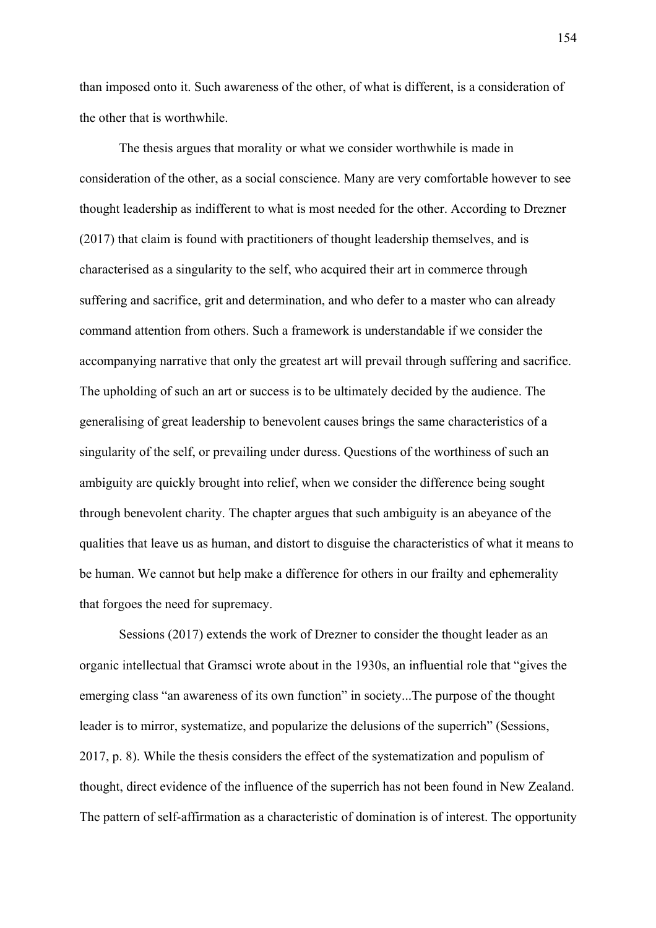than imposed onto it. Such awareness of the other, of what is different, is a consideration of the other that is worthwhile.

The thesis argues that morality or what we consider worthwhile is made in consideration of the other, as a social conscience. Many are very comfortable however to see thought leadership as indifferent to what is most needed for the other. According to Drezner (2017) that claim is found with practitioners of thought leadership themselves, and is characterised as a singularity to the self, who acquired their art in commerce through suffering and sacrifice, grit and determination, and who defer to a master who can already command attention from others. Such a framework is understandable if we consider the accompanying narrative that only the greatest art will prevail through suffering and sacrifice. The upholding of such an art or success is to be ultimately decided by the audience. The generalising of great leadership to benevolent causes brings the same characteristics of a singularity of the self, or prevailing under duress. Questions of the worthiness of such an ambiguity are quickly brought into relief, when we consider the difference being sought through benevolent charity. The chapter argues that such ambiguity is an abeyance of the qualities that leave us as human, and distort to disguise the characteristics of what it means to be human. We cannot but help make a difference for others in our frailty and ephemerality that forgoes the need for supremacy.

Sessions (2017) extends the work of Drezner to consider the thought leader as an organic intellectual that Gramsci wrote about in the 1930s, an influential role that "gives the emerging class "an awareness of its own function" in society...The purpose of the thought leader is to mirror, systematize, and popularize the delusions of the superrich" (Sessions, 2017, p. 8). While the thesis considers the effect of the systematization and populism of thought, direct evidence of the influence of the superrich has not been found in New Zealand. The pattern of self-affirmation as a characteristic of domination is of interest. The opportunity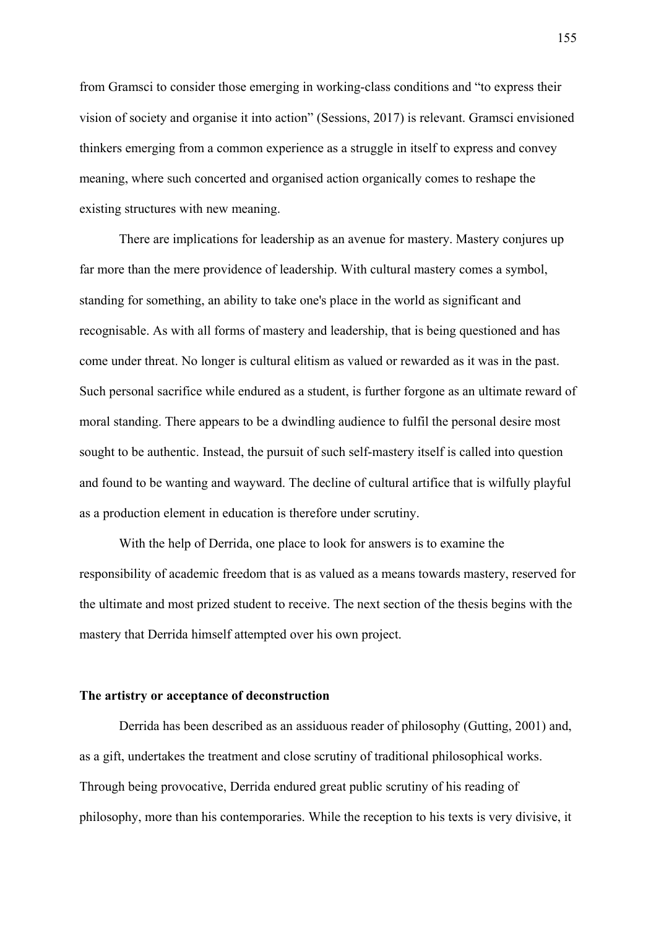from Gramsci to consider those emerging in working-class conditions and "to express their vision of society and organise it into action" (Sessions, 2017) is relevant. Gramsci envisioned thinkers emerging from a common experience as a struggle in itself to express and convey meaning, where such concerted and organised action organically comes to reshape the existing structures with new meaning.

There are implications for leadership as an avenue for mastery. Mastery conjures up far more than the mere providence of leadership. With cultural mastery comes a symbol, standing for something, an ability to take one's place in the world as significant and recognisable. As with all forms of mastery and leadership, that is being questioned and has come under threat. No longer is cultural elitism as valued or rewarded as it was in the past. Such personal sacrifice while endured as a student, is further forgone as an ultimate reward of moral standing. There appears to be a dwindling audience to fulfil the personal desire most sought to be authentic. Instead, the pursuit of such self-mastery itself is called into question and found to be wanting and wayward. The decline of cultural artifice that is wilfully playful as a production element in education is therefore under scrutiny.

With the help of Derrida, one place to look for answers is to examine the responsibility of academic freedom that is as valued as a means towards mastery, reserved for the ultimate and most prized student to receive. The next section of the thesis begins with the mastery that Derrida himself attempted over his own project.

#### **The artistry or acceptance of deconstruction**

Derrida has been described as an assiduous reader of philosophy (Gutting, 2001) and, as a gift, undertakes the treatment and close scrutiny of traditional philosophical works. Through being provocative, Derrida endured great public scrutiny of his reading of philosophy, more than his contemporaries. While the reception to his texts is very divisive, it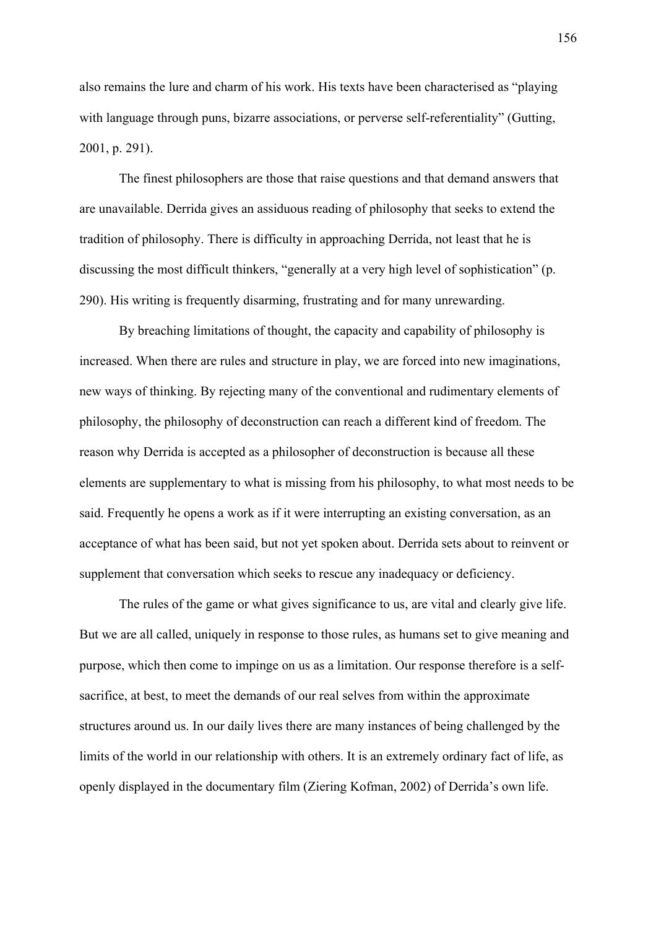also remains the lure and charm of his work. His texts have been characterised as "playing with language through puns, bizarre associations, or perverse self-referentiality" (Gutting, 2001, p. 291).

The finest philosophers are those that raise questions and that demand answers that are unavailable. Derrida gives an assiduous reading of philosophy that seeks to extend the tradition of philosophy. There is difficulty in approaching Derrida, not least that he is discussing the most difficult thinkers, "generally at a very high level of sophistication" (p. 290). His writing is frequently disarming, frustrating and for many unrewarding.

By breaching limitations of thought, the capacity and capability of philosophy is increased. When there are rules and structure in play, we are forced into new imaginations, new ways of thinking. By rejecting many of the conventional and rudimentary elements of philosophy, the philosophy of deconstruction can reach a different kind of freedom. The reason why Derrida is accepted as a philosopher of deconstruction is because all these elements are supplementary to what is missing from his philosophy, to what most needs to be said. Frequently he opens a work as if it were interrupting an existing conversation, as an acceptance of what has been said, but not yet spoken about. Derrida sets about to reinvent or supplement that conversation which seeks to rescue any inadequacy or deficiency.

The rules of the game or what gives significance to us, are vital and clearly give life. But we are all called, uniquely in response to those rules, as humans set to give meaning and purpose, which then come to impinge on us as a limitation. Our response therefore is a selfsacrifice, at best, to meet the demands of our real selves from within the approximate structures around us. In our daily lives there are many instances of being challenged by the limits of the world in our relationship with others. It is an extremely ordinary fact of life, as openly displayed in the documentary film (Ziering Kofman, 2002) of Derrida's own life.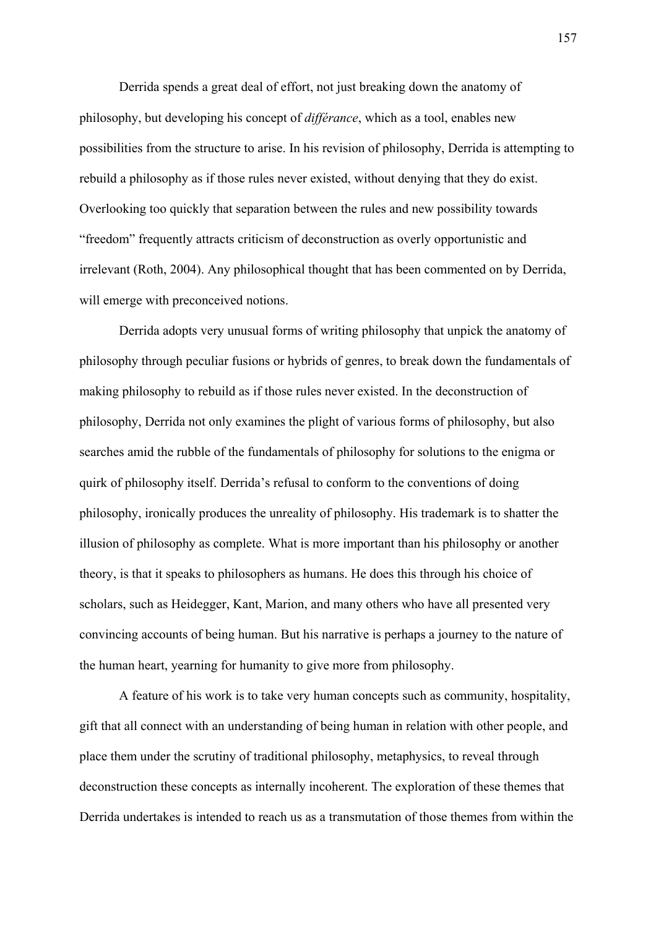Derrida spends a great deal of effort, not just breaking down the anatomy of philosophy, but developing his concept of *différance*, which as a tool, enables new possibilities from the structure to arise. In his revision of philosophy, Derrida is attempting to rebuild a philosophy as if those rules never existed, without denying that they do exist. Overlooking too quickly that separation between the rules and new possibility towards "freedom" frequently attracts criticism of deconstruction as overly opportunistic and irrelevant (Roth, 2004). Any philosophical thought that has been commented on by Derrida, will emerge with preconceived notions.

Derrida adopts very unusual forms of writing philosophy that unpick the anatomy of philosophy through peculiar fusions or hybrids of genres, to break down the fundamentals of making philosophy to rebuild as if those rules never existed. In the deconstruction of philosophy, Derrida not only examines the plight of various forms of philosophy, but also searches amid the rubble of the fundamentals of philosophy for solutions to the enigma or quirk of philosophy itself. Derrida's refusal to conform to the conventions of doing philosophy, ironically produces the unreality of philosophy. His trademark is to shatter the illusion of philosophy as complete. What is more important than his philosophy or another theory, is that it speaks to philosophers as humans. He does this through his choice of scholars, such as Heidegger, Kant, Marion, and many others who have all presented very convincing accounts of being human. But his narrative is perhaps a journey to the nature of the human heart, yearning for humanity to give more from philosophy.

A feature of his work is to take very human concepts such as community, hospitality, gift that all connect with an understanding of being human in relation with other people, and place them under the scrutiny of traditional philosophy, metaphysics, to reveal through deconstruction these concepts as internally incoherent. The exploration of these themes that Derrida undertakes is intended to reach us as a transmutation of those themes from within the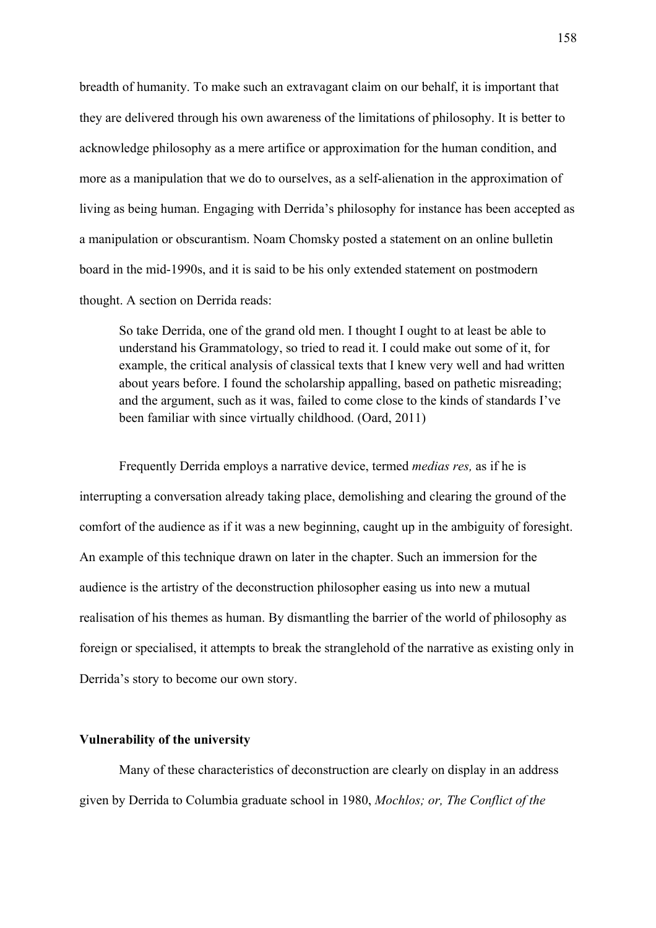breadth of humanity. To make such an extravagant claim on our behalf, it is important that they are delivered through his own awareness of the limitations of philosophy. It is better to acknowledge philosophy as a mere artifice or approximation for the human condition, and more as a manipulation that we do to ourselves, as a self-alienation in the approximation of living as being human. Engaging with Derrida's philosophy for instance has been accepted as a manipulation or obscurantism. Noam Chomsky posted a statement on an online bulletin board in the mid-1990s, and it is said to be his only extended statement on postmodern thought. A section on Derrida reads:

So take Derrida, one of the grand old men. I thought I ought to at least be able to understand his Grammatology, so tried to read it. I could make out some of it, for example, the critical analysis of classical texts that I knew very well and had written about years before. I found the scholarship appalling, based on pathetic misreading; and the argument, such as it was, failed to come close to the kinds of standards I've been familiar with since virtually childhood. (Oard, 2011)

Frequently Derrida employs a narrative device, termed *medias res,* as if he is interrupting a conversation already taking place, demolishing and clearing the ground of the comfort of the audience as if it was a new beginning, caught up in the ambiguity of foresight. An example of this technique drawn on later in the chapter. Such an immersion for the audience is the artistry of the deconstruction philosopher easing us into new a mutual realisation of his themes as human. By dismantling the barrier of the world of philosophy as foreign or specialised, it attempts to break the stranglehold of the narrative as existing only in Derrida's story to become our own story.

#### **Vulnerability of the university**

Many of these characteristics of deconstruction are clearly on display in an address given by Derrida to Columbia graduate school in 1980, *Mochlos; or, The Conflict of the*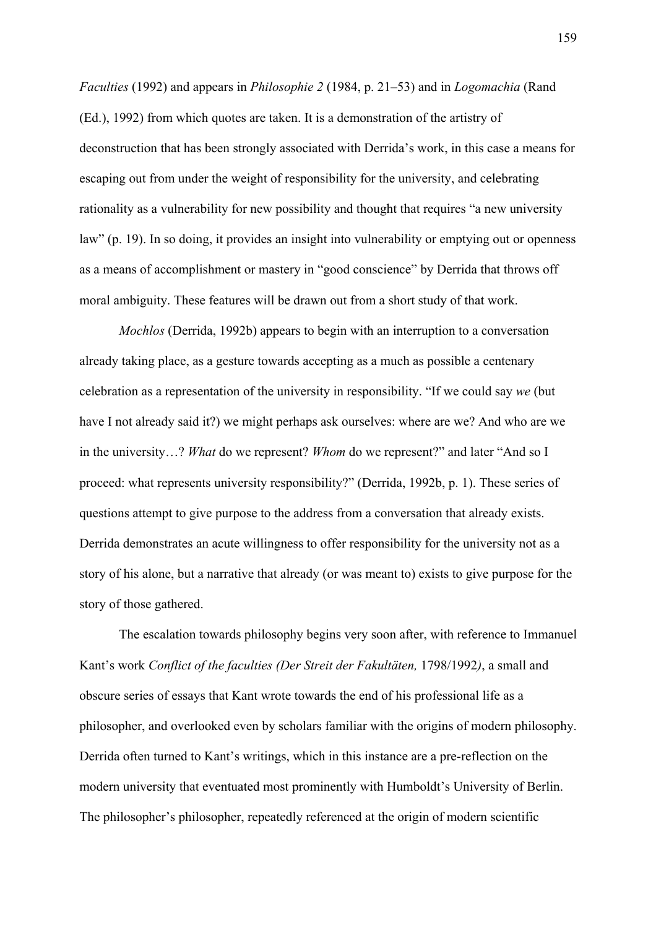*Faculties* (1992) and appears in *Philosophie 2* (1984, p. 21–53) and in *Logomachia* (Rand (Ed.), 1992) from which quotes are taken. It is a demonstration of the artistry of deconstruction that has been strongly associated with Derrida's work, in this case a means for escaping out from under the weight of responsibility for the university, and celebrating rationality as a vulnerability for new possibility and thought that requires "a new university law" (p. 19). In so doing, it provides an insight into vulnerability or emptying out or openness as a means of accomplishment or mastery in "good conscience" by Derrida that throws off moral ambiguity. These features will be drawn out from a short study of that work.

*Mochlos* (Derrida, 1992b) appears to begin with an interruption to a conversation already taking place, as a gesture towards accepting as a much as possible a centenary celebration as a representation of the university in responsibility. "If we could say *we* (but have I not already said it?) we might perhaps ask ourselves: where are we? And who are we in the university…? *What* do we represent? *Whom* do we represent?" and later "And so I proceed: what represents university responsibility?" (Derrida, 1992b, p. 1). These series of questions attempt to give purpose to the address from a conversation that already exists. Derrida demonstrates an acute willingness to offer responsibility for the university not as a story of his alone, but a narrative that already (or was meant to) exists to give purpose for the story of those gathered.

The escalation towards philosophy begins very soon after, with reference to Immanuel Kant's work *Conflict of the faculties (Der Streit der Fakultäten,* 1798/1992*)*, a small and obscure series of essays that Kant wrote towards the end of his professional life as a philosopher, and overlooked even by scholars familiar with the origins of modern philosophy. Derrida often turned to Kant's writings, which in this instance are a pre-reflection on the modern university that eventuated most prominently with Humboldt's University of Berlin. The philosopher's philosopher, repeatedly referenced at the origin of modern scientific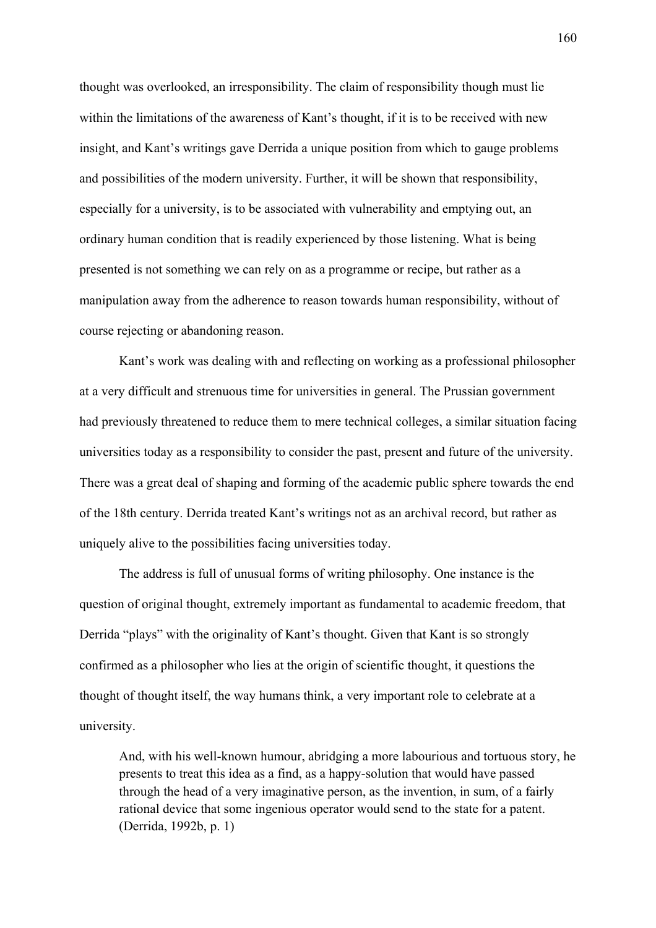thought was overlooked, an irresponsibility. The claim of responsibility though must lie within the limitations of the awareness of Kant's thought, if it is to be received with new insight, and Kant's writings gave Derrida a unique position from which to gauge problems and possibilities of the modern university. Further, it will be shown that responsibility, especially for a university, is to be associated with vulnerability and emptying out, an ordinary human condition that is readily experienced by those listening. What is being presented is not something we can rely on as a programme or recipe, but rather as a manipulation away from the adherence to reason towards human responsibility, without of course rejecting or abandoning reason.

Kant's work was dealing with and reflecting on working as a professional philosopher at a very difficult and strenuous time for universities in general. The Prussian government had previously threatened to reduce them to mere technical colleges, a similar situation facing universities today as a responsibility to consider the past, present and future of the university. There was a great deal of shaping and forming of the academic public sphere towards the end of the 18th century. Derrida treated Kant's writings not as an archival record, but rather as uniquely alive to the possibilities facing universities today.

The address is full of unusual forms of writing philosophy. One instance is the question of original thought, extremely important as fundamental to academic freedom, that Derrida "plays" with the originality of Kant's thought. Given that Kant is so strongly confirmed as a philosopher who lies at the origin of scientific thought, it questions the thought of thought itself, the way humans think, a very important role to celebrate at a university.

And, with his well-known humour, abridging a more labourious and tortuous story, he presents to treat this idea as a find, as a happy-solution that would have passed through the head of a very imaginative person, as the invention, in sum, of a fairly rational device that some ingenious operator would send to the state for a patent. (Derrida, 1992b, p. 1)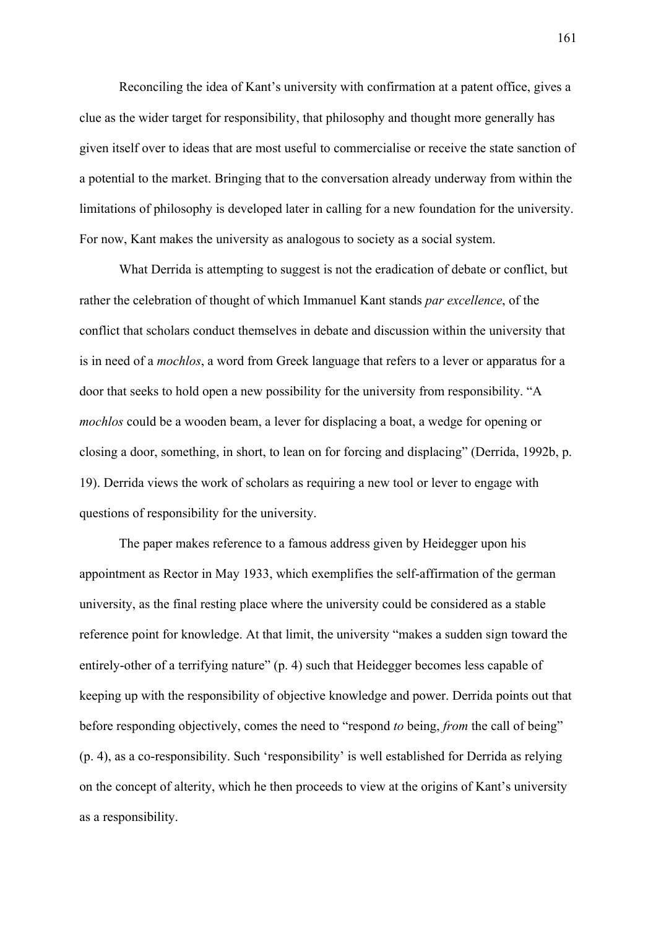Reconciling the idea of Kant's university with confirmation at a patent office, gives a clue as the wider target for responsibility, that philosophy and thought more generally has given itself over to ideas that are most useful to commercialise or receive the state sanction of a potential to the market. Bringing that to the conversation already underway from within the limitations of philosophy is developed later in calling for a new foundation for the university. For now, Kant makes the university as analogous to society as a social system.

What Derrida is attempting to suggest is not the eradication of debate or conflict, but rather the celebration of thought of which Immanuel Kant stands *par excellence*, of the conflict that scholars conduct themselves in debate and discussion within the university that is in need of a *mochlos*, a word from Greek language that refers to a lever or apparatus for a door that seeks to hold open a new possibility for the university from responsibility. "A *mochlos* could be a wooden beam, a lever for displacing a boat, a wedge for opening or closing a door, something, in short, to lean on for forcing and displacing" (Derrida, 1992b, p. 19). Derrida views the work of scholars as requiring a new tool or lever to engage with questions of responsibility for the university.

The paper makes reference to a famous address given by Heidegger upon his appointment as Rector in May 1933, which exemplifies the self-affirmation of the german university, as the final resting place where the university could be considered as a stable reference point for knowledge. At that limit, the university "makes a sudden sign toward the entirely-other of a terrifying nature" (p. 4) such that Heidegger becomes less capable of keeping up with the responsibility of objective knowledge and power. Derrida points out that before responding objectively, comes the need to "respond *to* being, *from* the call of being" (p. 4), as a co-responsibility. Such 'responsibility' is well established for Derrida as relying on the concept of alterity, which he then proceeds to view at the origins of Kant's university as a responsibility.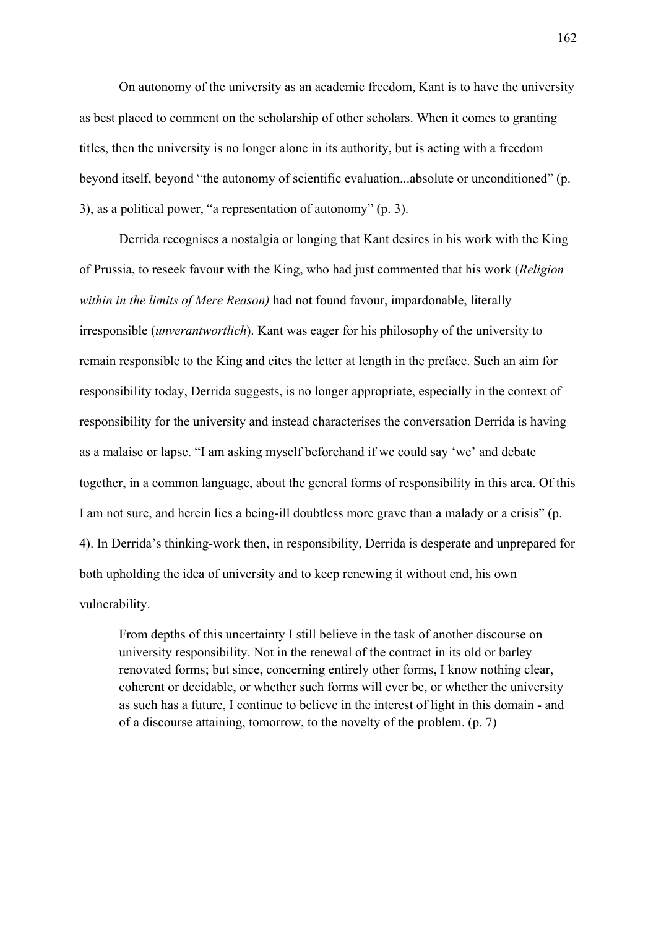On autonomy of the university as an academic freedom, Kant is to have the university as best placed to comment on the scholarship of other scholars. When it comes to granting titles, then the university is no longer alone in its authority, but is acting with a freedom beyond itself, beyond "the autonomy of scientific evaluation...absolute or unconditioned" (p. 3), as a political power, "a representation of autonomy" (p. 3).

Derrida recognises a nostalgia or longing that Kant desires in his work with the King of Prussia, to reseek favour with the King, who had just commented that his work (*Religion within in the limits of Mere Reason)* had not found favour, impardonable, literally irresponsible (*unverantwortlich*). Kant was eager for his philosophy of the university to remain responsible to the King and cites the letter at length in the preface. Such an aim for responsibility today, Derrida suggests, is no longer appropriate, especially in the context of responsibility for the university and instead characterises the conversation Derrida is having as a malaise or lapse. "I am asking myself beforehand if we could say 'we' and debate together, in a common language, about the general forms of responsibility in this area. Of this I am not sure, and herein lies a being-ill doubtless more grave than a malady or a crisis" (p. 4). In Derrida's thinking-work then, in responsibility, Derrida is desperate and unprepared for both upholding the idea of university and to keep renewing it without end, his own vulnerability.

From depths of this uncertainty I still believe in the task of another discourse on university responsibility. Not in the renewal of the contract in its old or barley renovated forms; but since, concerning entirely other forms, I know nothing clear, coherent or decidable, or whether such forms will ever be, or whether the university as such has a future, I continue to believe in the interest of light in this domain - and of a discourse attaining, tomorrow, to the novelty of the problem. (p. 7)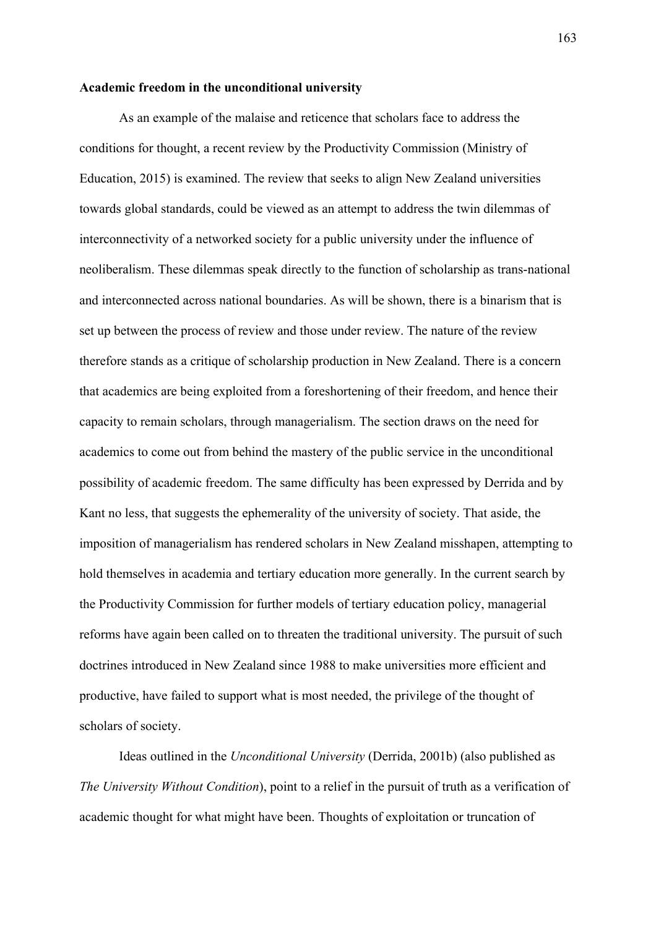#### **Academic freedom in the unconditional university**

As an example of the malaise and reticence that scholars face to address the conditions for thought, a recent review by the Productivity Commission (Ministry of Education, 2015) is examined. The review that seeks to align New Zealand universities towards global standards, could be viewed as an attempt to address the twin dilemmas of interconnectivity of a networked society for a public university under the influence of neoliberalism. These dilemmas speak directly to the function of scholarship as trans-national and interconnected across national boundaries. As will be shown, there is a binarism that is set up between the process of review and those under review. The nature of the review therefore stands as a critique of scholarship production in New Zealand. There is a concern that academics are being exploited from a foreshortening of their freedom, and hence their capacity to remain scholars, through managerialism. The section draws on the need for academics to come out from behind the mastery of the public service in the unconditional possibility of academic freedom. The same difficulty has been expressed by Derrida and by Kant no less, that suggests the ephemerality of the university of society. That aside, the imposition of managerialism has rendered scholars in New Zealand misshapen, attempting to hold themselves in academia and tertiary education more generally. In the current search by the Productivity Commission for further models of tertiary education policy, managerial reforms have again been called on to threaten the traditional university. The pursuit of such doctrines introduced in New Zealand since 1988 to make universities more efficient and productive, have failed to support what is most needed, the privilege of the thought of scholars of society.

Ideas outlined in the *Unconditional University* (Derrida, 2001b) (also published as *The University Without Condition*), point to a relief in the pursuit of truth as a verification of academic thought for what might have been. Thoughts of exploitation or truncation of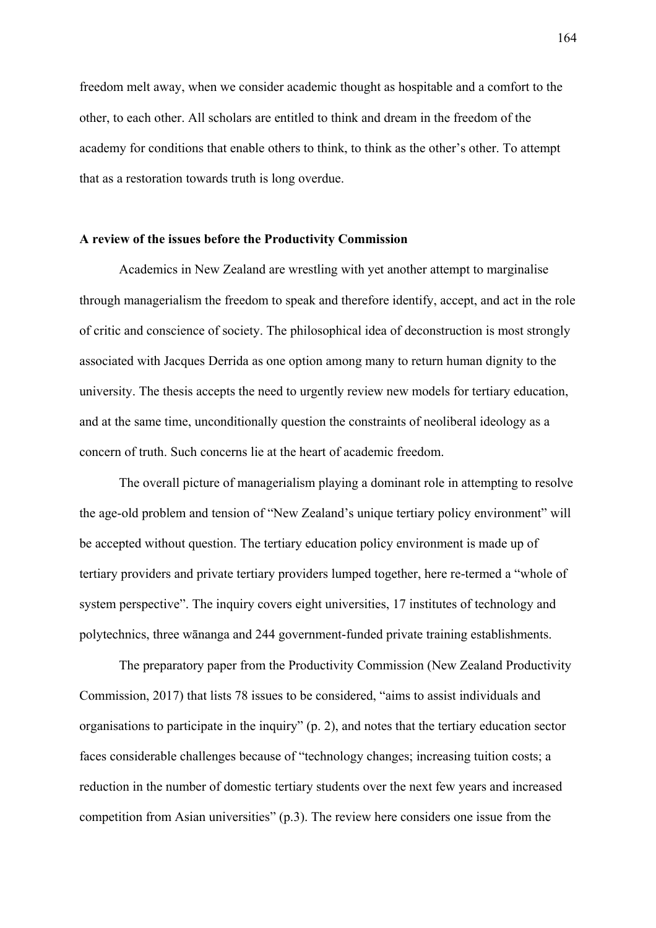freedom melt away, when we consider academic thought as hospitable and a comfort to the other, to each other. All scholars are entitled to think and dream in the freedom of the academy for conditions that enable others to think, to think as the other's other. To attempt that as a restoration towards truth is long overdue.

#### **A review of the issues before the Productivity Commission**

Academics in New Zealand are wrestling with yet another attempt to marginalise through managerialism the freedom to speak and therefore identify, accept, and act in the role of critic and conscience of society. The philosophical idea of deconstruction is most strongly associated with Jacques Derrida as one option among many to return human dignity to the university. The thesis accepts the need to urgently review new models for tertiary education, and at the same time, unconditionally question the constraints of neoliberal ideology as a concern of truth. Such concerns lie at the heart of academic freedom.

The overall picture of managerialism playing a dominant role in attempting to resolve the age-old problem and tension of "New Zealand's unique tertiary policy environment" will be accepted without question. The tertiary education policy environment is made up of tertiary providers and private tertiary providers lumped together, here re-termed a "whole of system perspective". The inquiry covers eight universities, 17 institutes of technology and polytechnics, three wānanga and 244 government-funded private training establishments.

 The preparatory paper from the Productivity Commission (New Zealand Productivity Commission, 2017) that lists 78 issues to be considered, "aims to assist individuals and organisations to participate in the inquiry" (p. 2), and notes that the tertiary education sector faces considerable challenges because of "technology changes; increasing tuition costs; a reduction in the number of domestic tertiary students over the next few years and increased competition from Asian universities" (p.3). The review here considers one issue from the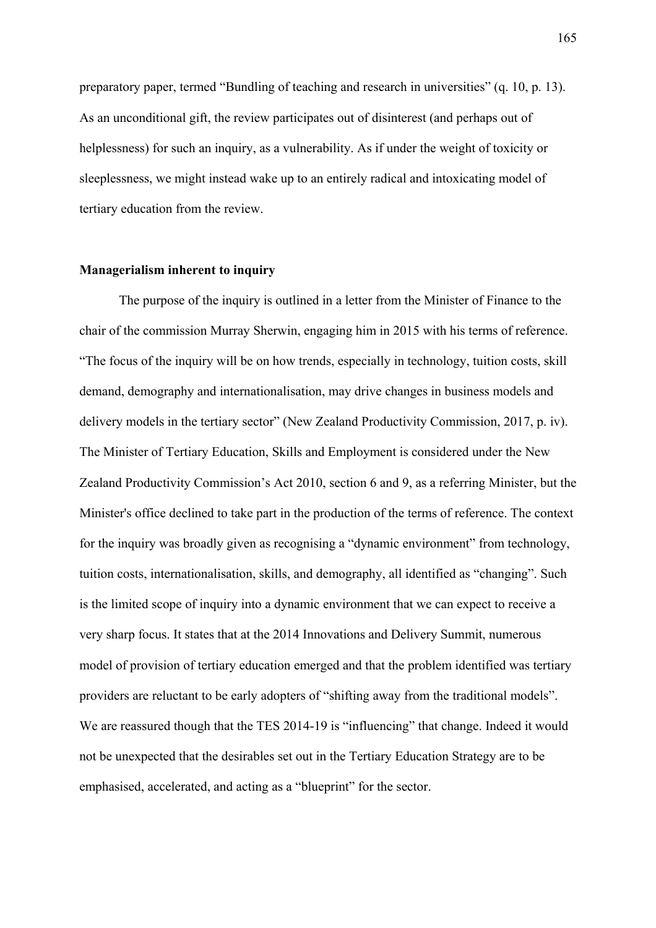preparatory paper, termed "Bundling of teaching and research in universities" (q. 10, p. 13). As an unconditional gift, the review participates out of disinterest (and perhaps out of helplessness) for such an inquiry, as a vulnerability. As if under the weight of toxicity or sleeplessness, we might instead wake up to an entirely radical and intoxicating model of tertiary education from the review.

### **Managerialism inherent to inquiry**

The purpose of the inquiry is outlined in a letter from the Minister of Finance to the chair of the commission Murray Sherwin, engaging him in 2015 with his terms of reference. "The focus of the inquiry will be on how trends, especially in technology, tuition costs, skill demand, demography and internationalisation, may drive changes in business models and delivery models in the tertiary sector" (New Zealand Productivity Commission, 2017, p. iv). The Minister of Tertiary Education, Skills and Employment is considered under the New Zealand Productivity Commission's Act 2010, section 6 and 9, as a referring Minister, but the Minister's office declined to take part in the production of the terms of reference. The context for the inquiry was broadly given as recognising a "dynamic environment" from technology, tuition costs, internationalisation, skills, and demography, all identified as "changing". Such is the limited scope of inquiry into a dynamic environment that we can expect to receive a very sharp focus. It states that at the 2014 Innovations and Delivery Summit, numerous model of provision of tertiary education emerged and that the problem identified was tertiary providers are reluctant to be early adopters of "shifting away from the traditional models". We are reassured though that the TES 2014-19 is "influencing" that change. Indeed it would not be unexpected that the desirables set out in the Tertiary Education Strategy are to be emphasised, accelerated, and acting as a "blueprint" for the sector.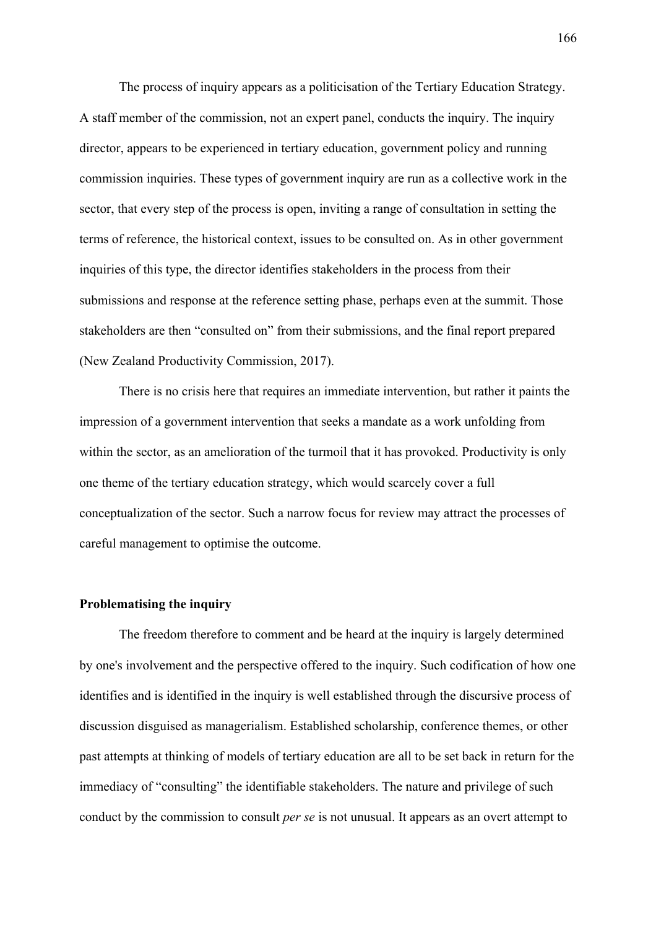The process of inquiry appears as a politicisation of the Tertiary Education Strategy. A staff member of the commission, not an expert panel, conducts the inquiry. The inquiry director, appears to be experienced in tertiary education, government policy and running commission inquiries. These types of government inquiry are run as a collective work in the sector, that every step of the process is open, inviting a range of consultation in setting the terms of reference, the historical context, issues to be consulted on. As in other government inquiries of this type, the director identifies stakeholders in the process from their submissions and response at the reference setting phase, perhaps even at the summit. Those stakeholders are then "consulted on" from their submissions, and the final report prepared (New Zealand Productivity Commission, 2017).

There is no crisis here that requires an immediate intervention, but rather it paints the impression of a government intervention that seeks a mandate as a work unfolding from within the sector, as an amelioration of the turmoil that it has provoked. Productivity is only one theme of the tertiary education strategy, which would scarcely cover a full conceptualization of the sector. Such a narrow focus for review may attract the processes of careful management to optimise the outcome.

#### **Problematising the inquiry**

The freedom therefore to comment and be heard at the inquiry is largely determined by one's involvement and the perspective offered to the inquiry. Such codification of how one identifies and is identified in the inquiry is well established through the discursive process of discussion disguised as managerialism. Established scholarship, conference themes, or other past attempts at thinking of models of tertiary education are all to be set back in return for the immediacy of "consulting" the identifiable stakeholders. The nature and privilege of such conduct by the commission to consult *per se* is not unusual. It appears as an overt attempt to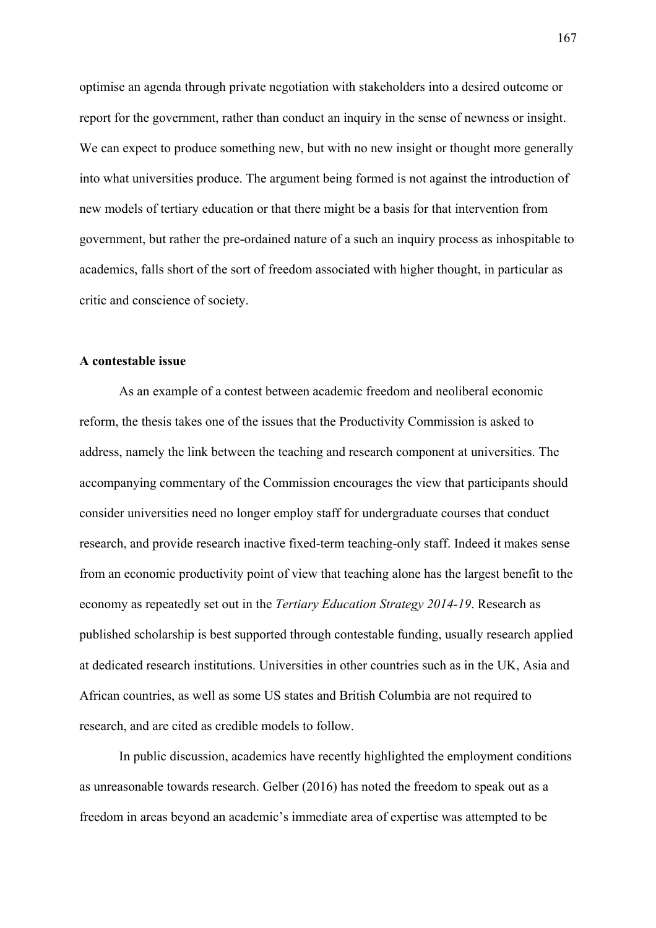optimise an agenda through private negotiation with stakeholders into a desired outcome or report for the government, rather than conduct an inquiry in the sense of newness or insight. We can expect to produce something new, but with no new insight or thought more generally into what universities produce. The argument being formed is not against the introduction of new models of tertiary education or that there might be a basis for that intervention from government, but rather the pre-ordained nature of a such an inquiry process as inhospitable to academics, falls short of the sort of freedom associated with higher thought, in particular as critic and conscience of society.

#### **A contestable issue**

 As an example of a contest between academic freedom and neoliberal economic reform, the thesis takes one of the issues that the Productivity Commission is asked to address, namely the link between the teaching and research component at universities. The accompanying commentary of the Commission encourages the view that participants should consider universities need no longer employ staff for undergraduate courses that conduct research, and provide research inactive fixed-term teaching-only staff. Indeed it makes sense from an economic productivity point of view that teaching alone has the largest benefit to the economy as repeatedly set out in the *Tertiary Education Strategy 2014-19*. Research as published scholarship is best supported through contestable funding, usually research applied at dedicated research institutions. Universities in other countries such as in the UK, Asia and African countries, as well as some US states and British Columbia are not required to research, and are cited as credible models to follow.

In public discussion, academics have recently highlighted the employment conditions as unreasonable towards research. Gelber (2016) has noted the freedom to speak out as a freedom in areas beyond an academic's immediate area of expertise was attempted to be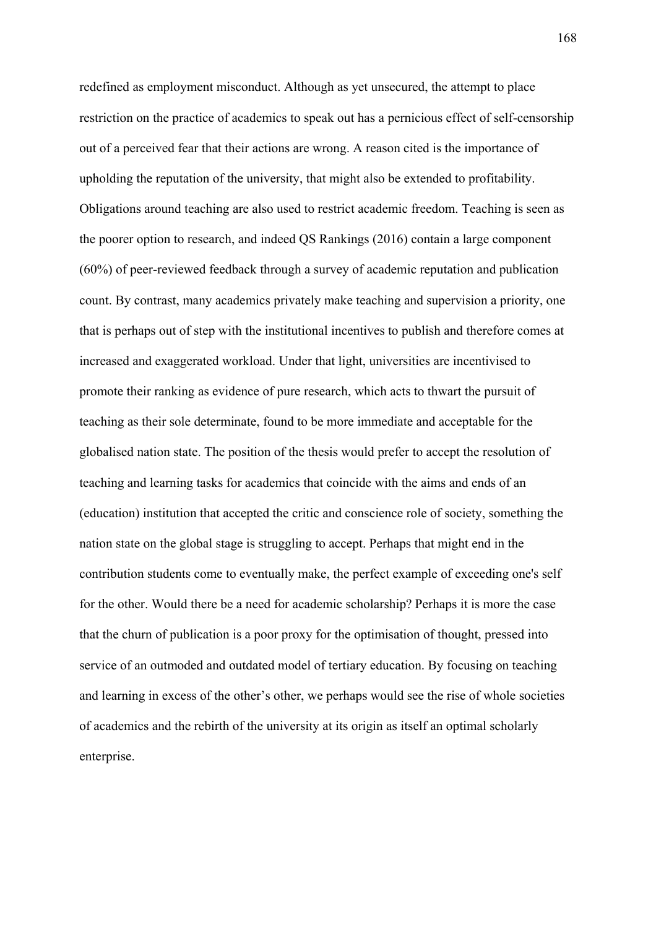redefined as employment misconduct. Although as yet unsecured, the attempt to place restriction on the practice of academics to speak out has a pernicious effect of self-censorship out of a perceived fear that their actions are wrong. A reason cited is the importance of upholding the reputation of the university, that might also be extended to profitability. Obligations around teaching are also used to restrict academic freedom. Teaching is seen as the poorer option to research, and indeed QS Rankings (2016) contain a large component (60%) of peer-reviewed feedback through a survey of academic reputation and publication count. By contrast, many academics privately make teaching and supervision a priority, one that is perhaps out of step with the institutional incentives to publish and therefore comes at increased and exaggerated workload. Under that light, universities are incentivised to promote their ranking as evidence of pure research, which acts to thwart the pursuit of teaching as their sole determinate, found to be more immediate and acceptable for the globalised nation state. The position of the thesis would prefer to accept the resolution of teaching and learning tasks for academics that coincide with the aims and ends of an (education) institution that accepted the critic and conscience role of society, something the nation state on the global stage is struggling to accept. Perhaps that might end in the contribution students come to eventually make, the perfect example of exceeding one's self for the other. Would there be a need for academic scholarship? Perhaps it is more the case that the churn of publication is a poor proxy for the optimisation of thought, pressed into service of an outmoded and outdated model of tertiary education. By focusing on teaching and learning in excess of the other's other, we perhaps would see the rise of whole societies of academics and the rebirth of the university at its origin as itself an optimal scholarly enterprise.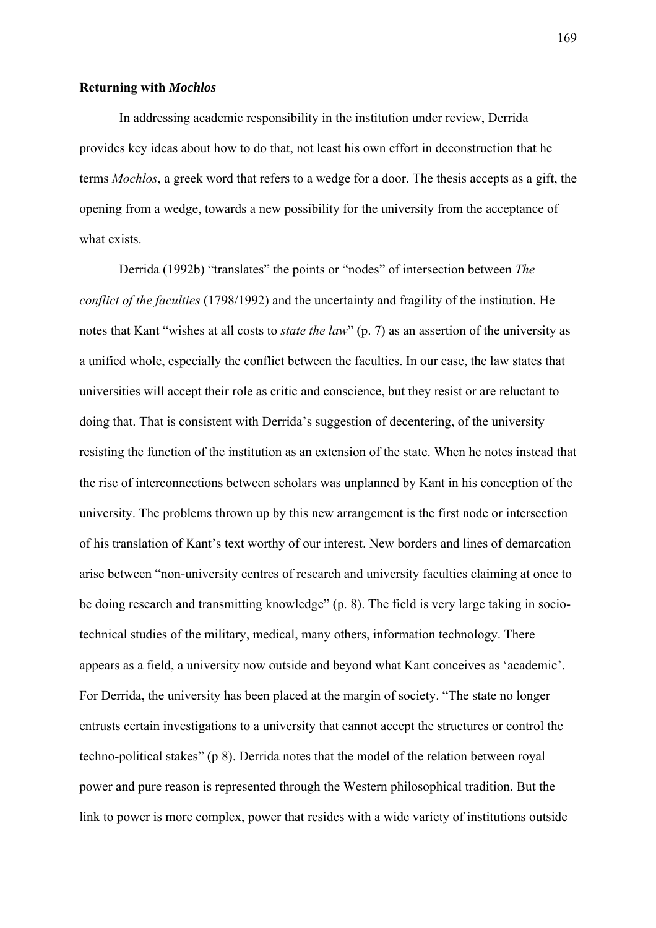#### **Returning with** *Mochlos*

In addressing academic responsibility in the institution under review, Derrida provides key ideas about how to do that, not least his own effort in deconstruction that he terms *Mochlos*, a greek word that refers to a wedge for a door. The thesis accepts as a gift, the opening from a wedge, towards a new possibility for the university from the acceptance of what exists.

Derrida (1992b) "translates" the points or "nodes" of intersection between *The conflict of the faculties* (1798/1992) and the uncertainty and fragility of the institution. He notes that Kant "wishes at all costs to *state the law*" (p. 7) as an assertion of the university as a unified whole, especially the conflict between the faculties. In our case, the law states that universities will accept their role as critic and conscience, but they resist or are reluctant to doing that. That is consistent with Derrida's suggestion of decentering, of the university resisting the function of the institution as an extension of the state. When he notes instead that the rise of interconnections between scholars was unplanned by Kant in his conception of the university. The problems thrown up by this new arrangement is the first node or intersection of his translation of Kant's text worthy of our interest. New borders and lines of demarcation arise between "non-university centres of research and university faculties claiming at once to be doing research and transmitting knowledge" (p. 8). The field is very large taking in sociotechnical studies of the military, medical, many others, information technology. There appears as a field, a university now outside and beyond what Kant conceives as 'academic'. For Derrida, the university has been placed at the margin of society. "The state no longer entrusts certain investigations to a university that cannot accept the structures or control the techno-political stakes" (p 8). Derrida notes that the model of the relation between royal power and pure reason is represented through the Western philosophical tradition. But the link to power is more complex, power that resides with a wide variety of institutions outside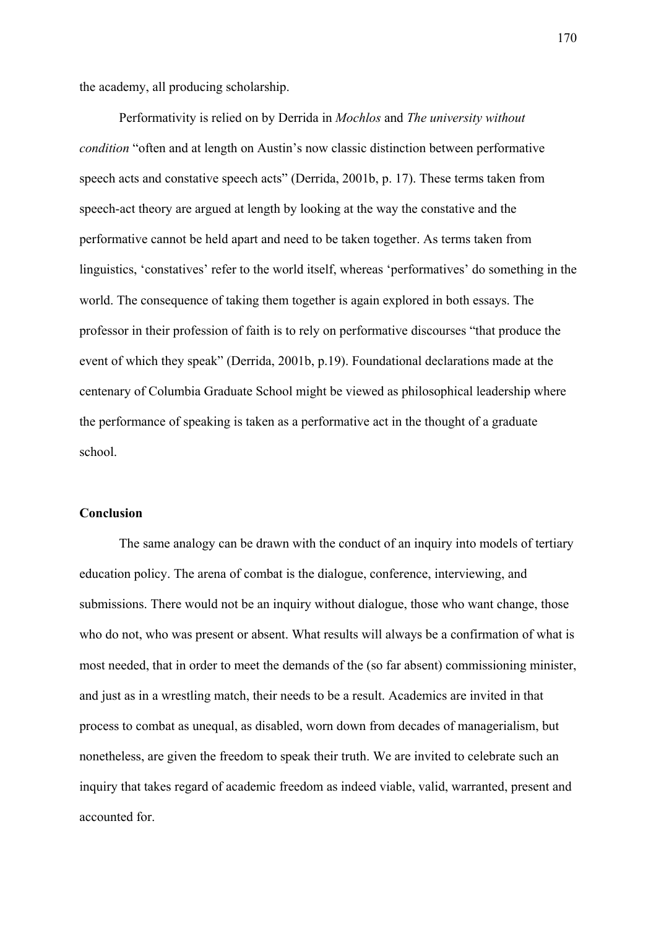the academy, all producing scholarship.

 Performativity is relied on by Derrida in *Mochlos* and *The university without condition* "often and at length on Austin's now classic distinction between performative speech acts and constative speech acts" (Derrida, 2001b, p. 17). These terms taken from speech-act theory are argued at length by looking at the way the constative and the performative cannot be held apart and need to be taken together. As terms taken from linguistics, 'constatives' refer to the world itself, whereas 'performatives' do something in the world. The consequence of taking them together is again explored in both essays. The professor in their profession of faith is to rely on performative discourses "that produce the event of which they speak" (Derrida, 2001b, p.19). Foundational declarations made at the centenary of Columbia Graduate School might be viewed as philosophical leadership where the performance of speaking is taken as a performative act in the thought of a graduate school.

# **Conclusion**

The same analogy can be drawn with the conduct of an inquiry into models of tertiary education policy. The arena of combat is the dialogue, conference, interviewing, and submissions. There would not be an inquiry without dialogue, those who want change, those who do not, who was present or absent. What results will always be a confirmation of what is most needed, that in order to meet the demands of the (so far absent) commissioning minister, and just as in a wrestling match, their needs to be a result. Academics are invited in that process to combat as unequal, as disabled, worn down from decades of managerialism, but nonetheless, are given the freedom to speak their truth. We are invited to celebrate such an inquiry that takes regard of academic freedom as indeed viable, valid, warranted, present and accounted for.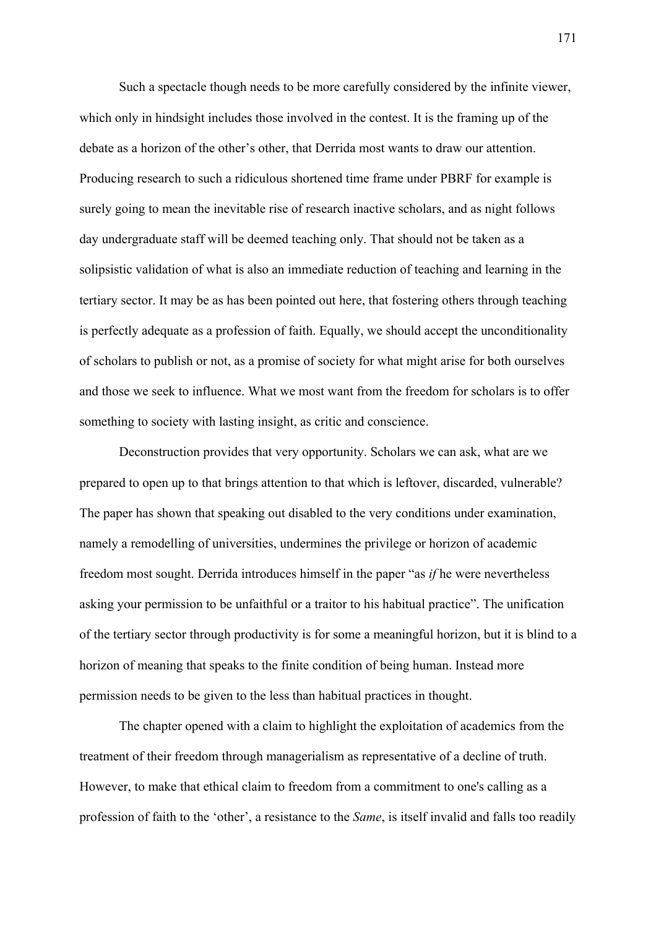Such a spectacle though needs to be more carefully considered by the infinite viewer, which only in hindsight includes those involved in the contest. It is the framing up of the debate as a horizon of the other's other, that Derrida most wants to draw our attention. Producing research to such a ridiculous shortened time frame under PBRF for example is surely going to mean the inevitable rise of research inactive scholars, and as night follows day undergraduate staff will be deemed teaching only. That should not be taken as a solipsistic validation of what is also an immediate reduction of teaching and learning in the tertiary sector. It may be as has been pointed out here, that fostering others through teaching is perfectly adequate as a profession of faith. Equally, we should accept the unconditionality of scholars to publish or not, as a promise of society for what might arise for both ourselves and those we seek to influence. What we most want from the freedom for scholars is to offer something to society with lasting insight, as critic and conscience.

Deconstruction provides that very opportunity. Scholars we can ask, what are we prepared to open up to that brings attention to that which is leftover, discarded, vulnerable? The paper has shown that speaking out disabled to the very conditions under examination, namely a remodelling of universities, undermines the privilege or horizon of academic freedom most sought. Derrida introduces himself in the paper "as *if* he were nevertheless asking your permission to be unfaithful or a traitor to his habitual practice". The unification of the tertiary sector through productivity is for some a meaningful horizon, but it is blind to a horizon of meaning that speaks to the finite condition of being human. Instead more permission needs to be given to the less than habitual practices in thought.

The chapter opened with a claim to highlight the exploitation of academics from the treatment of their freedom through managerialism as representative of a decline of truth. However, to make that ethical claim to freedom from a commitment to one's calling as a profession of faith to the 'other', a resistance to the *Same*, is itself invalid and falls too readily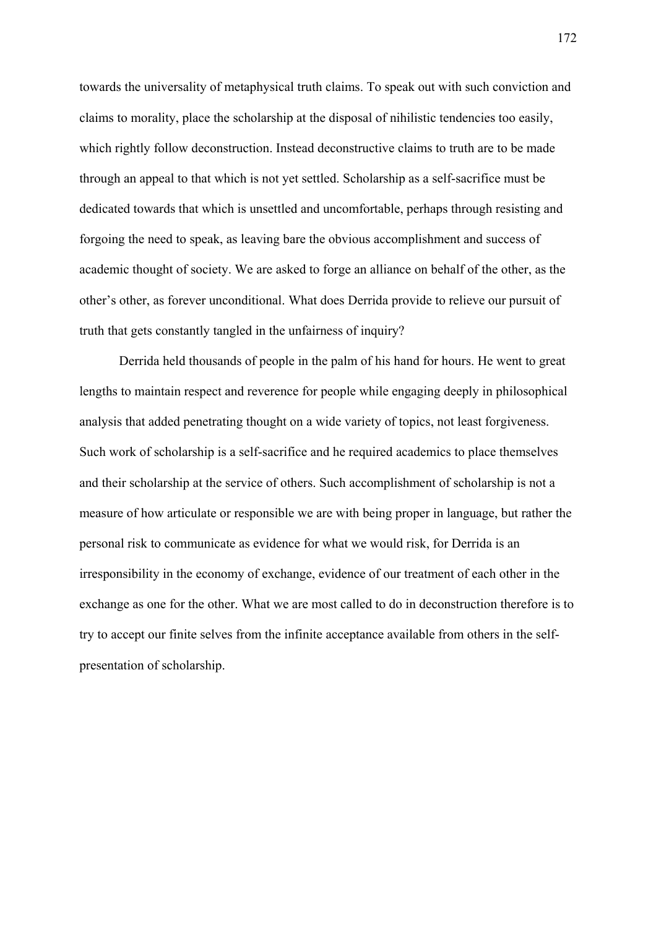towards the universality of metaphysical truth claims. To speak out with such conviction and claims to morality, place the scholarship at the disposal of nihilistic tendencies too easily, which rightly follow deconstruction. Instead deconstructive claims to truth are to be made through an appeal to that which is not yet settled. Scholarship as a self-sacrifice must be dedicated towards that which is unsettled and uncomfortable, perhaps through resisting and forgoing the need to speak, as leaving bare the obvious accomplishment and success of academic thought of society. We are asked to forge an alliance on behalf of the other, as the other's other, as forever unconditional. What does Derrida provide to relieve our pursuit of truth that gets constantly tangled in the unfairness of inquiry?

Derrida held thousands of people in the palm of his hand for hours. He went to great lengths to maintain respect and reverence for people while engaging deeply in philosophical analysis that added penetrating thought on a wide variety of topics, not least forgiveness. Such work of scholarship is a self-sacrifice and he required academics to place themselves and their scholarship at the service of others. Such accomplishment of scholarship is not a measure of how articulate or responsible we are with being proper in language, but rather the personal risk to communicate as evidence for what we would risk, for Derrida is an irresponsibility in the economy of exchange, evidence of our treatment of each other in the exchange as one for the other. What we are most called to do in deconstruction therefore is to try to accept our finite selves from the infinite acceptance available from others in the selfpresentation of scholarship.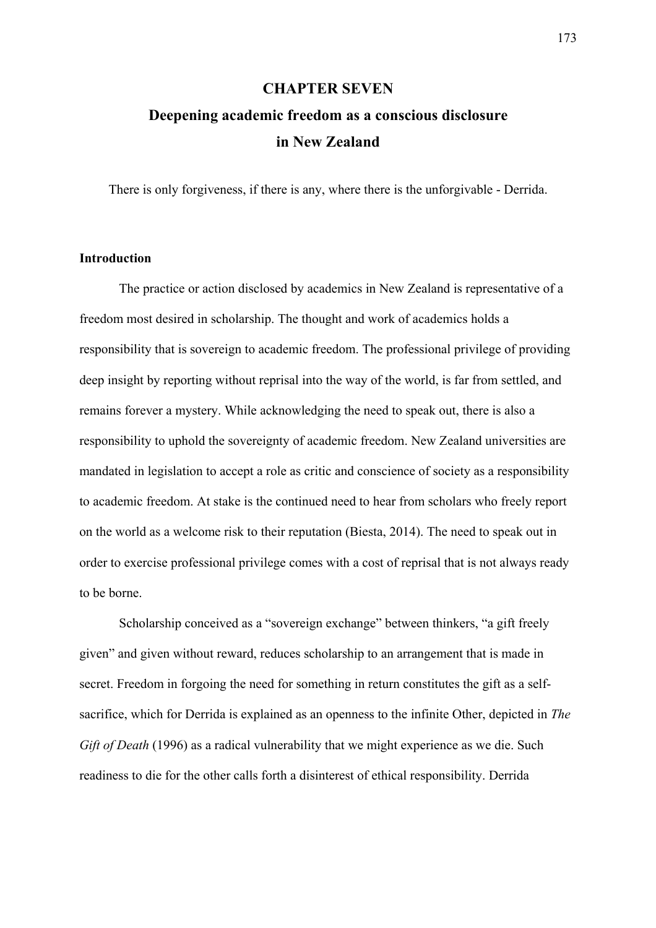#### **CHAPTER SEVEN**

# **Deepening academic freedom as a conscious disclosure in New Zealand**

There is only forgiveness, if there is any, where there is the unforgivable - Derrida.

### **Introduction**

The practice or action disclosed by academics in New Zealand is representative of a freedom most desired in scholarship. The thought and work of academics holds a responsibility that is sovereign to academic freedom. The professional privilege of providing deep insight by reporting without reprisal into the way of the world, is far from settled, and remains forever a mystery. While acknowledging the need to speak out, there is also a responsibility to uphold the sovereignty of academic freedom. New Zealand universities are mandated in legislation to accept a role as critic and conscience of society as a responsibility to academic freedom. At stake is the continued need to hear from scholars who freely report on the world as a welcome risk to their reputation (Biesta, 2014). The need to speak out in order to exercise professional privilege comes with a cost of reprisal that is not always ready to be borne.

Scholarship conceived as a "sovereign exchange" between thinkers, "a gift freely given" and given without reward, reduces scholarship to an arrangement that is made in secret. Freedom in forgoing the need for something in return constitutes the gift as a selfsacrifice, which for Derrida is explained as an openness to the infinite Other, depicted in *The Gift of Death* (1996) as a radical vulnerability that we might experience as we die. Such readiness to die for the other calls forth a disinterest of ethical responsibility. Derrida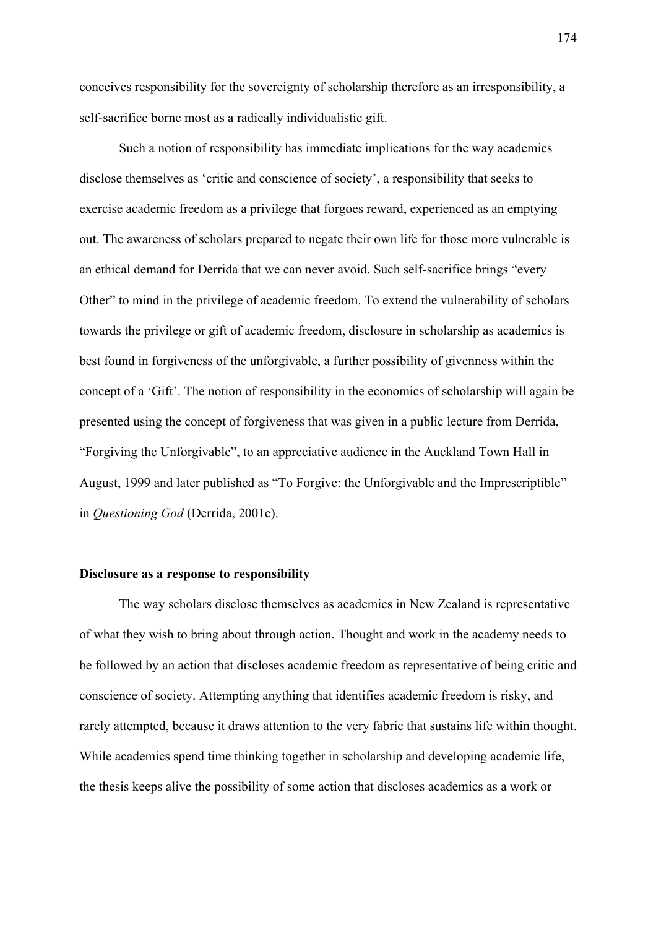conceives responsibility for the sovereignty of scholarship therefore as an irresponsibility, a self-sacrifice borne most as a radically individualistic gift.

Such a notion of responsibility has immediate implications for the way academics disclose themselves as 'critic and conscience of society', a responsibility that seeks to exercise academic freedom as a privilege that forgoes reward, experienced as an emptying out. The awareness of scholars prepared to negate their own life for those more vulnerable is an ethical demand for Derrida that we can never avoid. Such self-sacrifice brings "every Other" to mind in the privilege of academic freedom. To extend the vulnerability of scholars towards the privilege or gift of academic freedom, disclosure in scholarship as academics is best found in forgiveness of the unforgivable, a further possibility of givenness within the concept of a 'Gift'. The notion of responsibility in the economics of scholarship will again be presented using the concept of forgiveness that was given in a public lecture from Derrida, "Forgiving the Unforgivable", to an appreciative audience in the Auckland Town Hall in August, 1999 and later published as "To Forgive: the Unforgivable and the Imprescriptible" in *Questioning God* (Derrida, 2001c).

#### **Disclosure as a response to responsibility**

The way scholars disclose themselves as academics in New Zealand is representative of what they wish to bring about through action. Thought and work in the academy needs to be followed by an action that discloses academic freedom as representative of being critic and conscience of society. Attempting anything that identifies academic freedom is risky, and rarely attempted, because it draws attention to the very fabric that sustains life within thought. While academics spend time thinking together in scholarship and developing academic life, the thesis keeps alive the possibility of some action that discloses academics as a work or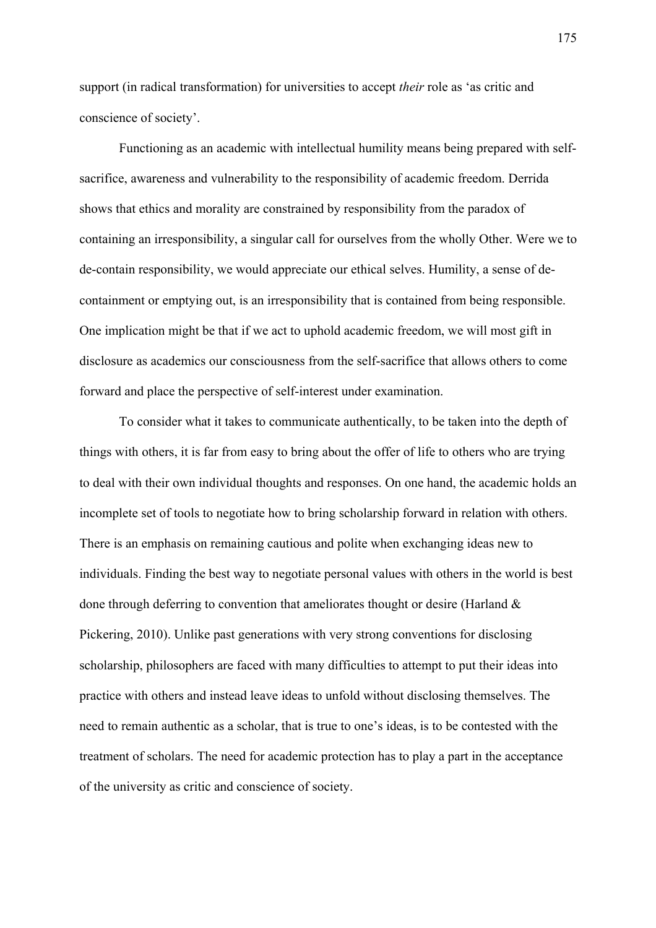support (in radical transformation) for universities to accept *their* role as 'as critic and conscience of society'.

Functioning as an academic with intellectual humility means being prepared with selfsacrifice, awareness and vulnerability to the responsibility of academic freedom. Derrida shows that ethics and morality are constrained by responsibility from the paradox of containing an irresponsibility, a singular call for ourselves from the wholly Other. Were we to de-contain responsibility, we would appreciate our ethical selves. Humility, a sense of decontainment or emptying out, is an irresponsibility that is contained from being responsible. One implication might be that if we act to uphold academic freedom, we will most gift in disclosure as academics our consciousness from the self-sacrifice that allows others to come forward and place the perspective of self-interest under examination.

To consider what it takes to communicate authentically, to be taken into the depth of things with others, it is far from easy to bring about the offer of life to others who are trying to deal with their own individual thoughts and responses. On one hand, the academic holds an incomplete set of tools to negotiate how to bring scholarship forward in relation with others. There is an emphasis on remaining cautious and polite when exchanging ideas new to individuals. Finding the best way to negotiate personal values with others in the world is best done through deferring to convention that ameliorates thought or desire (Harland  $\&$ Pickering, 2010). Unlike past generations with very strong conventions for disclosing scholarship, philosophers are faced with many difficulties to attempt to put their ideas into practice with others and instead leave ideas to unfold without disclosing themselves. The need to remain authentic as a scholar, that is true to one's ideas, is to be contested with the treatment of scholars. The need for academic protection has to play a part in the acceptance of the university as critic and conscience of society.

175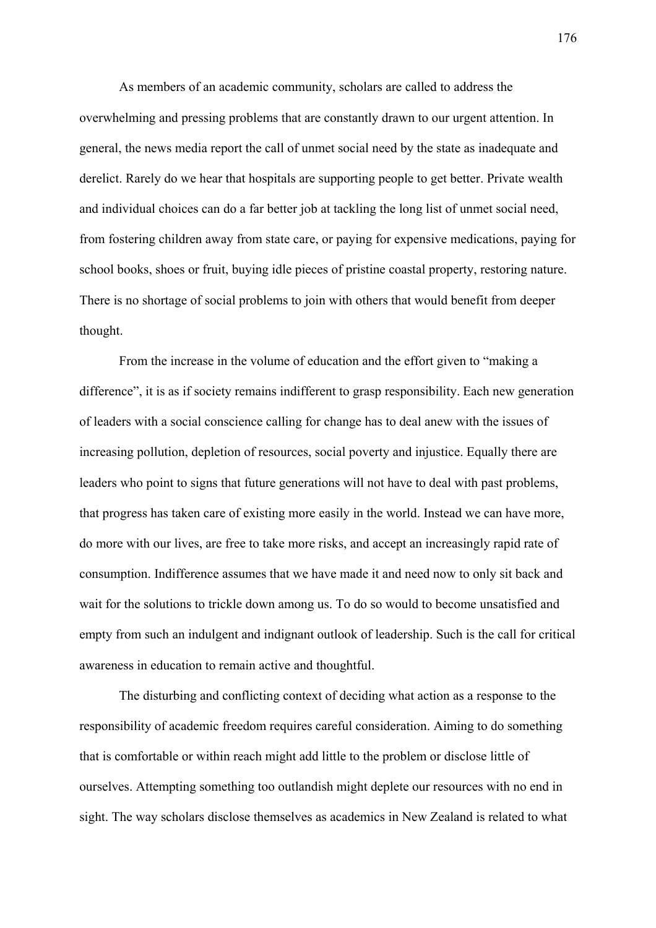As members of an academic community, scholars are called to address the overwhelming and pressing problems that are constantly drawn to our urgent attention. In general, the news media report the call of unmet social need by the state as inadequate and derelict. Rarely do we hear that hospitals are supporting people to get better. Private wealth and individual choices can do a far better job at tackling the long list of unmet social need, from fostering children away from state care, or paying for expensive medications, paying for school books, shoes or fruit, buying idle pieces of pristine coastal property, restoring nature. There is no shortage of social problems to join with others that would benefit from deeper thought.

From the increase in the volume of education and the effort given to "making a difference", it is as if society remains indifferent to grasp responsibility. Each new generation of leaders with a social conscience calling for change has to deal anew with the issues of increasing pollution, depletion of resources, social poverty and injustice. Equally there are leaders who point to signs that future generations will not have to deal with past problems, that progress has taken care of existing more easily in the world. Instead we can have more, do more with our lives, are free to take more risks, and accept an increasingly rapid rate of consumption. Indifference assumes that we have made it and need now to only sit back and wait for the solutions to trickle down among us. To do so would to become unsatisfied and empty from such an indulgent and indignant outlook of leadership. Such is the call for critical awareness in education to remain active and thoughtful.

The disturbing and conflicting context of deciding what action as a response to the responsibility of academic freedom requires careful consideration. Aiming to do something that is comfortable or within reach might add little to the problem or disclose little of ourselves. Attempting something too outlandish might deplete our resources with no end in sight. The way scholars disclose themselves as academics in New Zealand is related to what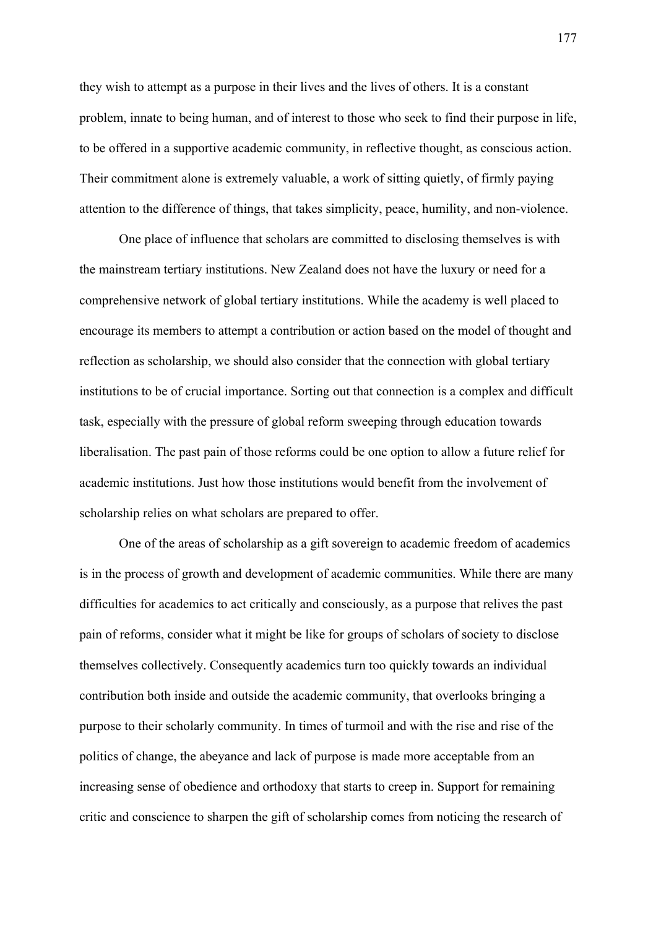they wish to attempt as a purpose in their lives and the lives of others. It is a constant problem, innate to being human, and of interest to those who seek to find their purpose in life, to be offered in a supportive academic community, in reflective thought, as conscious action. Their commitment alone is extremely valuable, a work of sitting quietly, of firmly paying attention to the difference of things, that takes simplicity, peace, humility, and non-violence.

One place of influence that scholars are committed to disclosing themselves is with the mainstream tertiary institutions. New Zealand does not have the luxury or need for a comprehensive network of global tertiary institutions. While the academy is well placed to encourage its members to attempt a contribution or action based on the model of thought and reflection as scholarship, we should also consider that the connection with global tertiary institutions to be of crucial importance. Sorting out that connection is a complex and difficult task, especially with the pressure of global reform sweeping through education towards liberalisation. The past pain of those reforms could be one option to allow a future relief for academic institutions. Just how those institutions would benefit from the involvement of scholarship relies on what scholars are prepared to offer.

One of the areas of scholarship as a gift sovereign to academic freedom of academics is in the process of growth and development of academic communities. While there are many difficulties for academics to act critically and consciously, as a purpose that relives the past pain of reforms, consider what it might be like for groups of scholars of society to disclose themselves collectively. Consequently academics turn too quickly towards an individual contribution both inside and outside the academic community, that overlooks bringing a purpose to their scholarly community. In times of turmoil and with the rise and rise of the politics of change, the abeyance and lack of purpose is made more acceptable from an increasing sense of obedience and orthodoxy that starts to creep in. Support for remaining critic and conscience to sharpen the gift of scholarship comes from noticing the research of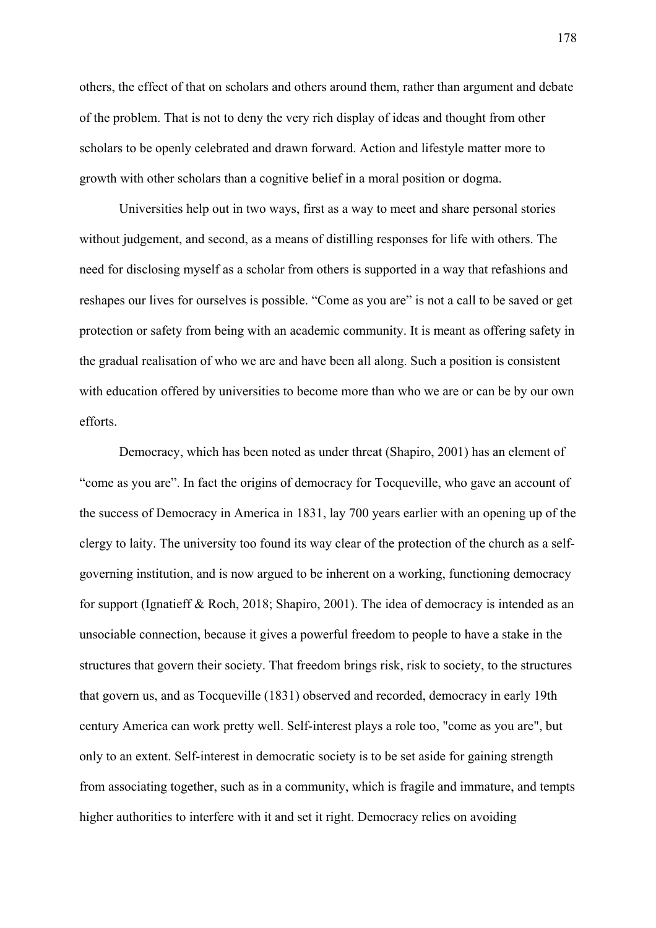others, the effect of that on scholars and others around them, rather than argument and debate of the problem. That is not to deny the very rich display of ideas and thought from other scholars to be openly celebrated and drawn forward. Action and lifestyle matter more to growth with other scholars than a cognitive belief in a moral position or dogma.

Universities help out in two ways, first as a way to meet and share personal stories without judgement, and second, as a means of distilling responses for life with others. The need for disclosing myself as a scholar from others is supported in a way that refashions and reshapes our lives for ourselves is possible. "Come as you are" is not a call to be saved or get protection or safety from being with an academic community. It is meant as offering safety in the gradual realisation of who we are and have been all along. Such a position is consistent with education offered by universities to become more than who we are or can be by our own efforts.

Democracy, which has been noted as under threat (Shapiro, 2001) has an element of "come as you are". In fact the origins of democracy for Tocqueville, who gave an account of the success of Democracy in America in 1831, lay 700 years earlier with an opening up of the clergy to laity. The university too found its way clear of the protection of the church as a selfgoverning institution, and is now argued to be inherent on a working, functioning democracy for support (Ignatieff & Roch, 2018; Shapiro, 2001). The idea of democracy is intended as an unsociable connection, because it gives a powerful freedom to people to have a stake in the structures that govern their society. That freedom brings risk, risk to society, to the structures that govern us, and as Tocqueville (1831) observed and recorded, democracy in early 19th century America can work pretty well. Self-interest plays a role too, "come as you are", but only to an extent. Self-interest in democratic society is to be set aside for gaining strength from associating together, such as in a community, which is fragile and immature, and tempts higher authorities to interfere with it and set it right. Democracy relies on avoiding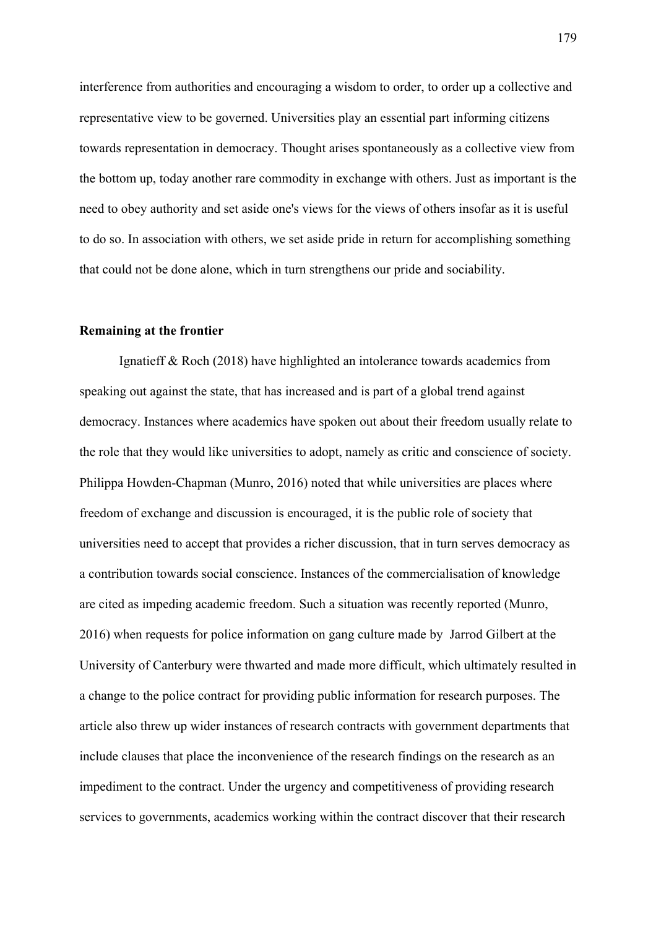interference from authorities and encouraging a wisdom to order, to order up a collective and representative view to be governed. Universities play an essential part informing citizens towards representation in democracy. Thought arises spontaneously as a collective view from the bottom up, today another rare commodity in exchange with others. Just as important is the need to obey authority and set aside one's views for the views of others insofar as it is useful to do so. In association with others, we set aside pride in return for accomplishing something that could not be done alone, which in turn strengthens our pride and sociability.

#### **Remaining at the frontier**

Ignatieff & Roch (2018) have highlighted an intolerance towards academics from speaking out against the state, that has increased and is part of a global trend against democracy. Instances where academics have spoken out about their freedom usually relate to the role that they would like universities to adopt, namely as critic and conscience of society. Philippa Howden-Chapman (Munro, 2016) noted that while universities are places where freedom of exchange and discussion is encouraged, it is the public role of society that universities need to accept that provides a richer discussion, that in turn serves democracy as a contribution towards social conscience. Instances of the commercialisation of knowledge are cited as impeding academic freedom. Such a situation was recently reported (Munro, 2016) when requests for police information on gang culture made by Jarrod Gilbert at the University of Canterbury were thwarted and made more difficult, which ultimately resulted in a change to the police contract for providing public information for research purposes. The article also threw up wider instances of research contracts with government departments that include clauses that place the inconvenience of the research findings on the research as an impediment to the contract. Under the urgency and competitiveness of providing research services to governments, academics working within the contract discover that their research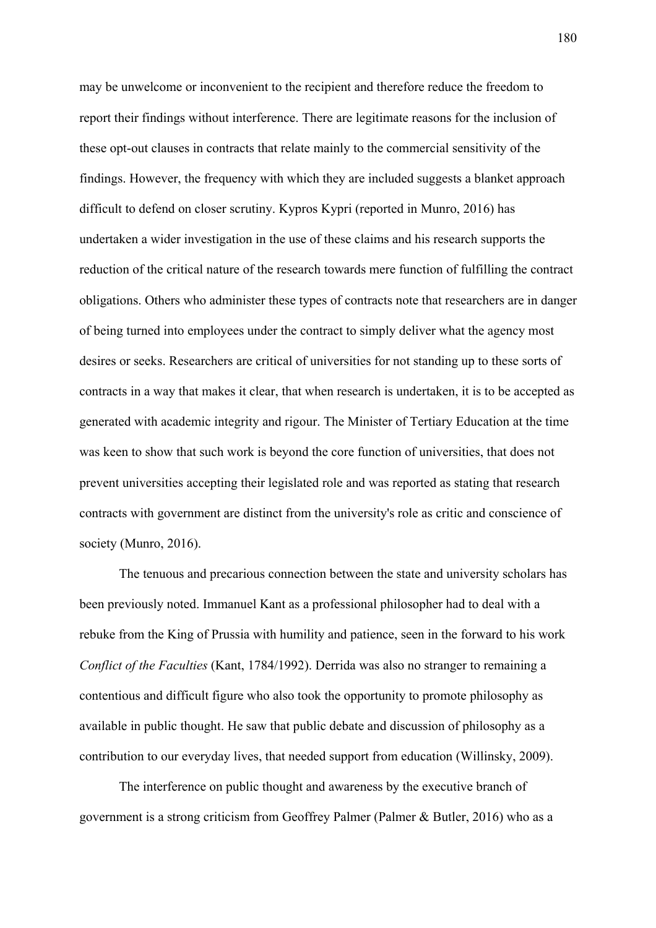may be unwelcome or inconvenient to the recipient and therefore reduce the freedom to report their findings without interference. There are legitimate reasons for the inclusion of these opt-out clauses in contracts that relate mainly to the commercial sensitivity of the findings. However, the frequency with which they are included suggests a blanket approach difficult to defend on closer scrutiny. Kypros Kypri (reported in Munro, 2016) has undertaken a wider investigation in the use of these claims and his research supports the reduction of the critical nature of the research towards mere function of fulfilling the contract obligations. Others who administer these types of contracts note that researchers are in danger of being turned into employees under the contract to simply deliver what the agency most desires or seeks. Researchers are critical of universities for not standing up to these sorts of contracts in a way that makes it clear, that when research is undertaken, it is to be accepted as generated with academic integrity and rigour. The Minister of Tertiary Education at the time was keen to show that such work is beyond the core function of universities, that does not prevent universities accepting their legislated role and was reported as stating that research contracts with government are distinct from the university's role as critic and conscience of society (Munro, 2016).

The tenuous and precarious connection between the state and university scholars has been previously noted. Immanuel Kant as a professional philosopher had to deal with a rebuke from the King of Prussia with humility and patience, seen in the forward to his work *Conflict of the Faculties* (Kant, 1784/1992). Derrida was also no stranger to remaining a contentious and difficult figure who also took the opportunity to promote philosophy as available in public thought. He saw that public debate and discussion of philosophy as a contribution to our everyday lives, that needed support from education (Willinsky, 2009).

The interference on public thought and awareness by the executive branch of government is a strong criticism from Geoffrey Palmer (Palmer & Butler, 2016) who as a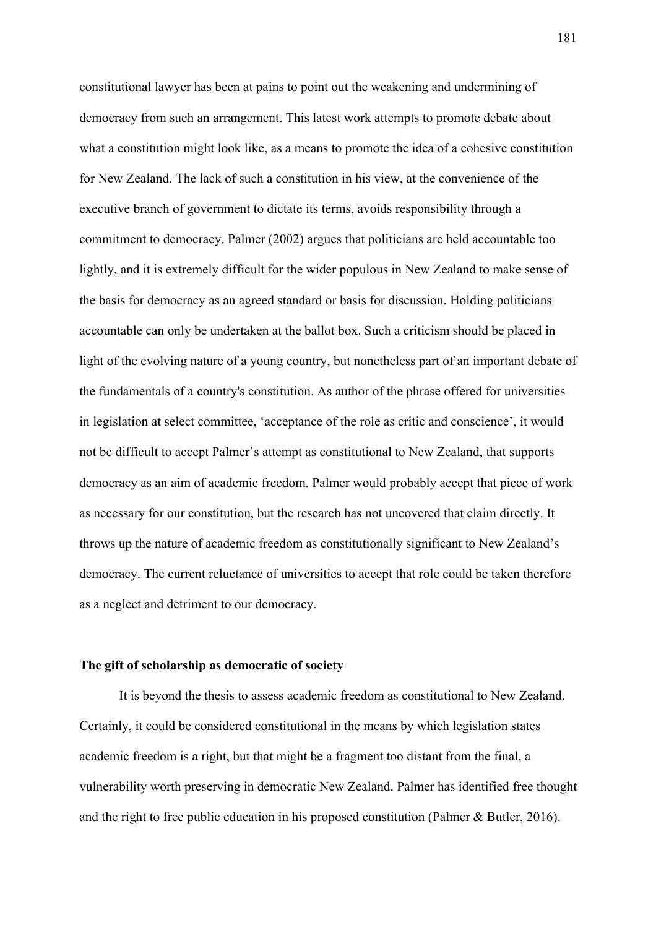constitutional lawyer has been at pains to point out the weakening and undermining of democracy from such an arrangement. This latest work attempts to promote debate about what a constitution might look like, as a means to promote the idea of a cohesive constitution for New Zealand. The lack of such a constitution in his view, at the convenience of the executive branch of government to dictate its terms, avoids responsibility through a commitment to democracy. Palmer (2002) argues that politicians are held accountable too lightly, and it is extremely difficult for the wider populous in New Zealand to make sense of the basis for democracy as an agreed standard or basis for discussion. Holding politicians accountable can only be undertaken at the ballot box. Such a criticism should be placed in light of the evolving nature of a young country, but nonetheless part of an important debate of the fundamentals of a country's constitution. As author of the phrase offered for universities in legislation at select committee, 'acceptance of the role as critic and conscience', it would not be difficult to accept Palmer's attempt as constitutional to New Zealand, that supports democracy as an aim of academic freedom. Palmer would probably accept that piece of work as necessary for our constitution, but the research has not uncovered that claim directly. It throws up the nature of academic freedom as constitutionally significant to New Zealand's democracy. The current reluctance of universities to accept that role could be taken therefore as a neglect and detriment to our democracy.

#### **The gift of scholarship as democratic of society**

It is beyond the thesis to assess academic freedom as constitutional to New Zealand. Certainly, it could be considered constitutional in the means by which legislation states academic freedom is a right, but that might be a fragment too distant from the final, a vulnerability worth preserving in democratic New Zealand. Palmer has identified free thought and the right to free public education in his proposed constitution (Palmer & Butler, 2016).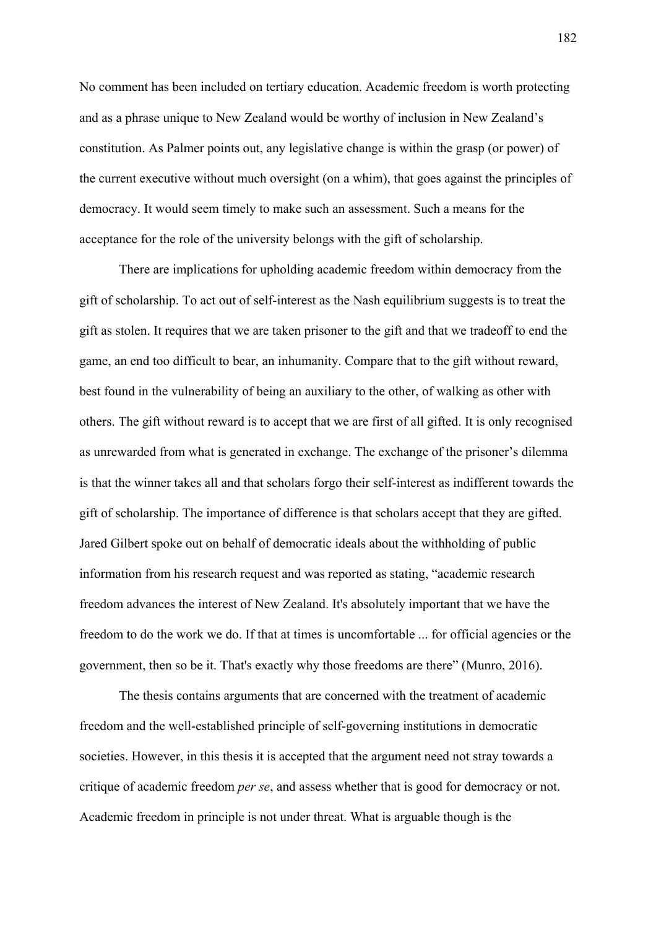No comment has been included on tertiary education. Academic freedom is worth protecting and as a phrase unique to New Zealand would be worthy of inclusion in New Zealand's constitution. As Palmer points out, any legislative change is within the grasp (or power) of the current executive without much oversight (on a whim), that goes against the principles of democracy. It would seem timely to make such an assessment. Such a means for the acceptance for the role of the university belongs with the gift of scholarship.

There are implications for upholding academic freedom within democracy from the gift of scholarship. To act out of self-interest as the Nash equilibrium suggests is to treat the gift as stolen. It requires that we are taken prisoner to the gift and that we tradeoff to end the game, an end too difficult to bear, an inhumanity. Compare that to the gift without reward, best found in the vulnerability of being an auxiliary to the other, of walking as other with others. The gift without reward is to accept that we are first of all gifted. It is only recognised as unrewarded from what is generated in exchange. The exchange of the prisoner's dilemma is that the winner takes all and that scholars forgo their self-interest as indifferent towards the gift of scholarship. The importance of difference is that scholars accept that they are gifted. Jared Gilbert spoke out on behalf of democratic ideals about the withholding of public information from his research request and was reported as stating, "academic research freedom advances the interest of New Zealand. It's absolutely important that we have the freedom to do the work we do. If that at times is uncomfortable ... for official agencies or the government, then so be it. That's exactly why those freedoms are there" (Munro, 2016).

The thesis contains arguments that are concerned with the treatment of academic freedom and the well-established principle of self-governing institutions in democratic societies. However, in this thesis it is accepted that the argument need not stray towards a critique of academic freedom *per se*, and assess whether that is good for democracy or not. Academic freedom in principle is not under threat. What is arguable though is the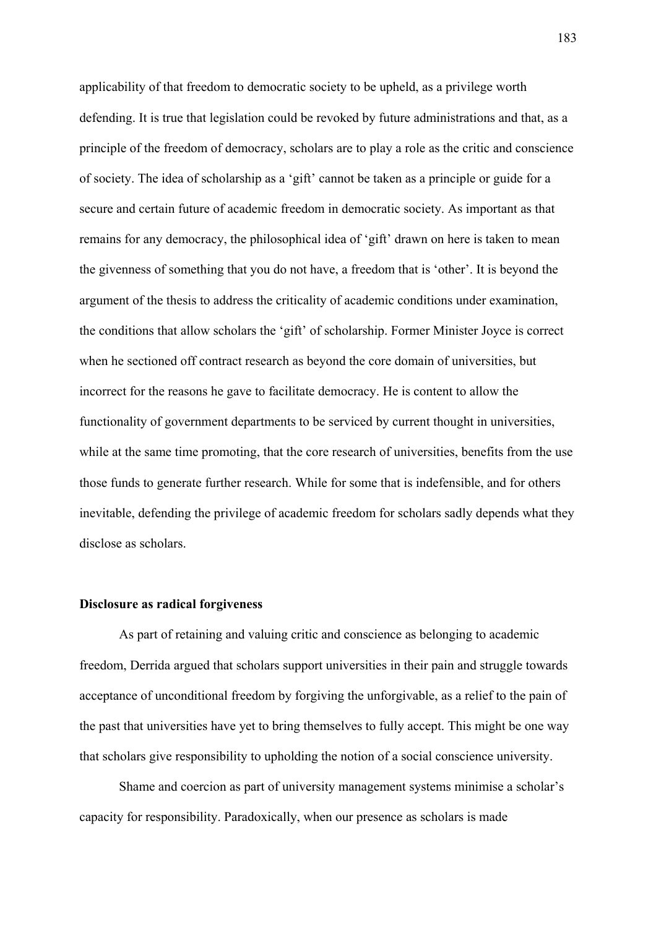applicability of that freedom to democratic society to be upheld, as a privilege worth defending. It is true that legislation could be revoked by future administrations and that, as a principle of the freedom of democracy, scholars are to play a role as the critic and conscience of society. The idea of scholarship as a 'gift' cannot be taken as a principle or guide for a secure and certain future of academic freedom in democratic society. As important as that remains for any democracy, the philosophical idea of 'gift' drawn on here is taken to mean the givenness of something that you do not have, a freedom that is 'other'. It is beyond the argument of the thesis to address the criticality of academic conditions under examination, the conditions that allow scholars the 'gift' of scholarship. Former Minister Joyce is correct when he sectioned off contract research as beyond the core domain of universities, but incorrect for the reasons he gave to facilitate democracy. He is content to allow the functionality of government departments to be serviced by current thought in universities, while at the same time promoting, that the core research of universities, benefits from the use those funds to generate further research. While for some that is indefensible, and for others inevitable, defending the privilege of academic freedom for scholars sadly depends what they disclose as scholars.

### **Disclosure as radical forgiveness**

As part of retaining and valuing critic and conscience as belonging to academic freedom, Derrida argued that scholars support universities in their pain and struggle towards acceptance of unconditional freedom by forgiving the unforgivable, as a relief to the pain of the past that universities have yet to bring themselves to fully accept. This might be one way that scholars give responsibility to upholding the notion of a social conscience university.

Shame and coercion as part of university management systems minimise a scholar's capacity for responsibility. Paradoxically, when our presence as scholars is made

183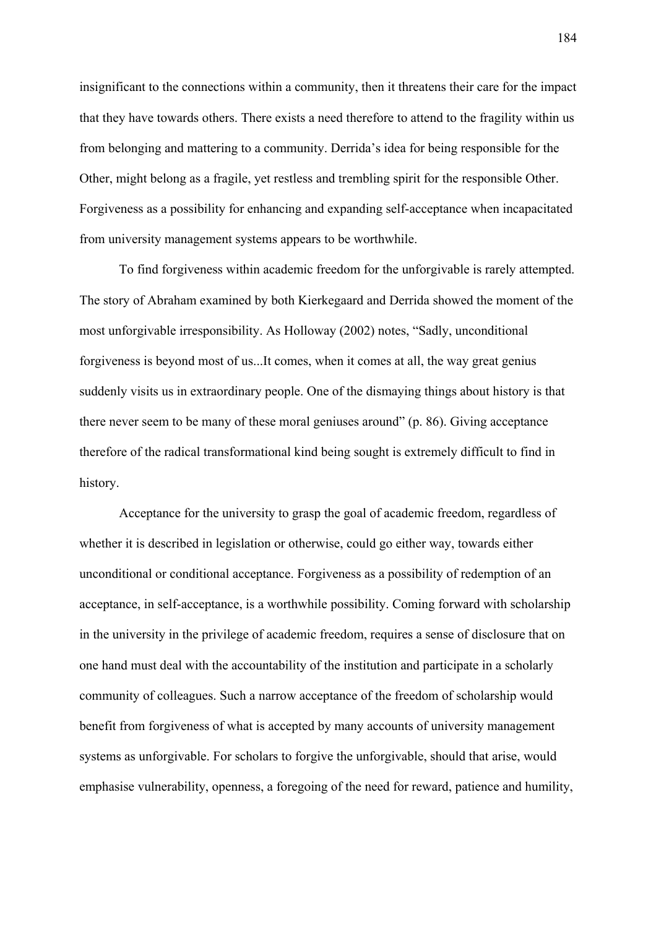insignificant to the connections within a community, then it threatens their care for the impact that they have towards others. There exists a need therefore to attend to the fragility within us from belonging and mattering to a community. Derrida's idea for being responsible for the Other, might belong as a fragile, yet restless and trembling spirit for the responsible Other. Forgiveness as a possibility for enhancing and expanding self-acceptance when incapacitated from university management systems appears to be worthwhile.

To find forgiveness within academic freedom for the unforgivable is rarely attempted. The story of Abraham examined by both Kierkegaard and Derrida showed the moment of the most unforgivable irresponsibility. As Holloway (2002) notes, "Sadly, unconditional forgiveness is beyond most of us...It comes, when it comes at all, the way great genius suddenly visits us in extraordinary people. One of the dismaying things about history is that there never seem to be many of these moral geniuses around" (p. 86). Giving acceptance therefore of the radical transformational kind being sought is extremely difficult to find in history.

 Acceptance for the university to grasp the goal of academic freedom, regardless of whether it is described in legislation or otherwise, could go either way, towards either unconditional or conditional acceptance. Forgiveness as a possibility of redemption of an acceptance, in self-acceptance, is a worthwhile possibility. Coming forward with scholarship in the university in the privilege of academic freedom, requires a sense of disclosure that on one hand must deal with the accountability of the institution and participate in a scholarly community of colleagues. Such a narrow acceptance of the freedom of scholarship would benefit from forgiveness of what is accepted by many accounts of university management systems as unforgivable. For scholars to forgive the unforgivable, should that arise, would emphasise vulnerability, openness, a foregoing of the need for reward, patience and humility,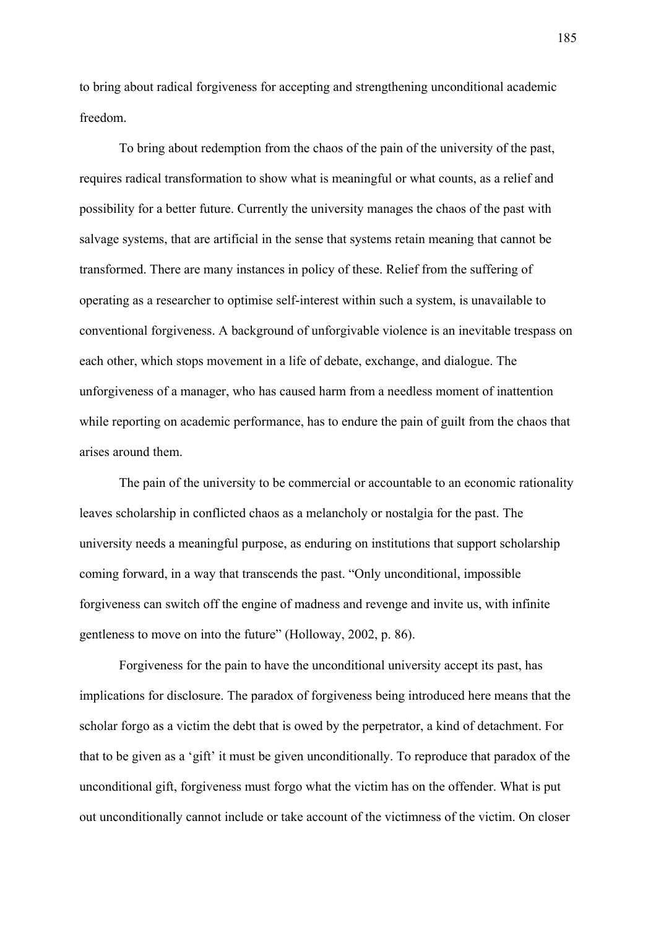to bring about radical forgiveness for accepting and strengthening unconditional academic freedom.

 To bring about redemption from the chaos of the pain of the university of the past, requires radical transformation to show what is meaningful or what counts, as a relief and possibility for a better future. Currently the university manages the chaos of the past with salvage systems, that are artificial in the sense that systems retain meaning that cannot be transformed. There are many instances in policy of these. Relief from the suffering of operating as a researcher to optimise self-interest within such a system, is unavailable to conventional forgiveness. A background of unforgivable violence is an inevitable trespass on each other, which stops movement in a life of debate, exchange, and dialogue. The unforgiveness of a manager, who has caused harm from a needless moment of inattention while reporting on academic performance, has to endure the pain of guilt from the chaos that arises around them.

The pain of the university to be commercial or accountable to an economic rationality leaves scholarship in conflicted chaos as a melancholy or nostalgia for the past. The university needs a meaningful purpose, as enduring on institutions that support scholarship coming forward, in a way that transcends the past. "Only unconditional, impossible forgiveness can switch off the engine of madness and revenge and invite us, with infinite gentleness to move on into the future" (Holloway, 2002, p. 86).

Forgiveness for the pain to have the unconditional university accept its past, has implications for disclosure. The paradox of forgiveness being introduced here means that the scholar forgo as a victim the debt that is owed by the perpetrator, a kind of detachment. For that to be given as a 'gift' it must be given unconditionally. To reproduce that paradox of the unconditional gift, forgiveness must forgo what the victim has on the offender. What is put out unconditionally cannot include or take account of the victimness of the victim. On closer

185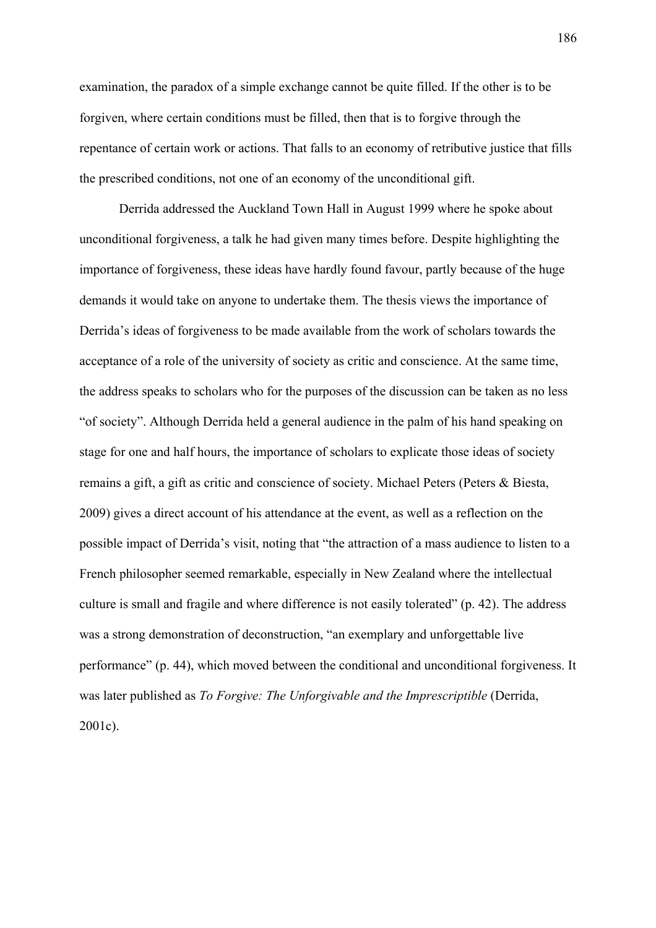examination, the paradox of a simple exchange cannot be quite filled. If the other is to be forgiven, where certain conditions must be filled, then that is to forgive through the repentance of certain work or actions. That falls to an economy of retributive justice that fills the prescribed conditions, not one of an economy of the unconditional gift.

Derrida addressed the Auckland Town Hall in August 1999 where he spoke about unconditional forgiveness, a talk he had given many times before. Despite highlighting the importance of forgiveness, these ideas have hardly found favour, partly because of the huge demands it would take on anyone to undertake them. The thesis views the importance of Derrida's ideas of forgiveness to be made available from the work of scholars towards the acceptance of a role of the university of society as critic and conscience. At the same time, the address speaks to scholars who for the purposes of the discussion can be taken as no less "of society". Although Derrida held a general audience in the palm of his hand speaking on stage for one and half hours, the importance of scholars to explicate those ideas of society remains a gift, a gift as critic and conscience of society. Michael Peters (Peters & Biesta, 2009) gives a direct account of his attendance at the event, as well as a reflection on the possible impact of Derrida's visit, noting that "the attraction of a mass audience to listen to a French philosopher seemed remarkable, especially in New Zealand where the intellectual culture is small and fragile and where difference is not easily tolerated" (p. 42). The address was a strong demonstration of deconstruction, "an exemplary and unforgettable live performance" (p. 44), which moved between the conditional and unconditional forgiveness. It was later published as *To Forgive: The Unforgivable and the Imprescriptible* (Derrida, 2001c).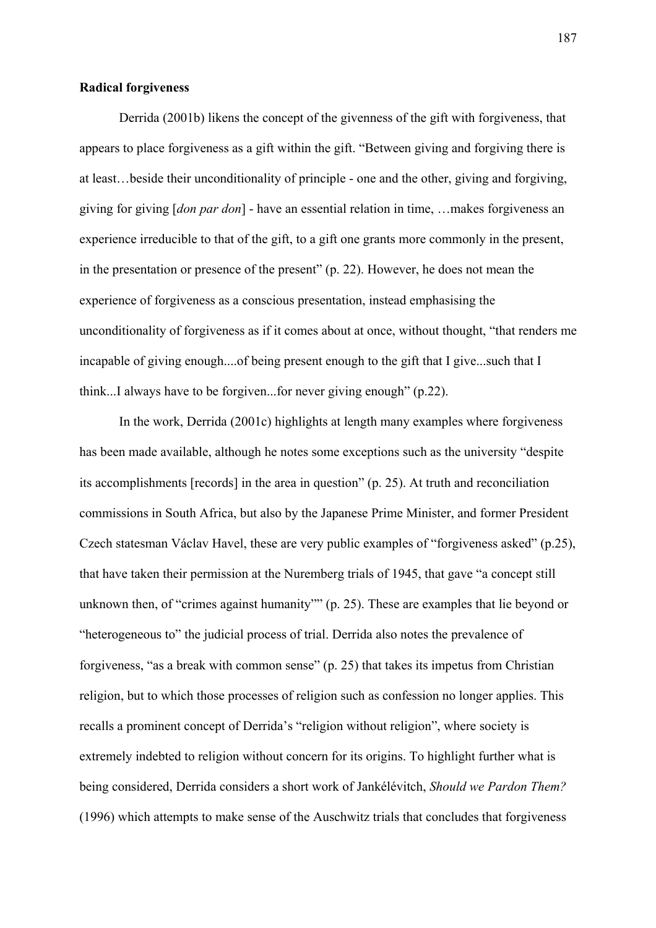### **Radical forgiveness**

Derrida (2001b) likens the concept of the givenness of the gift with forgiveness, that appears to place forgiveness as a gift within the gift. "Between giving and forgiving there is at least…beside their unconditionality of principle - one and the other, giving and forgiving, giving for giving [*don par don*] - have an essential relation in time, …makes forgiveness an experience irreducible to that of the gift, to a gift one grants more commonly in the present, in the presentation or presence of the present" (p. 22). However, he does not mean the experience of forgiveness as a conscious presentation, instead emphasising the unconditionality of forgiveness as if it comes about at once, without thought, "that renders me incapable of giving enough....of being present enough to the gift that I give...such that I think...I always have to be forgiven...for never giving enough" (p.22).

In the work, Derrida (2001c) highlights at length many examples where forgiveness has been made available, although he notes some exceptions such as the university "despite its accomplishments [records] in the area in question" (p. 25). At truth and reconciliation commissions in South Africa, but also by the Japanese Prime Minister, and former President Czech statesman Václav Havel, these are very public examples of "forgiveness asked" (p.25), that have taken their permission at the Nuremberg trials of 1945, that gave "a concept still unknown then, of "crimes against humanity"" (p. 25). These are examples that lie beyond or "heterogeneous to" the judicial process of trial. Derrida also notes the prevalence of forgiveness, "as a break with common sense" (p. 25) that takes its impetus from Christian religion, but to which those processes of religion such as confession no longer applies. This recalls a prominent concept of Derrida's "religion without religion", where society is extremely indebted to religion without concern for its origins. To highlight further what is being considered, Derrida considers a short work of Jankélévitch, *Should we Pardon Them?*  (1996) which attempts to make sense of the Auschwitz trials that concludes that forgiveness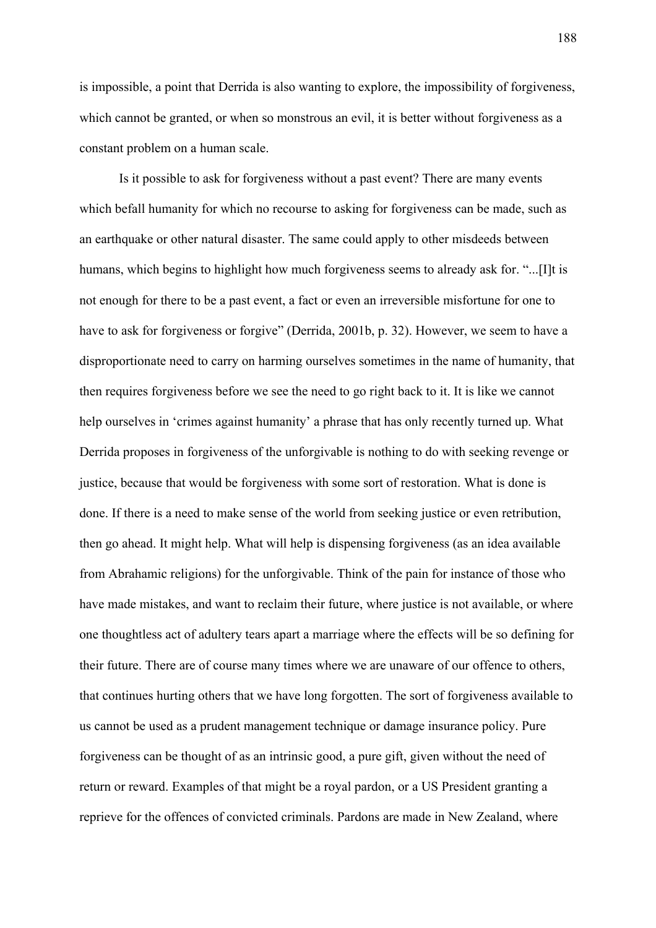is impossible, a point that Derrida is also wanting to explore, the impossibility of forgiveness, which cannot be granted, or when so monstrous an evil, it is better without forgiveness as a constant problem on a human scale.

Is it possible to ask for forgiveness without a past event? There are many events which befall humanity for which no recourse to asking for forgiveness can be made, such as an earthquake or other natural disaster. The same could apply to other misdeeds between humans, which begins to highlight how much forgiveness seems to already ask for. "...[I]t is not enough for there to be a past event, a fact or even an irreversible misfortune for one to have to ask for forgiveness or forgive" (Derrida, 2001b, p. 32). However, we seem to have a disproportionate need to carry on harming ourselves sometimes in the name of humanity, that then requires forgiveness before we see the need to go right back to it. It is like we cannot help ourselves in 'crimes against humanity' a phrase that has only recently turned up. What Derrida proposes in forgiveness of the unforgivable is nothing to do with seeking revenge or justice, because that would be forgiveness with some sort of restoration. What is done is done. If there is a need to make sense of the world from seeking justice or even retribution, then go ahead. It might help. What will help is dispensing forgiveness (as an idea available from Abrahamic religions) for the unforgivable. Think of the pain for instance of those who have made mistakes, and want to reclaim their future, where justice is not available, or where one thoughtless act of adultery tears apart a marriage where the effects will be so defining for their future. There are of course many times where we are unaware of our offence to others, that continues hurting others that we have long forgotten. The sort of forgiveness available to us cannot be used as a prudent management technique or damage insurance policy. Pure forgiveness can be thought of as an intrinsic good, a pure gift, given without the need of return or reward. Examples of that might be a royal pardon, or a US President granting a reprieve for the offences of convicted criminals. Pardons are made in New Zealand, where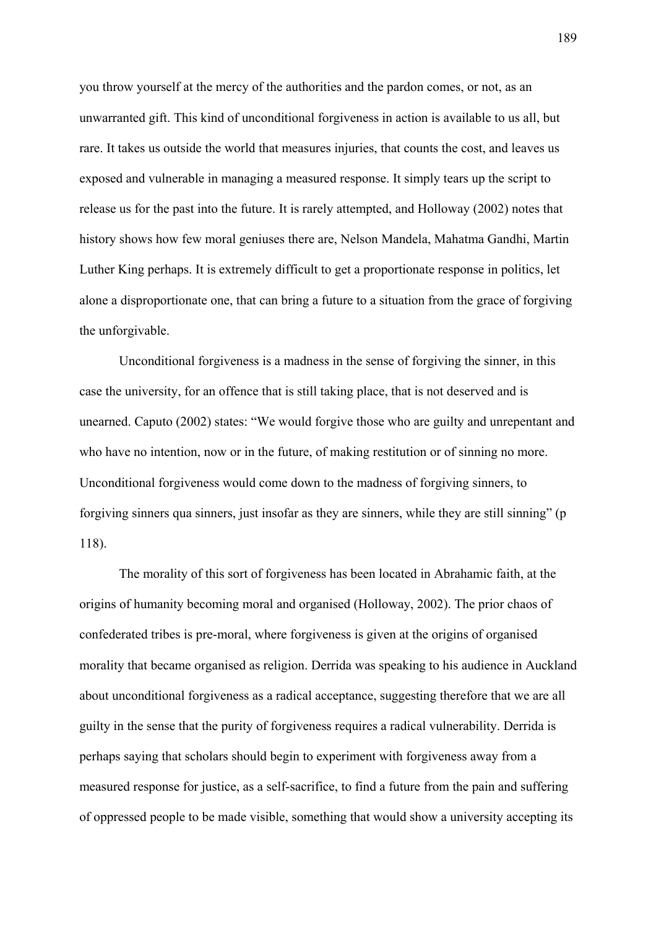you throw yourself at the mercy of the authorities and the pardon comes, or not, as an unwarranted gift. This kind of unconditional forgiveness in action is available to us all, but rare. It takes us outside the world that measures injuries, that counts the cost, and leaves us exposed and vulnerable in managing a measured response. It simply tears up the script to release us for the past into the future. It is rarely attempted, and Holloway (2002) notes that history shows how few moral geniuses there are, Nelson Mandela, Mahatma Gandhi, Martin Luther King perhaps. It is extremely difficult to get a proportionate response in politics, let alone a disproportionate one, that can bring a future to a situation from the grace of forgiving the unforgivable.

Unconditional forgiveness is a madness in the sense of forgiving the sinner, in this case the university, for an offence that is still taking place, that is not deserved and is unearned. Caputo (2002) states: "We would forgive those who are guilty and unrepentant and who have no intention, now or in the future, of making restitution or of sinning no more. Unconditional forgiveness would come down to the madness of forgiving sinners, to forgiving sinners qua sinners, just insofar as they are sinners, while they are still sinning" (p 118).

The morality of this sort of forgiveness has been located in Abrahamic faith, at the origins of humanity becoming moral and organised (Holloway, 2002). The prior chaos of confederated tribes is pre-moral, where forgiveness is given at the origins of organised morality that became organised as religion. Derrida was speaking to his audience in Auckland about unconditional forgiveness as a radical acceptance, suggesting therefore that we are all guilty in the sense that the purity of forgiveness requires a radical vulnerability. Derrida is perhaps saying that scholars should begin to experiment with forgiveness away from a measured response for justice, as a self-sacrifice, to find a future from the pain and suffering of oppressed people to be made visible, something that would show a university accepting its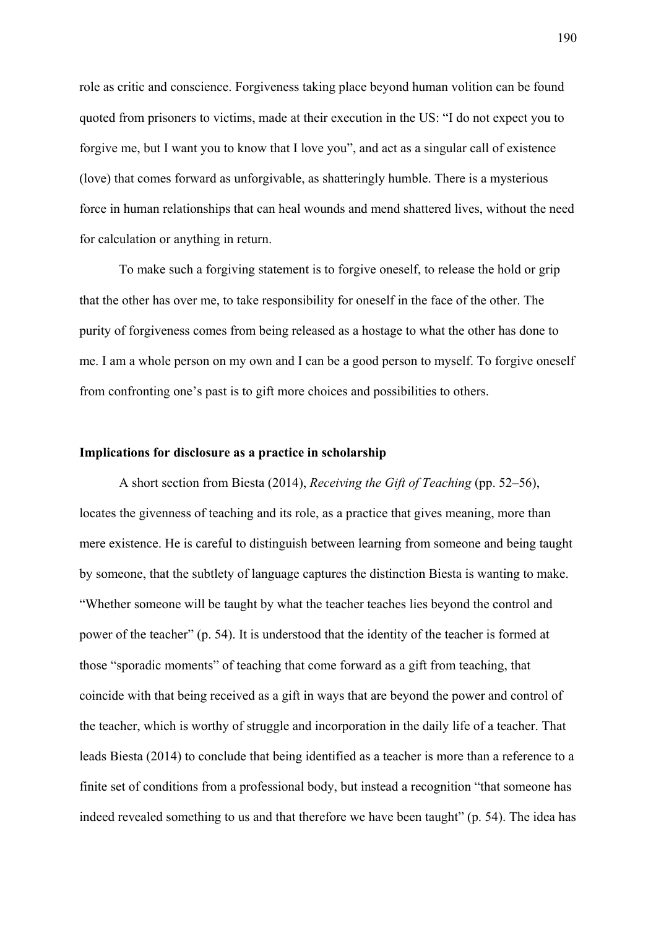role as critic and conscience. Forgiveness taking place beyond human volition can be found quoted from prisoners to victims, made at their execution in the US: "I do not expect you to forgive me, but I want you to know that I love you", and act as a singular call of existence (love) that comes forward as unforgivable, as shatteringly humble. There is a mysterious force in human relationships that can heal wounds and mend shattered lives, without the need for calculation or anything in return.

To make such a forgiving statement is to forgive oneself, to release the hold or grip that the other has over me, to take responsibility for oneself in the face of the other. The purity of forgiveness comes from being released as a hostage to what the other has done to me. I am a whole person on my own and I can be a good person to myself. To forgive oneself from confronting one's past is to gift more choices and possibilities to others.

## **Implications for disclosure as a practice in scholarship**

A short section from Biesta (2014), *Receiving the Gift of Teaching* (pp. 52–56), locates the givenness of teaching and its role, as a practice that gives meaning, more than mere existence. He is careful to distinguish between learning from someone and being taught by someone, that the subtlety of language captures the distinction Biesta is wanting to make. "Whether someone will be taught by what the teacher teaches lies beyond the control and power of the teacher" (p. 54). It is understood that the identity of the teacher is formed at those "sporadic moments" of teaching that come forward as a gift from teaching, that coincide with that being received as a gift in ways that are beyond the power and control of the teacher, which is worthy of struggle and incorporation in the daily life of a teacher. That leads Biesta (2014) to conclude that being identified as a teacher is more than a reference to a finite set of conditions from a professional body, but instead a recognition "that someone has indeed revealed something to us and that therefore we have been taught" (p. 54). The idea has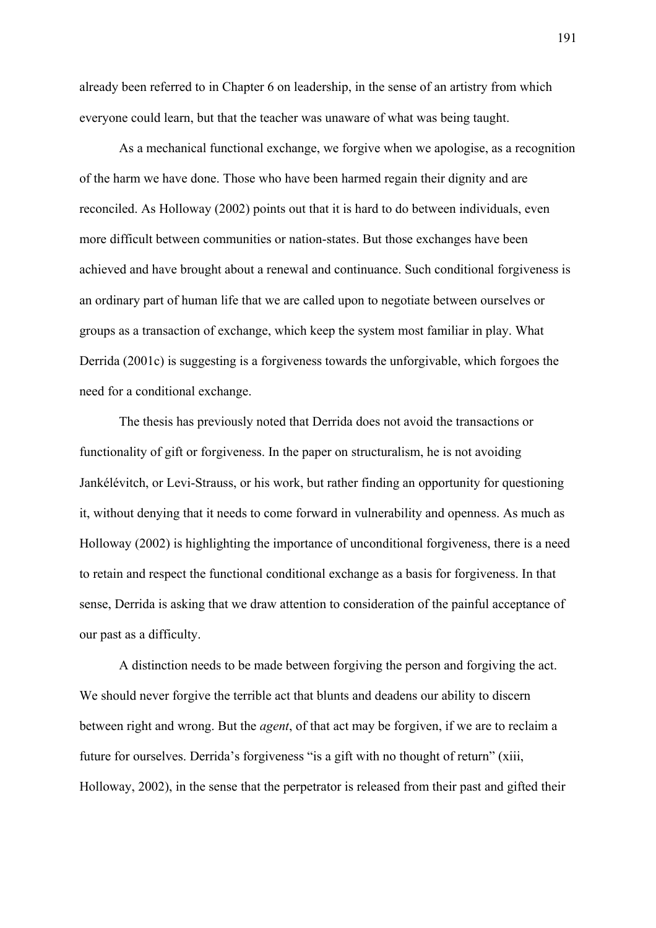already been referred to in Chapter 6 on leadership, in the sense of an artistry from which everyone could learn, but that the teacher was unaware of what was being taught.

As a mechanical functional exchange, we forgive when we apologise, as a recognition of the harm we have done. Those who have been harmed regain their dignity and are reconciled. As Holloway (2002) points out that it is hard to do between individuals, even more difficult between communities or nation-states. But those exchanges have been achieved and have brought about a renewal and continuance. Such conditional forgiveness is an ordinary part of human life that we are called upon to negotiate between ourselves or groups as a transaction of exchange, which keep the system most familiar in play. What Derrida (2001c) is suggesting is a forgiveness towards the unforgivable, which forgoes the need for a conditional exchange.

The thesis has previously noted that Derrida does not avoid the transactions or functionality of gift or forgiveness. In the paper on structuralism, he is not avoiding Jankélévitch, or Levi-Strauss, or his work, but rather finding an opportunity for questioning it, without denying that it needs to come forward in vulnerability and openness. As much as Holloway (2002) is highlighting the importance of unconditional forgiveness, there is a need to retain and respect the functional conditional exchange as a basis for forgiveness. In that sense, Derrida is asking that we draw attention to consideration of the painful acceptance of our past as a difficulty.

 A distinction needs to be made between forgiving the person and forgiving the act. We should never forgive the terrible act that blunts and deadens our ability to discern between right and wrong. But the *agent*, of that act may be forgiven, if we are to reclaim a future for ourselves. Derrida's forgiveness "is a gift with no thought of return" (xiii, Holloway, 2002), in the sense that the perpetrator is released from their past and gifted their

191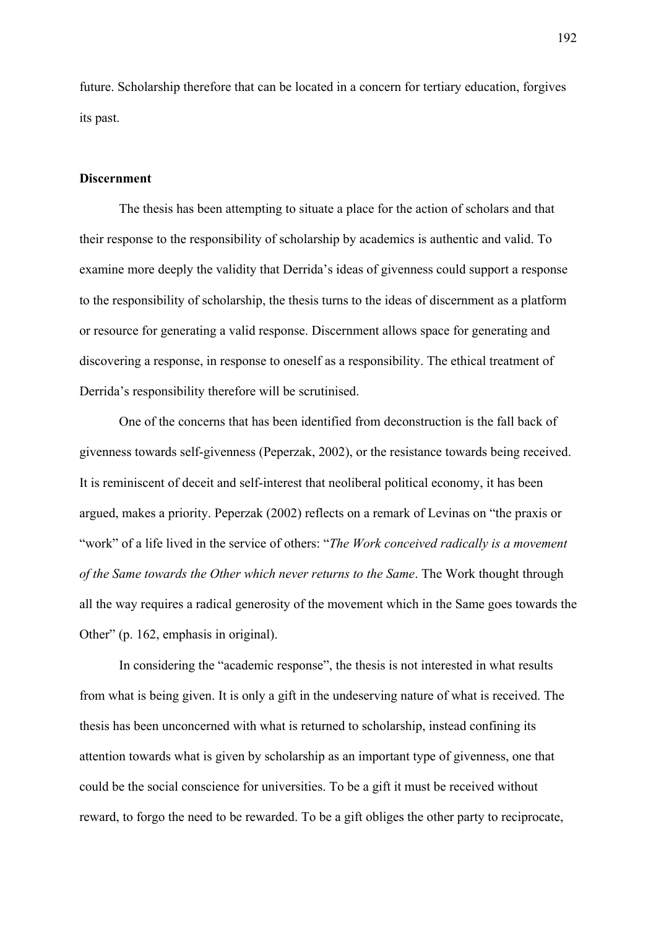future. Scholarship therefore that can be located in a concern for tertiary education, forgives its past.

### **Discernment**

 The thesis has been attempting to situate a place for the action of scholars and that their response to the responsibility of scholarship by academics is authentic and valid. To examine more deeply the validity that Derrida's ideas of givenness could support a response to the responsibility of scholarship, the thesis turns to the ideas of discernment as a platform or resource for generating a valid response. Discernment allows space for generating and discovering a response, in response to oneself as a responsibility. The ethical treatment of Derrida's responsibility therefore will be scrutinised.

One of the concerns that has been identified from deconstruction is the fall back of givenness towards self-givenness (Peperzak, 2002), or the resistance towards being received. It is reminiscent of deceit and self-interest that neoliberal political economy, it has been argued, makes a priority. Peperzak (2002) reflects on a remark of Levinas on "the praxis or "work" of a life lived in the service of others: "*The Work conceived radically is a movement of the Same towards the Other which never returns to the Same*. The Work thought through all the way requires a radical generosity of the movement which in the Same goes towards the Other" (p. 162, emphasis in original).

In considering the "academic response", the thesis is not interested in what results from what is being given. It is only a gift in the undeserving nature of what is received. The thesis has been unconcerned with what is returned to scholarship, instead confining its attention towards what is given by scholarship as an important type of givenness, one that could be the social conscience for universities. To be a gift it must be received without reward, to forgo the need to be rewarded. To be a gift obliges the other party to reciprocate,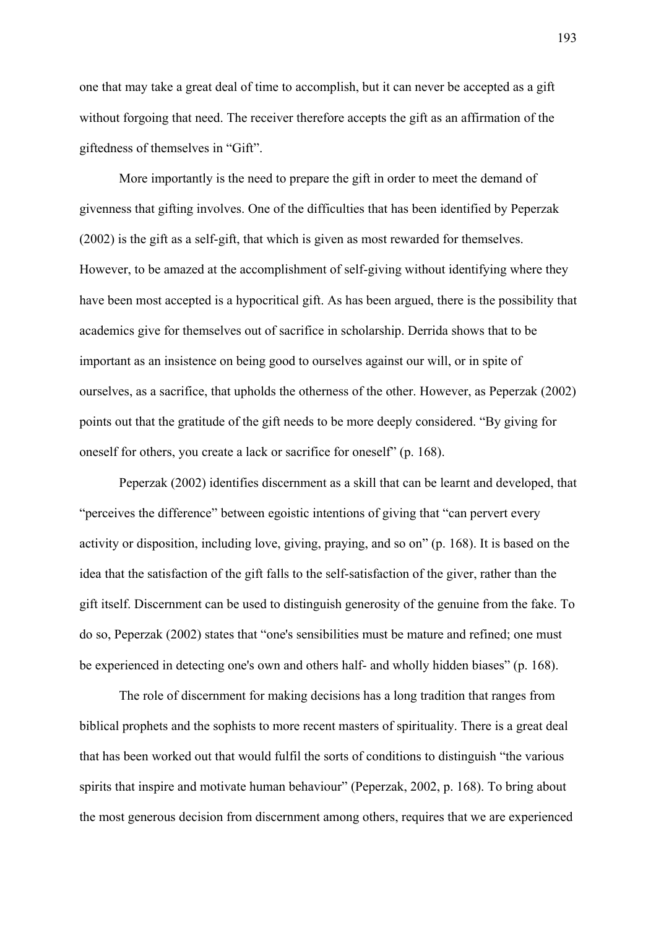one that may take a great deal of time to accomplish, but it can never be accepted as a gift without forgoing that need. The receiver therefore accepts the gift as an affirmation of the giftedness of themselves in "Gift".

More importantly is the need to prepare the gift in order to meet the demand of givenness that gifting involves. One of the difficulties that has been identified by Peperzak (2002) is the gift as a self-gift, that which is given as most rewarded for themselves. However, to be amazed at the accomplishment of self-giving without identifying where they have been most accepted is a hypocritical gift. As has been argued, there is the possibility that academics give for themselves out of sacrifice in scholarship. Derrida shows that to be important as an insistence on being good to ourselves against our will, or in spite of ourselves, as a sacrifice, that upholds the otherness of the other. However, as Peperzak (2002) points out that the gratitude of the gift needs to be more deeply considered. "By giving for oneself for others, you create a lack or sacrifice for oneself" (p. 168).

Peperzak (2002) identifies discernment as a skill that can be learnt and developed, that "perceives the difference" between egoistic intentions of giving that "can pervert every activity or disposition, including love, giving, praying, and so on" (p. 168). It is based on the idea that the satisfaction of the gift falls to the self-satisfaction of the giver, rather than the gift itself. Discernment can be used to distinguish generosity of the genuine from the fake. To do so, Peperzak (2002) states that "one's sensibilities must be mature and refined; one must be experienced in detecting one's own and others half- and wholly hidden biases" (p. 168).

The role of discernment for making decisions has a long tradition that ranges from biblical prophets and the sophists to more recent masters of spirituality. There is a great deal that has been worked out that would fulfil the sorts of conditions to distinguish "the various spirits that inspire and motivate human behaviour" (Peperzak, 2002, p. 168). To bring about the most generous decision from discernment among others, requires that we are experienced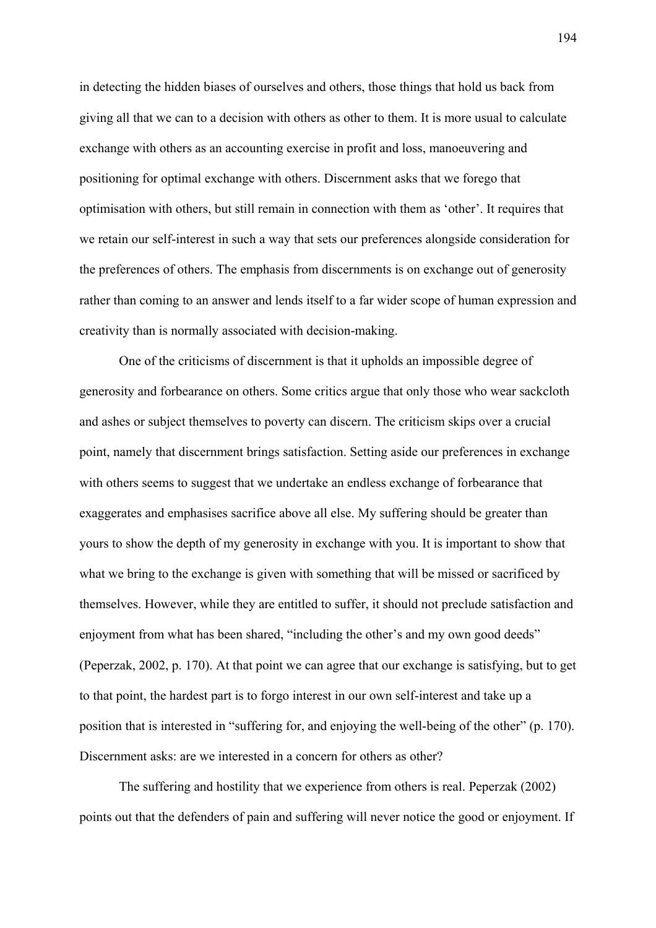in detecting the hidden biases of ourselves and others, those things that hold us back from giving all that we can to a decision with others as other to them. It is more usual to calculate exchange with others as an accounting exercise in profit and loss, manoeuvering and positioning for optimal exchange with others. Discernment asks that we forego that optimisation with others, but still remain in connection with them as 'other'. It requires that we retain our self-interest in such a way that sets our preferences alongside consideration for the preferences of others. The emphasis from discernments is on exchange out of generosity rather than coming to an answer and lends itself to a far wider scope of human expression and creativity than is normally associated with decision-making.

One of the criticisms of discernment is that it upholds an impossible degree of generosity and forbearance on others. Some critics argue that only those who wear sackcloth and ashes or subject themselves to poverty can discern. The criticism skips over a crucial point, namely that discernment brings satisfaction. Setting aside our preferences in exchange with others seems to suggest that we undertake an endless exchange of forbearance that exaggerates and emphasises sacrifice above all else. My suffering should be greater than yours to show the depth of my generosity in exchange with you. It is important to show that what we bring to the exchange is given with something that will be missed or sacrificed by themselves. However, while they are entitled to suffer, it should not preclude satisfaction and enjoyment from what has been shared, "including the other's and my own good deeds" (Peperzak, 2002, p. 170). At that point we can agree that our exchange is satisfying, but to get to that point, the hardest part is to forgo interest in our own self-interest and take up a position that is interested in "suffering for, and enjoying the well-being of the other" (p. 170). Discernment asks: are we interested in a concern for others as other?

The suffering and hostility that we experience from others is real. Peperzak (2002) points out that the defenders of pain and suffering will never notice the good or enjoyment. If

194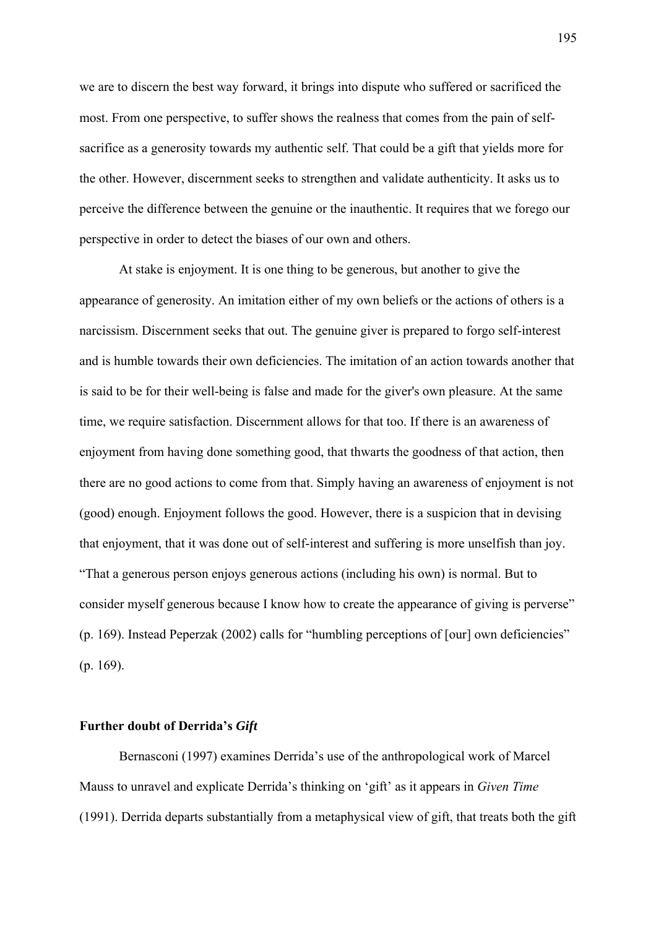we are to discern the best way forward, it brings into dispute who suffered or sacrificed the most. From one perspective, to suffer shows the realness that comes from the pain of selfsacrifice as a generosity towards my authentic self. That could be a gift that yields more for the other. However, discernment seeks to strengthen and validate authenticity. It asks us to perceive the difference between the genuine or the inauthentic. It requires that we forego our perspective in order to detect the biases of our own and others.

At stake is enjoyment. It is one thing to be generous, but another to give the appearance of generosity. An imitation either of my own beliefs or the actions of others is a narcissism. Discernment seeks that out. The genuine giver is prepared to forgo self-interest and is humble towards their own deficiencies. The imitation of an action towards another that is said to be for their well-being is false and made for the giver's own pleasure. At the same time, we require satisfaction. Discernment allows for that too. If there is an awareness of enjoyment from having done something good, that thwarts the goodness of that action, then there are no good actions to come from that. Simply having an awareness of enjoyment is not (good) enough. Enjoyment follows the good. However, there is a suspicion that in devising that enjoyment, that it was done out of self-interest and suffering is more unselfish than joy. "That a generous person enjoys generous actions (including his own) is normal. But to consider myself generous because I know how to create the appearance of giving is perverse" (p. 169). Instead Peperzak (2002) calls for "humbling perceptions of [our] own deficiencies" (p. 169).

#### **Further doubt of Derrida's** *Gift*

Bernasconi (1997) examines Derrida's use of the anthropological work of Marcel Mauss to unravel and explicate Derrida's thinking on 'gift' as it appears in *Given Time* (1991). Derrida departs substantially from a metaphysical view of gift, that treats both the gift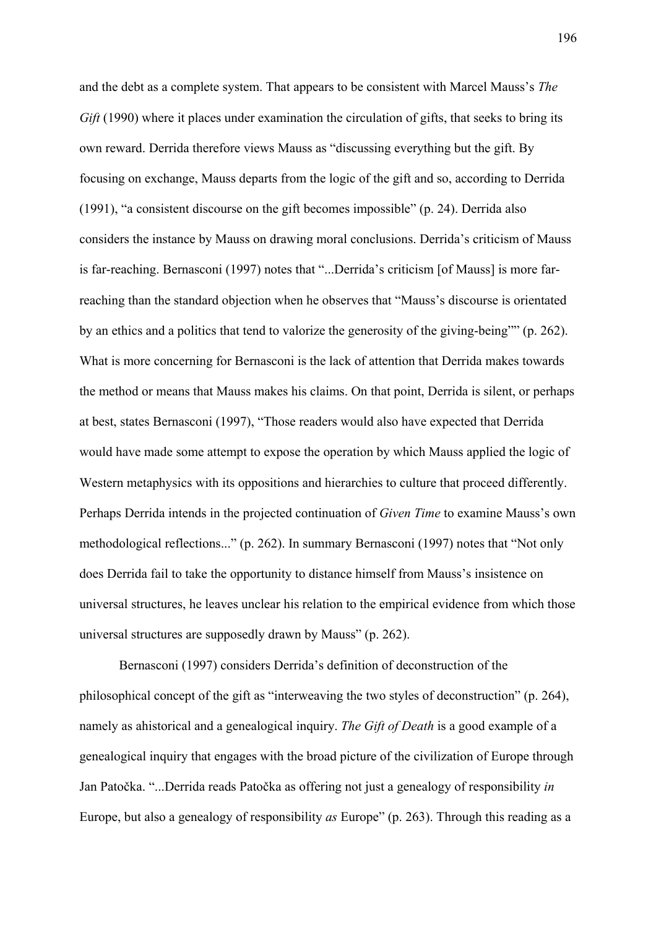and the debt as a complete system. That appears to be consistent with Marcel Mauss's *The Gift* (1990) where it places under examination the circulation of gifts, that seeks to bring its own reward. Derrida therefore views Mauss as "discussing everything but the gift. By focusing on exchange, Mauss departs from the logic of the gift and so, according to Derrida (1991), "a consistent discourse on the gift becomes impossible" (p. 24). Derrida also considers the instance by Mauss on drawing moral conclusions. Derrida's criticism of Mauss is far-reaching. Bernasconi (1997) notes that "...Derrida's criticism [of Mauss] is more farreaching than the standard objection when he observes that "Mauss's discourse is orientated by an ethics and a politics that tend to valorize the generosity of the giving-being"" (p. 262). What is more concerning for Bernasconi is the lack of attention that Derrida makes towards the method or means that Mauss makes his claims. On that point, Derrida is silent, or perhaps at best, states Bernasconi (1997), "Those readers would also have expected that Derrida would have made some attempt to expose the operation by which Mauss applied the logic of Western metaphysics with its oppositions and hierarchies to culture that proceed differently. Perhaps Derrida intends in the projected continuation of *Given Time* to examine Mauss's own methodological reflections..." (p. 262). In summary Bernasconi (1997) notes that "Not only does Derrida fail to take the opportunity to distance himself from Mauss's insistence on universal structures, he leaves unclear his relation to the empirical evidence from which those universal structures are supposedly drawn by Mauss" (p. 262).

Bernasconi (1997) considers Derrida's definition of deconstruction of the philosophical concept of the gift as "interweaving the two styles of deconstruction" (p. 264), namely as ahistorical and a genealogical inquiry. *The Gift of Death* is a good example of a genealogical inquiry that engages with the broad picture of the civilization of Europe through Jan Patočka. "...Derrida reads Patočka as offering not just a genealogy of responsibility *in* Europe, but also a genealogy of responsibility *as* Europe" (p. 263). Through this reading as a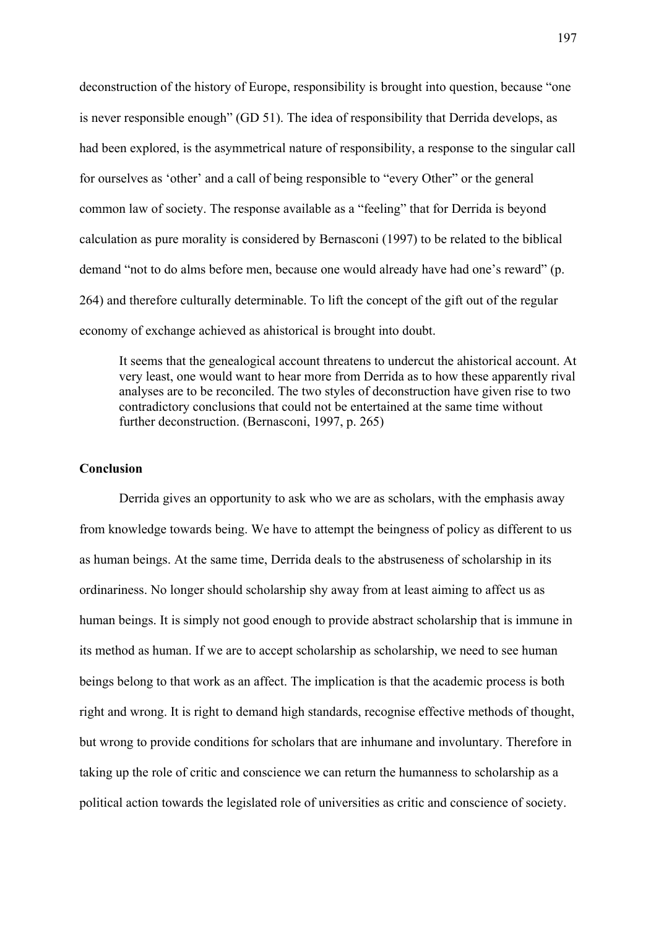deconstruction of the history of Europe, responsibility is brought into question, because "one is never responsible enough" (GD 51). The idea of responsibility that Derrida develops, as had been explored, is the asymmetrical nature of responsibility, a response to the singular call for ourselves as 'other' and a call of being responsible to "every Other" or the general common law of society. The response available as a "feeling" that for Derrida is beyond calculation as pure morality is considered by Bernasconi (1997) to be related to the biblical demand "not to do alms before men, because one would already have had one's reward" (p. 264) and therefore culturally determinable. To lift the concept of the gift out of the regular economy of exchange achieved as ahistorical is brought into doubt.

It seems that the genealogical account threatens to undercut the ahistorical account. At very least, one would want to hear more from Derrida as to how these apparently rival analyses are to be reconciled. The two styles of deconstruction have given rise to two contradictory conclusions that could not be entertained at the same time without further deconstruction. (Bernasconi, 1997, p. 265)

## **Conclusion**

Derrida gives an opportunity to ask who we are as scholars, with the emphasis away from knowledge towards being. We have to attempt the beingness of policy as different to us as human beings. At the same time, Derrida deals to the abstruseness of scholarship in its ordinariness. No longer should scholarship shy away from at least aiming to affect us as human beings. It is simply not good enough to provide abstract scholarship that is immune in its method as human. If we are to accept scholarship as scholarship, we need to see human beings belong to that work as an affect. The implication is that the academic process is both right and wrong. It is right to demand high standards, recognise effective methods of thought, but wrong to provide conditions for scholars that are inhumane and involuntary. Therefore in taking up the role of critic and conscience we can return the humanness to scholarship as a political action towards the legislated role of universities as critic and conscience of society.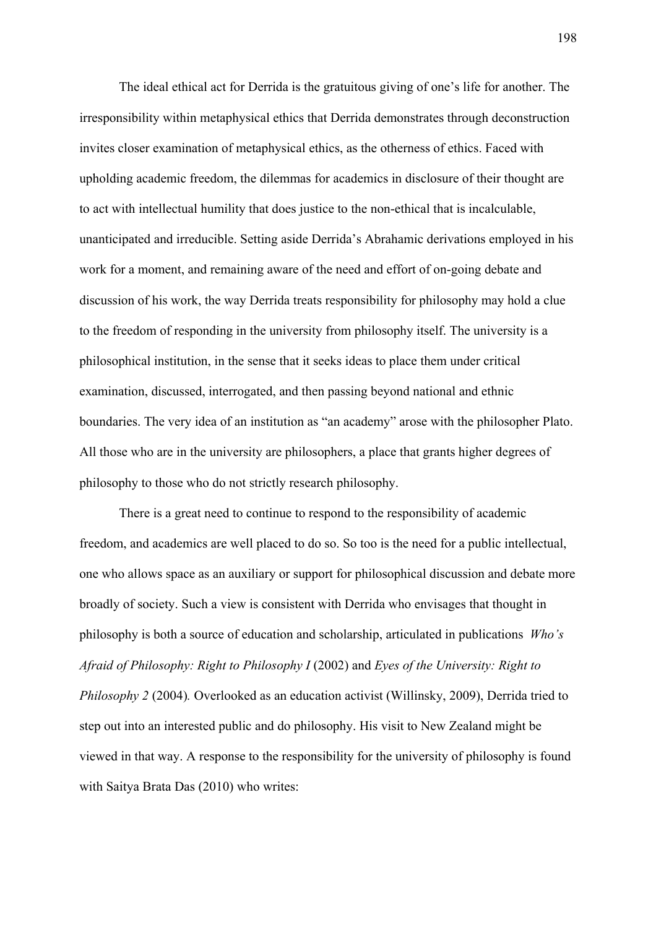The ideal ethical act for Derrida is the gratuitous giving of one's life for another. The irresponsibility within metaphysical ethics that Derrida demonstrates through deconstruction invites closer examination of metaphysical ethics, as the otherness of ethics. Faced with upholding academic freedom, the dilemmas for academics in disclosure of their thought are to act with intellectual humility that does justice to the non-ethical that is incalculable, unanticipated and irreducible. Setting aside Derrida's Abrahamic derivations employed in his work for a moment, and remaining aware of the need and effort of on-going debate and discussion of his work, the way Derrida treats responsibility for philosophy may hold a clue to the freedom of responding in the university from philosophy itself. The university is a philosophical institution, in the sense that it seeks ideas to place them under critical examination, discussed, interrogated, and then passing beyond national and ethnic boundaries. The very idea of an institution as "an academy" arose with the philosopher Plato. All those who are in the university are philosophers, a place that grants higher degrees of philosophy to those who do not strictly research philosophy.

There is a great need to continue to respond to the responsibility of academic freedom, and academics are well placed to do so. So too is the need for a public intellectual, one who allows space as an auxiliary or support for philosophical discussion and debate more broadly of society. Such a view is consistent with Derrida who envisages that thought in philosophy is both a source of education and scholarship, articulated in publications *Who's Afraid of Philosophy: Right to Philosophy I* (2002) and *Eyes of the University: Right to Philosophy 2* (2004)*.* Overlooked as an education activist (Willinsky, 2009), Derrida tried to step out into an interested public and do philosophy. His visit to New Zealand might be viewed in that way. A response to the responsibility for the university of philosophy is found with Saitya Brata Das (2010) who writes: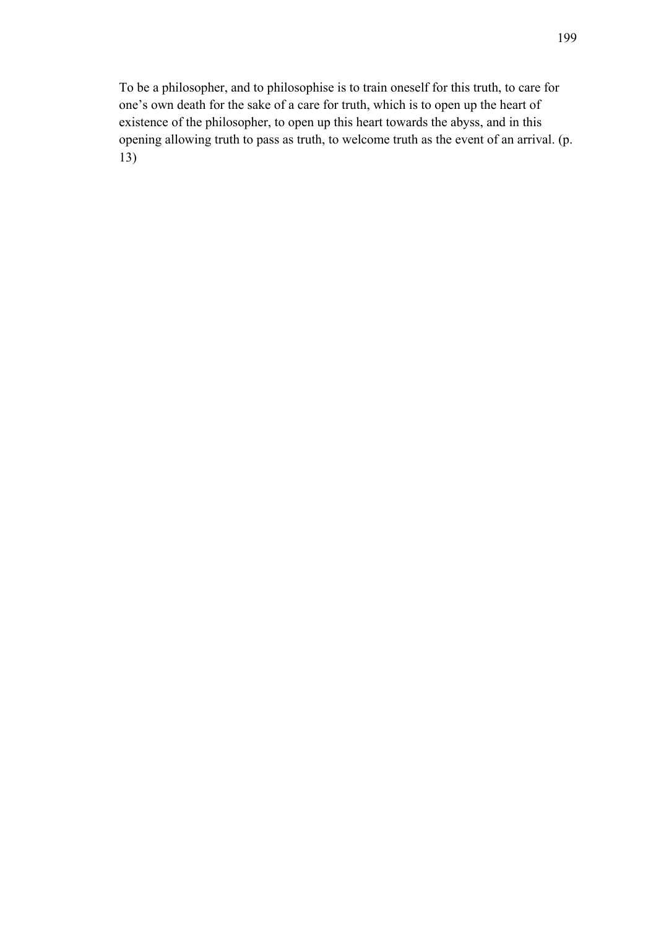To be a philosopher, and to philosophise is to train oneself for this truth, to care for one's own death for the sake of a care for truth, which is to open up the heart of existence of the philosopher, to open up this heart towards the abyss, and in this opening allowing truth to pass as truth, to welcome truth as the event of an arrival. (p. 13)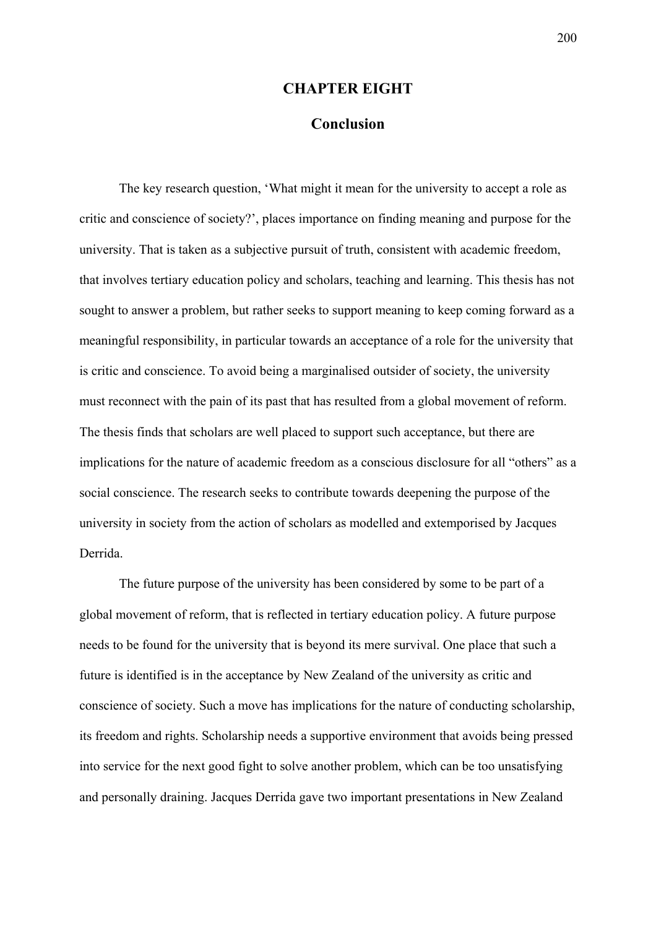### **CHAPTER EIGHT**

# **Conclusion**

The key research question, 'What might it mean for the university to accept a role as critic and conscience of society?', places importance on finding meaning and purpose for the university. That is taken as a subjective pursuit of truth, consistent with academic freedom, that involves tertiary education policy and scholars, teaching and learning. This thesis has not sought to answer a problem, but rather seeks to support meaning to keep coming forward as a meaningful responsibility, in particular towards an acceptance of a role for the university that is critic and conscience. To avoid being a marginalised outsider of society, the university must reconnect with the pain of its past that has resulted from a global movement of reform. The thesis finds that scholars are well placed to support such acceptance, but there are implications for the nature of academic freedom as a conscious disclosure for all "others" as a social conscience. The research seeks to contribute towards deepening the purpose of the university in society from the action of scholars as modelled and extemporised by Jacques Derrida.

The future purpose of the university has been considered by some to be part of a global movement of reform, that is reflected in tertiary education policy. A future purpose needs to be found for the university that is beyond its mere survival. One place that such a future is identified is in the acceptance by New Zealand of the university as critic and conscience of society. Such a move has implications for the nature of conducting scholarship, its freedom and rights. Scholarship needs a supportive environment that avoids being pressed into service for the next good fight to solve another problem, which can be too unsatisfying and personally draining. Jacques Derrida gave two important presentations in New Zealand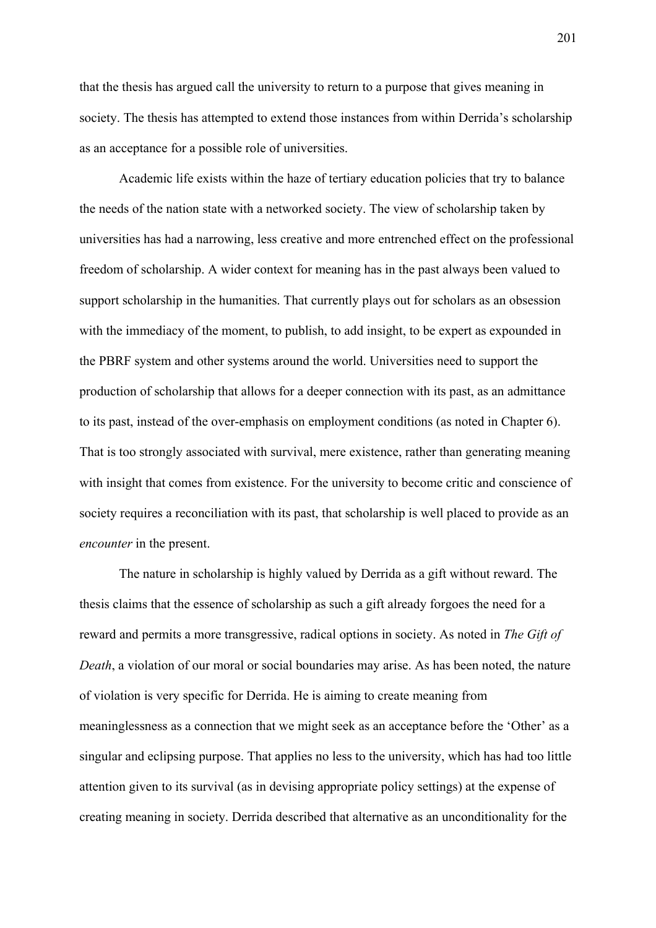that the thesis has argued call the university to return to a purpose that gives meaning in society. The thesis has attempted to extend those instances from within Derrida's scholarship as an acceptance for a possible role of universities.

Academic life exists within the haze of tertiary education policies that try to balance the needs of the nation state with a networked society. The view of scholarship taken by universities has had a narrowing, less creative and more entrenched effect on the professional freedom of scholarship. A wider context for meaning has in the past always been valued to support scholarship in the humanities. That currently plays out for scholars as an obsession with the immediacy of the moment, to publish, to add insight, to be expert as expounded in the PBRF system and other systems around the world. Universities need to support the production of scholarship that allows for a deeper connection with its past, as an admittance to its past, instead of the over-emphasis on employment conditions (as noted in Chapter 6). That is too strongly associated with survival, mere existence, rather than generating meaning with insight that comes from existence. For the university to become critic and conscience of society requires a reconciliation with its past, that scholarship is well placed to provide as an *encounter* in the present.

 The nature in scholarship is highly valued by Derrida as a gift without reward. The thesis claims that the essence of scholarship as such a gift already forgoes the need for a reward and permits a more transgressive, radical options in society. As noted in *The Gift of Death*, a violation of our moral or social boundaries may arise. As has been noted, the nature of violation is very specific for Derrida. He is aiming to create meaning from meaninglessness as a connection that we might seek as an acceptance before the 'Other' as a singular and eclipsing purpose. That applies no less to the university, which has had too little attention given to its survival (as in devising appropriate policy settings) at the expense of creating meaning in society. Derrida described that alternative as an unconditionality for the

201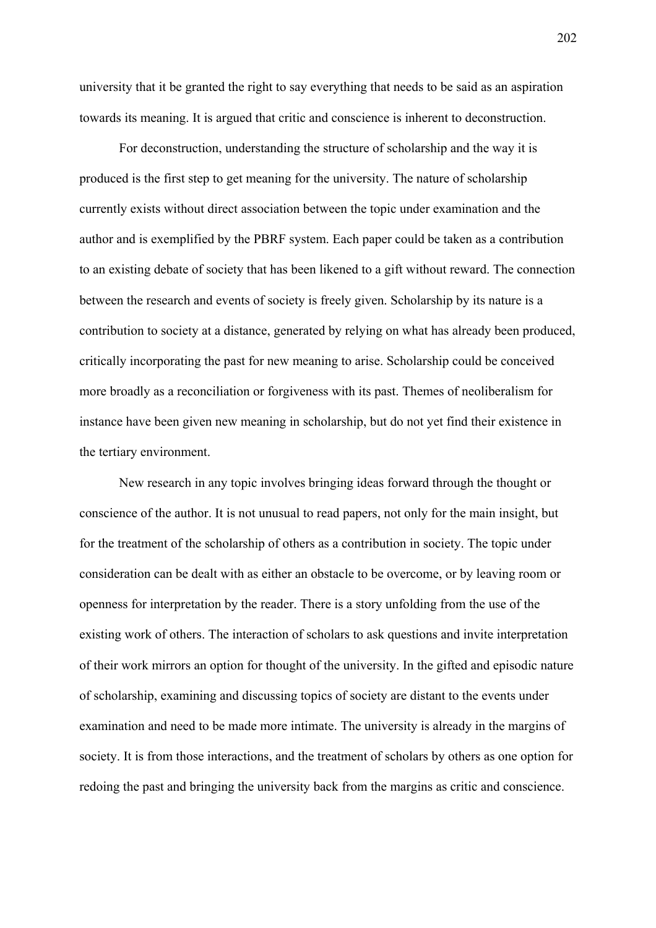university that it be granted the right to say everything that needs to be said as an aspiration towards its meaning. It is argued that critic and conscience is inherent to deconstruction.

For deconstruction, understanding the structure of scholarship and the way it is produced is the first step to get meaning for the university. The nature of scholarship currently exists without direct association between the topic under examination and the author and is exemplified by the PBRF system. Each paper could be taken as a contribution to an existing debate of society that has been likened to a gift without reward. The connection between the research and events of society is freely given. Scholarship by its nature is a contribution to society at a distance, generated by relying on what has already been produced, critically incorporating the past for new meaning to arise. Scholarship could be conceived more broadly as a reconciliation or forgiveness with its past. Themes of neoliberalism for instance have been given new meaning in scholarship, but do not yet find their existence in the tertiary environment.

 New research in any topic involves bringing ideas forward through the thought or conscience of the author. It is not unusual to read papers, not only for the main insight, but for the treatment of the scholarship of others as a contribution in society. The topic under consideration can be dealt with as either an obstacle to be overcome, or by leaving room or openness for interpretation by the reader. There is a story unfolding from the use of the existing work of others. The interaction of scholars to ask questions and invite interpretation of their work mirrors an option for thought of the university. In the gifted and episodic nature of scholarship, examining and discussing topics of society are distant to the events under examination and need to be made more intimate. The university is already in the margins of society. It is from those interactions, and the treatment of scholars by others as one option for redoing the past and bringing the university back from the margins as critic and conscience.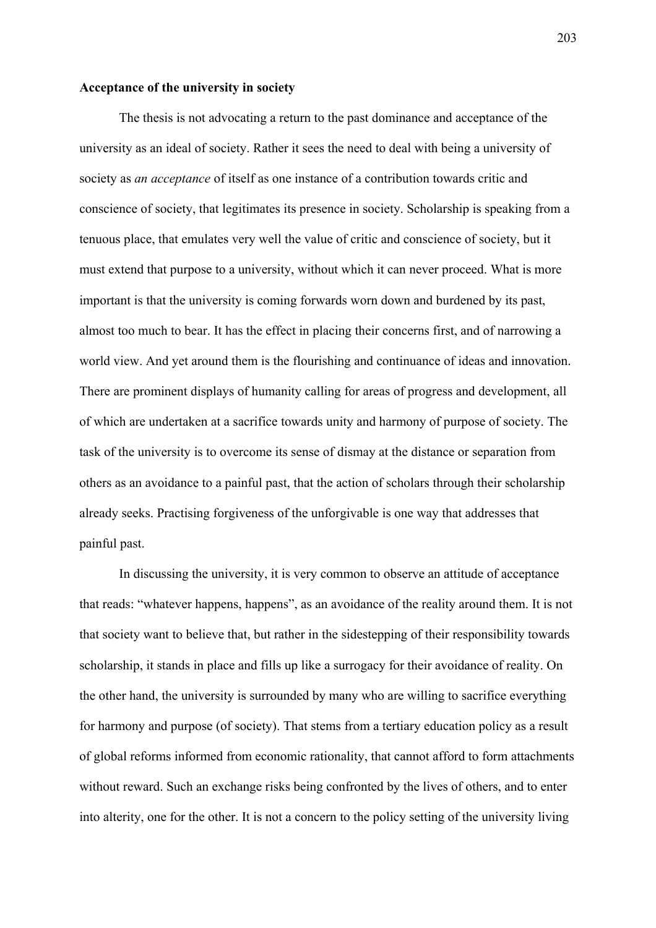### **Acceptance of the university in society**

The thesis is not advocating a return to the past dominance and acceptance of the university as an ideal of society. Rather it sees the need to deal with being a university of society as *an acceptance* of itself as one instance of a contribution towards critic and conscience of society, that legitimates its presence in society. Scholarship is speaking from a tenuous place, that emulates very well the value of critic and conscience of society, but it must extend that purpose to a university, without which it can never proceed. What is more important is that the university is coming forwards worn down and burdened by its past, almost too much to bear. It has the effect in placing their concerns first, and of narrowing a world view. And yet around them is the flourishing and continuance of ideas and innovation. There are prominent displays of humanity calling for areas of progress and development, all of which are undertaken at a sacrifice towards unity and harmony of purpose of society. The task of the university is to overcome its sense of dismay at the distance or separation from others as an avoidance to a painful past, that the action of scholars through their scholarship already seeks. Practising forgiveness of the unforgivable is one way that addresses that painful past.

 In discussing the university, it is very common to observe an attitude of acceptance that reads: "whatever happens, happens", as an avoidance of the reality around them. It is not that society want to believe that, but rather in the sidestepping of their responsibility towards scholarship, it stands in place and fills up like a surrogacy for their avoidance of reality. On the other hand, the university is surrounded by many who are willing to sacrifice everything for harmony and purpose (of society). That stems from a tertiary education policy as a result of global reforms informed from economic rationality, that cannot afford to form attachments without reward. Such an exchange risks being confronted by the lives of others, and to enter into alterity, one for the other. It is not a concern to the policy setting of the university living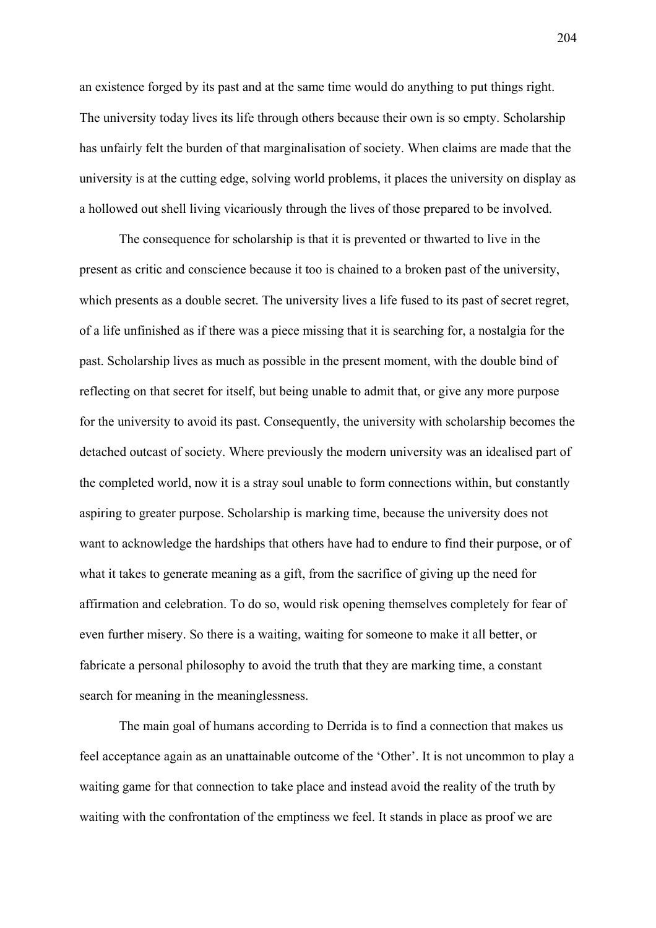an existence forged by its past and at the same time would do anything to put things right. The university today lives its life through others because their own is so empty. Scholarship has unfairly felt the burden of that marginalisation of society. When claims are made that the university is at the cutting edge, solving world problems, it places the university on display as a hollowed out shell living vicariously through the lives of those prepared to be involved.

The consequence for scholarship is that it is prevented or thwarted to live in the present as critic and conscience because it too is chained to a broken past of the university, which presents as a double secret. The university lives a life fused to its past of secret regret, of a life unfinished as if there was a piece missing that it is searching for, a nostalgia for the past. Scholarship lives as much as possible in the present moment, with the double bind of reflecting on that secret for itself, but being unable to admit that, or give any more purpose for the university to avoid its past. Consequently, the university with scholarship becomes the detached outcast of society. Where previously the modern university was an idealised part of the completed world, now it is a stray soul unable to form connections within, but constantly aspiring to greater purpose. Scholarship is marking time, because the university does not want to acknowledge the hardships that others have had to endure to find their purpose, or of what it takes to generate meaning as a gift, from the sacrifice of giving up the need for affirmation and celebration. To do so, would risk opening themselves completely for fear of even further misery. So there is a waiting, waiting for someone to make it all better, or fabricate a personal philosophy to avoid the truth that they are marking time, a constant search for meaning in the meaninglessness.

The main goal of humans according to Derrida is to find a connection that makes us feel acceptance again as an unattainable outcome of the 'Other'. It is not uncommon to play a waiting game for that connection to take place and instead avoid the reality of the truth by waiting with the confrontation of the emptiness we feel. It stands in place as proof we are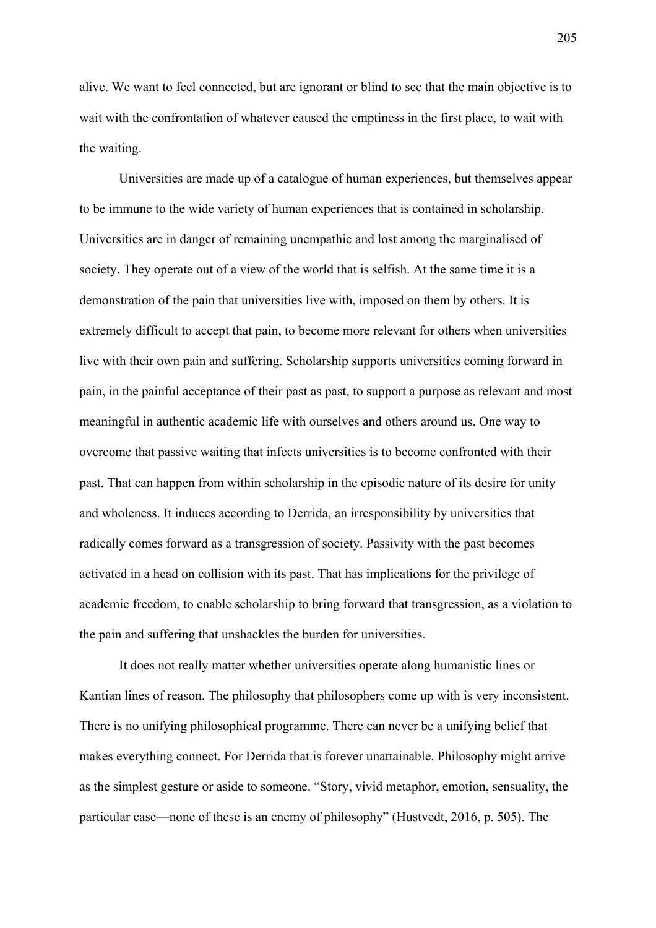alive. We want to feel connected, but are ignorant or blind to see that the main objective is to wait with the confrontation of whatever caused the emptiness in the first place, to wait with the waiting.

 Universities are made up of a catalogue of human experiences, but themselves appear to be immune to the wide variety of human experiences that is contained in scholarship. Universities are in danger of remaining unempathic and lost among the marginalised of society. They operate out of a view of the world that is selfish. At the same time it is a demonstration of the pain that universities live with, imposed on them by others. It is extremely difficult to accept that pain, to become more relevant for others when universities live with their own pain and suffering. Scholarship supports universities coming forward in pain, in the painful acceptance of their past as past, to support a purpose as relevant and most meaningful in authentic academic life with ourselves and others around us. One way to overcome that passive waiting that infects universities is to become confronted with their past. That can happen from within scholarship in the episodic nature of its desire for unity and wholeness. It induces according to Derrida, an irresponsibility by universities that radically comes forward as a transgression of society. Passivity with the past becomes activated in a head on collision with its past. That has implications for the privilege of academic freedom, to enable scholarship to bring forward that transgression, as a violation to the pain and suffering that unshackles the burden for universities.

It does not really matter whether universities operate along humanistic lines or Kantian lines of reason. The philosophy that philosophers come up with is very inconsistent. There is no unifying philosophical programme. There can never be a unifying belief that makes everything connect. For Derrida that is forever unattainable. Philosophy might arrive as the simplest gesture or aside to someone. "Story, vivid metaphor, emotion, sensuality, the particular case—none of these is an enemy of philosophy" (Hustvedt, 2016, p. 505). The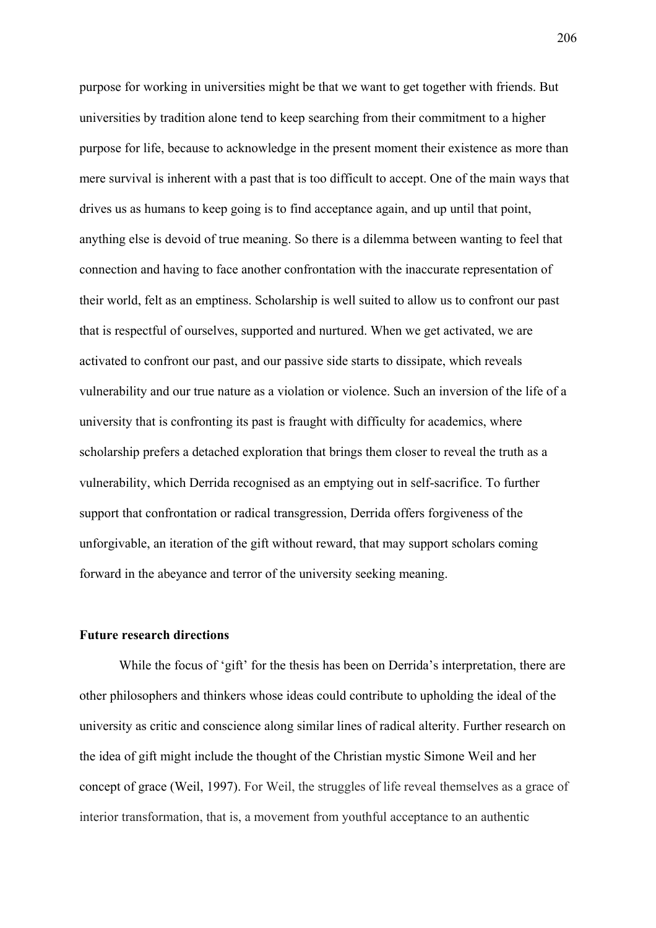purpose for working in universities might be that we want to get together with friends. But universities by tradition alone tend to keep searching from their commitment to a higher purpose for life, because to acknowledge in the present moment their existence as more than mere survival is inherent with a past that is too difficult to accept. One of the main ways that drives us as humans to keep going is to find acceptance again, and up until that point, anything else is devoid of true meaning. So there is a dilemma between wanting to feel that connection and having to face another confrontation with the inaccurate representation of their world, felt as an emptiness. Scholarship is well suited to allow us to confront our past that is respectful of ourselves, supported and nurtured. When we get activated, we are activated to confront our past, and our passive side starts to dissipate, which reveals vulnerability and our true nature as a violation or violence. Such an inversion of the life of a university that is confronting its past is fraught with difficulty for academics, where scholarship prefers a detached exploration that brings them closer to reveal the truth as a vulnerability, which Derrida recognised as an emptying out in self-sacrifice. To further support that confrontation or radical transgression, Derrida offers forgiveness of the unforgivable, an iteration of the gift without reward, that may support scholars coming forward in the abeyance and terror of the university seeking meaning.

#### **Future research directions**

While the focus of 'gift' for the thesis has been on Derrida's interpretation, there are other philosophers and thinkers whose ideas could contribute to upholding the ideal of the university as critic and conscience along similar lines of radical alterity. Further research on the idea of gift might include the thought of the Christian mystic Simone Weil and her concept of grace (Weil, 1997). For Weil, the struggles of life reveal themselves as a grace of interior transformation, that is, a movement from youthful acceptance to an authentic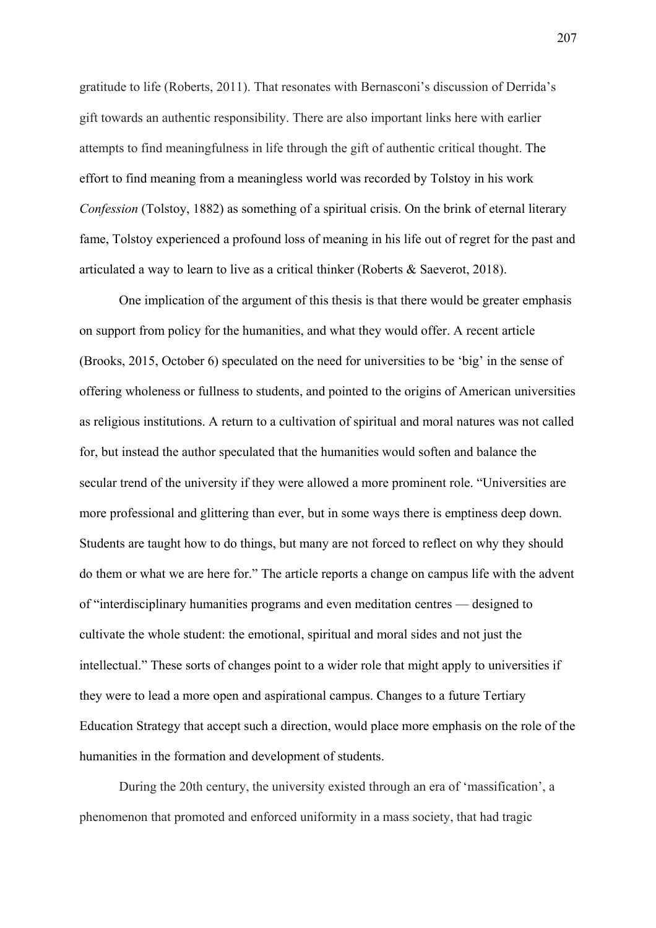gratitude to life (Roberts, 2011). That resonates with Bernasconi's discussion of Derrida's gift towards an authentic responsibility. There are also important links here with earlier attempts to find meaningfulness in life through the gift of authentic critical thought. The effort to find meaning from a meaningless world was recorded by Tolstoy in his work *Confession* (Tolstoy, 1882) as something of a spiritual crisis. On the brink of eternal literary fame, Tolstoy experienced a profound loss of meaning in his life out of regret for the past and articulated a way to learn to live as a critical thinker (Roberts & Saeverot, 2018).

One implication of the argument of this thesis is that there would be greater emphasis on support from policy for the humanities, and what they would offer. A recent article (Brooks, 2015, October 6) speculated on the need for universities to be 'big' in the sense of offering wholeness or fullness to students, and pointed to the origins of American universities as religious institutions. A return to a cultivation of spiritual and moral natures was not called for, but instead the author speculated that the humanities would soften and balance the secular trend of the university if they were allowed a more prominent role. "Universities are more professional and glittering than ever, but in some ways there is emptiness deep down. Students are taught how to do things, but many are not forced to reflect on why they should do them or what we are here for." The article reports a change on campus life with the advent of "interdisciplinary humanities programs and even meditation centres — designed to cultivate the whole student: the emotional, spiritual and moral sides and not just the intellectual." These sorts of changes point to a wider role that might apply to universities if they were to lead a more open and aspirational campus. Changes to a future Tertiary Education Strategy that accept such a direction, would place more emphasis on the role of the humanities in the formation and development of students.

During the 20th century, the university existed through an era of 'massification', a phenomenon that promoted and enforced uniformity in a mass society, that had tragic

207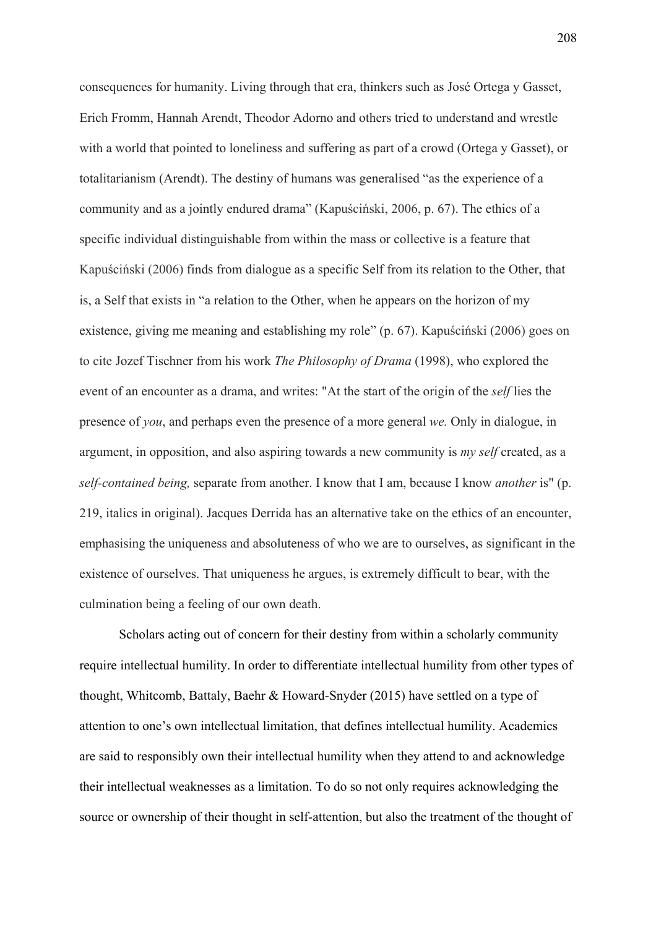consequences for humanity. Living through that era, thinkers such as José Ortega y Gasset, Erich Fromm, Hannah Arendt, Theodor Adorno and others tried to understand and wrestle with a world that pointed to loneliness and suffering as part of a crowd (Ortega y Gasset), or totalitarianism (Arendt). The destiny of humans was generalised "as the experience of a community and as a jointly endured drama" (Kapuściński, 2006, p. 67). The ethics of a specific individual distinguishable from within the mass or collective is a feature that Kapuściński (2006) finds from dialogue as a specific Self from its relation to the Other, that is, a Self that exists in "a relation to the Other, when he appears on the horizon of my existence, giving me meaning and establishing my role" (p. 67). Kapuściński (2006) goes on to cite Jozef Tischner from his work *The Philosophy of Drama* (1998), who explored the event of an encounter as a drama, and writes: "At the start of the origin of the *self* lies the presence of *you*, and perhaps even the presence of a more general *we.* Only in dialogue, in argument, in opposition, and also aspiring towards a new community is *my self* created, as a *self-contained being,* separate from another. I know that I am, because I know *another* is" (p. 219, italics in original). Jacques Derrida has an alternative take on the ethics of an encounter, emphasising the uniqueness and absoluteness of who we are to ourselves, as significant in the existence of ourselves. That uniqueness he argues, is extremely difficult to bear, with the culmination being a feeling of our own death.

Scholars acting out of concern for their destiny from within a scholarly community require intellectual humility. In order to differentiate intellectual humility from other types of thought, Whitcomb, Battaly, Baehr & Howard-Snyder (2015) have settled on a type of attention to one's own intellectual limitation, that defines intellectual humility. Academics are said to responsibly own their intellectual humility when they attend to and acknowledge their intellectual weaknesses as a limitation. To do so not only requires acknowledging the source or ownership of their thought in self-attention, but also the treatment of the thought of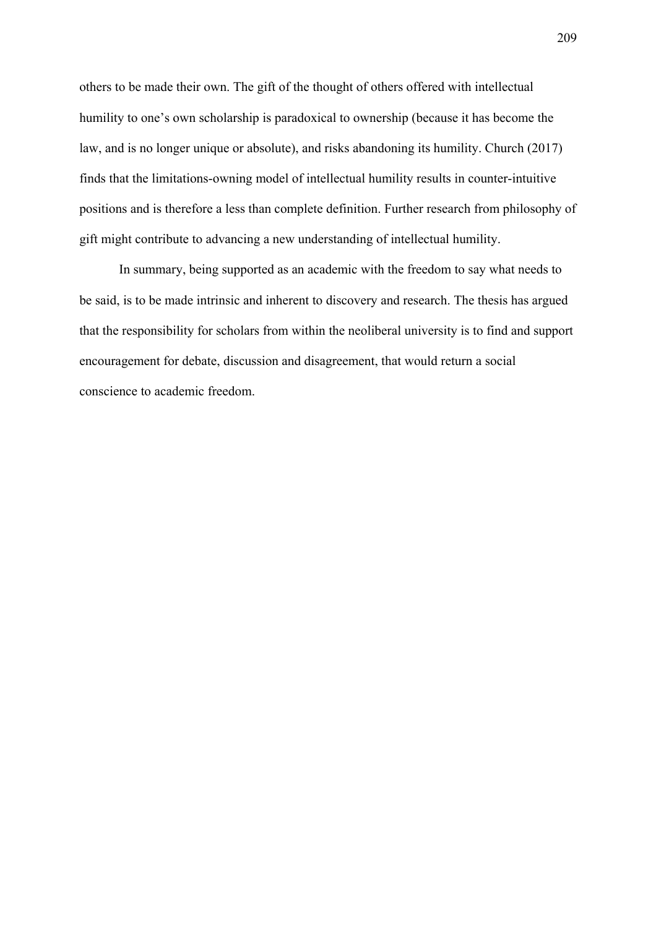others to be made their own. The gift of the thought of others offered with intellectual humility to one's own scholarship is paradoxical to ownership (because it has become the law, and is no longer unique or absolute), and risks abandoning its humility. Church (2017) finds that the limitations-owning model of intellectual humility results in counter-intuitive positions and is therefore a less than complete definition. Further research from philosophy of gift might contribute to advancing a new understanding of intellectual humility.

In summary, being supported as an academic with the freedom to say what needs to be said, is to be made intrinsic and inherent to discovery and research. The thesis has argued that the responsibility for scholars from within the neoliberal university is to find and support encouragement for debate, discussion and disagreement, that would return a social conscience to academic freedom.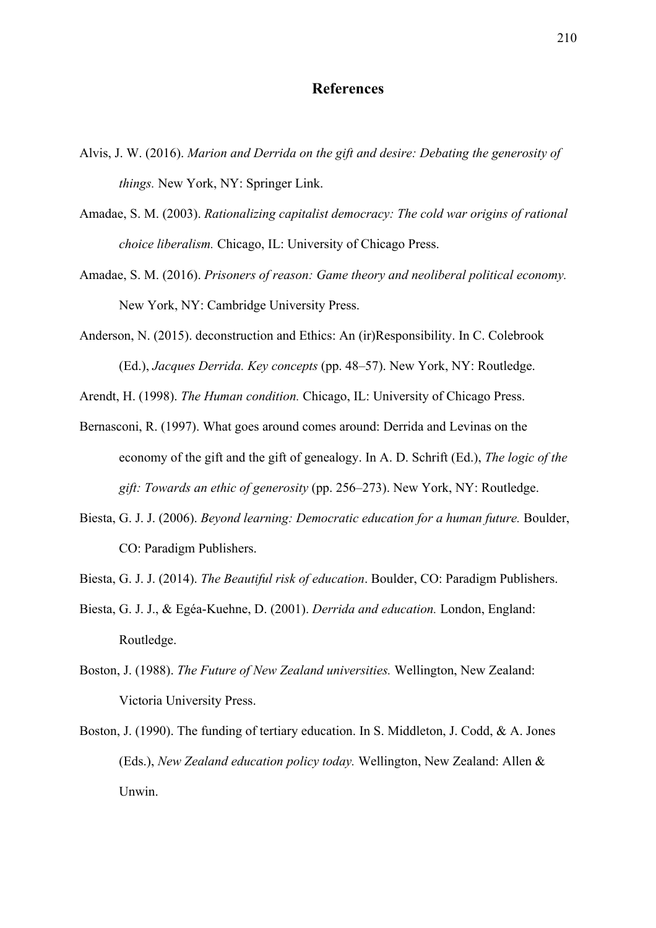# **References**

- Alvis, J. W. (2016). *Marion and Derrida on the gift and desire: Debating the generosity of things.* New York, NY: Springer Link.
- Amadae, S. M. (2003). *Rationalizing capitalist democracy: The cold war origins of rational choice liberalism.* Chicago, IL: University of Chicago Press.
- Amadae, S. M. (2016). *Prisoners of reason: Game theory and neoliberal political economy.* New York, NY: Cambridge University Press.
- Anderson, N. (2015). deconstruction and Ethics: An (ir)Responsibility. In C. Colebrook (Ed.), *Jacques Derrida. Key concepts* (pp. 48–57). New York, NY: Routledge.

Arendt, H. (1998). *The Human condition.* Chicago, IL: University of Chicago Press.

- Bernasconi, R. (1997). What goes around comes around: Derrida and Levinas on the economy of the gift and the gift of genealogy. In A. D. Schrift (Ed.), *The logic of the gift: Towards an ethic of generosity* (pp. 256‒273). New York, NY: Routledge.
- Biesta, G. J. J. (2006). *Beyond learning: Democratic education for a human future.* Boulder, CO: Paradigm Publishers.
- Biesta, G. J. J. (2014). *The Beautiful risk of education*. Boulder, CO: Paradigm Publishers.
- Biesta, G. J. J., & Egéa-Kuehne, D. (2001). *Derrida and education.* London, England: Routledge.
- Boston, J. (1988). *The Future of New Zealand universities.* Wellington, New Zealand: Victoria University Press.
- Boston, J. (1990). The funding of tertiary education. In S. Middleton, J. Codd, & A. Jones (Eds.), *New Zealand education policy today.* Wellington, New Zealand: Allen & Unwin.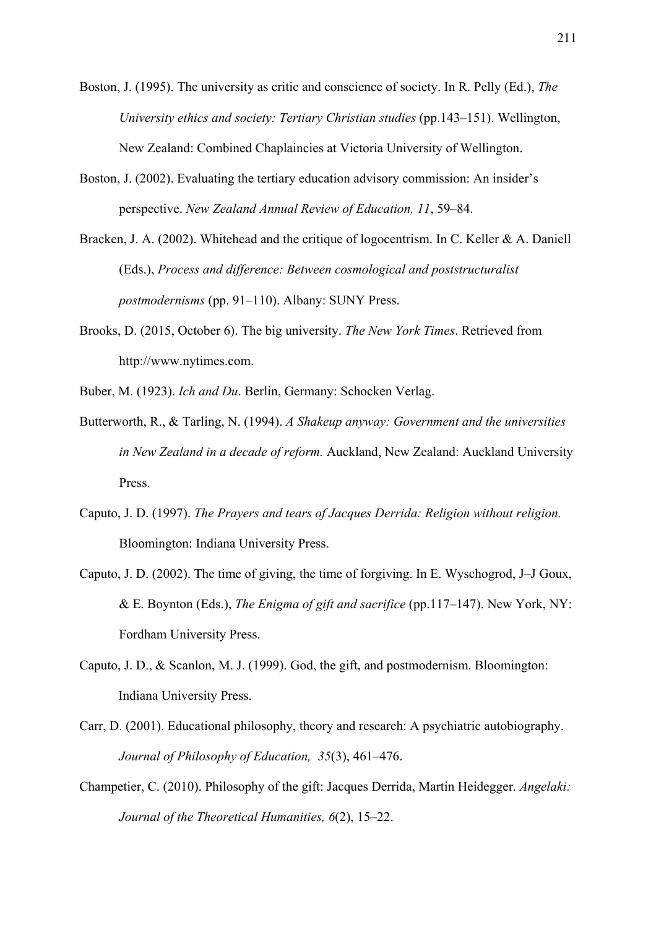Boston, J. (1995). The university as critic and conscience of society. In R. Pelly (Ed.), *The University ethics and society: Tertiary Christian studies (pp.143–151).* Wellington, New Zealand: Combined Chaplaincies at Victoria University of Wellington.

- Boston, J. (2002). Evaluating the tertiary education advisory commission: An insider's perspective. *New Zealand Annual Review of Education, 11*, 59‒84.
- Bracken, J. A. (2002). Whitehead and the critique of logocentrism. In C. Keller & A. Daniell (Eds.), *Process and difference: Between cosmological and poststructuralist postmodernisms* (pp. 91–110). Albany: SUNY Press.
- Brooks, D. (2015, October 6). The big university. *The New York Times*. Retrieved from http://www.nytimes.com.
- Buber, M. (1923). *Ich and Du*. Berlin, Germany: Schocken Verlag.
- Butterworth, R., & Tarling, N. (1994). *A Shakeup anyway: Government and the universities in New Zealand in a decade of reform.* Auckland, New Zealand: Auckland University Press.
- Caputo, J. D. (1997). *The Prayers and tears of Jacques Derrida: Religion without religion.*  Bloomington: Indiana University Press.
- Caputo, J. D. (2002). The time of giving, the time of forgiving. In E. Wyschogrod, J–J Goux, & E. Boynton (Eds.), *The Enigma of gift and sacrifice* (pp.117‒147). New York, NY: Fordham University Press.
- Caputo, J. D., & Scanlon, M. J. (1999). God, the gift, and postmodernism. Bloomington: Indiana University Press.
- Carr, D. (2001). Educational philosophy, theory and research: A psychiatric autobiography. Journal of Philosophy of Education, 35(3), 461-476.
- Champetier, C. (2010). Philosophy of the gift: Jacques Derrida, Martin Heidegger. *Angelaki: Journal of the Theoretical Humanities, 6*(2), 15‒22.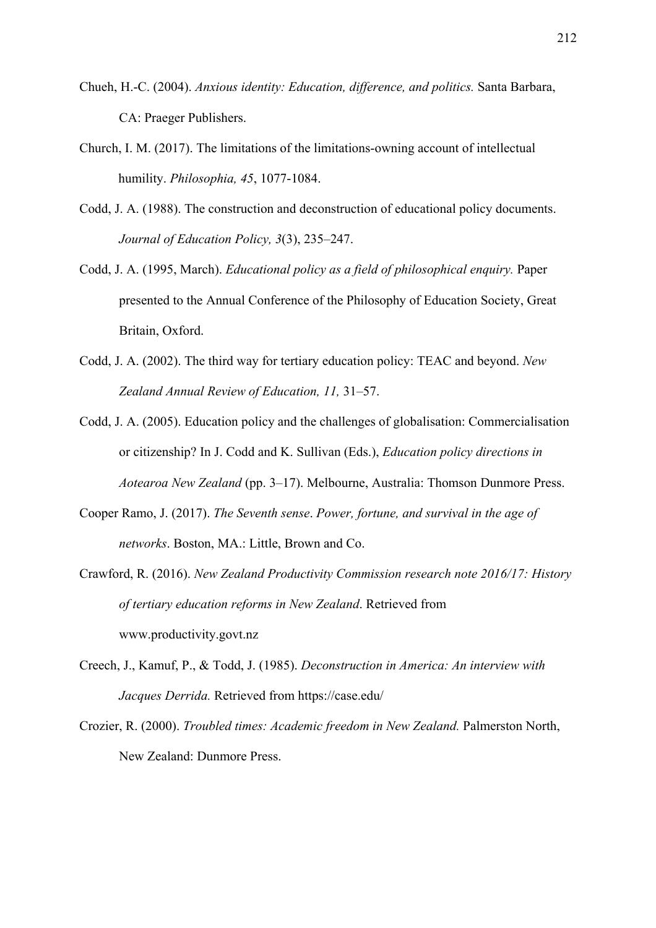- Chueh, H.-C. (2004). *Anxious identity: Education, difference, and politics.* Santa Barbara, CA: Praeger Publishers.
- Church, I. M. (2017). The limitations of the limitations-owning account of intellectual humility. *Philosophia, 45*, 1077-1084.
- Codd, J. A. (1988). The construction and deconstruction of educational policy documents. Journal of Education Policy, 3(3), 235-247.
- Codd, J. A. (1995, March). *Educational policy as a field of philosophical enquiry.* Paper presented to the Annual Conference of the Philosophy of Education Society, Great Britain, Oxford.
- Codd, J. A. (2002). The third way for tertiary education policy: TEAC and beyond. *New Zealand Annual Review of Education, 11,* 31‒57.
- Codd, J. A. (2005). Education policy and the challenges of globalisation: Commercialisation or citizenship? In J. Codd and K. Sullivan (Eds.), *Education policy directions in Aotearoa New Zealand* (pp. 3–17). Melbourne, Australia: Thomson Dunmore Press.
- Cooper Ramo, J. (2017). *The Seventh sense*. *Power, fortune, and survival in the age of networks*. Boston, MA.: Little, Brown and Co.
- Crawford, R. (2016). *New Zealand Productivity Commission research note 2016/17: History of tertiary education reforms in New Zealand*. Retrieved from www.productivity.govt.nz
- Creech, J., Kamuf, P., & Todd, J. (1985). *Deconstruction in America: An interview with Jacques Derrida.* Retrieved from https://case.edu/
- Crozier, R. (2000). *Troubled times: Academic freedom in New Zealand.* Palmerston North, New Zealand: Dunmore Press.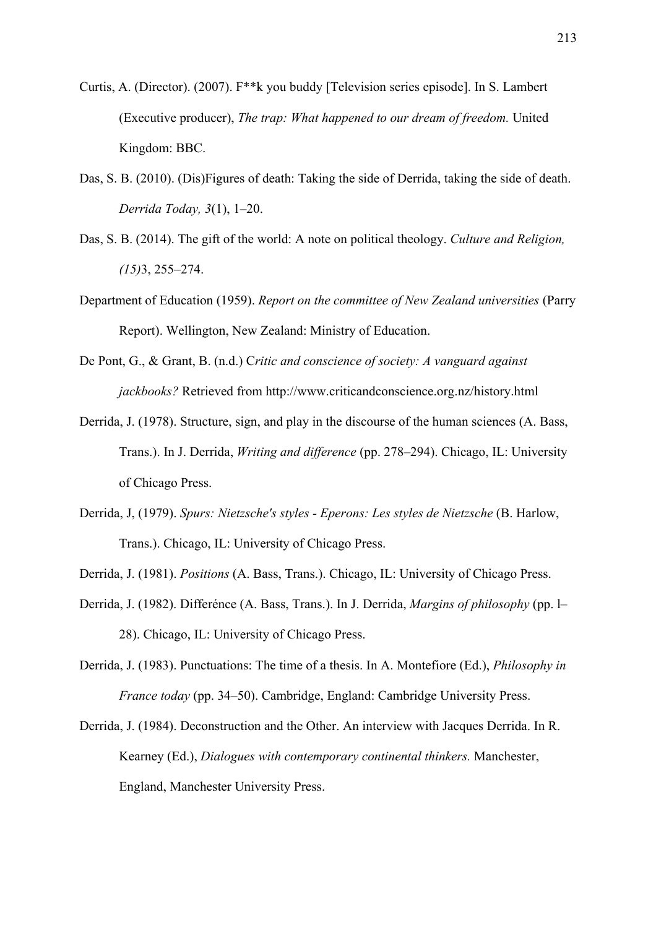- Curtis, A. (Director). (2007). F\*\*k you buddy [Television series episode]. In S. Lambert (Executive producer), *The trap: What happened to our dream of freedom.* United Kingdom: BBC.
- Das, S. B. (2010). (Dis)Figures of death: Taking the side of Derrida, taking the side of death. *Derrida Today, 3*(1), 1‒20.
- Das, S. B. (2014). The gift of the world: A note on political theology. *Culture and Religion, (15)*3, 255‒274.
- Department of Education (1959). *Report on the committee of New Zealand universities* (Parry Report). Wellington, New Zealand: Ministry of Education.
- De Pont, G., & Grant, B. (n.d.) C*ritic and conscience of society: A vanguard against jackbooks?* Retrieved from http://www.criticandconscience.org.nz/history.html
- Derrida, J. (1978). Structure, sign, and play in the discourse of the human sciences (A. Bass, Trans.). In J. Derrida, *Writing and difference* (pp. 278–294). Chicago, IL: University of Chicago Press.
- Derrida, J, (1979). *Spurs: Nietzsche's styles Eperons: Les styles de Nietzsche* (B. Harlow, Trans.). Chicago, IL: University of Chicago Press.
- Derrida, J. (1981). *Positions* (A. Bass, Trans.). Chicago, IL: University of Chicago Press.
- Derrida, J. (1982). Differénce (A. Bass, Trans.). In J. Derrida, *Margins of philosophy* (pp. 1– 28). Chicago, IL: University of Chicago Press.
- Derrida, J. (1983). Punctuations: The time of a thesis. In A. Montefiore (Ed.), *Philosophy in France today* (pp. 34–50). Cambridge, England: Cambridge University Press.
- Derrida, J. (1984). Deconstruction and the Other. An interview with Jacques Derrida. In R. Kearney (Ed.), *Dialogues with contemporary continental thinkers.* Manchester, England, Manchester University Press.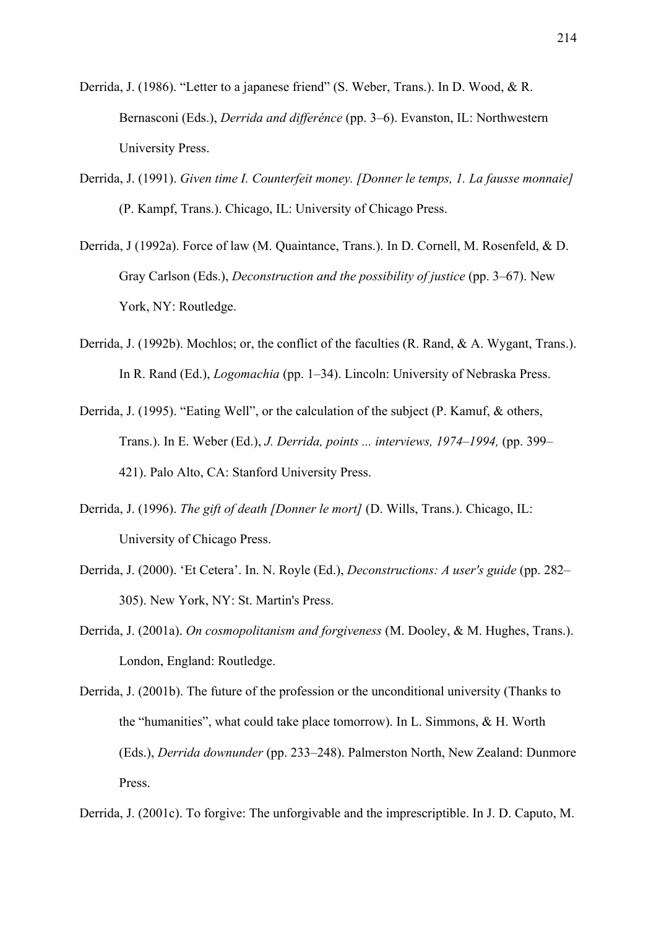- Derrida, J. (1986). "Letter to a japanese friend" (S. Weber, Trans.). In D. Wood, & R. Bernasconi (Eds.), *Derrida and differénce* (pp. 3–6). Evanston, IL: Northwestern University Press.
- Derrida, J. (1991). *Given time I. Counterfeit money. [Donner le temps, 1. La fausse monnaie]*  (P. Kampf, Trans.). Chicago, IL: University of Chicago Press.
- Derrida, J (1992a). Force of law (M. Quaintance, Trans.). In D. Cornell, M. Rosenfeld, & D. Gray Carlson (Eds.), *Deconstruction and the possibility of justice* (pp. 3–67). New York, NY: Routledge.
- Derrida, J. (1992b). Mochlos; or, the conflict of the faculties (R. Rand, & A. Wygant, Trans.). In R. Rand (Ed.), *Logomachia* (pp. 1–34). Lincoln: University of Nebraska Press.
- Derrida, J. (1995). "Eating Well", or the calculation of the subject (P. Kamuf, & others, Trans.). In E. Weber (Ed.), *J. Derrida, points ... interviews, 1974–1994*, (pp. 399– 421). Palo Alto, CA: Stanford University Press.
- Derrida, J. (1996). *The gift of death [Donner le mort]* (D. Wills, Trans.). Chicago, IL: University of Chicago Press.
- Derrida, J. (2000). 'Et Cetera'. In. N. Royle (Ed.), *Deconstructions: A user's guide* (pp. 282– 305). New York, NY: St. Martin's Press.
- Derrida, J. (2001a). *On cosmopolitanism and forgiveness* (M. Dooley, & M. Hughes, Trans.). London, England: Routledge.
- Derrida, J. (2001b). The future of the profession or the unconditional university (Thanks to the "humanities", what could take place tomorrow). In L. Simmons, & H. Worth (Eds.), *Derrida downunder* (pp. 233‒248). Palmerston North, New Zealand: Dunmore Press.

Derrida, J. (2001c). To forgive: The unforgivable and the imprescriptible. In J. D. Caputo, M.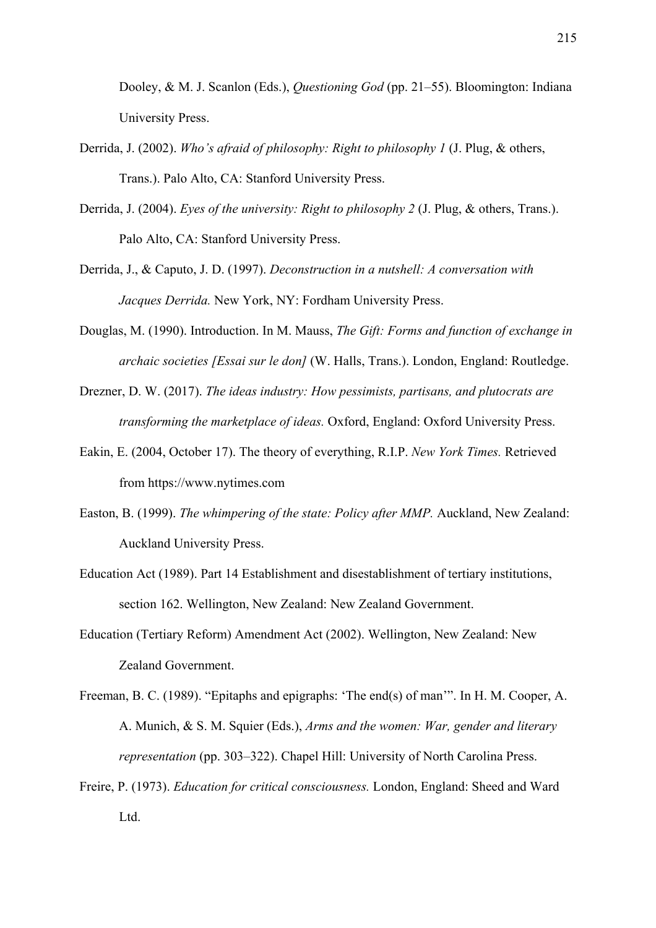Dooley, & M. J. Scanlon (Eds.), *Questioning God* (pp. 21–55). Bloomington: Indiana University Press.

- Derrida, J. (2002). *Who's afraid of philosophy: Right to philosophy 1* (J. Plug, & others, Trans.). Palo Alto, CA: Stanford University Press.
- Derrida, J. (2004). *Eyes of the university: Right to philosophy 2* (J. Plug, & others, Trans.). Palo Alto, CA: Stanford University Press.
- Derrida, J., & Caputo, J. D. (1997). *Deconstruction in a nutshell: A conversation with Jacques Derrida.* New York, NY: Fordham University Press.
- Douglas, M. (1990). Introduction. In M. Mauss, *The Gift: Forms and function of exchange in archaic societies [Essai sur le don]* (W. Halls, Trans.). London, England: Routledge.
- Drezner, D. W. (2017). *The ideas industry: How pessimists, partisans, and plutocrats are transforming the marketplace of ideas.* Oxford, England: Oxford University Press.
- Eakin, E. (2004, October 17). The theory of everything, R.I.P. *New York Times.* Retrieved from https://www.nytimes.com
- Easton, B. (1999). *The whimpering of the state: Policy after MMP.* Auckland, New Zealand: Auckland University Press.
- Education Act (1989). Part 14 Establishment and disestablishment of tertiary institutions, section 162. Wellington, New Zealand: New Zealand Government.
- Education (Tertiary Reform) Amendment Act (2002). Wellington, New Zealand: New Zealand Government.
- Freeman, B. C. (1989). "Epitaphs and epigraphs: 'The end(s) of man'". In H. M. Cooper, A. A. Munich, & S. M. Squier (Eds.), *Arms and the women: War, gender and literary representation* (pp. 303–322). Chapel Hill: University of North Carolina Press.
- Freire, P. (1973). *Education for critical consciousness.* London, England: Sheed and Ward Ltd.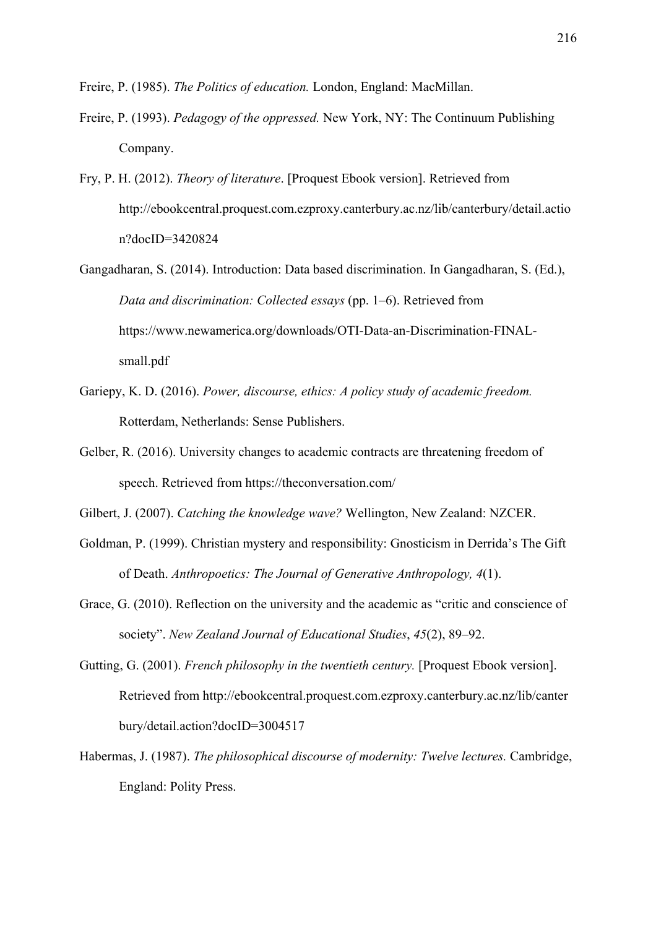Freire, P. (1985). *The Politics of education.* London, England: MacMillan.

- Freire, P. (1993). *Pedagogy of the oppressed.* New York, NY: The Continuum Publishing Company.
- Fry, P. H. (2012). *Theory of literature*. [Proquest Ebook version]. Retrieved from http://ebookcentral.proquest.com.ezproxy.canterbury.ac.nz/lib/canterbury/detail.actio n?docID=3420824
- Gangadharan, S. (2014). Introduction: Data based discrimination. In Gangadharan, S. (Ed.), *Data and discrimination: Collected essays (pp. 1–6). Retrieved from* https://www.newamerica.org/downloads/OTI-Data-an-Discrimination-FINALsmall.pdf
- Gariepy, K. D. (2016). *Power, discourse, ethics: A policy study of academic freedom.* Rotterdam, Netherlands: Sense Publishers.
- Gelber, R. (2016). University changes to academic contracts are threatening freedom of speech. Retrieved from https://theconversation.com/

Gilbert, J. (2007). *Catching the knowledge wave?* Wellington, New Zealand: NZCER.

- Goldman, P. (1999). Christian mystery and responsibility: Gnosticism in Derrida's The Gift of Death. *Anthropoetics: The Journal of Generative Anthropology, 4*(1).
- Grace, G. (2010). Reflection on the university and the academic as "critic and conscience of society". *New Zealand Journal of Educational Studies*, *45*(2), 89–92.
- Gutting, G. (2001). *French philosophy in the twentieth century.* [Proquest Ebook version]. Retrieved from http://ebookcentral.proquest.com.ezproxy.canterbury.ac.nz/lib/canter bury/detail.action?docID=3004517
- Habermas, J. (1987). *The philosophical discourse of modernity: Twelve lectures.* Cambridge, England: Polity Press.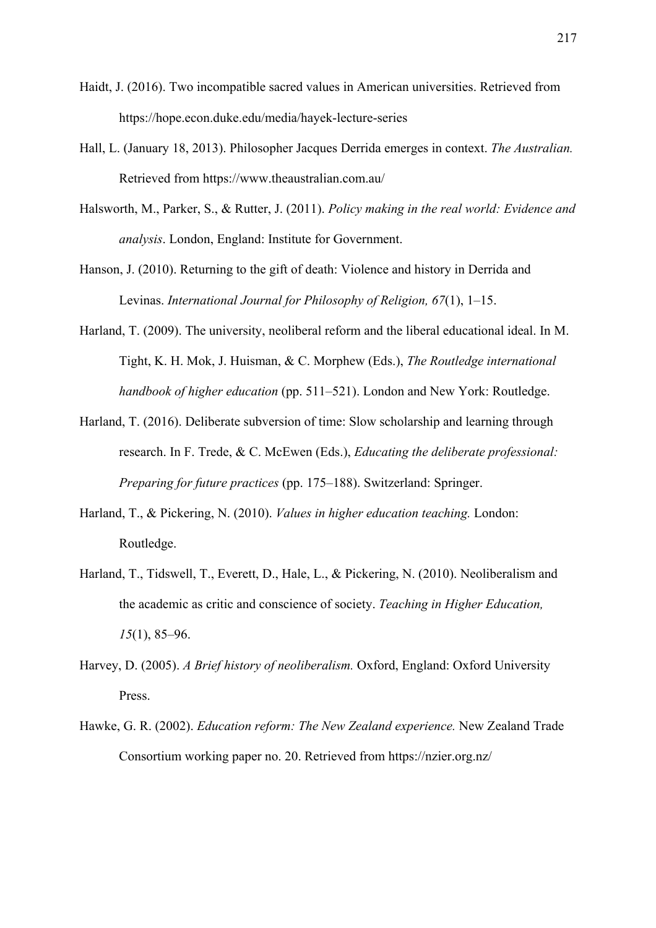- Haidt, J. (2016). Two incompatible sacred values in American universities. Retrieved from https://hope.econ.duke.edu/media/hayek-lecture-series
- Hall, L. (January 18, 2013). Philosopher Jacques Derrida emerges in context. *The Australian.* Retrieved from https://www.theaustralian.com.au/
- Halsworth, M., Parker, S., & Rutter, J. (2011). *Policy making in the real world: Evidence and analysis*. London, England: Institute for Government.
- Hanson, J. (2010). Returning to the gift of death: Violence and history in Derrida and Levinas. *International Journal for Philosophy of Religion, 67(1), 1–15.*
- Harland, T. (2009). The university, neoliberal reform and the liberal educational ideal. In M. Tight, K. H. Mok, J. Huisman, & C. Morphew (Eds.), *The Routledge international handbook of higher education* (pp. 511–521). London and New York: Routledge.
- Harland, T. (2016). Deliberate subversion of time: Slow scholarship and learning through research. In F. Trede, & C. McEwen (Eds.), *Educating the deliberate professional: Preparing for future practices* (pp. 175–188). Switzerland: Springer.
- Harland, T., & Pickering, N. (2010). *Values in higher education teaching.* London: Routledge.
- Harland, T., Tidswell, T., Everett, D., Hale, L., & Pickering, N. (2010). Neoliberalism and the academic as critic and conscience of society. *Teaching in Higher Education, 15*(1), 85–96.
- Harvey, D. (2005). *A Brief history of neoliberalism.* Oxford, England: Oxford University Press.
- Hawke, G. R. (2002). *Education reform: The New Zealand experience.* New Zealand Trade Consortium working paper no. 20. Retrieved from https://nzier.org.nz/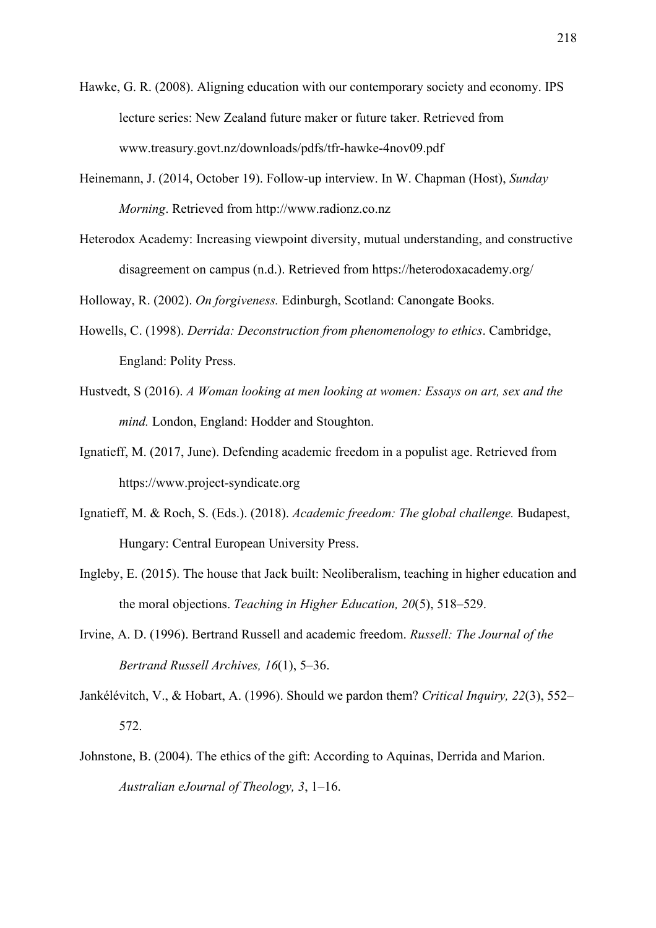Hawke, G. R. (2008). Aligning education with our contemporary society and economy. IPS lecture series: New Zealand future maker or future taker. Retrieved from www.treasury.govt.nz/downloads/pdfs/tfr-hawke-4nov09.pdf

- Heinemann, J. (2014, October 19). Follow-up interview. In W. Chapman (Host), *Sunday Morning*. Retrieved from http://www.radionz.co.nz
- Heterodox Academy: Increasing viewpoint diversity, mutual understanding, and constructive disagreement on campus (n.d.). Retrieved from https://heterodoxacademy.org/

Holloway, R. (2002). *On forgiveness.* Edinburgh, Scotland: Canongate Books.

- Howells, C. (1998). *Derrida: Deconstruction from phenomenology to ethics*. Cambridge, England: Polity Press.
- Hustvedt, S (2016). *A Woman looking at men looking at women: Essays on art, sex and the mind.* London, England: Hodder and Stoughton.
- Ignatieff, M. (2017, June). Defending academic freedom in a populist age. Retrieved from https://www.project-syndicate.org
- Ignatieff, M. & Roch, S. (Eds.). (2018). *Academic freedom: The global challenge.* Budapest, Hungary: Central European University Press.
- Ingleby, E. (2015). The house that Jack built: Neoliberalism, teaching in higher education and the moral objections. *Teaching in Higher Education*, 20(5), 518–529.
- Irvine, A. D. (1996). Bertrand Russell and academic freedom. *Russell: The Journal of the Bertrand Russell Archives, 16*(1), 5‒36.
- Jankélévitch, V., & Hobart, A. (1996). Should we pardon them? *Critical Inquiry, 22(3)*, 552– 572.
- Johnstone, B. (2004). The ethics of the gift: According to Aquinas, Derrida and Marion. *Australian eJournal of Theology, 3*, 1‒16.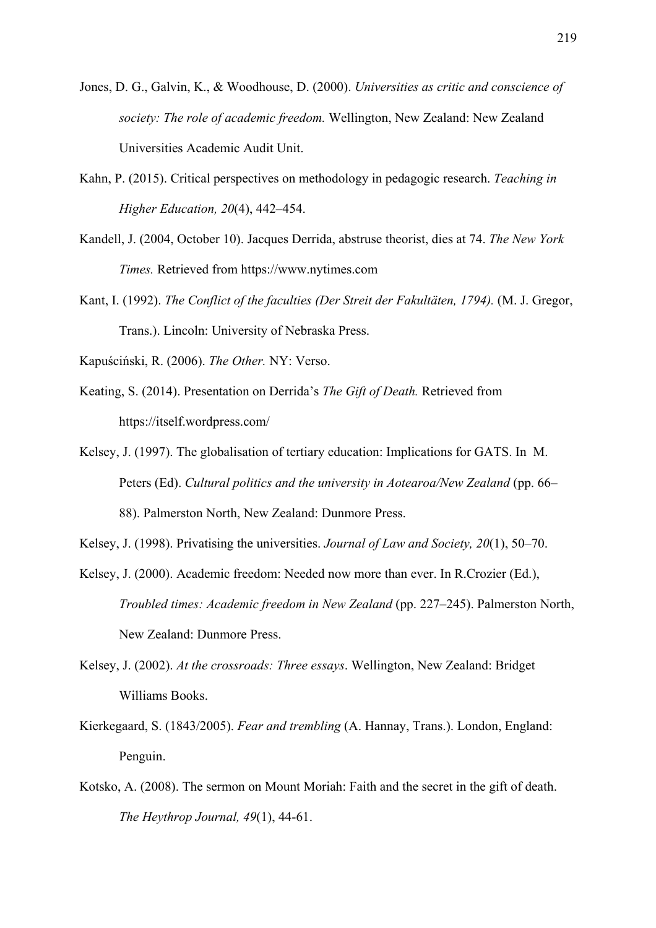- Jones, D. G., Galvin, K., & Woodhouse, D. (2000). *Universities as critic and conscience of society: The role of academic freedom.* Wellington, New Zealand: New Zealand Universities Academic Audit Unit.
- Kahn, P. (2015). Critical perspectives on methodology in pedagogic research. *Teaching in Higher Education, 20(4), 442-454.*
- Kandell, J. (2004, October 10). Jacques Derrida, abstruse theorist, dies at 74. *The New York Times.* Retrieved from https://www.nytimes.com
- Kant, I. (1992). *The Conflict of the faculties (Der Streit der Fakultäten, 1794).* (M. J. Gregor, Trans.). Lincoln: University of Nebraska Press.

Kapuściński, R. (2006). *The Other.* NY: Verso.

- Keating, S. (2014). Presentation on Derrida's *The Gift of Death.* Retrieved from https://itself.wordpress.com/
- Kelsey, J. (1997). The globalisation of tertiary education: Implications for GATS. In M. Peters (Ed). *Cultural politics and the university in Aotearoa/New Zealand* (pp. 66– 88). Palmerston North, New Zealand: Dunmore Press.
- Kelsey, J. (1998). Privatising the universities. *Journal of Law and Society, 20*(1), 50–70.
- Kelsey, J. (2000). Academic freedom: Needed now more than ever. In R.Crozier (Ed.), *Troubled times: Academic freedom in New Zealand (pp. 227–245). Palmerston North,* New Zealand: Dunmore Press.
- Kelsey, J. (2002). *At the crossroads: Three essays*. Wellington, New Zealand: Bridget Williams Books.
- Kierkegaard, S. (1843/2005). *Fear and trembling* (A. Hannay, Trans.). London, England: Penguin.
- Kotsko, A. (2008). The sermon on Mount Moriah: Faith and the secret in the gift of death. *The Heythrop Journal, 49*(1), 44-61.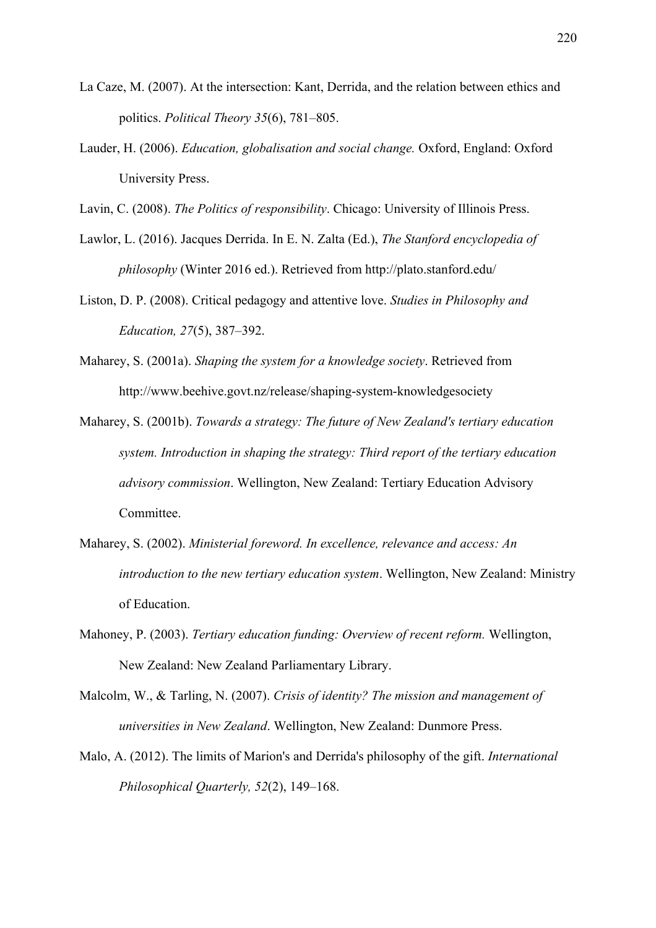- La Caze, M. (2007). At the intersection: Kant, Derrida, and the relation between ethics and politics. *Political Theory 35*(6), 781–805.
- Lauder, H. (2006). *Education, globalisation and social change.* Oxford, England: Oxford University Press.
- Lavin, C. (2008). *The Politics of responsibility*. Chicago: University of Illinois Press.
- Lawlor, L. (2016). Jacques Derrida. In E. N. Zalta (Ed.), *The Stanford encyclopedia of philosophy* (Winter 2016 ed.). Retrieved from http://plato.stanford.edu/
- Liston, D. P. (2008). Critical pedagogy and attentive love. *Studies in Philosophy and Education, 27*(5), 387‒392.
- Maharey, S. (2001a). *Shaping the system for a knowledge society*. Retrieved from http://www.beehive.govt.nz/release/shaping-system-knowledgesociety
- Maharey, S. (2001b). *Towards a strategy: The future of New Zealand's tertiary education system. Introduction in shaping the strategy: Third report of the tertiary education advisory commission*. Wellington, New Zealand: Tertiary Education Advisory Committee.
- Maharey, S. (2002). *Ministerial foreword. In excellence, relevance and access: An introduction to the new tertiary education system*. Wellington, New Zealand: Ministry of Education.
- Mahoney, P. (2003). *Tertiary education funding: Overview of recent reform.* Wellington, New Zealand: New Zealand Parliamentary Library.
- Malcolm, W., & Tarling, N. (2007). *Crisis of identity? The mission and management of universities in New Zealand*. Wellington, New Zealand: Dunmore Press.
- Malo, A. (2012). The limits of Marion's and Derrida's philosophy of the gift. *International Philosophical Quarterly, 52(2), 149-168.*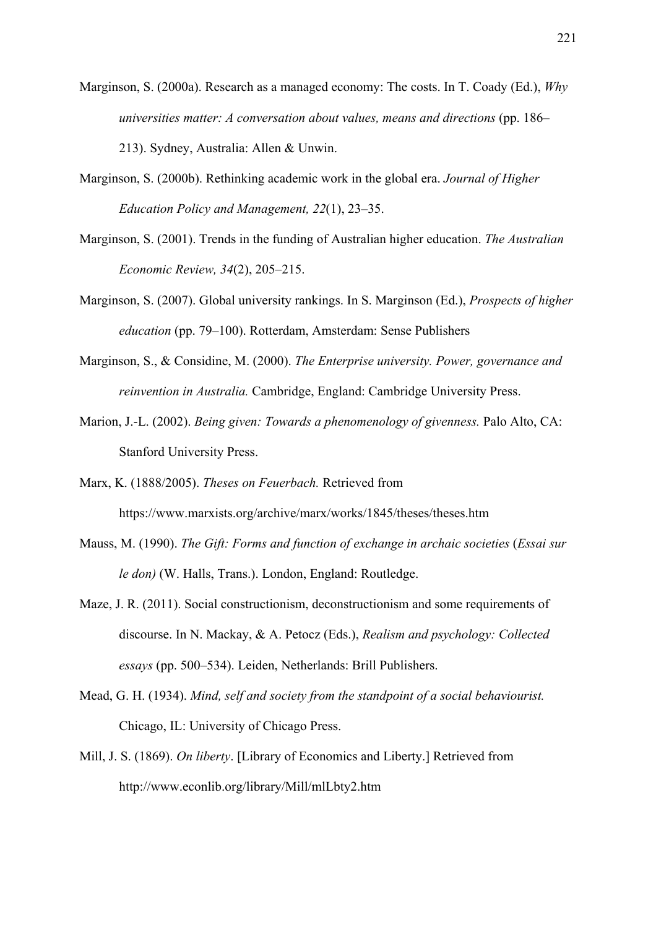- Marginson, S. (2000a). Research as a managed economy: The costs. In T. Coady (Ed.), *Why universities matter: A conversation about values, means and directions (pp. 186–* 213). Sydney, Australia: Allen & Unwin.
- Marginson, S. (2000b). Rethinking academic work in the global era. *Journal of Higher Education Policy and Management, 22*(1), 23‒35.
- Marginson, S. (2001). Trends in the funding of Australian higher education. *The Australian Economic Review, 34*(2), 205‒215.
- Marginson, S. (2007). Global university rankings. In S. Marginson (Ed.), *Prospects of higher education* (pp. 79–100). Rotterdam, Amsterdam: Sense Publishers
- Marginson, S., & Considine, M. (2000). *The Enterprise university. Power, governance and reinvention in Australia.* Cambridge, England: Cambridge University Press.
- Marion, J.-L. (2002). *Being given: Towards a phenomenology of givenness.* Palo Alto, CA: Stanford University Press.
- Marx, K. (1888/2005). *Theses on Feuerbach.* Retrieved from https://www.marxists.org/archive/marx/works/1845/theses/theses.htm
- Mauss, M. (1990). *The Gift: Forms and function of exchange in archaic societies (Essai sur le don)* (W. Halls, Trans.). London, England: Routledge.
- Maze, J. R. (2011). Social constructionism, deconstructionism and some requirements of discourse. In N. Mackay, & A. Petocz (Eds.), *Realism and psychology: Collected essays* (pp. 500‒534). Leiden, Netherlands: Brill Publishers.
- Mead, G. H. (1934). *Mind, self and society from the standpoint of a social behaviourist.* Chicago, IL: University of Chicago Press.
- Mill, J. S. (1869). *On liberty*. [Library of Economics and Liberty.] Retrieved from http://www.econlib.org/library/Mill/mlLbty2.htm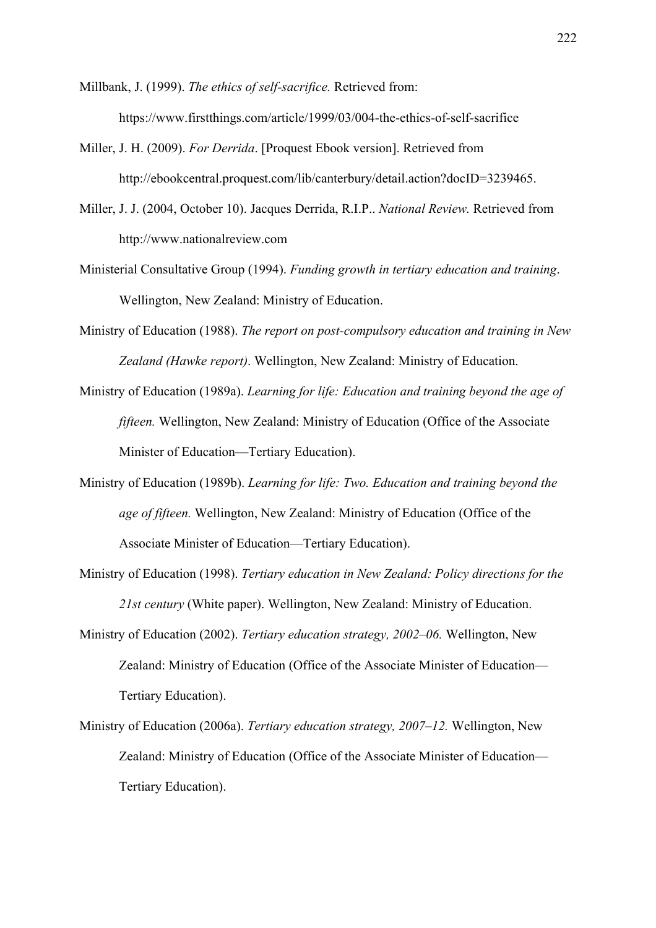Millbank, J. (1999). *The ethics of self-sacrifice.* Retrieved from: https://www.firstthings.com/article/1999/03/004-the-ethics-of-self-sacrifice

- Miller, J. H. (2009). *For Derrida*. [Proquest Ebook version]. Retrieved from http://ebookcentral.proquest.com/lib/canterbury/detail.action?docID=3239465.
- Miller, J. J. (2004, October 10). Jacques Derrida, R.I.P.. *National Review.* Retrieved from http://www.nationalreview.com
- Ministerial Consultative Group (1994). *Funding growth in tertiary education and training*. Wellington, New Zealand: Ministry of Education.
- Ministry of Education (1988). *The report on post-compulsory education and training in New Zealand (Hawke report)*. Wellington, New Zealand: Ministry of Education.
- Ministry of Education (1989a). *Learning for life: Education and training beyond the age of fifteen.* Wellington, New Zealand: Ministry of Education (Office of the Associate Minister of Education—Tertiary Education).
- Ministry of Education (1989b). *Learning for life: Two. Education and training beyond the age of fifteen.* Wellington, New Zealand: Ministry of Education (Office of the Associate Minister of Education—Tertiary Education).
- Ministry of Education (1998). *Tertiary education in New Zealand: Policy directions for the 21st century* (White paper). Wellington, New Zealand: Ministry of Education.
- Ministry of Education (2002). *Tertiary education strategy, 2002–06.* Wellington, New Zealand: Ministry of Education (Office of the Associate Minister of Education— Tertiary Education).
- Ministry of Education (2006a). *Tertiary education strategy, 2007–12.* Wellington, New Zealand: Ministry of Education (Office of the Associate Minister of Education— Tertiary Education).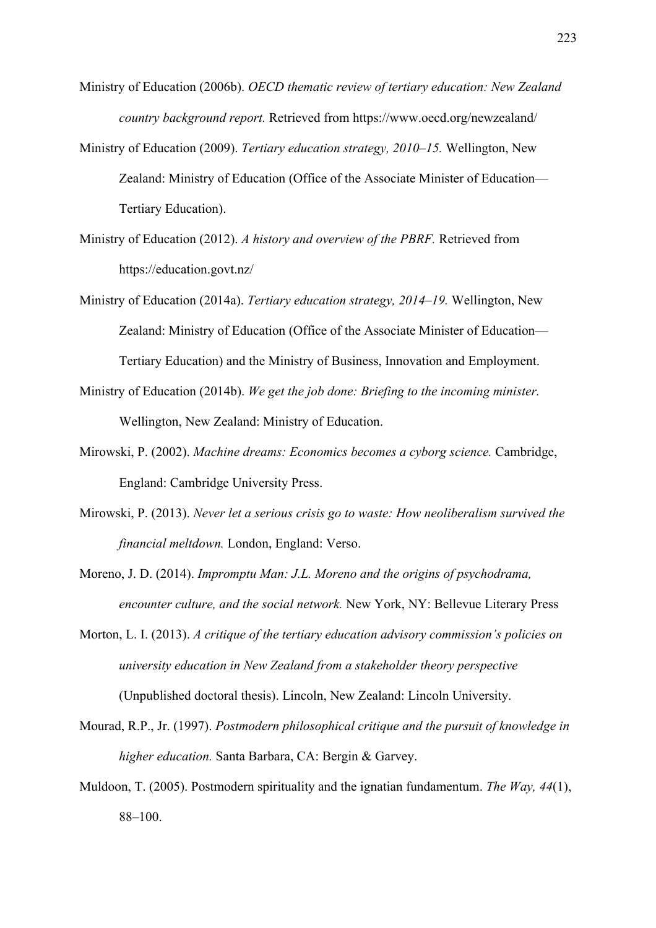- Ministry of Education (2006b). *OECD thematic review of tertiary education: New Zealand country background report.* Retrieved from https://www.oecd.org/newzealand/
- Ministry of Education (2009). *Tertiary education strategy, 2010–15.* Wellington, New Zealand: Ministry of Education (Office of the Associate Minister of Education— Tertiary Education).
- Ministry of Education (2012). *A history and overview of the PBRF.* Retrieved from https://education.govt.nz/
- Ministry of Education (2014a). *Tertiary education strategy, 2014–19.* Wellington, New Zealand: Ministry of Education (Office of the Associate Minister of Education— Tertiary Education) and the Ministry of Business, Innovation and Employment.
- Ministry of Education (2014b). *We get the job done: Briefing to the incoming minister.*  Wellington, New Zealand: Ministry of Education.
- Mirowski, P. (2002). *Machine dreams: Economics becomes a cyborg science.* Cambridge, England: Cambridge University Press.
- Mirowski, P. (2013). *Never let a serious crisis go to waste: How neoliberalism survived the financial meltdown.* London, England: Verso.
- Moreno, J. D. (2014). *Impromptu Man: J.L. Moreno and the origins of psychodrama, encounter culture, and the social network.* New York, NY: Bellevue Literary Press
- Morton, L. I. (2013). *A critique of the tertiary education advisory commission's policies on university education in New Zealand from a stakeholder theory perspective* (Unpublished doctoral thesis). Lincoln, New Zealand: Lincoln University.
- Mourad, R.P., Jr. (1997). *Postmodern philosophical critique and the pursuit of knowledge in higher education.* Santa Barbara, CA: Bergin & Garvey.
- Muldoon, T. (2005). Postmodern spirituality and the ignatian fundamentum. *The Way, 44*(1),  $88 - 100.$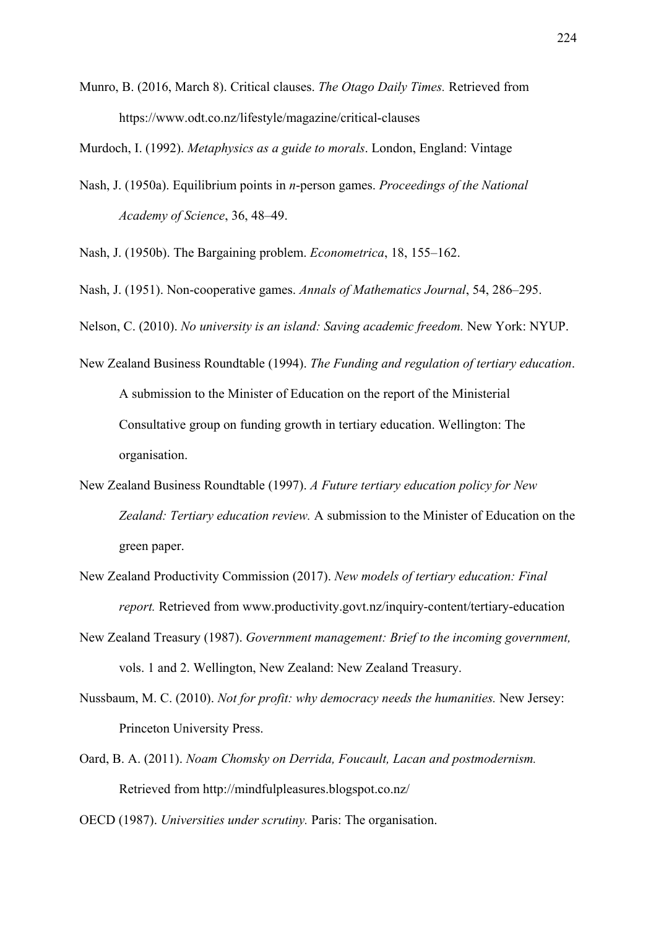Munro, B. (2016, March 8). Critical clauses. *The Otago Daily Times.* Retrieved from https://www.odt.co.nz/lifestyle/magazine/critical-clauses

Murdoch, I. (1992). *Metaphysics as a guide to morals*. London, England: Vintage

Nash, J. (1950a). Equilibrium points in *n*-person games. *Proceedings of the National Academy of Science*, 36, 48–49.

Nash, J. (1950b). The Bargaining problem. *Econometrica*, 18, 155–162.

Nash, J. (1951). Non-cooperative games. *Annals of Mathematics Journal*, 54, 286–295.

Nelson, C. (2010). *No university is an island: Saving academic freedom.* New York: NYUP.

- New Zealand Business Roundtable (1994). *The Funding and regulation of tertiary education*. A submission to the Minister of Education on the report of the Ministerial Consultative group on funding growth in tertiary education. Wellington: The organisation.
- New Zealand Business Roundtable (1997). *A Future tertiary education policy for New Zealand: Tertiary education review.* A submission to the Minister of Education on the green paper.
- New Zealand Productivity Commission (2017). *New models of tertiary education: Final report.* Retrieved from www.productivity.govt.nz/inquiry-content/tertiary-education
- New Zealand Treasury (1987). *Government management: Brief to the incoming government,*  vols. 1 and 2. Wellington, New Zealand: New Zealand Treasury.
- Nussbaum, M. C. (2010). *Not for profit: why democracy needs the humanities.* New Jersey: Princeton University Press.
- Oard, B. A. (2011). *Noam Chomsky on Derrida, Foucault, Lacan and postmodernism.*  Retrieved from http://mindfulpleasures.blogspot.co.nz/

OECD (1987). *Universities under scrutiny.* Paris: The organisation.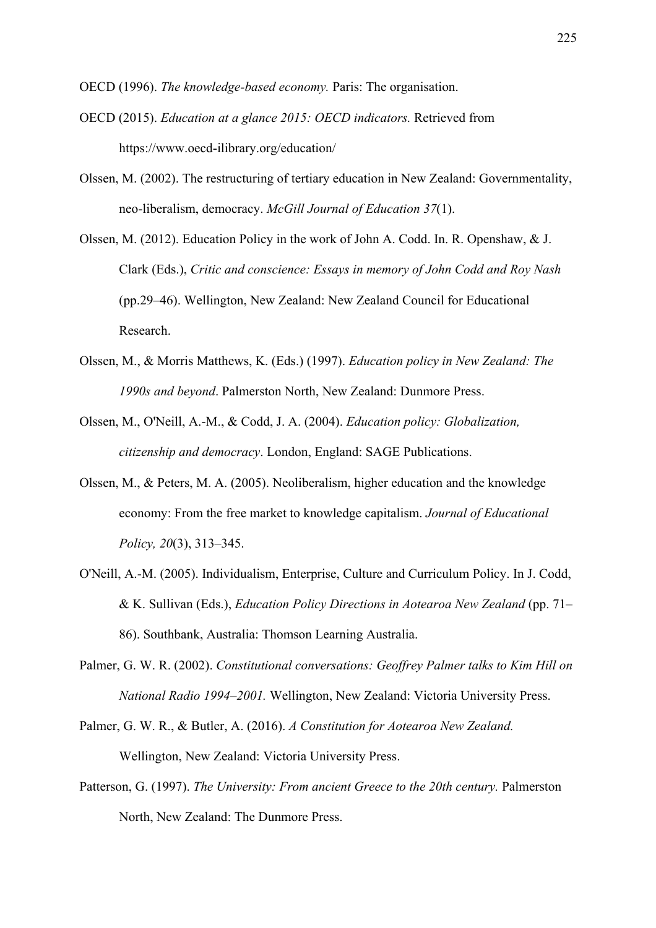OECD (1996). *The knowledge-based economy.* Paris: The organisation.

- OECD (2015). *Education at a glance 2015: OECD indicators.* Retrieved from https://www.oecd-ilibrary.org/education/
- Olssen, M. (2002). The restructuring of tertiary education in New Zealand: Governmentality, neo-liberalism, democracy. *McGill Journal of Education 37*(1).
- Olssen, M. (2012). Education Policy in the work of John A. Codd. In. R. Openshaw, & J. Clark (Eds.), *Critic and conscience: Essays in memory of John Codd and Roy Nash* (pp.29‒46). Wellington, New Zealand: New Zealand Council for Educational Research.
- Olssen, M., & Morris Matthews, K. (Eds.) (1997). *Education policy in New Zealand: The 1990s and beyond*. Palmerston North, New Zealand: Dunmore Press.
- Olssen, M., O'Neill, A.-M., & Codd, J. A. (2004). *Education policy: Globalization, citizenship and democracy*. London, England: SAGE Publications.
- Olssen, M., & Peters, M. A. (2005). Neoliberalism, higher education and the knowledge economy: From the free market to knowledge capitalism. *Journal of Educational Policy, 20*(3), 313‒345.
- O'Neill, A.-M. (2005). Individualism, Enterprise, Culture and Curriculum Policy. In J. Codd, & K. Sullivan (Eds.), *Education Policy Directions in Aotearoa New Zealand* (pp. 71– 86). Southbank, Australia: Thomson Learning Australia.
- Palmer, G. W. R. (2002). *Constitutional conversations: Geoffrey Palmer talks to Kim Hill on National Radio 1994‒2001.* Wellington, New Zealand: Victoria University Press.
- Palmer, G. W. R., & Butler, A. (2016). *A Constitution for Aotearoa New Zealand.* Wellington, New Zealand: Victoria University Press.
- Patterson, G. (1997). *The University: From ancient Greece to the 20th century*. Palmerston North, New Zealand: The Dunmore Press.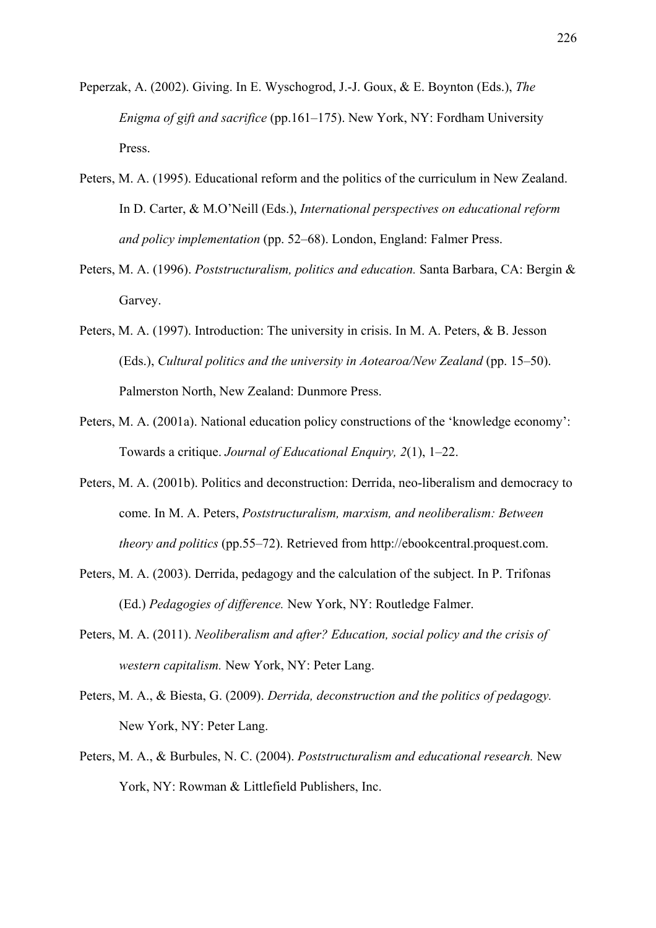- Peperzak, A. (2002). Giving. In E. Wyschogrod, J.-J. Goux, & E. Boynton (Eds.), *The Enigma of gift and sacrifice* (pp.161–175). New York, NY: Fordham University Press.
- Peters, M. A. (1995). Educational reform and the politics of the curriculum in New Zealand. In D. Carter, & M.O'Neill (Eds.), *International perspectives on educational reform and policy implementation* (pp. 52–68). London, England: Falmer Press.
- Peters, M. A. (1996). *Poststructuralism, politics and education.* Santa Barbara, CA: Bergin & Garvey.
- Peters, M. A. (1997). Introduction: The university in crisis. In M. A. Peters, & B. Jesson (Eds.), *Cultural politics and the university in Aotearoa/New Zealand* (pp. 15–50). Palmerston North, New Zealand: Dunmore Press.
- Peters, M. A. (2001a). National education policy constructions of the 'knowledge economy': Towards a critique. *Journal of Educational Enquiry, 2*(1), 1‒22.
- Peters, M. A. (2001b). Politics and deconstruction: Derrida, neo-liberalism and democracy to come. In M. A. Peters, *Poststructuralism, marxism, and neoliberalism: Between theory and politics (pp.55–72).* Retrieved from http://ebookcentral.proquest.com.
- Peters, M. A. (2003). Derrida, pedagogy and the calculation of the subject. In P. Trifonas (Ed.) *Pedagogies of difference.* New York, NY: Routledge Falmer.
- Peters, M. A. (2011). *Neoliberalism and after? Education, social policy and the crisis of western capitalism.* New York, NY: Peter Lang.
- Peters, M. A., & Biesta, G. (2009). *Derrida, deconstruction and the politics of pedagogy.*  New York, NY: Peter Lang.
- Peters, M. A., & Burbules, N. C. (2004). *Poststructuralism and educational research.* New York, NY: Rowman & Littlefield Publishers, Inc.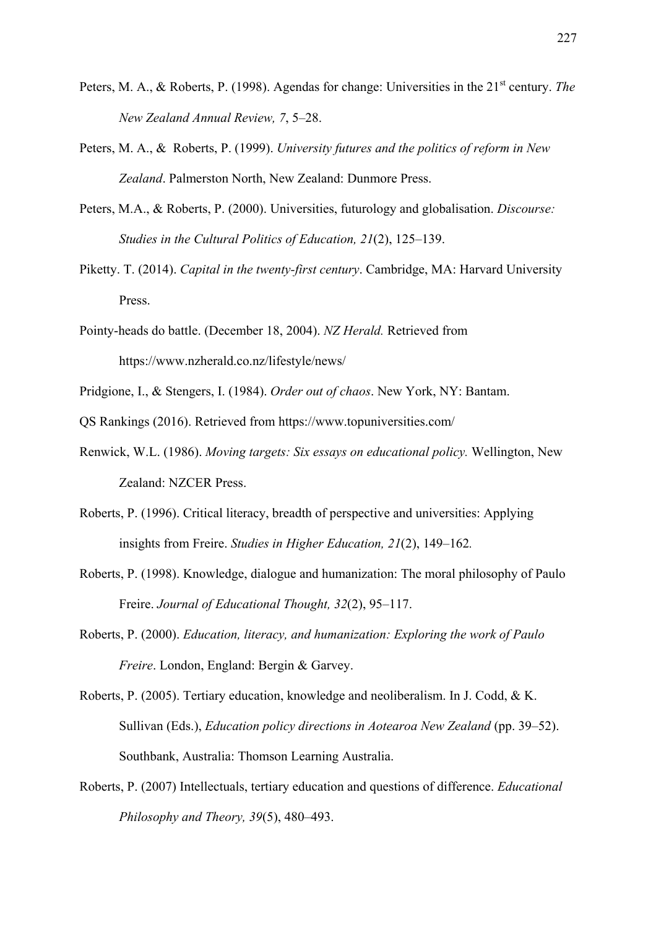- Peters, M. A., & Roberts, P. (1998). Agendas for change: Universities in the 21<sup>st</sup> century. *The New Zealand Annual Review, 7*, 5‒28.
- Peters, M. A., & Roberts, P. (1999). *University futures and the politics of reform in New Zealand*. Palmerston North, New Zealand: Dunmore Press.
- Peters, M.A., & Roberts, P. (2000). Universities, futurology and globalisation. *Discourse: Studies in the Cultural Politics of Education, 21(2), 125–139.*
- Piketty. T. (2014). *Capital in the twenty-first century*. Cambridge, MA: Harvard University Press.
- Pointy-heads do battle. (December 18, 2004). *NZ Herald.* Retrieved from https://www.nzherald.co.nz/lifestyle/news/
- Pridgione, I., & Stengers, I. (1984). *Order out of chaos*. New York, NY: Bantam.
- QS Rankings (2016). Retrieved from https://www.topuniversities.com/
- Renwick, W.L. (1986). *Moving targets: Six essays on educational policy.* Wellington, New Zealand: NZCER Press.
- Roberts, P. (1996). Critical literacy, breadth of perspective and universities: Applying insights from Freire. *Studies in Higher Education, 21(2)*, 149–162.
- Roberts, P. (1998). Knowledge, dialogue and humanization: The moral philosophy of Paulo Freire. *Journal of Educational Thought, 32(2)*, 95–117.
- Roberts, P. (2000). *Education, literacy, and humanization: Exploring the work of Paulo Freire*. London, England: Bergin & Garvey.
- Roberts, P. (2005). Tertiary education, knowledge and neoliberalism. In J. Codd, & K. Sullivan (Eds.), *Education policy directions in Aotearoa New Zealand* (pp. 39–52). Southbank, Australia: Thomson Learning Australia.
- Roberts, P. (2007) Intellectuals, tertiary education and questions of difference. *Educational Philosophy and Theory, 39*(5), 480‒493.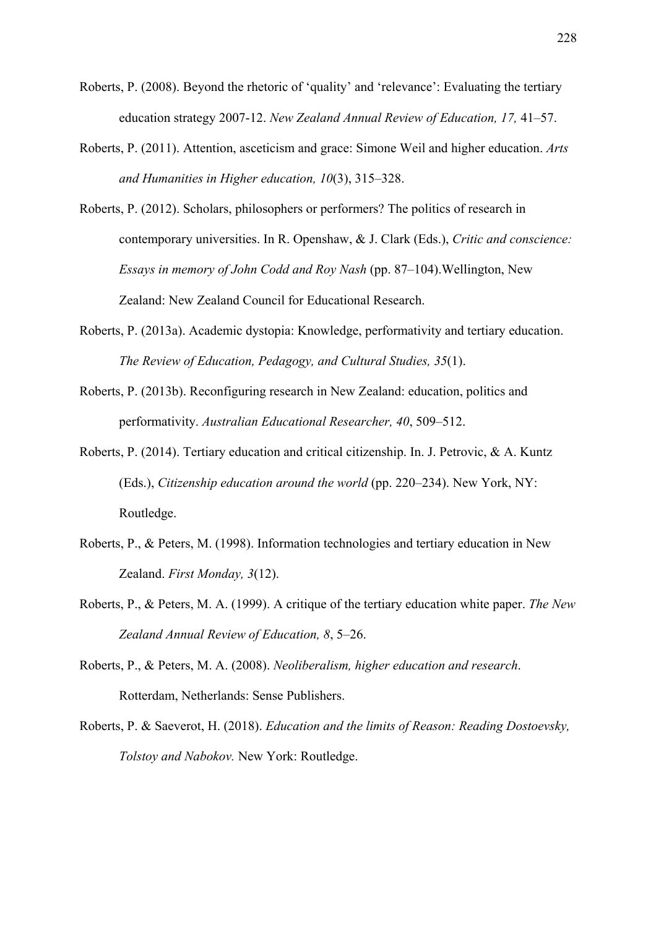- Roberts, P. (2008). Beyond the rhetoric of 'quality' and 'relevance': Evaluating the tertiary education strategy 2007-12. *New Zealand Annual Review of Education, 17, 41–57.*
- Roberts, P. (2011). Attention, asceticism and grace: Simone Weil and higher education. *Arts and Humanities in Higher education, 10*(3), 315‒328.
- Roberts, P. (2012). Scholars, philosophers or performers? The politics of research in contemporary universities. In R. Openshaw, & J. Clark (Eds.), *Critic and conscience: Essays in memory of John Codd and Roy Nash* (pp. 87–104). Wellington, New Zealand: New Zealand Council for Educational Research.
- Roberts, P. (2013a). Academic dystopia: Knowledge, performativity and tertiary education. *The Review of Education, Pedagogy, and Cultural Studies, 35*(1).
- Roberts, P. (2013b). Reconfiguring research in New Zealand: education, politics and performativity. *Australian Educational Researcher, 40*, 509–512.
- Roberts, P. (2014). Tertiary education and critical citizenship. In. J. Petrovic, & A. Kuntz (Eds.), *Citizenship education around the world* (pp. 220–234). New York, NY: Routledge.
- Roberts, P., & Peters, M. (1998). Information technologies and tertiary education in New Zealand. *First Monday, 3*(12).
- Roberts, P., & Peters, M. A. (1999). A critique of the tertiary education white paper. *The New Zealand Annual Review of Education, 8*, 5‒26.
- Roberts, P., & Peters, M. A. (2008). *Neoliberalism, higher education and research*. Rotterdam, Netherlands: Sense Publishers.
- Roberts, P. & Saeverot, H. (2018). *Education and the limits of Reason: Reading Dostoevsky, Tolstoy and Nabokov.* New York: Routledge.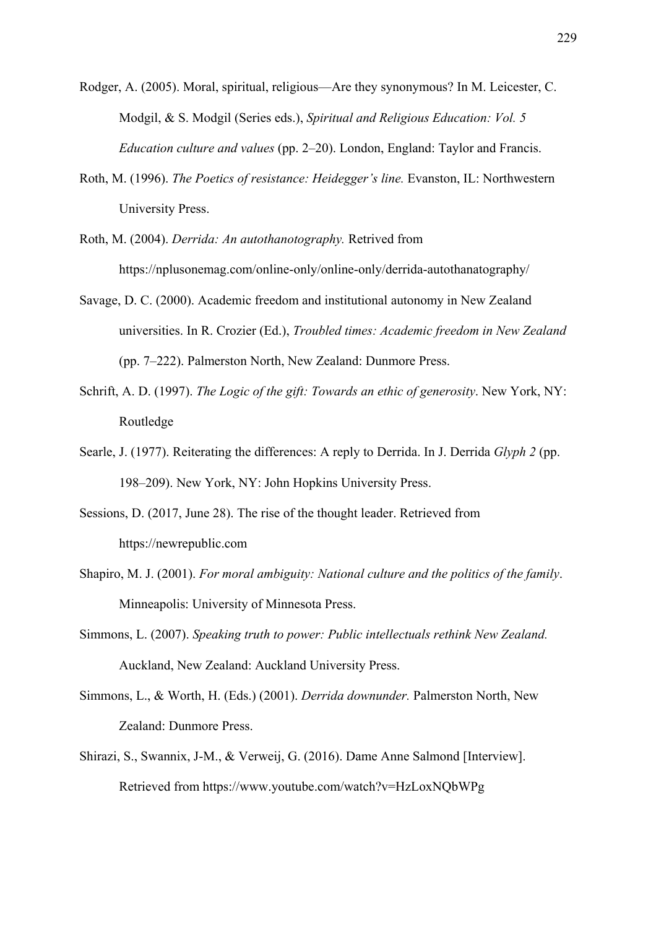- Rodger, A. (2005). Moral, spiritual, religious—Are they synonymous? In M. Leicester, C. Modgil, & S. Modgil (Series eds.), *Spiritual and Religious Education: Vol. 5 Education culture and values* (pp. 2–20). London, England: Taylor and Francis.
- Roth, M. (1996). *The Poetics of resistance: Heidegger's line.* Evanston, IL: Northwestern University Press.
- Roth, M. (2004). *Derrida: An autothanotography.* Retrived from https://nplusonemag.com/online-only/online-only/derrida-autothanatography/
- Savage, D. C. (2000). Academic freedom and institutional autonomy in New Zealand universities. In R. Crozier (Ed.), *Troubled times: Academic freedom in New Zealand*  (pp. 7–222). Palmerston North, New Zealand: Dunmore Press.
- Schrift, A. D. (1997). *The Logic of the gift: Towards an ethic of generosity*. New York, NY: Routledge
- Searle, J. (1977). Reiterating the differences: A reply to Derrida. In J. Derrida *Glyph 2* (pp. 198–209). New York, NY: John Hopkins University Press.
- Sessions, D. (2017, June 28). The rise of the thought leader. Retrieved from https://newrepublic.com
- Shapiro, M. J. (2001). *For moral ambiguity: National culture and the politics of the family*. Minneapolis: University of Minnesota Press.
- Simmons, L. (2007). *Speaking truth to power: Public intellectuals rethink New Zealand.*  Auckland, New Zealand: Auckland University Press.
- Simmons, L., & Worth, H. (Eds.) (2001). *Derrida downunder.* Palmerston North, New Zealand: Dunmore Press.
- Shirazi, S., Swannix, J-M., & Verweij, G. (2016). Dame Anne Salmond [Interview]. Retrieved from https://www.youtube.com/watch?v=HzLoxNQbWPg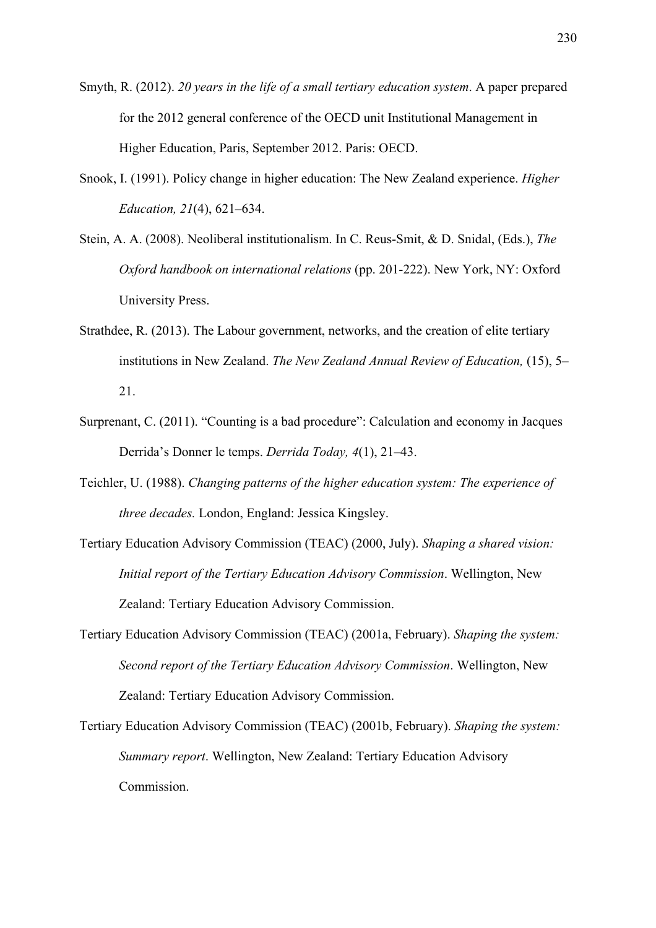- Smyth, R. (2012). *20 years in the life of a small tertiary education system*. A paper prepared for the 2012 general conference of the OECD unit Institutional Management in Higher Education, Paris, September 2012. Paris: OECD.
- Snook, I. (1991). Policy change in higher education: The New Zealand experience. *Higher Education, 21*(4), 621–634.
- Stein, A. A. (2008). Neoliberal institutionalism. In C. Reus-Smit, & D. Snidal, (Eds.), *The Oxford handbook on international relations* (pp. 201-222). New York, NY: Oxford University Press.
- Strathdee, R. (2013). The Labour government, networks, and the creation of elite tertiary institutions in New Zealand. *The New Zealand Annual Review of Education,* (15), 5– 21.
- Surprenant, C. (2011). "Counting is a bad procedure": Calculation and economy in Jacques Derrida's Donner le temps. *Derrida Today, 4*(1), 21–43.
- Teichler, U. (1988). *Changing patterns of the higher education system: The experience of three decades.* London, England: Jessica Kingsley.
- Tertiary Education Advisory Commission (TEAC) (2000, July). *Shaping a shared vision: Initial report of the Tertiary Education Advisory Commission*. Wellington, New Zealand: Tertiary Education Advisory Commission.
- Tertiary Education Advisory Commission (TEAC) (2001a, February). *Shaping the system: Second report of the Tertiary Education Advisory Commission*. Wellington, New Zealand: Tertiary Education Advisory Commission.
- Tertiary Education Advisory Commission (TEAC) (2001b, February). *Shaping the system: Summary report*. Wellington, New Zealand: Tertiary Education Advisory Commission.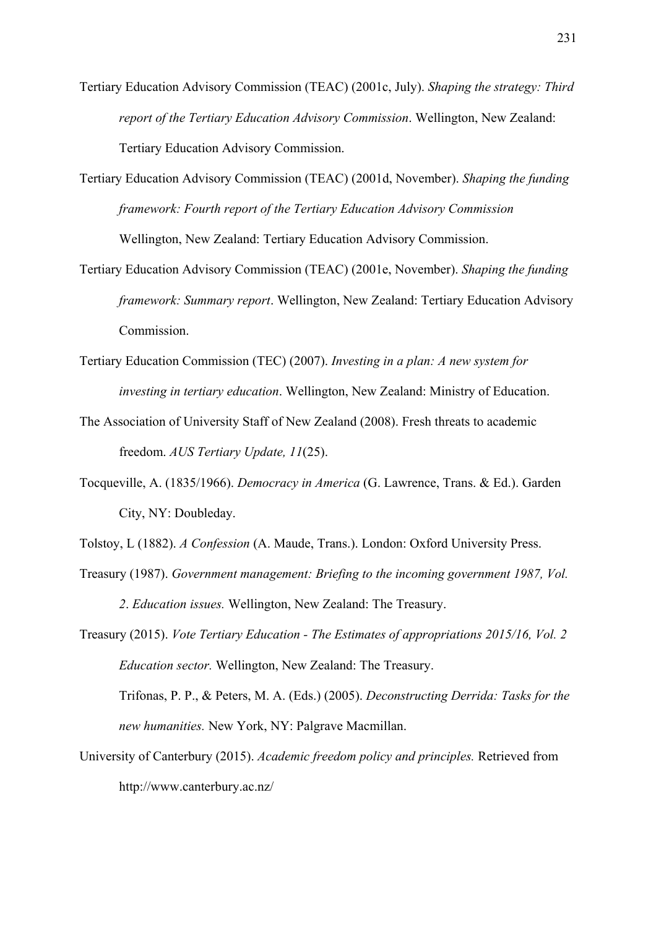- Tertiary Education Advisory Commission (TEAC) (2001c, July). *Shaping the strategy: Third report of the Tertiary Education Advisory Commission*. Wellington, New Zealand: Tertiary Education Advisory Commission.
- Tertiary Education Advisory Commission (TEAC) (2001d, November). *Shaping the funding framework: Fourth report of the Tertiary Education Advisory Commission*  Wellington, New Zealand: Tertiary Education Advisory Commission.
- Tertiary Education Advisory Commission (TEAC) (2001e, November). *Shaping the funding framework: Summary report*. Wellington, New Zealand: Tertiary Education Advisory Commission.
- Tertiary Education Commission (TEC) (2007). *Investing in a plan: A new system for investing in tertiary education*. Wellington, New Zealand: Ministry of Education.
- The Association of University Staff of New Zealand (2008). Fresh threats to academic freedom. *AUS Tertiary Update, 11*(25).
- Tocqueville, A. (1835/1966). *Democracy in America* (G. Lawrence, Trans. & Ed.). Garden City, NY: Doubleday.
- Tolstoy, L (1882). *A Confession* (A. Maude, Trans.). London: Oxford University Press.
- Treasury (1987). *Government management: Briefing to the incoming government 1987, Vol. 2*. *Education issues.* Wellington, New Zealand: The Treasury.
- Treasury (2015). *Vote Tertiary Education The Estimates of appropriations 2015/16, Vol. 2 Education sector.* Wellington, New Zealand: The Treasury.

Trifonas, P. P., & Peters, M. A. (Eds.) (2005). *Deconstructing Derrida: Tasks for the new humanities.* New York, NY: Palgrave Macmillan.

University of Canterbury (2015). *Academic freedom policy and principles.* Retrieved from http://www.canterbury.ac.nz/